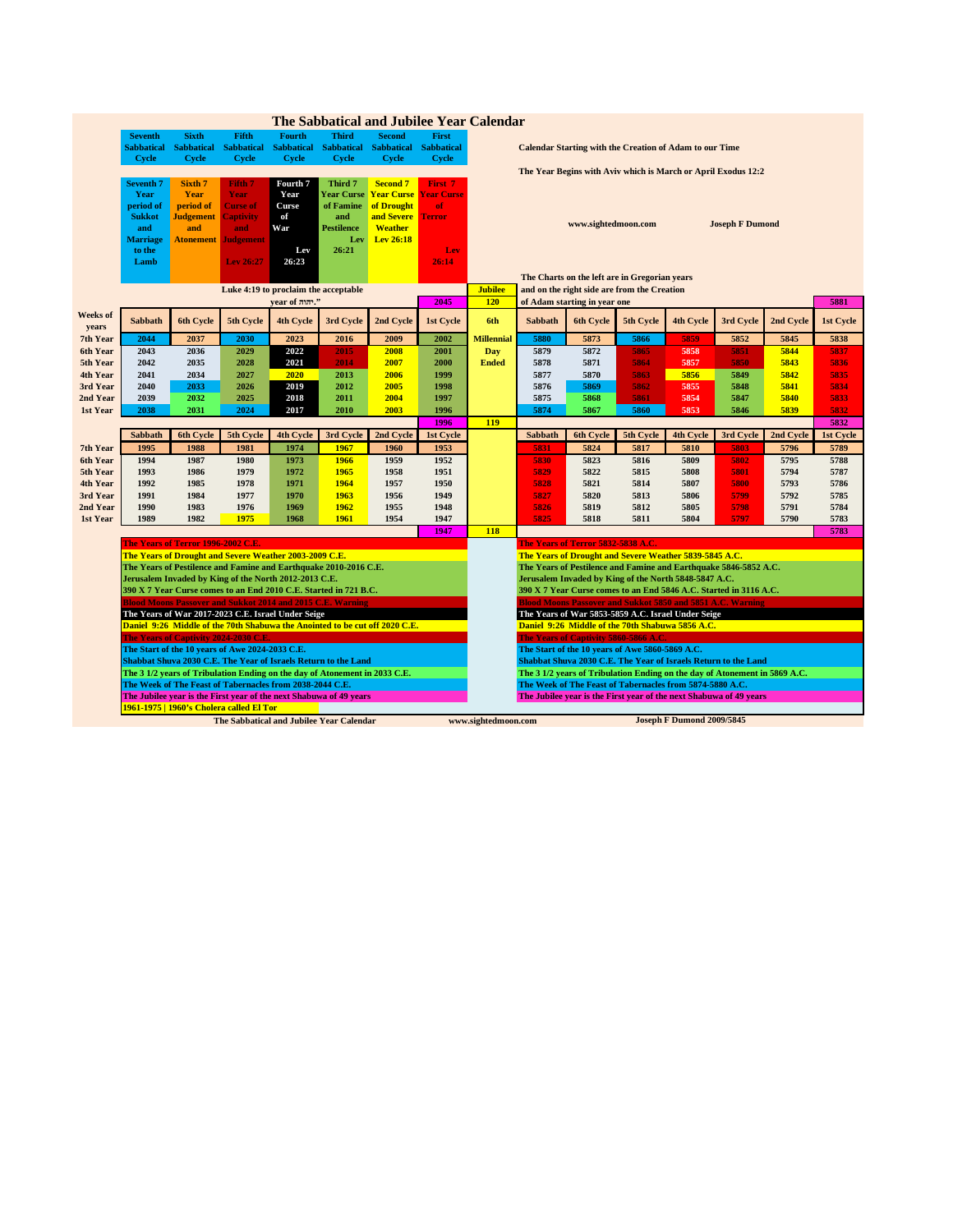|          |                  |                                    |                                                 |                                                                            |                       | The Sabbatical and Jubilee Year Calendar                                    |                   |                   |         |                                     |                                                                            |                  |                        |           |           |
|----------|------------------|------------------------------------|-------------------------------------------------|----------------------------------------------------------------------------|-----------------------|-----------------------------------------------------------------------------|-------------------|-------------------|---------|-------------------------------------|----------------------------------------------------------------------------|------------------|------------------------|-----------|-----------|
|          | <b>Seventh</b>   | <b>Sixth</b>                       | Fifth                                           | <b>Fourth</b>                                                              | Third                 | <b>Second</b>                                                               | <b>First</b>      |                   |         |                                     |                                                                            |                  |                        |           |           |
|          | Sabbatical       | <b>Sabbatical</b>                  | <b>Sabbatical</b>                               |                                                                            | Sabbatical Sabbatical | <b>Sabbatical</b>                                                           | <b>Sabbatical</b> |                   |         |                                     | <b>Calendar Starting with the Creation of Adam to our Time</b>             |                  |                        |           |           |
|          | <b>Cycle</b>     | <b>Cycle</b>                       | <b>Cycle</b>                                    | <b>Cycle</b>                                                               | <b>Cycle</b>          | <b>Cycle</b>                                                                | <b>Cycle</b>      |                   |         |                                     |                                                                            |                  |                        |           |           |
|          |                  |                                    |                                                 |                                                                            |                       |                                                                             |                   |                   |         |                                     | The Year Begins with Aviv which is March or April Exodus 12:2              |                  |                        |           |           |
|          | <b>Seventh 7</b> | Sixth 7                            | Fifth 7                                         | Fourth 7                                                                   | Third 7               | <b>Second 7</b>                                                             | First 7           |                   |         |                                     |                                                                            |                  |                        |           |           |
|          | Year             | Year                               | Year                                            | Year                                                                       | <b>Year Curse</b>     | <b>Year Curse Year Curse</b>                                                |                   |                   |         |                                     |                                                                            |                  |                        |           |           |
|          | period of        | period of                          | <b>Curse of</b>                                 | Curse                                                                      | of Famine             | of Drought                                                                  | of                |                   |         |                                     |                                                                            |                  |                        |           |           |
|          | <b>Sukkot</b>    | <b>Judgement</b>                   | Captivity                                       | of                                                                         | and                   | and Severe                                                                  | <b>Terror</b>     |                   |         |                                     |                                                                            |                  |                        |           |           |
|          | and              | and                                | and                                             | War                                                                        | <b>Pestilence</b>     | <b>Weather</b>                                                              |                   |                   |         | www.sightedmoon.com                 |                                                                            |                  | <b>Joseph F Dumond</b> |           |           |
|          | <b>Marriage</b>  | <b>Atonement</b>                   | Judgement                                       |                                                                            | Lev                   | Lev 26:18                                                                   |                   |                   |         |                                     |                                                                            |                  |                        |           |           |
|          | to the           |                                    |                                                 | Lev                                                                        | 26:21                 |                                                                             | Lev               |                   |         |                                     |                                                                            |                  |                        |           |           |
|          | Lamb             |                                    | Lev 26:27                                       | 26:23                                                                      |                       |                                                                             | 26:14             |                   |         |                                     |                                                                            |                  |                        |           |           |
|          |                  |                                    |                                                 |                                                                            |                       |                                                                             |                   |                   |         |                                     | The Charts on the left are in Gregorian years                              |                  |                        |           |           |
|          |                  |                                    |                                                 | Luke 4:19 to proclaim the acceptable                                       |                       |                                                                             |                   | <b>Jubilee</b>    |         |                                     | and on the right side are from the Creation                                |                  |                        |           |           |
|          |                  |                                    |                                                 | vear of mm."                                                               |                       |                                                                             | 2045              | 120               |         | of Adam starting in year one        |                                                                            |                  |                        |           | 5881      |
| Weeks of |                  |                                    |                                                 |                                                                            |                       |                                                                             |                   |                   |         |                                     |                                                                            |                  |                        |           |           |
| years    | Sabbath          | 6th Cycle                          | 5th Cycle                                       | 4th Cycle                                                                  | 3rd Cycle             | 2nd Cycle                                                                   | 1st Cycle         | 6th               | Sabbath | 6th Cycle                           | 5th Cycle                                                                  | 4th Cycle        | 3rd Cycle              | 2nd Cycle | 1st Cycle |
| 7th Year | 2044             | 2037                               | 2030                                            | 2023                                                                       | 2016                  | 2009                                                                        | 2002              | <b>Millennial</b> | 5880    | 5873                                | 5866                                                                       | 5859             | 5852                   | 5845      | 5838      |
| 6th Year | 2043             | 2036                               | 2029                                            | 2022                                                                       | 2015                  | 2008                                                                        | 2001              | <b>Day</b>        | 5879    | 5872                                | 5865                                                                       | 5858             | 5851                   | 5844      | 5837      |
| 5th Year | 2042             | 2035                               | 2028                                            | 2021                                                                       | 2014                  | 2007                                                                        | 2000              | <b>Ended</b>      | 5878    | 5871                                | 5864                                                                       | 5857             | 5850                   | 5843      | 5836      |
| 4th Year | 2041             | 2034                               | 2027                                            | 2020                                                                       | 2013                  | 2006                                                                        | 1999              |                   | 5877    | 5870                                | 5863                                                                       | 5856             | 5849                   | 5842      | 5835      |
| 3rd Year | 2040             | 2033                               | 2026                                            | 2019                                                                       | 2012                  | 2005                                                                        | 1998              |                   | 5876    | 5869                                | 5862                                                                       | 5855             | 5848                   | 5841      | 5834      |
| 2nd Year | 2039             | 2032                               | 2025                                            | 2018                                                                       | 2011                  | 2004                                                                        | 1997              |                   | 5875    | 5868                                | 5861                                                                       | 5854             | 5847                   | 5840      | 5833      |
| 1st Year | 2038             | 2031                               | 2024                                            | 2017                                                                       | 2010                  | 2003                                                                        | 1996              |                   | 5874    | 5867                                | 5860                                                                       | 5853             | 5846                   | 5839      | 5832      |
|          |                  |                                    |                                                 |                                                                            |                       |                                                                             | 1996              | 119               |         |                                     |                                                                            |                  |                        |           | 5832      |
|          | <b>Sabbath</b>   | <b>6th Cycle</b>                   | 5th Cycle                                       | <b>4th Cycle</b>                                                           | 3rd Cycle             | 2nd Cycle                                                                   | 1st Cycle         |                   | Sabbath | <b>6th Cycle</b>                    | 5th Cycle                                                                  | <b>4th Cycle</b> | 3rd Cycle              | 2nd Cycle | 1st Cycle |
| 7th Year | 1995             | 1988                               | 1981                                            | 1974                                                                       | 1967                  | 1960                                                                        | 1953              |                   | 5831    | 5824                                | 5817                                                                       | 5810             | 5803                   | 5796      | 5789      |
| 6th Year | 1994             | 1987                               | 1980                                            | 1973                                                                       | 1966                  | 1959                                                                        | 1952              |                   | 5830    | 5823                                | 5816                                                                       | 5809             | 5802                   | 5795      | 5788      |
| 5th Year | 1993             | 1986                               | 1979                                            | 1972                                                                       | 1965                  | 1958                                                                        | 1951              |                   | 5829    | 5822                                | 5815                                                                       | 5808             | 5801                   | 5794      | 5787      |
| 4th Year | 1992             | 1985                               | 1978                                            | 1971                                                                       | 1964                  | 1957                                                                        | 1950              |                   | 5828    | 5821                                | 5814                                                                       | 5807             | 5800                   | 5793      | 5786      |
| 3rd Year | 1991             | 1984                               | 1977                                            | 1970                                                                       | 1963                  | 1956                                                                        | 1949              |                   | 5827    | 5820                                | 5813                                                                       | 5806             | 5799                   | 5792      | 5785      |
| 2nd Year | 1990             | 1983                               | 1976                                            | 1969                                                                       | 1962                  | 1955                                                                        | 1948              |                   | 5826    | 5819                                | 5812                                                                       | 5805             | 5798                   | 5791      | 5784      |
| 1st Year | 1989             | 1982                               | 1975                                            | 1968                                                                       | 1961                  | 1954                                                                        | 1947              |                   | 5825    | 5818                                | 5811                                                                       | 5804             | 5797                   | 5790      | 5783      |
|          |                  |                                    |                                                 |                                                                            |                       |                                                                             | 1947              | 118               |         |                                     |                                                                            |                  |                        |           | 5783      |
|          |                  | The Years of Terror 1996-2002 C.E. |                                                 |                                                                            |                       |                                                                             |                   |                   |         | The Years of Terror 5832-5838 A.C.  |                                                                            |                  |                        |           |           |
|          |                  |                                    |                                                 | The Years of Drought and Severe Weather 2003-2009 C.E.                     |                       |                                                                             |                   |                   |         |                                     | The Years of Drought and Severe Weather 5839-5845 A.C.                     |                  |                        |           |           |
|          |                  |                                    |                                                 | The Years of Pestilence and Famine and Earthquake 2010-2016 C.E.           |                       |                                                                             |                   |                   |         |                                     | The Years of Pestilence and Famine and Earthquake 5846-5852 A.C.           |                  |                        |           |           |
|          |                  |                                    |                                                 | Jerusalem Invaded by King of the North 2012-2013 C.E.                      |                       |                                                                             |                   |                   |         |                                     | Jerusalem Invaded by King of the North 5848-5847 A.C.                      |                  |                        |           |           |
|          |                  |                                    |                                                 | 390 X 7 Year Curse comes to an End 2010 C.E. Started in 721 B.C.           |                       |                                                                             |                   |                   |         |                                     | 390 X 7 Year Curse comes to an End 5846 A.C. Started in 3116 A.C.          |                  |                        |           |           |
|          |                  |                                    |                                                 | <b>Blood Moons Passover and Sukkot 2014 and 2015 C.E. Warning</b>          |                       |                                                                             |                   |                   |         |                                     | <b>Blood Moons Passover and Sukkot 5850 and 5851 A.C. Warning</b>          |                  |                        |           |           |
|          |                  |                                    |                                                 | The Years of War 2017-2023 C.E. Israel Under Seige                         |                       |                                                                             |                   |                   |         |                                     | The Years of War 5853-5859 A.C. Israel Under Seige                         |                  |                        |           |           |
|          |                  |                                    |                                                 |                                                                            |                       | Daniel 9:26 Middle of the 70th Shabuwa the Anointed to be cut off 2020 C.E. |                   |                   |         |                                     | Daniel 9:26 Middle of the 70th Shabuwa 5856 A.C.                           |                  |                        |           |           |
|          |                  |                                    | The Years of Captivity 2024-2030 C.E            |                                                                            |                       |                                                                             |                   |                   |         | The Years of Captivity 5860-5866 A. |                                                                            |                  |                        |           |           |
|          |                  |                                    | The Start of the 10 years of Awe 2024-2033 C.E. |                                                                            |                       |                                                                             |                   |                   |         |                                     | The Start of the 10 years of Awe 5860-5869 A.C.                            |                  |                        |           |           |
|          |                  |                                    |                                                 | Shabbat Shuva 2030 C.E. The Year of Israels Return to the Land             |                       |                                                                             |                   |                   |         |                                     | Shabbat Shuva 2030 C.E. The Year of Israels Return to the Land             |                  |                        |           |           |
|          |                  |                                    |                                                 | The 3 1/2 years of Tribulation Ending on the day of Atonement in 2033 C.E. |                       |                                                                             |                   |                   |         |                                     | The 3 1/2 years of Tribulation Ending on the day of Atonement in 5869 A.C. |                  |                        |           |           |
|          |                  |                                    |                                                 | The Week of The Feast of Tabernacles from 2038-2044 C.E.                   |                       |                                                                             |                   |                   |         |                                     | The Week of The Feast of Tabernacles from 5874-5880 A.C.                   |                  |                        |           |           |
|          |                  |                                    |                                                 | The Jubilee year is the First year of the next Shabuwa of 49 years         |                       |                                                                             |                   |                   |         |                                     | The Jubilee year is the First year of the next Shabuwa of 49 years         |                  |                        |           |           |
|          |                  |                                    |                                                 |                                                                            |                       |                                                                             |                   |                   |         |                                     |                                                                            |                  |                        |           |           |
|          |                  |                                    | 1961-1975   1960's Cholera called El Tor        |                                                                            |                       |                                                                             |                   |                   |         |                                     |                                                                            |                  |                        |           |           |

## **The Sabbatical and Jubilee Year Calendar**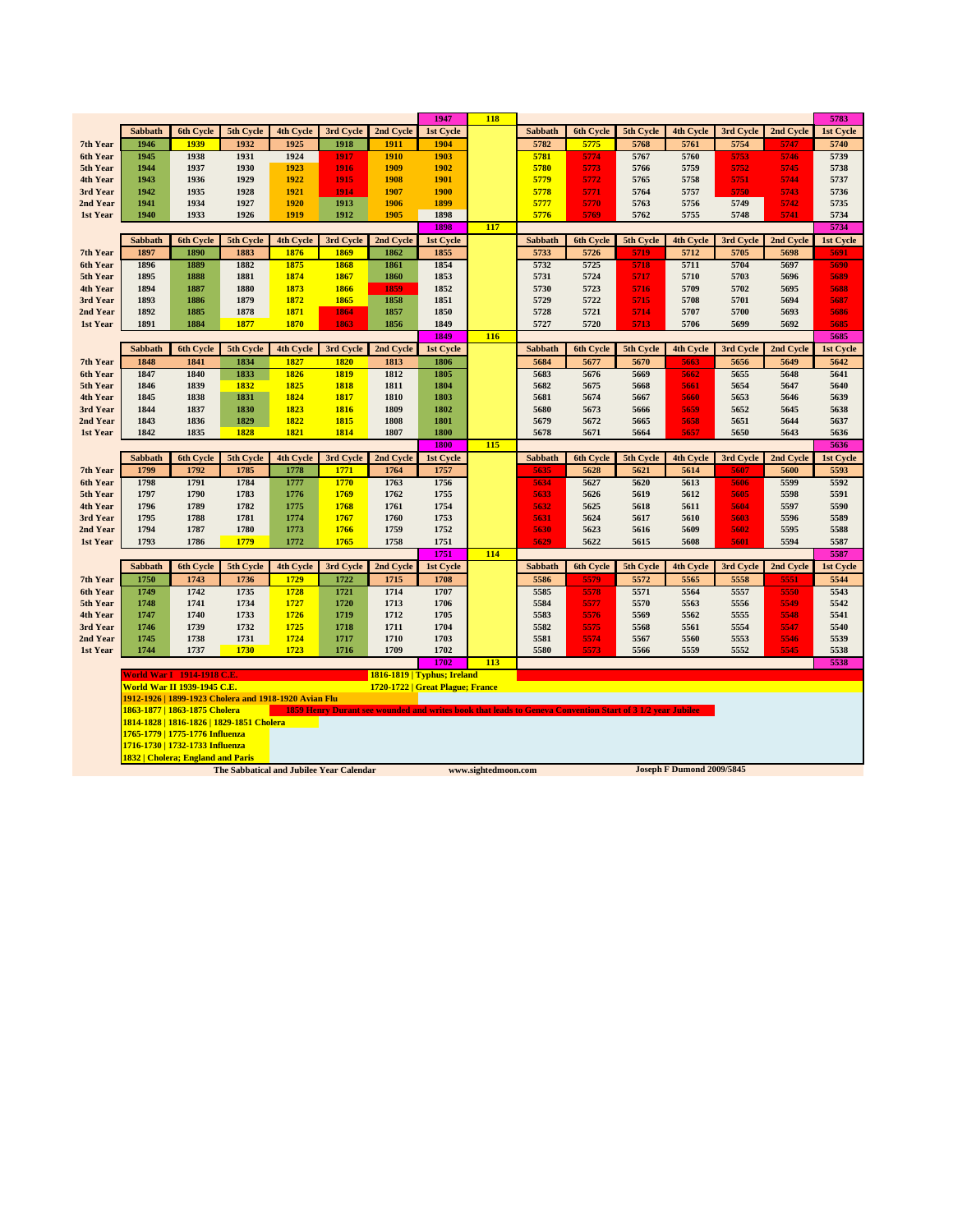|                      |                                    |                                   |                                                       |                  |              |                                  | 1947                | <b>118</b>          |              |                  |                                                                                                           |                                  |              |              | 5783         |
|----------------------|------------------------------------|-----------------------------------|-------------------------------------------------------|------------------|--------------|----------------------------------|---------------------|---------------------|--------------|------------------|-----------------------------------------------------------------------------------------------------------|----------------------------------|--------------|--------------|--------------|
|                      | Sabbath                            | <b>6th Cycle</b>                  | 5th Cycle                                             | <b>4th Cycle</b> | 3rd Cycle    | 2nd Cycle                        | 1st Cycle           |                     | Sabbath      | 6th Cycle        | 5th Cycle                                                                                                 | 4th Cycle                        | 3rd Cycle    | 2nd Cycle    | 1st Cycle    |
| 7th Year             | 1946                               | 1939                              | 1932                                                  | 1925             | 1918         | 1911                             | 1904                |                     | 5782         | 5775             | 5768                                                                                                      | 5761                             | 5754         | 5747         | 5740         |
| 6th Year             | 1945                               | 1938                              | 1931                                                  | 1924             | 1917         | 1910                             | 1903                |                     | 5781         | 5774             | 5767                                                                                                      | 5760                             | 5753         | 5746         | 5739         |
| 5th Year             | 1944                               | 1937                              | 1930                                                  | 1923             | 1916         | 1909                             | 1902                |                     | 5780         | 5773             | 5766                                                                                                      | 5759                             | 5752         | 5745         | 5738         |
| 4th Year             | 1943                               | 1936                              | 1929                                                  | 1922             | 1915         | 1908                             | 1901                |                     | 5779         | 5772             | 5765                                                                                                      | 5758                             | 5751         | 5744         | 5737         |
| 3rd Year             | 1942                               | 1935                              | 1928                                                  | 1921             | 1914         | 1907                             | <b>1900</b>         |                     | 5778         | 5771             | 5764                                                                                                      | 5757                             | 5750         | 5743         | 5736         |
| 2nd Year             | 1941                               | 1934                              | 1927                                                  | 1920             | 1913         | 1906                             | 1899                |                     | 5777         | 5770             | 5763                                                                                                      | 5756                             | 5749         | 5742         | 5735         |
| 1st Year             | 1940                               | 1933                              | 1926                                                  | 1919             | 1912         | 1905                             | 1898                |                     | 5776         | 5769             | 5762                                                                                                      | 5755                             | 5748         | 5741         | 5734         |
|                      |                                    |                                   |                                                       |                  |              |                                  | 1898                | 117                 |              |                  |                                                                                                           |                                  |              |              | 5734         |
|                      | Sabbath                            | 6th Cycle                         | 5th Cycle                                             | 4th Cycle        | 3rd Cycle    | 2nd Cycle                        | 1st Cycle           |                     | Sabbath      | <b>6th Cycle</b> | 5th Cycle                                                                                                 | 4th Cycle                        | 3rd Cycle    | 2nd Cycle    | 1st Cycle    |
| 7th Year             | 1897                               | 1890                              | 1883                                                  | 1876             | 1869         | 1862                             | 1855                |                     | 5733         | 5726             | 5719                                                                                                      | 5712                             | 5705         | 5698         | 5691         |
| 6th Year             | 1896                               | 1889                              | 1882                                                  | 1875             | 1868         | 1861                             | 1854                |                     | 5732         | 5725             | 5718                                                                                                      | 5711                             | 5704         | 5697         | 5690         |
| 5th Year             | 1895                               | 1888                              | 1881                                                  | 1874             | 1867         | 1860                             | 1853                |                     | 5731         | 5724             | 5717                                                                                                      | 5710                             | 5703         | 5696         | 5689         |
| 4th Year             | 1894                               | 1887                              | 1880                                                  | 1873             | 1866         | 1859                             | 1852                |                     | 5730         | 5723             | 5716                                                                                                      | 5709                             | 5702         | 5695         | 5688         |
| 3rd Year             | 1893                               | 1886                              | 1879                                                  | 1872             | 1865         | 1858                             | 1851                |                     | 5729         | 5722             | 5715                                                                                                      | 5708                             | 5701         | 5694         | 5687         |
| 2nd Year             | 1892                               | 1885                              | 1878                                                  | 1871             | 1864         | 1857                             | 1850                |                     | 5728         | 5721             | 5714                                                                                                      | 5707                             | 5700         | 5693         | 5686         |
| 1st Year             | 1891                               | 1884                              | 1877                                                  | 1870             | 1863         | 1856                             | 1849                |                     | 5727         | 5720             | 5713                                                                                                      | 5706                             | 5699         | 5692         | 5685         |
|                      |                                    |                                   |                                                       |                  |              |                                  | 1849                | 116                 |              |                  |                                                                                                           |                                  |              |              | 5685         |
|                      | Sabbath                            | <b>6th Cycle</b>                  | 5th Cycle                                             | 4th Cycle        | 3rd Cycle    | 2nd Cycle                        | 1st Cycle           |                     | Sabbath      | <b>6th Cycle</b> | 5th Cycle                                                                                                 | 4th Cycle                        | 3rd Cycle    | 2nd Cycle    | 1st Cycle    |
| 7th Year             | 1848                               | 1841                              | 1834                                                  | 1827             | 1820         | 1813                             | 1806                |                     | 5684         | 5677             | 5670                                                                                                      | 5663                             | 5656         | 5649         | 5642         |
| 6th Year             | 1847                               | 1840                              | 1833                                                  | 1826             | 1819         | 1812                             | 1805                |                     | 5683         | 5676             | 5669                                                                                                      | 5662                             | 5655         | 5648         | 5641         |
| 5th Year             | 1846                               | 1839                              | 1832                                                  | 1825             | 1818         | 1811                             | 1804                |                     | 5682         | 5675             | 5668                                                                                                      | 5661                             | 5654         | 5647         | 5640         |
| 4th Year             | 1845                               | 1838                              | 1831                                                  | 1824             | 1817         | 1810                             | 1803                |                     | 5681         | 5674             | 5667                                                                                                      | 5660                             | 5653         | 5646         | 5639         |
| 3rd Year             | 1844                               | 1837<br>1836                      | 1830                                                  | 1823<br>1822     | 1816<br>1815 | 1809                             | 1802                |                     | 5680         | 5673             | 5666                                                                                                      | 5659                             | 5652         | 5645         | 5638         |
| 2nd Year<br>1st Year | 1843<br>1842                       | 1835                              | 1829<br>1828                                          | 1821             | 1814         | 1808<br>1807                     | 1801<br><b>1800</b> |                     | 5679<br>5678 | 5672<br>5671     | 5665<br>5664                                                                                              | 5658<br>5657                     | 5651<br>5650 | 5644<br>5643 | 5637<br>5636 |
|                      |                                    |                                   |                                                       |                  |              |                                  | 1800                | 115                 |              |                  |                                                                                                           |                                  |              |              | 5636         |
|                      | Sabbath                            | 6th Cycle                         | 5th Cycle                                             | 4th Cycle        | 3rd Cycle    | 2nd Cycle                        | 1st Cycle           |                     | Sabbath      | 6th Cycle        | 5th Cycle                                                                                                 | 4th Cycle                        | 3rd Cycle    | 2nd Cycle    | 1st Cycle    |
| 7th Year             | 1799                               | 1792                              | 1785                                                  | 1778             | 1771         | 1764                             | 1757                |                     | 5635         | 5628             | 5621                                                                                                      | 5614                             | 5607         | 5600         | 5593         |
| 6th Year             | 1798                               | 1791                              | 1784                                                  | 1777             | 1770         | 1763                             | 1756                |                     | 5634         | 5627             | 5620                                                                                                      | 5613                             | 5606         | 5599         | 5592         |
| 5th Year             | 1797                               | 1790                              | 1783                                                  | 1776             | 1769         | 1762                             | 1755                |                     | 5633         | 5626             | 5619                                                                                                      | 5612                             | 5605         | 5598         | 5591         |
| 4th Year             | 1796                               | 1789                              | 1782                                                  | 1775             | 1768         | 1761                             | 1754                |                     | 5632         | 5625             | 5618                                                                                                      | 5611                             | 5604         | 5597         | 5590         |
| 3rd Year             | 1795                               | 1788                              | 1781                                                  | 1774             | 1767         | 1760                             | 1753                |                     | 5631         | 5624             | 5617                                                                                                      | 5610                             | 5603         | 5596         | 5589         |
| 2nd Year             | 1794                               | 1787                              | 1780                                                  | 1773             | 1766         | 1759                             | 1752                |                     | 5630         | 5623             | 5616                                                                                                      | 5609                             | 5602         | 5595         | 5588         |
| 1st Year             | 1793                               | 1786                              | 1779                                                  | 1772             | 1765         | 1758                             | 1751                |                     | 5629         | 5622             | 5615                                                                                                      | 5608                             | 5601         | 5594         | 5587         |
|                      |                                    |                                   |                                                       |                  |              |                                  | 1751                | 114                 |              |                  |                                                                                                           |                                  |              |              | 5587         |
|                      | Sabbath                            | 6th Cycle                         | 5th Cycle                                             | 4th Cycle        | 3rd Cycle    | 2nd Cycle                        | 1st Cycle           |                     | Sabbath      | 6th Cycle        | 5th Cycle                                                                                                 | 4th Cycle                        | 3rd Cycle    | 2nd Cycle    | 1st Cycle    |
| 7th Year             | 1750                               | 1743                              | 1736                                                  | 1729             | 1722         | 1715                             | 1708                |                     | 5586         | 5579             | 5572                                                                                                      | 5565                             | 5558         | 5551         | 5544         |
| 6th Year             | 1749                               | 1742                              | 1735                                                  | 1728             | 1721         | 1714                             | 1707                |                     | 5585         | 5578             | 5571                                                                                                      | 5564                             | 5557         | 5550         | 5543         |
| 5th Year             | 1748                               | 1741                              | 1734                                                  | 1727             | 1720         | 1713                             | 1706                |                     | 5584         | 5577             | 5570                                                                                                      | 5563                             | 5556         | 5549         | 5542         |
| 4th Year             | 1747                               | 1740                              | 1733                                                  | 1726             | 1719         | 1712                             | 1705                |                     | 5583         | 5576             | 5569                                                                                                      | 5562                             | 5555         | 5548         | 5541         |
| 3rd Year             | 1746                               | 1739                              | 1732                                                  | 1725             | 1718         | 1711                             | 1704                |                     | 5582         | 5575             | 5568                                                                                                      | 5561                             | 5554         | 5547         | 5540         |
| 2nd Year             | 1745                               | 1738                              | 1731                                                  | 1724             | 1717         | 1710                             | 1703                |                     | 5581         | 5574             | 5567                                                                                                      | 5560                             | 5553         | 5546         | 5539         |
| 1st Year             | 1744                               | 1737                              | 1730                                                  | 1723             | 1716         | 1709                             | 1702                |                     | 5580         | 5573             | 5566                                                                                                      | 5559                             | 5552         | 5545         | 5538         |
|                      |                                    |                                   |                                                       |                  |              |                                  | 1702                | 113                 |              |                  |                                                                                                           |                                  |              |              | 5538         |
|                      | <b>World War I 1914-1918 C.E.</b>  |                                   |                                                       |                  |              | 1816-1819   Typhus; Ireland      |                     |                     |              |                  |                                                                                                           |                                  |              |              |              |
|                      | <b>World War II 1939-1945 C.E.</b> |                                   |                                                       |                  |              | 1720-1722   Great Plague; France |                     |                     |              |                  |                                                                                                           |                                  |              |              |              |
|                      |                                    |                                   | 1912-1926   1899-1923 Cholera and 1918-1920 Avian Flu |                  |              |                                  |                     |                     |              |                  |                                                                                                           |                                  |              |              |              |
|                      | 1863-1877   1863-1875 Cholera      |                                   |                                                       |                  |              |                                  |                     |                     |              |                  | 1859 Henry Durant see wounded and writes book that leads to Geneva Convention Start of 3 1/2 year Jubilee |                                  |              |              |              |
|                      |                                    |                                   | 1814-1828   1816-1826   1829-1851 Cholera             |                  |              |                                  |                     |                     |              |                  |                                                                                                           |                                  |              |              |              |
|                      | 1765-1779   1775-1776 Influenza    |                                   |                                                       |                  |              |                                  |                     |                     |              |                  |                                                                                                           |                                  |              |              |              |
|                      | 1716-1730   1732-1733 Influenza    |                                   |                                                       |                  |              |                                  |                     |                     |              |                  |                                                                                                           |                                  |              |              |              |
|                      |                                    | 1832   Cholera; England and Paris | The Sabbatical and Jubilee Year Calendar              |                  |              |                                  |                     | www.sightedmoon.com |              |                  |                                                                                                           | <b>Joseph F Dumond 2009/5845</b> |              |              |              |
|                      |                                    |                                   |                                                       |                  |              |                                  |                     |                     |              |                  |                                                                                                           |                                  |              |              |              |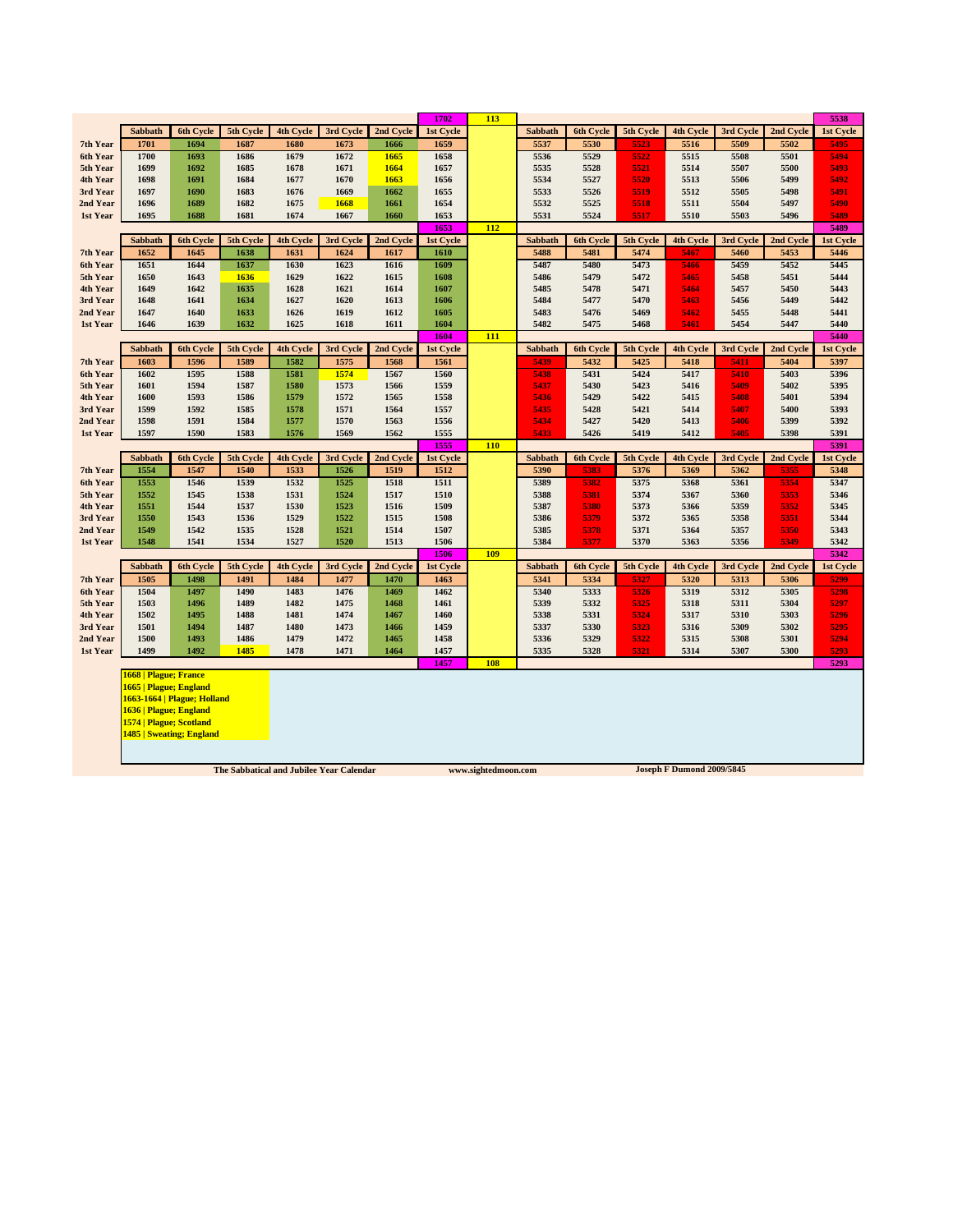|                      |                          |                             |              |                  |              |              | 1702              | 113 |                |                  |              |                  |              |              | 5538         |
|----------------------|--------------------------|-----------------------------|--------------|------------------|--------------|--------------|-------------------|-----|----------------|------------------|--------------|------------------|--------------|--------------|--------------|
|                      | Sabbath                  | 6th Cycle                   | 5th Cycle    | 4th Cycle        | 3rd Cycle    | 2nd Cycle    | 1st Cycle         |     | Sabbath        | 6th Cycle        | 5th Cycle    | 4th Cycle        | 3rd Cycle    | 2nd Cycle    | 1st Cycle    |
| 7th Year             | 1701                     | 1694                        | 1687         | 1680             | 1673         | 1666         | 1659              |     | 5537           | 5530             | 5523         | 5516             | 5509         | 5502         | 5495         |
| 6th Year             | 1700                     | 1693                        | 1686         | 1679             | 1672         | 1665         | 1658              |     | 5536           | 5529             | 5522         | 5515             | 5508         | 5501         | 5494         |
| 5th Year             | 1699                     | 1692                        | 1685         | 1678             | 1671         | 1664         | 1657              |     | 5535           | 5528             | 5521         | 5514             | 5507         | 5500         | 5493         |
| 4th Year             | 1698                     | 1691                        | 1684         | 1677             | 1670         | 1663         | 1656              |     | 5534           | 5527             | 5520         | 5513             | 5506         | 5499         | 5492         |
| 3rd Year             | 1697                     | 1690                        | 1683         | 1676             | 1669         | 1662         | 1655              |     | 5533           | 5526             | 5519         | 5512             | 5505         | 5498         | 5491         |
| 2nd Year             | 1696                     | 1689                        | 1682         | 1675             | 1668         | 1661         | 1654              |     | 5532           | 5525             | 5518         | 5511             | 5504         | 5497         | 5490         |
| 1st Year             | 1695                     | 1688                        | 1681         | 1674             | 1667         | 1660         | 1653              | 112 | 5531           | 5524             | 5517         | 5510             | 5503         | 5496         | 5489<br>5489 |
|                      | Sabbath                  | 6th Cycle                   | 5th Cycle    | 4th Cycle        | 3rd Cycle    | 2nd Cycle    | 1653<br>1st Cycle |     | Sabbath        | 6th Cycle        | 5th Cycle    | 4th Cycle        | 3rd Cycle    | 2nd Cycle    | 1st Cycle    |
| 7th Year             | 1652                     | 1645                        | 1638         | 1631             | 1624         | 1617         | 1610              |     | 5488           | 5481             | 5474         | 5467             | 5460         | 5453         | 5446         |
| 6th Year             | 1651                     | 1644                        | 1637         | 1630             | 1623         | 1616         | 1609              |     | 5487           | 5480             | 5473         | 5466             | 5459         | 5452         | 5445         |
| 5th Year             | 1650                     | 1643                        | 1636         | 1629             | 1622         | 1615         | 1608              |     | 5486           | 5479             | 5472         | 5465             | 5458         | 5451         | 5444         |
| 4th Year             | 1649                     | 1642                        | 1635         | 1628             | 1621         | 1614         | 1607              |     | 5485           | 5478             | 5471         | 5464             | 5457         | 5450         | 5443         |
| 3rd Year             | 1648                     | 1641                        | 1634         | 1627             | 1620         | 1613         | 1606              |     | 5484           | 5477             | 5470         | 5463             | 5456         | 5449         | 5442         |
| 2nd Year             | 1647                     | 1640                        | 1633         | 1626             | 1619         | 1612         | 1605              |     | 5483           | 5476             | 5469         | 5462             | 5455         | 5448         | 5441         |
| 1st Year             | 1646                     | 1639                        | 1632         | 1625             | 1618         | 1611         | 1604              |     | 5482           | 5475             | 5468         | 5461             | 5454         | 5447         | 5440         |
|                      |                          |                             |              |                  |              |              | 1604              | 111 |                |                  |              |                  |              |              | 5440         |
|                      | Sabbath                  | 6th Cycle                   | 5th Cycle    | <b>4th Cycle</b> | 3rd Cycle    | 2nd Cycle    | 1st Cycle         |     | Sabbath        | 6th Cycle        | 5th Cycle    | <b>4th Cycle</b> | 3rd Cycle    | 2nd Cycle    | 1st Cycle    |
| 7th Year             | 1603                     | 1596                        | 1589         | 1582             | 1575         | 1568         | 1561              |     | 5439           | 5432             | 5425         | 5418             | 5411         | 5404         | 5397         |
| 6th Year             | 1602                     | 1595                        | 1588         | 1581             | 1574         | 1567         | 1560              |     | 5438           | 5431             | 5424         | 5417             | 5410         | 5403         | 5396         |
| 5th Year             | 1601                     | 1594                        | 1587         | 1580             | 1573         | 1566         | 1559              |     | 5437           | 5430             | 5423         | 5416             | 5409         | 5402         | 5395         |
| 4th Year             | 1600                     | 1593<br>1592                | 1586         | 1579             | 1572         | 1565         | 1558              |     | 5436           | 5429             | 5422<br>5421 | 5415             | 5408<br>5407 | 5401         | 5394         |
| 3rd Year<br>2nd Year | 1599<br>1598             | 1591                        | 1585<br>1584 | 1578<br>1577     | 1571<br>1570 | 1564<br>1563 | 1557<br>1556      |     | 5435<br>5434   | 5428<br>5427     | 5420         | 5414<br>5413     | 5406         | 5400<br>5399 | 5393<br>5392 |
| 1st Year             | 1597                     | 1590                        | 1583         | 1576             | 1569         | 1562         | 1555              |     | 5433           | 5426             | 5419         | 5412             | 5405         | 5398         | 5391         |
|                      |                          |                             |              |                  |              |              | 1555              | 110 |                |                  |              |                  |              |              | 5391         |
|                      | Sabbath                  | <b>6th Cycle</b>            | 5th Cycle    | 4th Cycle        | 3rd Cycle    | 2nd Cycle    | 1st Cycle         |     | Sabbath        | 6th Cycle        | 5th Cycle    | 4th Cycle        | 3rd Cycle    | 2nd Cycle    | 1st Cycle    |
| 7th Year             | 1554                     | 1547                        | 1540         | 1533             | 1526         | 1519         | 1512              |     | 5390           | 5383             | 5376         | 5369             | 5362         | 5355         | 5348         |
| 6th Year             | 1553                     | 1546                        | 1539         | 1532             | 1525         | 1518         | 1511              |     | 5389           | 5382             | 5375         | 5368             | 5361         | 5354         | 5347         |
| 5th Year             | 1552                     | 1545                        | 1538         | 1531             | 1524         | 1517         | 1510              |     | 5388           | 5381             | 5374         | 5367             | 5360         | 5353         | 5346         |
| 4th Year             | 1551                     | 1544                        | 1537         | 1530             | 1523         | 1516         | 1509              |     | 5387           | 5380             | 5373         | 5366             | 5359         | 5352         | 5345         |
| 3rd Year             | 1550                     | 1543                        | 1536         | 1529             | 1522         | 1515         | 1508              |     | 5386           | 5379             | 5372         | 5365             | 5358         | 5351         | 5344         |
| 2nd Year             | 1549                     | 1542                        | 1535         | 1528             | 1521         | 1514         | 1507              |     | 5385           | 5378             | 5371         | 5364             | 5357         | 5350         | 5343         |
| 1st Year             | 1548                     | 1541                        | 1534         | 1527             | 1520         | 1513         | 1506              |     | 5384           | 5377             | 5370         | 5363             | 5356         | 5349         | 5342         |
|                      |                          |                             |              |                  |              |              | 1506              | 109 |                |                  |              |                  |              |              | 5342         |
|                      | <b>Sabbath</b>           | 6th Cycle                   | 5th Cycle    | 4th Cycle        | 3rd Cycle    | 2nd Cycle    | 1st Cycle         |     | <b>Sabbath</b> | <b>6th Cycle</b> | 5th Cycle    | <b>4th Cycle</b> | 3rd Cycle    | 2nd Cycle    | 1st Cycle    |
| 7th Year<br>6th Year | 1505<br>1504             | 1498<br>1497                | 1491<br>1490 | 1484<br>1483     | 1477<br>1476 | 1470         | 1463<br>1462      |     | 5341<br>5340   | 5334             | 5327         | 5320<br>5319     | 5313         | 5306<br>5305 | 5299         |
| 5th Year             | 1503                     | 1496                        | 1489         | 1482             | 1475         | 1469<br>1468 | 1461              |     | 5339           | 5333<br>5332     | 5326<br>5325 | 5318             | 5312<br>5311 | 5304         | 5298<br>5297 |
| 4th Year             | 1502                     | 1495                        | 1488         | 1481             | 1474         | 1467         | 1460              |     | 5338           | 5331             | 5324         | 5317             | 5310         | 5303         | 5296         |
| 3rd Year             | 1501                     | 1494                        | 1487         | 1480             | 1473         | 1466         | 1459              |     | 5337           | 5330             | 5323         | 5316             | 5309         | 5302         | 5295         |
| 2nd Year             | 1500                     | 1493                        | 1486         | 1479             | 1472         | 1465         | 1458              |     | 5336           | 5329             | 5322         | 5315             | 5308         | 5301         | 5294         |
| 1st Year             | 1499                     | 1492                        | 1485         | 1478             | 1471         | 1464         | 1457              |     | 5335           | 5328             | 5321         | 5314             | 5307         | 5300         | 5293         |
|                      |                          |                             |              |                  |              |              | 1457              | 108 |                |                  |              |                  |              |              | 5293         |
|                      | 1668   Plague; France    |                             |              |                  |              |              |                   |     |                |                  |              |                  |              |              |              |
|                      | 1665   Plague; England   |                             |              |                  |              |              |                   |     |                |                  |              |                  |              |              |              |
|                      |                          | 1663-1664   Plague; Holland |              |                  |              |              |                   |     |                |                  |              |                  |              |              |              |
|                      | 1636   Plague; England   |                             |              |                  |              |              |                   |     |                |                  |              |                  |              |              |              |
|                      | 1574   Plague; Scotland  |                             |              |                  |              |              |                   |     |                |                  |              |                  |              |              |              |
|                      | 1485   Sweating; England |                             |              |                  |              |              |                   |     |                |                  |              |                  |              |              |              |
|                      |                          |                             |              |                  |              |              |                   |     |                |                  |              |                  |              |              |              |
|                      |                          |                             |              |                  |              |              |                   |     |                |                  |              |                  |              |              |              |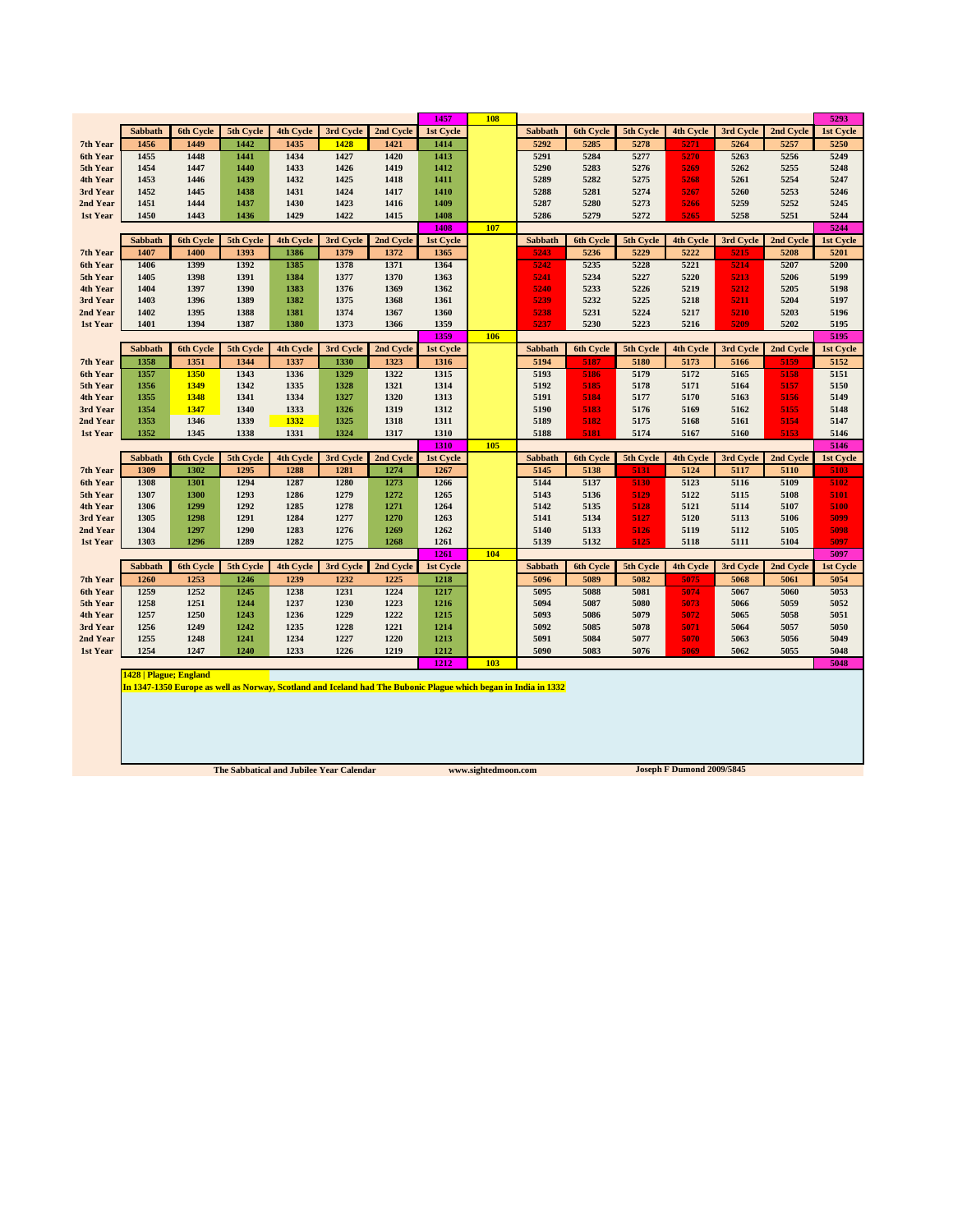|                 |                                                                                                                 |                          |           |                   |           |           | 1457              | <b>108</b> |                        |                  |                   |                          |           |           | 5293              |
|-----------------|-----------------------------------------------------------------------------------------------------------------|--------------------------|-----------|-------------------|-----------|-----------|-------------------|------------|------------------------|------------------|-------------------|--------------------------|-----------|-----------|-------------------|
|                 | <b>Sabbath</b>                                                                                                  | 6th Cycle                | 5th Cycle | 4th Cycle         | 3rd Cycle | 2nd Cycle | 1st Cycle         |            | Sabbath                | <b>6th Cycle</b> | 5th Cycle         | 4th Cycle                | 3rd Cycle | 2nd Cycle | 1st Cycle         |
| 7th Year        | 1456                                                                                                            | 1449                     | 1442      | 1435              | 1428      | 1421      | 1414              |            | 5292                   | 5285             | 5278              | 5271                     | 5264      | 5257      | 5250              |
| <b>6th Year</b> | 1455                                                                                                            | 1448                     | 1441      | 1434              | 1427      | 1420      | 1413              |            | 5291                   | 5284             | 5277              | 5270                     | 5263      | 5256      | 5249              |
| 5th Year        | 1454                                                                                                            | 1447                     | 1440      | 1433              | 1426      | 1419      | 1412              |            | 5290                   | 5283             | 5276              | 5269                     | 5262      | 5255      | 5248              |
| 4th Year        | 1453                                                                                                            | 1446                     | 1439      | 1432              | 1425      | 1418      | 1411              |            | 5289                   | 5282             | 5275              | 5268                     | 5261      | 5254      | 5247              |
| 3rd Year        | 1452                                                                                                            | 1445                     | 1438      | 1431              | 1424      | 1417      | 1410              |            | 5288                   | 5281             | 5274              | 5267                     | 5260      | 5253      | 5246              |
| 2nd Year        | 1451                                                                                                            | 1444                     | 1437      | 1430              | 1423      | 1416      | 1409              |            | 5287                   | 5280             | 5273              | 5266                     | 5259      | 5252      | 5245              |
| 1st Year        | 1450                                                                                                            | 1443                     | 1436      | 1429              | 1422      | 1415      | 1408              |            | 5286                   | 5279             | 5272              | 5265                     | 5258      | 5251      | 5244              |
|                 | <b>Sabbath</b>                                                                                                  | 6th Cycle                | 5th Cycle | 4th Cycle         | 3rd Cycle | 2nd Cycle | 1408<br>1st Cycle | 107        | Sabbath                | 6th Cycle        | 5th Cycle         | 4th Cycle                | 3rd Cycle | 2nd Cycle | 5244<br>1st Cycle |
| 7th Year        | 1407                                                                                                            | 1400                     | 1393      | 1386              | 1379      | 1372      | 1365              |            | 5243                   | 5236             | 5229              | 5222                     | 5215      | 5208      | 5201              |
| 6th Year        | 1406                                                                                                            | 1399                     | 1392      | 1385              | 1378      | 1371      | 1364              |            | 5242                   | 5235             | 5228              | 5221                     | 5214      | 5207      | 5200              |
| 5th Year        | 1405                                                                                                            | 1398                     | 1391      | 1384              | 1377      | 1370      | 1363              |            | 5241                   | 5234             | 5227              | 5220                     | 5213      | 5206      | 5199              |
| 4th Year        | 1404                                                                                                            | 1397                     | 1390      | 1383              | 1376      | 1369      | 1362              |            | 5240                   | 5233             | 5226              | 5219                     | 5212      | 5205      | 5198              |
| 3rd Year        | 1403                                                                                                            | 1396                     | 1389      | 1382              | 1375      | 1368      | 1361              |            | 5239                   | 5232             | 5225              | 5218                     | 5211      | 5204      | 5197              |
| 2nd Year        | 1402                                                                                                            | 1395                     | 1388      | 1381              | 1374      | 1367      | 1360              |            | 5238                   | 5231             | 5224              | 5217                     | 5210      | 5203      | 5196              |
| 1st Year        | 1401                                                                                                            | 1394                     | 1387      | 1380              | 1373      | 1366      | 1359              |            | 5237                   | 5230             | 5223              | 5216                     | 5209      | 5202      | 5195              |
|                 |                                                                                                                 |                          |           |                   |           |           | 1359              | 106        |                        |                  |                   |                          |           |           | 5195              |
|                 | Sabbath                                                                                                         | 6th Cycle                | 5th Cycle | <b>4th Cycle</b>  | 3rd Cycle | 2nd Cycle | <b>1st Cycle</b>  |            | <b>Sabbath</b>         | <b>6th Cycle</b> | 5th Cycle         | <b>4th Cycle</b>         | 3rd Cycle | 2nd Cycle | <b>1st Cycle</b>  |
| 7th Year        | 1358                                                                                                            | 1351                     | 1344      | 1337              | 1330      | 1323      | 1316              |            | 5194                   | 5187             | 5180              | 5173                     | 5166      | 5159      | 5152              |
| 6th Year        | 1357                                                                                                            | 1350                     | 1343      | 1336              | 1329      | 1322      | 1315              |            | 5193                   | 5186             | 5179              | 5172                     | 5165      | 5158      | 5151              |
| 5th Year        | 1356                                                                                                            | 1349                     | 1342      | 1335              | 1328      | 1321      | 1314              |            | 5192                   | 5185             | 5178              | 5171                     | 5164      | 5157      | 5150              |
| 4th Year        | 1355                                                                                                            | 1348                     | 1341      | 1334              | 1327      | 1320      | 1313              |            | 5191                   | 5184             | 5177              | 5170                     | 5163      | 5156      | 5149              |
| 3rd Year        | 1354                                                                                                            | 1347                     | 1340      | 1333              | 1326      | 1319      | 1312              |            | 5190                   | 5183             | 5176              | 5169                     | 5162      | 5155      | 5148              |
| 2nd Year        | 1353                                                                                                            | 1346                     | 1339      | 1332              | 1325      | 1318      | 1311              |            | 5189                   | 5182             | 5175              | 5168                     | 5161      | 5154      | 5147              |
| 1st Year        | 1352                                                                                                            | 1345                     | 1338      | 1331              | 1324      | 1317      | 1310              |            | 5188                   | 5181             | 5174              | 5167                     | 5160      | 5153      | 5146              |
|                 |                                                                                                                 |                          | 5th Cycle |                   | 3rd Cycle | 2nd Cycle | 1310              | 105        |                        | <b>6th Cycle</b> |                   |                          | 3rd Cycle | 2nd Cycle | 5146              |
| 7th Year        | Sabbath<br>1309                                                                                                 | <b>6th Cycle</b><br>1302 | 1295      | 4th Cycle<br>1288 | 1281      | 1274      | 1st Cycle<br>1267 |            | <b>Sabbath</b><br>5145 | 5138             | 5th Cycle<br>5131 | <b>4th Cycle</b><br>5124 | 5117      | 5110      | 1st Cycle<br>5103 |
| 6th Year        | 1308                                                                                                            | 1301                     | 1294      | 1287              | 1280      | 1273      | 1266              |            | 5144                   | 5137             | 5130              | 5123                     | 5116      | 5109      | 5102              |
| 5th Year        | 1307                                                                                                            | 1300                     | 1293      | 1286              | 1279      | 1272      | 1265              |            | 5143                   | 5136             | 5129              | 5122                     | 5115      | 5108      | 5101              |
| 4th Year        | 1306                                                                                                            | 1299                     | 1292      | 1285              | 1278      | 1271      | 1264              |            | 5142                   | 5135             | 5128              | 5121                     | 5114      | 5107      | 5100              |
| 3rd Year        | 1305                                                                                                            | 1298                     | 1291      | 1284              | 1277      | 1270      | 1263              |            | 5141                   | 5134             | 5127              | 5120                     | 5113      | 5106      | 5099              |
| 2nd Year        | 1304                                                                                                            | 1297                     | 1290      | 1283              | 1276      | 1269      | 1262              |            | 5140                   | 5133             | 5126              | 5119                     | 5112      | 5105      | 5098              |
| 1st Year        | 1303                                                                                                            | 1296                     | 1289      | 1282              | 1275      | 1268      | 1261              |            | 5139                   | 5132             | 5125              | 5118                     | 5111      | 5104      | 5097              |
|                 |                                                                                                                 |                          |           |                   |           |           | 1261              | 104        |                        |                  |                   |                          |           |           | 5097              |
|                 | Sabbath                                                                                                         | 6th Cycle                | 5th Cycle | <b>4th Cycle</b>  | 3rd Cycle | 2nd Cycle | 1st Cycle         |            | Sabbath                | <b>6th Cycle</b> | 5th Cycle         | <b>4th Cycle</b>         | 3rd Cycle | 2nd Cycle | 1st Cycle         |
| 7th Year        | 1260                                                                                                            | 1253                     | 1246      | 1239              | 1232      | 1225      | 1218              |            | 5096                   | 5089             | 5082              | 5075                     | 5068      | 5061      | 5054              |
| 6th Year        | 1259                                                                                                            | 1252                     | 1245      | 1238              | 1231      | 1224      | 1217              |            | 5095                   | 5088             | 5081              | 5074                     | 5067      | 5060      | 5053              |
| 5th Year        | 1258                                                                                                            | 1251                     | 1244      | 1237              | 1230      | 1223      | 1216              |            | 5094                   | 5087             | 5080              | 5073                     | 5066      | 5059      | 5052              |
| 4th Year        | 1257                                                                                                            | 1250                     | 1243      | 1236              | 1229      | 1222      | 1215              |            | 5093                   | 5086             | 5079              | 5072                     | 5065      | 5058      | 5051              |
| 3rd Year        | 1256                                                                                                            | 1249                     | 1242      | 1235              | 1228      | 1221      | 1214              |            | 5092                   | 5085             | 5078              | 5071                     | 5064      | 5057      | 5050              |
| 2nd Year        | 1255                                                                                                            | 1248                     | 1241      | 1234              | 1227      | 1220      | 1213              |            | 5091                   | 5084             | 5077              | 5070                     | 5063      | 5056      | 5049              |
| 1st Year        | 1254                                                                                                            | 1247                     | 1240      | 1233              | 1226      | 1219      | 1212              |            | 5090                   | 5083             | 5076              | 5069                     | 5062      | 5055      | 5048              |
|                 |                                                                                                                 |                          |           |                   |           |           | 1212              | 103        |                        |                  |                   |                          |           |           | 5048              |
|                 | <b>1428   Plague; England</b>                                                                                   |                          |           |                   |           |           |                   |            |                        |                  |                   |                          |           |           |                   |
|                 | In 1347-1350 Europe as well as Norway, Scotland and Iceland had The Bubonic Plague which began in India in 1332 |                          |           |                   |           |           |                   |            |                        |                  |                   |                          |           |           |                   |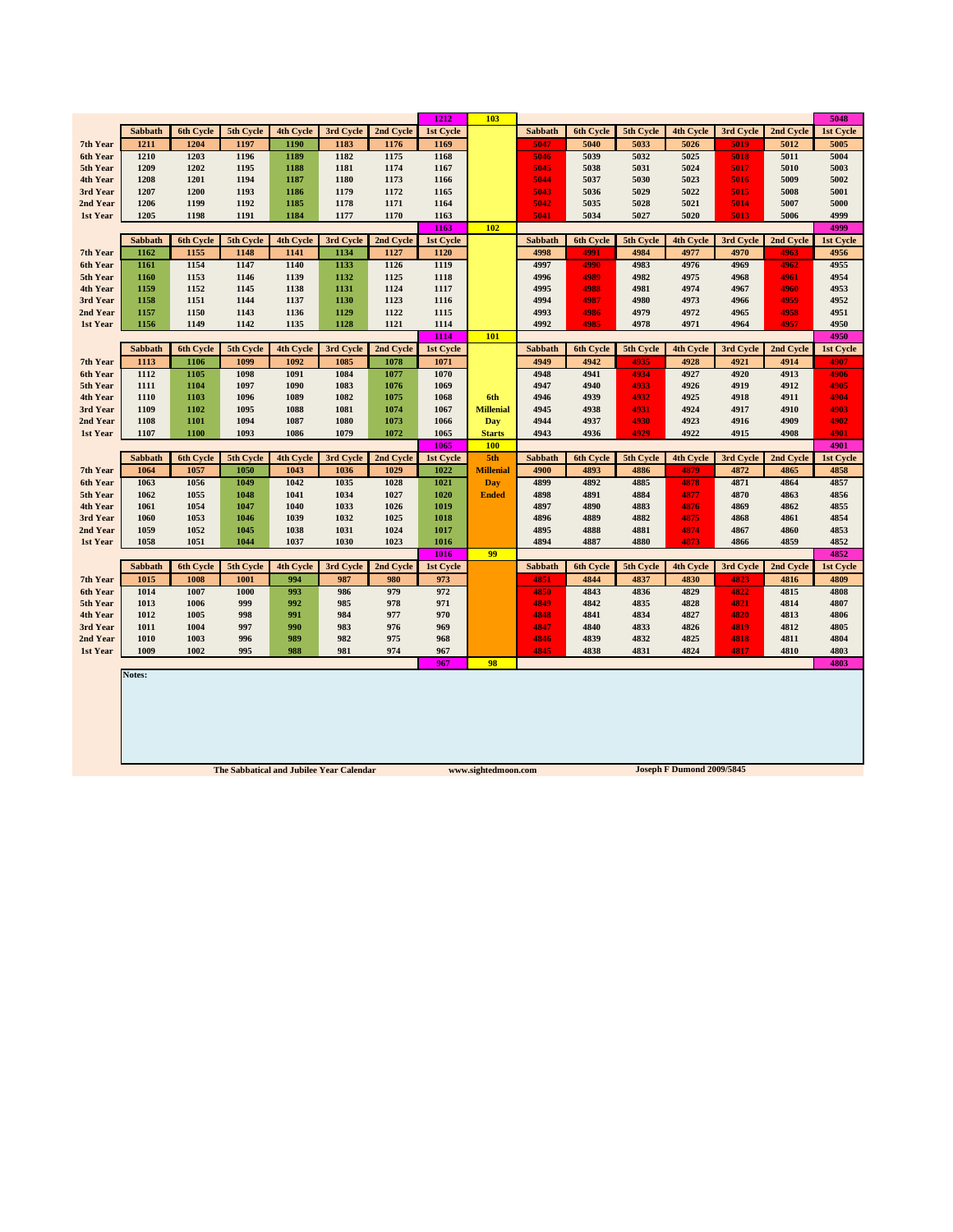|                      |                |              |                                          |                  |              |              | 1212         | 103                 |                |              |              |                           |              |              | 5048         |
|----------------------|----------------|--------------|------------------------------------------|------------------|--------------|--------------|--------------|---------------------|----------------|--------------|--------------|---------------------------|--------------|--------------|--------------|
|                      | <b>Sabbath</b> | 6th Cycle    | 5th Cycle                                | <b>4th Cycle</b> | 3rd Cycle    | 2nd Cycle    | 1st Cycle    |                     | Sabbath        | 6th Cycle    | 5th Cycle    | <b>4th Cycle</b>          | 3rd Cycle    | 2nd Cycle    | 1st Cycle    |
| 7th Year             | 1211           | 1204         | 1197                                     | 1190             | 1183         | 1176         | 1169         |                     | 5047           | 5040         | 5033         | 5026                      | 5019         | 5012         | 5005         |
| 6th Year             | 1210           | 1203         | 1196                                     | 1189             | 1182         | 1175         | 1168         |                     | 5046           | 5039         | 5032         | 5025                      | 5018         | 5011         | 5004         |
| 5th Year             | 1209           | 1202         | 1195                                     | 1188             | 1181         | 1174         | 1167         |                     | 5045           | 5038         | 5031         | 5024                      | 5017         | 5010         | 5003         |
| 4th Year             | 1208           | 1201         | 1194                                     | 1187             | 1180         | 1173         | 1166         |                     | 5044           | 5037         | 5030         | 5023                      | 5016         | 5009         | 5002         |
| 3rd Year             | 1207           | 1200         | 1193                                     | 1186             | 1179         | 1172         | 1165         |                     | 5043           | 5036         | 5029         | 5022                      | 5015         | 5008         | 5001         |
| 2nd Year             | 1206           | 1199         | 1192                                     | 1185             | 1178         | 1171         | 1164         |                     | 5042           | 5035         | 5028         | 5021                      | 5014         | 5007         | 5000         |
| 1st Year             | 1205           | 1198         | 1191                                     | 1184             | 1177         | 1170         | 1163         |                     | 5041           | 5034         | 5027         | 5020                      | 5013         | 5006         | 4999         |
|                      |                |              |                                          |                  |              |              | 1163         | 102                 |                |              |              |                           |              |              | 4999         |
|                      | Sabbath        | 6th Cycle    | 5th Cycle                                | 4th Cycle        | 3rd Cycle    | 2nd Cycle    | 1st Cycle    |                     | Sabbath        | 6th Cycle    | 5th Cycle    | 4th Cycle                 | 3rd Cycle    | 2nd Cycle    | 1st Cycle    |
| 7th Year             | 1162           | 1155         | 1148                                     | 1141             | 1134         | 1127         | 1120         |                     | 4998           | 4991         | 4984         | 4977                      | 4970         | 4963         | 4956         |
| 6th Year             | 1161           | 1154         | 1147                                     | 1140             | 1133         | 1126         | 1119         |                     | 4997           | 4990         | 4983         | 4976                      | 4969         | 4962         | 4955         |
| 5th Year             | 1160           | 1153         | 1146                                     | 1139             | 1132         | 1125         | 1118         |                     | 4996           | 4989         | 4982         | 4975                      | 4968         | 4961         | 4954         |
| 4th Year             | 1159           | 1152         | 1145                                     | 1138             | 1131         | 1124         | 1117         |                     | 4995           | 4988<br>4987 | 4981<br>4980 | 4974<br>4973              | 4967         | 4960<br>4959 | 4953<br>4952 |
| 3rd Year<br>2nd Year | 1158<br>1157   | 1151<br>1150 | 1144<br>1143                             | 1137<br>1136     | 1130<br>1129 | 1123<br>1122 | 1116<br>1115 |                     | 4994<br>4993   | 4986         | 4979         | 4972                      | 4966<br>4965 | 4958         | 4951         |
| 1st Year             | 1156           | 1149         | 1142                                     | 1135             | 1128         | 1121         | 1114         |                     | 4992           | 4985         | 4978         | 4971                      | 4964         | 4957         | 4950         |
|                      |                |              |                                          |                  |              |              | 1114         | 101                 |                |              |              |                           |              |              | 4950         |
|                      | Sabbath        | 6th Cycle    | 5th Cycle                                | 4th Cycle        | 3rd Cycle    | 2nd Cycle    | 1st Cycle    |                     | Sabbath        | 6th Cycle    | 5th Cycle    | 4th Cycle                 | 3rd Cycle    | 2nd Cycle    | 1st Cycle    |
| 7th Year             | 1113           | 1106         | 1099                                     | 1092             | 1085         | 1078         | 1071         |                     | 4949           | 4942         | 4935         | 4928                      | 4921         | 4914         | 4907         |
| 6th Year             | 1112           | 1105         | 1098                                     | 1091             | 1084         | 1077         | 1070         |                     | 4948           | 4941         | 4934         | 4927                      | 4920         | 4913         | 4906         |
| 5th Year             | 1111           | 1104         | 1097                                     | 1090             | 1083         | 1076         | 1069         |                     | 4947           | 4940         | 4933         | 4926                      | 4919         | 4912         | 4905         |
| 4th Year             | 1110           | 1103         | 1096                                     | 1089             | 1082         | 1075         | 1068         | 6th                 | 4946           | 4939         | 4932         | 4925                      | 4918         | 4911         | 4904         |
| 3rd Year             | 1109           | 1102         | 1095                                     | 1088             | 1081         | 1074         | 1067         | <b>Millenial</b>    | 4945           | 4938         | 4931         | 4924                      | 4917         | 4910         | 4903         |
| 2nd Year             | 1108           | 1101         | 1094                                     | 1087             | 1080         | 1073         | 1066         | Day                 | 4944           | 4937         | 4930         | 4923                      | 4916         | 4909         | 4902         |
| 1st Year             | 1107           | 1100         | 1093                                     | 1086             | 1079         | 1072         | 1065         | <b>Starts</b>       | 4943           | 4936         | 4929         | 4922                      | 4915         | 4908         | 4901         |
|                      |                |              |                                          |                  |              |              | 1065         | 100                 |                |              |              |                           |              |              | 4901         |
|                      | Sabbath        | 6th Cycle    | 5th Cycle                                | 4th Cycle        | 3rd Cycle    | 2nd Cycle    | 1st Cycle    | 5th                 | <b>Sabbath</b> | 6th Cycle    | 5th Cycle    | 4th Cycle                 | 3rd Cycle    | 2nd Cycle    | 1st Cycle    |
| 7th Year             | 1064           | 1057         | 1050                                     | 1043             | 1036         | 1029         | 1022         | <b>Millenial</b>    | 4900           | 4893         | 4886         | 4879                      | 4872         | 4865         | 4858         |
| 6th Year             | 1063           | 1056         | 1049                                     | 1042             | 1035         | 1028         | 1021         | Day                 | 4899           | 4892         | 4885         | 4878                      | 4871         | 4864         | 4857         |
| 5th Year             | 1062           | 1055         | 1048                                     | 1041             | 1034         | 1027         | 1020         | <b>Ended</b>        | 4898           | 4891         | 4884         | 4877                      | 4870         | 4863         | 4856         |
| 4th Year             | 1061           | 1054         | 1047                                     | 1040             | 1033         | 1026         | 1019         |                     | 4897           | 4890         | 4883         | 4876                      | 4869         | 4862         | 4855         |
| 3rd Year             | 1060           | 1053         | 1046                                     | 1039             | 1032         | 1025         | 1018         |                     | 4896           | 4889         | 4882         | 4875                      | 4868         | 4861         | 4854         |
| 2nd Year             | 1059           | 1052         | 1045                                     | 1038             | 1031         | 1024         | 1017         |                     | 4895           | 4888         | 4881<br>4880 | 4874<br>4873              | 4867<br>4866 | 4860         | 4853<br>4852 |
| 1st Year             | 1058           | 1051         | 1044                                     | 1037             | 1030         | 1023         | 1016<br>1016 | 99                  | 4894           | 4887         |              |                           |              | 4859         | 4852         |
|                      | Sabbath        | 6th Cycle    | 5th Cycle                                | 4th Cycle        | 3rd Cycle    | 2nd Cycle    | 1st Cycle    |                     | Sabbath        | 6th Cycle    | 5th Cycle    | 4th Cycle                 | 3rd Cycle    | 2nd Cycle    | 1st Cycle    |
| 7th Year             | 1015           | 1008         | 1001                                     | 994              | 987          | 980          | 973          |                     | 4851           | 4844         | 4837         | 4830                      | 4823         | 4816         | 4809         |
| 6th Year             | 1014           | 1007         | 1000                                     | 993              | 986          | 979          | 972          |                     | 4850           | 4843         | 4836         | 4829                      | 4822         | 4815         | 4808         |
| 5th Year             | 1013           | 1006         | 999                                      | 992              | 985          | 978          | 971          |                     | 4849           | 4842         | 4835         | 4828                      | 4821         | 4814         | 4807         |
| 4th Year             | 1012           | 1005         | 998                                      | 991              | 984          | 977          | 970          |                     | 4848           | 4841         | 4834         | 4827                      | 4820         | 4813         | 4806         |
| 3rd Year             | 1011           | 1004         | 997                                      | 990              | 983          | 976          | 969          |                     | 4847           | 4840         | 4833         | 4826                      | 4819         | 4812         | 4805         |
| 2nd Year             | 1010           | 1003         | 996                                      | 989              | 982          | 975          | 968          |                     | 4846           | 4839         | 4832         | 4825                      | 4818         | 4811         | 4804         |
| 1st Year             | 1009           | 1002         | 995                                      | 988              | 981          | 974          | 967          |                     | 4845           | 4838         | 4831         | 4824                      | 4817         | 4810         | 4803         |
|                      |                |              |                                          |                  |              |              | 967          | 98                  |                |              |              |                           |              |              | 4803         |
|                      | Notes:         |              |                                          |                  |              |              |              |                     |                |              |              |                           |              |              |              |
|                      |                |              | The Sabbatical and Jubilee Year Calendar |                  |              |              |              | www.sightedmoon.com |                |              |              | Joseph F Dumond 2009/5845 |              |              |              |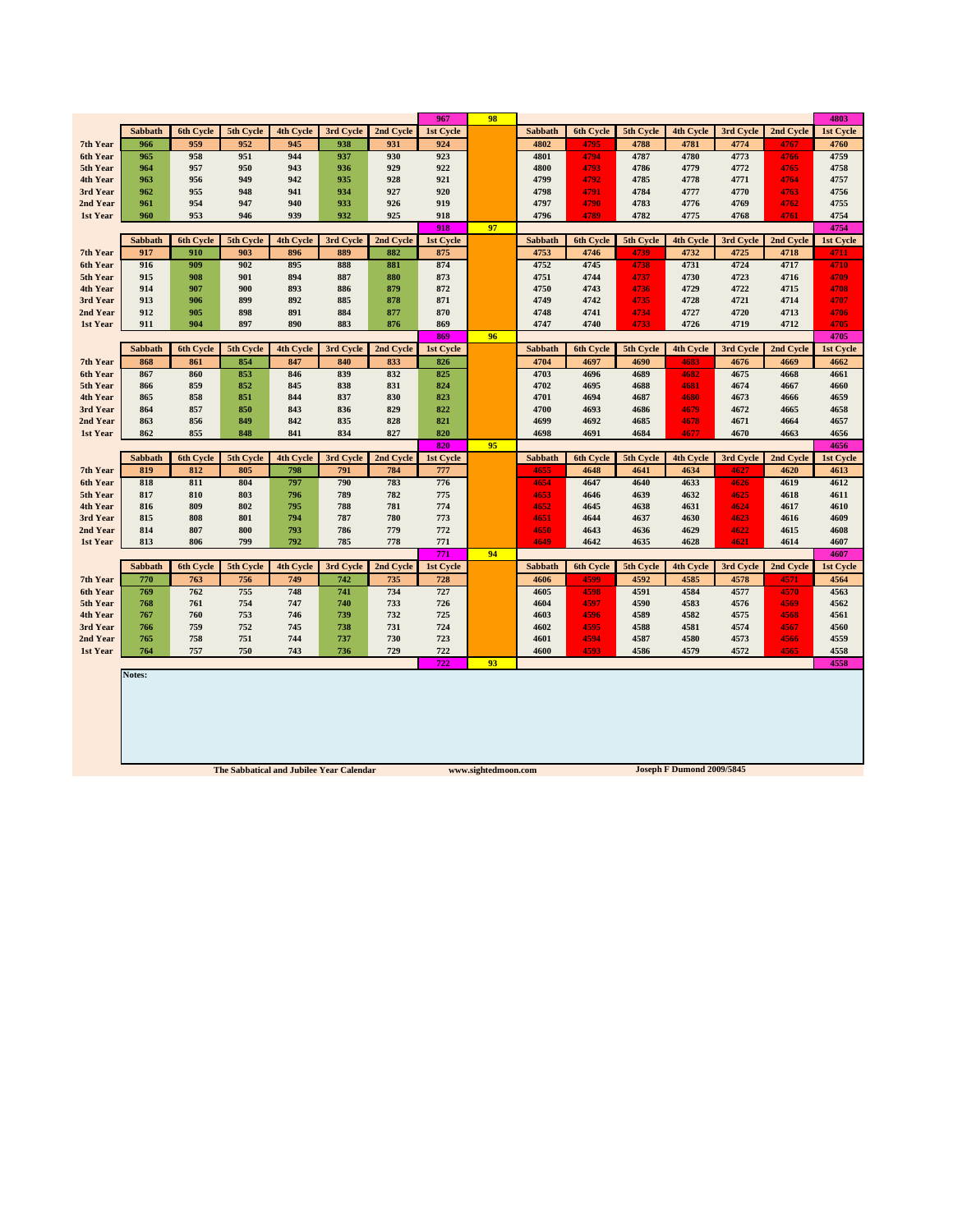|                      |                |            |            |                  |            |            | 967        | 98 |                |              |              |                  |              |              | 4803         |
|----------------------|----------------|------------|------------|------------------|------------|------------|------------|----|----------------|--------------|--------------|------------------|--------------|--------------|--------------|
|                      | Sabbath        | 6th Cycle  | 5th Cycle  | <b>4th Cycle</b> | 3rd Cycle  | 2nd Cycle  | 1st Cycle  |    | <b>Sabbath</b> | 6th Cycle    | 5th Cycle    | <b>4th Cycle</b> | 3rd Cycle    | 2nd Cycle    | 1st Cycle    |
| 7th Year             | 966            | 959        | 952        | 945              | 938        | 931        | 924        |    | 4802           | 4795         | 4788         | 4781             | 4774         | 4767         | 4760         |
| 6th Year             | 965            | 958        | 951        | 944              | 937        | 930        | 923        |    | 4801           | 4794         | 4787         | 4780             | 4773         | 4766         | 4759         |
| 5th Year             | 964            | 957        | 950        | 943              | 936        | 929        | 922        |    | 4800           | 4793         | 4786         | 4779             | 4772         | 4765         | 4758         |
| 4th Year             | 963            | 956        | 949        | 942              | 935        | 928        | 921        |    | 4799           | 4792         | 4785         | 4778             | 4771         | 4764         | 4757         |
| 3rd Year             | 962            | 955        | 948        | 941              | 934        | 927        | 920        |    | 4798           | 4791         | 4784         | 4777             | 4770         | 4763         | 4756         |
| 2nd Year             | 961            | 954        | 947        | 940              | 933        | 926        | 919        |    | 4797           | 4790         | 4783         | 4776             | 4769         | 4762         | 4755         |
| 1st Year             | 960            | 953        | 946        | 939              | 932        | 925        | 918        |    | 4796           | 4789         | 4782         | 4775             | 4768         | 4761         | 4754         |
|                      |                |            |            |                  |            |            | 918        | 97 |                |              |              |                  |              |              | 4754         |
|                      | Sabbath        | 6th Cycle  | 5th Cycle  | 4th Cycle        | 3rd Cycle  | 2nd Cycle  | 1st Cycle  |    | Sabbath        | 6th Cycle    | 5th Cycle    | 4th Cycle        | 3rd Cycle    | 2nd Cycle    | 1st Cycle    |
| 7th Year             | 917            | 910        | 903        | 896              | 889        | 882        | 875        |    | 4753           | 4746         | 4739         | 4732             | 4725         | 4718         | 4711         |
| 6th Year             | 916            | 909        | 902        | 895              | 888        | 881        | 874        |    | 4752           | 4745         | 4738         | 4731             | 4724         | 4717         | 4710         |
| 5th Year             | 915            | 908        | 901        | 894              | 887        | 880        | 873        |    | 4751           | 4744         | 4737         | 4730             | 4723         | 4716         | 4709         |
| 4th Year             | 914            | 907        | 900        | 893              | 886        | 879        | 872        |    | 4750           | 4743         | 4736         | 4729             | 4722         | 4715         | 4708         |
| 3rd Year<br>2nd Year | 913<br>912     | 906<br>905 | 899<br>898 | 892<br>891       | 885<br>884 | 878<br>877 | 871<br>870 |    | 4749<br>4748   | 4742<br>4741 | 4735<br>4734 | 4728<br>4727     | 4721<br>4720 | 4714<br>4713 | 4707<br>4706 |
| 1st Year             | 911            | 904        | 897        | 890              | 883        | 876        | 869        |    | 4747           | 4740         | 4733         | 4726             | 4719         | 4712         | 4705         |
|                      |                |            |            |                  |            |            | 869        | 96 |                |              |              |                  |              |              | 4705         |
|                      | <b>Sabbath</b> | 6th Cycle  | 5th Cycle  | <b>4th Cycle</b> | 3rd Cycle  | 2nd Cycle  | 1st Cycle  |    | <b>Sabbath</b> | 6th Cycle    | 5th Cycle    | 4th Cycle        | 3rd Cycle    | 2nd Cycle    | 1st Cycle    |
| 7th Year             | 868            | 861        | 854        | 847              | 840        | 833        | 826        |    | 4704           | 4697         | 4690         | 4683             | 4676         | 4669         | 4662         |
| 6th Year             | 867            | 860        | 853        | 846              | 839        | 832        | 825        |    | 4703           | 4696         | 4689         | 4682             | 4675         | 4668         | 4661         |
| 5th Year             | 866            | 859        | 852        | 845              | 838        | 831        | 824        |    | 4702           | 4695         | 4688         | 4681             | 4674         | 4667         | 4660         |
| 4th Year             | 865            | 858        | 851        | 844              | 837        | 830        | 823        |    | 4701           | 4694         | 4687         | 4680             | 4673         | 4666         | 4659         |
| 3rd Year             | 864            | 857        | 850        | 843              | 836        | 829        | 822        |    | 4700           | 4693         | 4686         | 4679             | 4672         | 4665         | 4658         |
| 2nd Year             | 863            | 856        | 849        | 842              | 835        | 828        | 821        |    | 4699           | 4692         | 4685         | 4678             | 4671         | 4664         | 4657         |
| 1st Year             | 862            | 855        | 848        | 841              | 834        | 827        | 820        |    | 4698           | 4691         | 4684         | 4677             | 4670         | 4663         | 4656         |
|                      |                |            |            |                  |            |            | 820        | 95 |                |              |              |                  |              |              | 4656         |
|                      | Sabbath        | 6th Cycle  | 5th Cycle  | <b>4th Cycle</b> | 3rd Cycle  | 2nd Cycle  | 1st Cycle  |    | Sabbath        | 6th Cycle    | 5th Cycle    | 4th Cycle        | 3rd Cycle    | 2nd Cycle    | 1st Cycle    |
| 7th Year             | 819            | 812        | 805        | 798              | 791        | 784        | 777        |    | 4655           | 4648         | 4641         | 4634             | 4627         | 4620         | 4613         |
| 6th Year             | 818            | 811        | 804        | 797              | 790        | 783        | 776        |    | 4654           | 4647         | 4640         | 4633             | 4626         | 4619         | 4612         |
| 5th Year             | 817            | 810        | 803        | 796              | 789        | 782        | 775        |    | 4653           | 4646         | 4639         | 4632             | 4625         | 4618         | 4611         |
| 4th Year             | 816            | 809        | 802        | 795              | 788        | 781        | 774        |    | 4652           | 4645         | 4638         | 4631             | 4624         | 4617         | 4610         |
| 3rd Year             | 815            | 808        | 801        | 794              | 787        | 780        | 773        |    | 4651           | 4644         | 4637         | 4630             | 4623         | 4616         | 4609         |
| 2nd Year             | 814            | 807        | 800        | 793              | 786        | 779        | 772        |    | 4650           | 4643         | 4636         | 4629             | 4622         | 4615         | 4608         |
| 1st Year             | 813            | 806        | 799        | 792              | 785        | 778        | 771        |    | 4649           | 4642         | 4635         | 4628             | 4621         | 4614         | 4607         |
|                      |                |            |            |                  |            |            | 771        | 94 |                |              |              |                  |              |              | 4607         |
|                      | Sabbath        | 6th Cycle  | 5th Cycle  | 4th Cycle        | 3rd Cycle  | 2nd Cycle  | 1st Cycle  |    | Sabbath        | 6th Cycle    | 5th Cycle    | 4th Cycle        | 3rd Cycle    | 2nd Cycle    | 1st Cycle    |
| 7th Year             | 770            | 763        | 756        | 749              | 742        | 735        | 728        |    | 4606           | 4599         | 4592         | 4585             | 4578         | 4571         | 4564         |
| 6th Year             | 769            | 762        | 755        | 748              | 741        | 734        | 727        |    | 4605           | 4598         | 4591         | 4584             | 4577         | 4570         | 4563         |
| 5th Year<br>4th Year | 768<br>767     | 761<br>760 | 754<br>753 | 747<br>746       | 740<br>739 | 733<br>732 | 726<br>725 |    | 4604<br>4603   | 4597<br>4596 | 4590<br>4589 | 4583<br>4582     | 4576<br>4575 | 4569<br>4568 | 4562<br>4561 |
| 3rd Year             | 766            | 759        | 752        | 745              | 738        | 731        | 724        |    | 4602           | 4595         | 4588         | 4581             | 4574         | 4567         | 4560         |
| 2nd Year             | 765            | 758        | 751        | 744              | 737        | 730        | 723        |    | 4601           | 4594         | 4587         | 4580             | 4573         | 4566         | 4559         |
| 1st Year             | 764            | 757        | 750        | 743              | 736        | 729        | 722        |    | 4600           | 4593         | 4586         | 4579             | 4572         | 4565         | 4558         |
|                      |                |            |            |                  |            |            | 722        | 93 |                |              |              |                  |              |              | 4558         |
|                      | Notes:         |            |            |                  |            |            |            |    |                |              |              |                  |              |              |              |
|                      |                |            |            |                  |            |            |            |    |                |              |              |                  |              |              |              |
|                      |                |            |            |                  |            |            |            |    |                |              |              |                  |              |              |              |
|                      |                |            |            |                  |            |            |            |    |                |              |              |                  |              |              |              |
|                      |                |            |            |                  |            |            |            |    |                |              |              |                  |              |              |              |
|                      |                |            |            |                  |            |            |            |    |                |              |              |                  |              |              |              |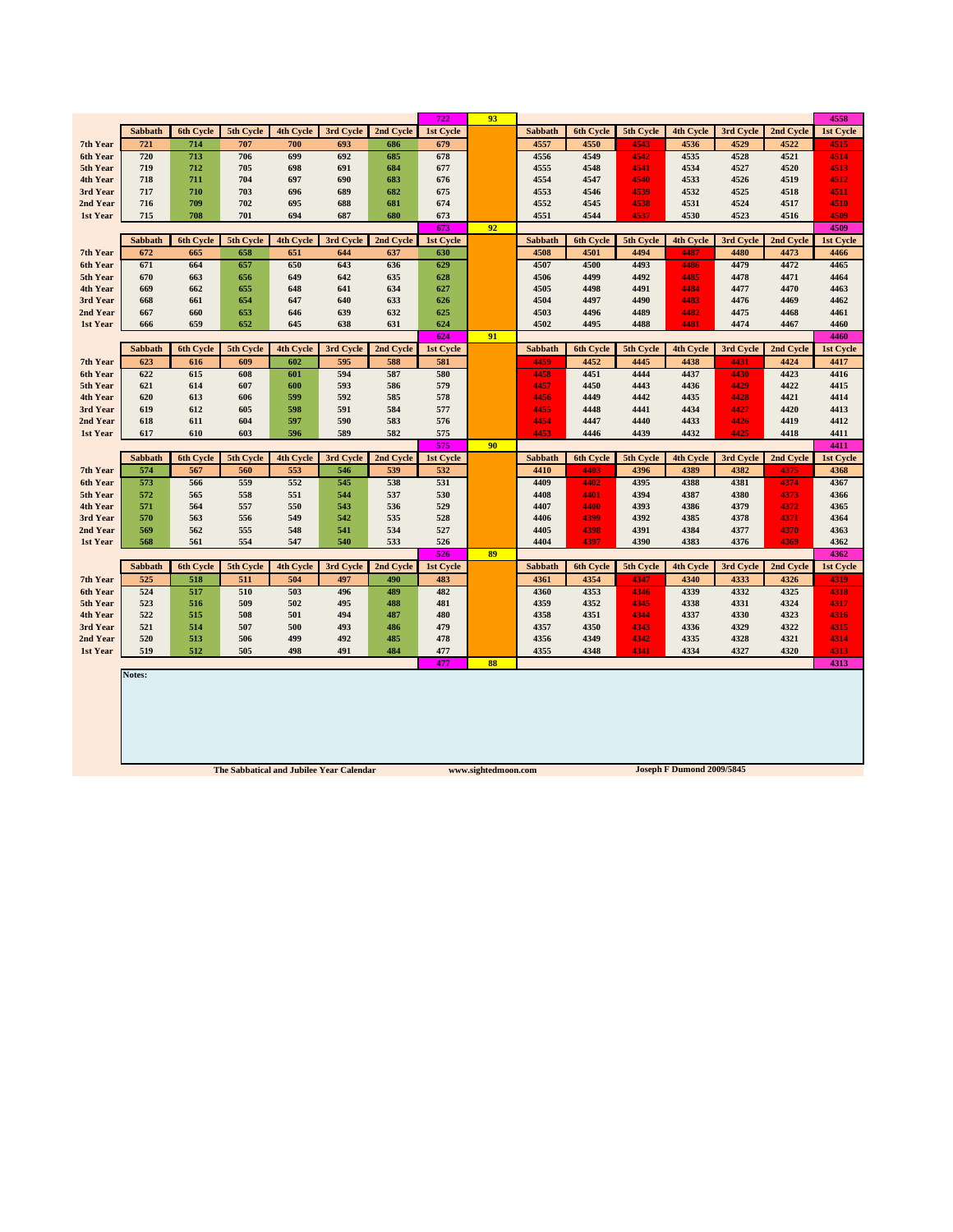|                      |                |                  |                                          |                  |            |            | 722              | 93                  |                |                  |              |                           |              |              | 4558         |
|----------------------|----------------|------------------|------------------------------------------|------------------|------------|------------|------------------|---------------------|----------------|------------------|--------------|---------------------------|--------------|--------------|--------------|
|                      | Sabbath        | <b>6th Cycle</b> | 5th Cycle                                | 4th Cycle        | 3rd Cycle  | 2nd Cycle  | 1st Cycle        |                     | Sabbath        | 6th Cycle        | 5th Cycle    | 4th Cycle                 | 3rd Cycle    | 2nd Cycle    | 1st Cycle    |
| 7th Year             | 721            | 714              | 707                                      | 700              | 693        | 686        | 679              |                     | 4557           | 4550             | 4543         | 4536                      | 4529         | 4522         | 4515         |
| 6th Year             | 720            | 713              | 706                                      | 699              | 692        | 685        | 678              |                     | 4556           | 4549             | 4542         | 4535                      | 4528         | 4521         | 4514         |
| 5th Year             | 719            | 712              | 705                                      | 698              | 691        | 684        | 677              |                     | 4555           | 4548             | 4541         | 4534                      | 4527         | 4520         | 4513         |
| 4th Year             | 718            | 711              | 704                                      | 697              | 690        | 683        | 676              |                     | 4554           | 4547             | 4540         | 4533                      | 4526         | 4519         | 4512         |
| 3rd Year             | 717            | 710              | 703                                      | 696              | 689        | 682        | 675              |                     | 4553           | 4546             | 4539         | 4532                      | 4525         | 4518         | 4511         |
| 2nd Year<br>1st Year | 716<br>715     | 709<br>708       | 702<br>701                               | 695<br>694       | 688<br>687 | 681<br>680 | 674<br>673       |                     | 4552<br>4551   | 4545<br>4544     | 4538<br>4537 | 4531<br>4530              | 4524<br>4523 | 4517<br>4516 | 4510<br>4509 |
|                      |                |                  |                                          |                  |            |            | 673              | 92                  |                |                  |              |                           |              |              | 4509         |
|                      | Sabbath        | <b>6th Cycle</b> | 5th Cycle                                | <b>4th Cycle</b> | 3rd Cycle  | 2nd Cycle  | 1st Cycle        |                     | <b>Sabbath</b> | 6th Cycle        | 5th Cycle    | 4th Cycle                 | 3rd Cycle    | 2nd Cycle    | 1st Cycle    |
| 7th Year             | 672            | 665              | 658                                      | 651              | 644        | 637        | 630              |                     | 4508           | 4501             | 4494         | 4487                      | 4480         | 4473         | 4466         |
| 6th Year             | 671            | 664              | 657                                      | 650              | 643        | 636        | 629              |                     | 4507           | 4500             | 4493         | 4486                      | 4479         | 4472         | 4465         |
| 5th Year             | 670            | 663              | 656                                      | 649              | 642        | 635        | 628              |                     | 4506           | 4499             | 4492         | 4485                      | 4478         | 4471         | 4464         |
| 4th Year             | 669            | 662              | 655                                      | 648              | 641        | 634        | 627              |                     | 4505           | 4498             | 4491         | 4484                      | 4477         | 4470         | 4463         |
| 3rd Year             | 668            | 661              | 654                                      | 647              | 640        | 633        | 626              |                     | 4504           | 4497             | 4490         | 4483                      | 4476         | 4469         | 4462         |
| 2nd Year             | 667            | 660              | 653                                      | 646              | 639        | 632        | 625              |                     | 4503           | 4496             | 4489         | 4482                      | 4475         | 4468         | 4461         |
| 1st Year             | 666            | 659              | 652                                      | 645              | 638        | 631        | 624              |                     | 4502           | 4495             | 4488         | 4481                      | 4474         | 4467         | 4460         |
|                      |                |                  |                                          |                  |            |            | 624              | 91                  |                |                  |              |                           |              |              | 4460         |
|                      | <b>Sabbath</b> | 6th Cycle        | 5th Cycle                                | <b>4th Cycle</b> | 3rd Cycle  | 2nd Cycle  | 1st Cycle        |                     | Sabbath        | <b>6th Cycle</b> | 5th Cycle    | <b>4th Cycle</b>          | 3rd Cycle    | 2nd Cycle    | 1st Cycle    |
| 7th Year             | 623<br>622     | 616<br>615       | 609<br>608                               | 602<br>601       | 595<br>594 | 588<br>587 | 581<br>580       |                     | 4459           | 4452<br>4451     | 4445<br>4444 | 4438<br>4437              | 4431<br>4430 | 4424<br>4423 | 4417<br>4416 |
| 6th Year<br>5th Year | 621            | 614              | 607                                      | 600              | 593        | 586        | 579              |                     | 4458<br>4457   | 4450             | 4443         | 4436                      | 4429         | 4422         | 4415         |
| 4th Year             | 620            | 613              | 606                                      | 599              | 592        | 585        | 578              |                     | 4456           | 4449             | 4442         | 4435                      | 4428         | 4421         | 4414         |
| 3rd Year             | 619            | 612              | 605                                      | 598              | 591        | 584        | 577              |                     | 4455           | 4448             | 4441         | 4434                      | 4427         | 4420         | 4413         |
| 2nd Year             | 618            | 611              | 604                                      | 597              | 590        | 583        | 576              |                     | 4454           | 4447             | 4440         | 4433                      | 4426         | 4419         | 4412         |
| 1st Year             | 617            | 610              | 603                                      | 596              | 589        | 582        | 575              |                     | 4453           | 4446             | 4439         | 4432                      | 4425         | 4418         | 4411         |
|                      |                |                  |                                          |                  |            |            | 575              | 90                  |                |                  |              |                           |              |              | 4411         |
|                      | Sabbath        | 6th Cycle        | 5th Cycle                                | 4th Cycle        | 3rd Cycle  | 2nd Cycle  | <b>1st Cycle</b> |                     | Sabbath        | 6th Cycle        | 5th Cycle    | 4th Cycle                 | 3rd Cycle    | 2nd Cycle    | 1st Cycle    |
| 7th Year             | 574            | 567              | 560                                      | 553              | 546        | 539        | 532              |                     | 4410           | 4403             | 4396         | 4389                      | 4382         | 4375         | 4368         |
| 6th Year             | 573            | 566              | 559                                      | 552              | 545        | 538        | 531              |                     | 4409           | 4402             | 4395         | 4388                      | 4381         | 4374         | 4367         |
| 5th Year             | 572            | 565              | 558                                      | 551              | 544        | 537        | 530              |                     | 4408           | 4401             | 4394         | 4387                      | 4380         | 4373         | 4366         |
| 4th Year             | 571            | 564              | 557                                      | 550              | 543        | 536        | 529              |                     | 4407           | 4400             | 4393         | 4386                      | 4379         | 4372         | 4365         |
| 3rd Year<br>2nd Year | 570<br>569     | 563<br>562       | 556<br>555                               | 549<br>548       | 542<br>541 | 535<br>534 | 528<br>527       |                     | 4406<br>4405   | 4399<br>4398     | 4392<br>4391 | 4385<br>4384              | 4378<br>4377 | 4371<br>4370 | 4364<br>4363 |
| 1st Year             | 568            | 561              | 554                                      | 547              | 540        | 533        | 526              |                     | 4404           | 4397             | 4390         | 4383                      | 4376         | 4369         | 4362         |
|                      |                |                  |                                          |                  |            |            | 526              | 89                  |                |                  |              |                           |              |              | 4362         |
|                      | Sabbath        | 6th Cycle        | 5th Cycle                                | 4th Cycle        | 3rd Cycle  | 2nd Cycle  | 1st Cycle        |                     | Sabbath        | 6th Cycle        | 5th Cycle    | 4th Cycle                 | 3rd Cycle    | 2nd Cycle    | 1st Cycle    |
| 7th Year             | 525            | 518              | 511                                      | 504              | 497        | 490        | 483              |                     | 4361           | 4354             | 4347         | 4340                      | 4333         | 4326         | 4319         |
| 6th Year             | 524            | 517              | 510                                      | 503              | 496        | 489        | 482              |                     | 4360           | 4353             | 4346         | 4339                      | 4332         | 4325         | 4318         |
| 5th Year             | 523            | 516              | 509                                      | 502              | 495        | 488        | 481              |                     | 4359           | 4352             | 4345         | 4338                      | 4331         | 4324         | 4317         |
| 4th Year             | 522            | 515              | 508                                      | 501              | 494        | 487        | 480              |                     | 4358           | 4351             | 4344         | 4337                      | 4330         | 4323         | 4316         |
| 3rd Year             | 521            | 514              | 507                                      | 500              | 493        | 486        | 479              |                     | 4357           | 4350             | 4343         | 4336                      | 4329         | 4322         | 4315         |
|                      |                |                  | 506                                      | 499              | 492        | 485        | 478              |                     | 4356           | 4349             | 4342         | 4335                      | 4328         | 4321         | 4314         |
| 2nd Year             | 520            | 513              |                                          |                  |            |            |                  |                     |                |                  |              |                           |              |              | 4313         |
| 1st Year             | 519            | 512              | 505                                      | 498              | 491        | 484        | 477              |                     | 4355           | 4348             | 4341         | 4334                      | 4327         | 4320         |              |
|                      |                |                  |                                          |                  |            |            | 477              | 88                  |                |                  |              |                           |              |              | 4313         |
|                      | Notes:         |                  |                                          |                  |            |            |                  |                     |                |                  |              |                           |              |              |              |
|                      |                |                  | The Sabbatical and Jubilee Year Calendar |                  |            |            |                  | www.sightedmoon.com |                |                  |              | Joseph F Dumond 2009/5845 |              |              |              |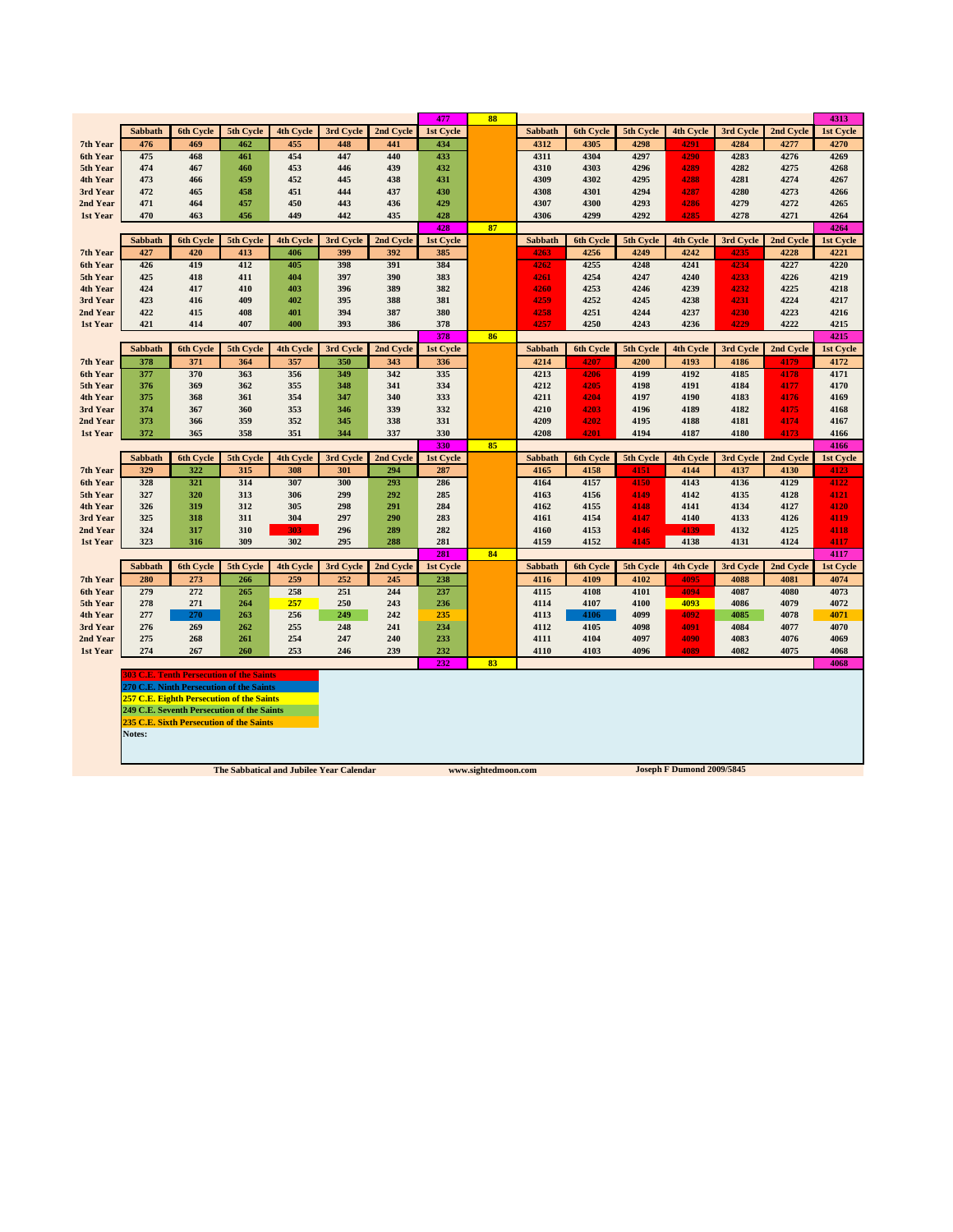| 6th Cycle<br>5th Cycle<br><b>4th Cycle</b><br>3rd Cycle<br>2nd Cycle<br><b>1st Cycle</b><br>6th Cycle<br>5th Cycle<br>4th Cycle<br>3rd Cycle<br>2nd Cycle<br>1st Cycle<br>Sabbath<br>Sabbath<br>476<br>434<br>4270<br>469<br>462<br>455<br>448<br>441<br>4312<br>4305<br>4298<br>4291<br>4284<br>4277<br>7th Year<br>475<br>447<br>468<br>454<br>440<br>433<br>4311<br>4304<br>4297<br>4283<br>4276<br>4269<br>6th Year<br>461<br>4290<br>4303<br>4282<br>474<br>467<br>460<br>453<br>446<br>439<br>432<br>4310<br>4296<br>4289<br>4275<br>4268<br>5th Year<br>473<br>452<br>431<br>4302<br>4281<br>4267<br>4th Year<br>466<br>459<br>445<br>438<br>4309<br>4295<br>4288<br>4274<br>472<br>465<br>458<br>451<br>444<br>437<br>430<br>4308<br>4301<br>4294<br>4287<br>4280<br>4273<br>4266<br>3rd Year<br>450<br>443<br>4300<br>4279<br>4265<br>2nd Year<br>471<br>464<br>457<br>436<br>429<br>4307<br>4293<br>4286<br>4272<br>470<br>463<br>456<br>449<br>442<br>435<br>428<br>4306<br>4299<br>4292<br>4285<br>4278<br>4271<br>4264<br>1st Year<br>87<br>4264<br>428<br>5th Cycle<br>Sabbath<br>6th Cycle<br>4th Cycle<br>3rd Cycle<br>2nd Cycle<br>1st Cycle<br>Sabbath<br>6th Cycle<br>5th Cycle<br>4th Cycle<br>3rd Cycle<br>2nd Cycle<br>1st Cycle<br>399<br>392<br>385<br>4256<br>4249<br>4242<br>4235<br>4228<br>4221<br>7th Year<br>427<br>420<br>413<br>406<br>4263<br>426<br>419<br>4255<br>4248<br>412<br>405<br>398<br>391<br>384<br>4241<br>4234<br>4227<br>4220<br>6th Year<br>4262<br>397<br>4233<br>425<br>418<br>411<br>404<br>390<br>383<br>4254<br>4247<br>4240<br>4226<br>4219<br>5th Year<br>4261<br>424<br>417<br>403<br>396<br>389<br>382<br>4253<br>4239<br>4232<br>4225<br>4218<br>4th Year<br>410<br>4260<br>4246<br>423<br>416<br>409<br>402<br>395<br>388<br>381<br>4259<br>4252<br>4245<br>4238<br>4231<br>4224<br>4217<br>3rd Year<br>422<br>394<br>2nd Year<br>415<br>408<br>401<br>387<br>380<br>4258<br>4251<br>4244<br>4237<br>4230<br>4223<br>4216<br>421<br>407<br>400<br>393<br>386<br>378<br>4257<br>4250<br>4236<br>4229<br>4222<br>4215<br>1st Year<br>414<br>4243<br>86<br>378<br>4215<br>6th Cycle<br>3rd Cycle<br>5th Cycle<br>Sabbath<br>5th Cycle<br>4th Cycle<br>2nd Cycle<br>1st Cycle<br>Sabbath<br>6th Cycle<br>4th Cycle<br>3rd Cycle<br>2nd Cycle<br>1st Cycle<br>7th Year<br>378<br>371<br>364<br>357<br>350<br>343<br>336<br>4214<br>4207<br>4200<br>4193<br>4186<br>4179<br>4172<br>377<br>370<br>363<br>356<br>349<br>342<br>335<br>4199<br>4192<br>4185<br>4171<br>6th Year<br>4213<br>4206<br>4178<br>376<br>369<br>362<br>355<br>348<br>341<br>334<br>4212<br>4205<br>4191<br>4184<br>4177<br>4170<br>5th Year<br>4198<br>354<br>333<br>4th Year<br>375<br>368<br>361<br>347<br>340<br>4211<br>4204<br>4197<br>4190<br>4183<br>4176<br>4169<br>367<br>353<br>339<br>332<br>4210<br>4203<br>4182<br>3rd Year<br>374<br>360<br>346<br>4196<br>4189<br>4175<br>4168<br>359<br>352<br>331<br>2nd Year<br>373<br>366<br>345<br>338<br>4209<br>4202<br>4195<br>4188<br>4181<br>4174<br>4167<br>358<br>351<br>344<br>337<br>330<br>4187<br>4180<br>372<br>365<br>4208<br>4201<br>4194<br>4173<br>4166<br>1st Year<br>330<br>85<br>4166<br>6th Cycle<br>5th Cycle<br>4th Cycle<br>3rd Cycle<br>2nd Cycle<br>1st Cycle<br>Sabbath<br>6th Cycle<br>5th Cycle<br>4th Cycle<br>3rd Cycle<br>2nd Cycle<br>1st Cycle<br>Sabbath<br>329<br>322<br>287<br>4123<br>7th Year<br>315<br>308<br>301<br>294<br>4165<br>4158<br>4151<br>4144<br>4137<br>4130<br>321<br>328<br>314<br>307<br>300<br>293<br>286<br>4164<br>4157<br>4150<br>4143<br>4136<br>4129<br>4122<br>6th Year<br>327<br>320<br>306<br>299<br>285<br>4156<br>4135<br>4121<br>5th Year<br>313<br>292<br>4163<br>4149<br>4142<br>4128<br>326<br>319<br>312<br>305<br>298<br>291<br>284<br>4155<br>4148<br>4141<br>4134<br>4127<br>4120<br>4th Year<br>4162<br>304<br>4119<br>3rd Year<br>325<br>318<br>311<br>297<br>290<br>283<br>4154<br>4147<br>4133<br>4126<br>4161<br>4140<br>324<br>317<br>310<br>296<br>289<br>282<br>4153<br>4146<br>4139<br>4132<br>4125<br>4118<br>2nd Year<br>303<br>4160<br>302<br>4152<br>4145<br>323<br>316<br>309<br>295<br>288<br>281<br>4159<br>4138<br>4131<br>4124<br>4117<br>1st Year<br>281<br>84<br>4117<br><b>6th Cycle</b><br>5th Cycle<br><b>4th Cycle</b><br>3rd Cycle<br>2nd Cycle<br>1st Cycle<br><b>6th Cycle</b><br>5th Cycle<br>4th Cycle<br>3rd Cycle<br>2nd Cycle<br>Sabbath<br><b>Sabbath</b><br>1st Cycle<br>280<br>273<br>259<br>252<br>238<br>4109<br>4102<br>4095<br>4088<br>4081<br>4074<br>7th Year<br>266<br>245<br>4116<br>272<br>258<br>279<br>265<br>251<br>244<br>237<br>4115<br>4108<br>4101<br>4087<br>4073<br>6th Year<br>4080<br>4094<br>250<br>5th Year<br>278<br>271<br>264<br>257<br>243<br>236<br>4114<br>4107<br>4100<br>4093<br>4086<br>4079<br>4072<br>277<br>256<br>249<br>242<br>235<br>4113<br>4106<br>4099<br>4085<br>4078<br>4071<br>4th Year<br>270<br>263<br>4092<br>276<br>269<br>262<br>255<br>248<br>241<br>234<br>4112<br>4105<br>4098<br>4091<br>4084<br>4077<br>4070<br>3rd Year<br>268<br>254<br>247<br>233<br>4083<br>4069<br>2nd Year<br>275<br>261<br>240<br>4111<br>4104<br>4097<br>4090<br>4076<br>274<br>267<br>260<br>253<br>232<br>4089<br>4082<br>1st Year<br>246<br>239<br>4110<br>4103<br>4096<br>4075<br>4068<br>232<br>83<br>4068<br><b>803 C.E. Tenth Persecution of the Saints</b><br>270 C.E. Ninth Persecution of the Saints<br><b>257 C.E. Eighth Persecution of the Saints</b><br>249 C.E. Seventh Persecution of the Saints |  |  |  | 477 | 88 |  |  |  | 4313 |
|-------------------------------------------------------------------------------------------------------------------------------------------------------------------------------------------------------------------------------------------------------------------------------------------------------------------------------------------------------------------------------------------------------------------------------------------------------------------------------------------------------------------------------------------------------------------------------------------------------------------------------------------------------------------------------------------------------------------------------------------------------------------------------------------------------------------------------------------------------------------------------------------------------------------------------------------------------------------------------------------------------------------------------------------------------------------------------------------------------------------------------------------------------------------------------------------------------------------------------------------------------------------------------------------------------------------------------------------------------------------------------------------------------------------------------------------------------------------------------------------------------------------------------------------------------------------------------------------------------------------------------------------------------------------------------------------------------------------------------------------------------------------------------------------------------------------------------------------------------------------------------------------------------------------------------------------------------------------------------------------------------------------------------------------------------------------------------------------------------------------------------------------------------------------------------------------------------------------------------------------------------------------------------------------------------------------------------------------------------------------------------------------------------------------------------------------------------------------------------------------------------------------------------------------------------------------------------------------------------------------------------------------------------------------------------------------------------------------------------------------------------------------------------------------------------------------------------------------------------------------------------------------------------------------------------------------------------------------------------------------------------------------------------------------------------------------------------------------------------------------------------------------------------------------------------------------------------------------------------------------------------------------------------------------------------------------------------------------------------------------------------------------------------------------------------------------------------------------------------------------------------------------------------------------------------------------------------------------------------------------------------------------------------------------------------------------------------------------------------------------------------------------------------------------------------------------------------------------------------------------------------------------------------------------------------------------------------------------------------------------------------------------------------------------------------------------------------------------------------------------------------------------------------------------------------------------------------------------------------------------------------------------------------------------------------------------------------------------------------------------------------------------------------------------------------------------------------------------------------------------------------------------------------------------------------------------------------------------------------------------------------------------------------------------------------------------------------------------------------------------------------------------------------------------------------------------------------------------------------------------------------------------------------------------------------------------------------------------------------------------------------------------------------------------------------------------------------------------------------------------------------------------------------------------------------------------------------------------------------------------------------------------------------------------------------------------------------------------------------------------------------------------------------------------------------------------------------------------------------------------------------------------------------------------|--|--|--|-----|----|--|--|--|------|
|                                                                                                                                                                                                                                                                                                                                                                                                                                                                                                                                                                                                                                                                                                                                                                                                                                                                                                                                                                                                                                                                                                                                                                                                                                                                                                                                                                                                                                                                                                                                                                                                                                                                                                                                                                                                                                                                                                                                                                                                                                                                                                                                                                                                                                                                                                                                                                                                                                                                                                                                                                                                                                                                                                                                                                                                                                                                                                                                                                                                                                                                                                                                                                                                                                                                                                                                                                                                                                                                                                                                                                                                                                                                                                                                                                                                                                                                                                                                                                                                                                                                                                                                                                                                                                                                                                                                                                                                                                                                                                                                                                                                                                                                                                                                                                                                                                                                                                                                                                                                                                                                                                                                                                                                                                                                                                                                                                                                                                                                                                                                           |  |  |  |     |    |  |  |  |      |
|                                                                                                                                                                                                                                                                                                                                                                                                                                                                                                                                                                                                                                                                                                                                                                                                                                                                                                                                                                                                                                                                                                                                                                                                                                                                                                                                                                                                                                                                                                                                                                                                                                                                                                                                                                                                                                                                                                                                                                                                                                                                                                                                                                                                                                                                                                                                                                                                                                                                                                                                                                                                                                                                                                                                                                                                                                                                                                                                                                                                                                                                                                                                                                                                                                                                                                                                                                                                                                                                                                                                                                                                                                                                                                                                                                                                                                                                                                                                                                                                                                                                                                                                                                                                                                                                                                                                                                                                                                                                                                                                                                                                                                                                                                                                                                                                                                                                                                                                                                                                                                                                                                                                                                                                                                                                                                                                                                                                                                                                                                                                           |  |  |  |     |    |  |  |  |      |
|                                                                                                                                                                                                                                                                                                                                                                                                                                                                                                                                                                                                                                                                                                                                                                                                                                                                                                                                                                                                                                                                                                                                                                                                                                                                                                                                                                                                                                                                                                                                                                                                                                                                                                                                                                                                                                                                                                                                                                                                                                                                                                                                                                                                                                                                                                                                                                                                                                                                                                                                                                                                                                                                                                                                                                                                                                                                                                                                                                                                                                                                                                                                                                                                                                                                                                                                                                                                                                                                                                                                                                                                                                                                                                                                                                                                                                                                                                                                                                                                                                                                                                                                                                                                                                                                                                                                                                                                                                                                                                                                                                                                                                                                                                                                                                                                                                                                                                                                                                                                                                                                                                                                                                                                                                                                                                                                                                                                                                                                                                                                           |  |  |  |     |    |  |  |  |      |
|                                                                                                                                                                                                                                                                                                                                                                                                                                                                                                                                                                                                                                                                                                                                                                                                                                                                                                                                                                                                                                                                                                                                                                                                                                                                                                                                                                                                                                                                                                                                                                                                                                                                                                                                                                                                                                                                                                                                                                                                                                                                                                                                                                                                                                                                                                                                                                                                                                                                                                                                                                                                                                                                                                                                                                                                                                                                                                                                                                                                                                                                                                                                                                                                                                                                                                                                                                                                                                                                                                                                                                                                                                                                                                                                                                                                                                                                                                                                                                                                                                                                                                                                                                                                                                                                                                                                                                                                                                                                                                                                                                                                                                                                                                                                                                                                                                                                                                                                                                                                                                                                                                                                                                                                                                                                                                                                                                                                                                                                                                                                           |  |  |  |     |    |  |  |  |      |
|                                                                                                                                                                                                                                                                                                                                                                                                                                                                                                                                                                                                                                                                                                                                                                                                                                                                                                                                                                                                                                                                                                                                                                                                                                                                                                                                                                                                                                                                                                                                                                                                                                                                                                                                                                                                                                                                                                                                                                                                                                                                                                                                                                                                                                                                                                                                                                                                                                                                                                                                                                                                                                                                                                                                                                                                                                                                                                                                                                                                                                                                                                                                                                                                                                                                                                                                                                                                                                                                                                                                                                                                                                                                                                                                                                                                                                                                                                                                                                                                                                                                                                                                                                                                                                                                                                                                                                                                                                                                                                                                                                                                                                                                                                                                                                                                                                                                                                                                                                                                                                                                                                                                                                                                                                                                                                                                                                                                                                                                                                                                           |  |  |  |     |    |  |  |  |      |
|                                                                                                                                                                                                                                                                                                                                                                                                                                                                                                                                                                                                                                                                                                                                                                                                                                                                                                                                                                                                                                                                                                                                                                                                                                                                                                                                                                                                                                                                                                                                                                                                                                                                                                                                                                                                                                                                                                                                                                                                                                                                                                                                                                                                                                                                                                                                                                                                                                                                                                                                                                                                                                                                                                                                                                                                                                                                                                                                                                                                                                                                                                                                                                                                                                                                                                                                                                                                                                                                                                                                                                                                                                                                                                                                                                                                                                                                                                                                                                                                                                                                                                                                                                                                                                                                                                                                                                                                                                                                                                                                                                                                                                                                                                                                                                                                                                                                                                                                                                                                                                                                                                                                                                                                                                                                                                                                                                                                                                                                                                                                           |  |  |  |     |    |  |  |  |      |
|                                                                                                                                                                                                                                                                                                                                                                                                                                                                                                                                                                                                                                                                                                                                                                                                                                                                                                                                                                                                                                                                                                                                                                                                                                                                                                                                                                                                                                                                                                                                                                                                                                                                                                                                                                                                                                                                                                                                                                                                                                                                                                                                                                                                                                                                                                                                                                                                                                                                                                                                                                                                                                                                                                                                                                                                                                                                                                                                                                                                                                                                                                                                                                                                                                                                                                                                                                                                                                                                                                                                                                                                                                                                                                                                                                                                                                                                                                                                                                                                                                                                                                                                                                                                                                                                                                                                                                                                                                                                                                                                                                                                                                                                                                                                                                                                                                                                                                                                                                                                                                                                                                                                                                                                                                                                                                                                                                                                                                                                                                                                           |  |  |  |     |    |  |  |  |      |
|                                                                                                                                                                                                                                                                                                                                                                                                                                                                                                                                                                                                                                                                                                                                                                                                                                                                                                                                                                                                                                                                                                                                                                                                                                                                                                                                                                                                                                                                                                                                                                                                                                                                                                                                                                                                                                                                                                                                                                                                                                                                                                                                                                                                                                                                                                                                                                                                                                                                                                                                                                                                                                                                                                                                                                                                                                                                                                                                                                                                                                                                                                                                                                                                                                                                                                                                                                                                                                                                                                                                                                                                                                                                                                                                                                                                                                                                                                                                                                                                                                                                                                                                                                                                                                                                                                                                                                                                                                                                                                                                                                                                                                                                                                                                                                                                                                                                                                                                                                                                                                                                                                                                                                                                                                                                                                                                                                                                                                                                                                                                           |  |  |  |     |    |  |  |  |      |
|                                                                                                                                                                                                                                                                                                                                                                                                                                                                                                                                                                                                                                                                                                                                                                                                                                                                                                                                                                                                                                                                                                                                                                                                                                                                                                                                                                                                                                                                                                                                                                                                                                                                                                                                                                                                                                                                                                                                                                                                                                                                                                                                                                                                                                                                                                                                                                                                                                                                                                                                                                                                                                                                                                                                                                                                                                                                                                                                                                                                                                                                                                                                                                                                                                                                                                                                                                                                                                                                                                                                                                                                                                                                                                                                                                                                                                                                                                                                                                                                                                                                                                                                                                                                                                                                                                                                                                                                                                                                                                                                                                                                                                                                                                                                                                                                                                                                                                                                                                                                                                                                                                                                                                                                                                                                                                                                                                                                                                                                                                                                           |  |  |  |     |    |  |  |  |      |
|                                                                                                                                                                                                                                                                                                                                                                                                                                                                                                                                                                                                                                                                                                                                                                                                                                                                                                                                                                                                                                                                                                                                                                                                                                                                                                                                                                                                                                                                                                                                                                                                                                                                                                                                                                                                                                                                                                                                                                                                                                                                                                                                                                                                                                                                                                                                                                                                                                                                                                                                                                                                                                                                                                                                                                                                                                                                                                                                                                                                                                                                                                                                                                                                                                                                                                                                                                                                                                                                                                                                                                                                                                                                                                                                                                                                                                                                                                                                                                                                                                                                                                                                                                                                                                                                                                                                                                                                                                                                                                                                                                                                                                                                                                                                                                                                                                                                                                                                                                                                                                                                                                                                                                                                                                                                                                                                                                                                                                                                                                                                           |  |  |  |     |    |  |  |  |      |
|                                                                                                                                                                                                                                                                                                                                                                                                                                                                                                                                                                                                                                                                                                                                                                                                                                                                                                                                                                                                                                                                                                                                                                                                                                                                                                                                                                                                                                                                                                                                                                                                                                                                                                                                                                                                                                                                                                                                                                                                                                                                                                                                                                                                                                                                                                                                                                                                                                                                                                                                                                                                                                                                                                                                                                                                                                                                                                                                                                                                                                                                                                                                                                                                                                                                                                                                                                                                                                                                                                                                                                                                                                                                                                                                                                                                                                                                                                                                                                                                                                                                                                                                                                                                                                                                                                                                                                                                                                                                                                                                                                                                                                                                                                                                                                                                                                                                                                                                                                                                                                                                                                                                                                                                                                                                                                                                                                                                                                                                                                                                           |  |  |  |     |    |  |  |  |      |
|                                                                                                                                                                                                                                                                                                                                                                                                                                                                                                                                                                                                                                                                                                                                                                                                                                                                                                                                                                                                                                                                                                                                                                                                                                                                                                                                                                                                                                                                                                                                                                                                                                                                                                                                                                                                                                                                                                                                                                                                                                                                                                                                                                                                                                                                                                                                                                                                                                                                                                                                                                                                                                                                                                                                                                                                                                                                                                                                                                                                                                                                                                                                                                                                                                                                                                                                                                                                                                                                                                                                                                                                                                                                                                                                                                                                                                                                                                                                                                                                                                                                                                                                                                                                                                                                                                                                                                                                                                                                                                                                                                                                                                                                                                                                                                                                                                                                                                                                                                                                                                                                                                                                                                                                                                                                                                                                                                                                                                                                                                                                           |  |  |  |     |    |  |  |  |      |
|                                                                                                                                                                                                                                                                                                                                                                                                                                                                                                                                                                                                                                                                                                                                                                                                                                                                                                                                                                                                                                                                                                                                                                                                                                                                                                                                                                                                                                                                                                                                                                                                                                                                                                                                                                                                                                                                                                                                                                                                                                                                                                                                                                                                                                                                                                                                                                                                                                                                                                                                                                                                                                                                                                                                                                                                                                                                                                                                                                                                                                                                                                                                                                                                                                                                                                                                                                                                                                                                                                                                                                                                                                                                                                                                                                                                                                                                                                                                                                                                                                                                                                                                                                                                                                                                                                                                                                                                                                                                                                                                                                                                                                                                                                                                                                                                                                                                                                                                                                                                                                                                                                                                                                                                                                                                                                                                                                                                                                                                                                                                           |  |  |  |     |    |  |  |  |      |
|                                                                                                                                                                                                                                                                                                                                                                                                                                                                                                                                                                                                                                                                                                                                                                                                                                                                                                                                                                                                                                                                                                                                                                                                                                                                                                                                                                                                                                                                                                                                                                                                                                                                                                                                                                                                                                                                                                                                                                                                                                                                                                                                                                                                                                                                                                                                                                                                                                                                                                                                                                                                                                                                                                                                                                                                                                                                                                                                                                                                                                                                                                                                                                                                                                                                                                                                                                                                                                                                                                                                                                                                                                                                                                                                                                                                                                                                                                                                                                                                                                                                                                                                                                                                                                                                                                                                                                                                                                                                                                                                                                                                                                                                                                                                                                                                                                                                                                                                                                                                                                                                                                                                                                                                                                                                                                                                                                                                                                                                                                                                           |  |  |  |     |    |  |  |  |      |
|                                                                                                                                                                                                                                                                                                                                                                                                                                                                                                                                                                                                                                                                                                                                                                                                                                                                                                                                                                                                                                                                                                                                                                                                                                                                                                                                                                                                                                                                                                                                                                                                                                                                                                                                                                                                                                                                                                                                                                                                                                                                                                                                                                                                                                                                                                                                                                                                                                                                                                                                                                                                                                                                                                                                                                                                                                                                                                                                                                                                                                                                                                                                                                                                                                                                                                                                                                                                                                                                                                                                                                                                                                                                                                                                                                                                                                                                                                                                                                                                                                                                                                                                                                                                                                                                                                                                                                                                                                                                                                                                                                                                                                                                                                                                                                                                                                                                                                                                                                                                                                                                                                                                                                                                                                                                                                                                                                                                                                                                                                                                           |  |  |  |     |    |  |  |  |      |
|                                                                                                                                                                                                                                                                                                                                                                                                                                                                                                                                                                                                                                                                                                                                                                                                                                                                                                                                                                                                                                                                                                                                                                                                                                                                                                                                                                                                                                                                                                                                                                                                                                                                                                                                                                                                                                                                                                                                                                                                                                                                                                                                                                                                                                                                                                                                                                                                                                                                                                                                                                                                                                                                                                                                                                                                                                                                                                                                                                                                                                                                                                                                                                                                                                                                                                                                                                                                                                                                                                                                                                                                                                                                                                                                                                                                                                                                                                                                                                                                                                                                                                                                                                                                                                                                                                                                                                                                                                                                                                                                                                                                                                                                                                                                                                                                                                                                                                                                                                                                                                                                                                                                                                                                                                                                                                                                                                                                                                                                                                                                           |  |  |  |     |    |  |  |  |      |
|                                                                                                                                                                                                                                                                                                                                                                                                                                                                                                                                                                                                                                                                                                                                                                                                                                                                                                                                                                                                                                                                                                                                                                                                                                                                                                                                                                                                                                                                                                                                                                                                                                                                                                                                                                                                                                                                                                                                                                                                                                                                                                                                                                                                                                                                                                                                                                                                                                                                                                                                                                                                                                                                                                                                                                                                                                                                                                                                                                                                                                                                                                                                                                                                                                                                                                                                                                                                                                                                                                                                                                                                                                                                                                                                                                                                                                                                                                                                                                                                                                                                                                                                                                                                                                                                                                                                                                                                                                                                                                                                                                                                                                                                                                                                                                                                                                                                                                                                                                                                                                                                                                                                                                                                                                                                                                                                                                                                                                                                                                                                           |  |  |  |     |    |  |  |  |      |
|                                                                                                                                                                                                                                                                                                                                                                                                                                                                                                                                                                                                                                                                                                                                                                                                                                                                                                                                                                                                                                                                                                                                                                                                                                                                                                                                                                                                                                                                                                                                                                                                                                                                                                                                                                                                                                                                                                                                                                                                                                                                                                                                                                                                                                                                                                                                                                                                                                                                                                                                                                                                                                                                                                                                                                                                                                                                                                                                                                                                                                                                                                                                                                                                                                                                                                                                                                                                                                                                                                                                                                                                                                                                                                                                                                                                                                                                                                                                                                                                                                                                                                                                                                                                                                                                                                                                                                                                                                                                                                                                                                                                                                                                                                                                                                                                                                                                                                                                                                                                                                                                                                                                                                                                                                                                                                                                                                                                                                                                                                                                           |  |  |  |     |    |  |  |  |      |
|                                                                                                                                                                                                                                                                                                                                                                                                                                                                                                                                                                                                                                                                                                                                                                                                                                                                                                                                                                                                                                                                                                                                                                                                                                                                                                                                                                                                                                                                                                                                                                                                                                                                                                                                                                                                                                                                                                                                                                                                                                                                                                                                                                                                                                                                                                                                                                                                                                                                                                                                                                                                                                                                                                                                                                                                                                                                                                                                                                                                                                                                                                                                                                                                                                                                                                                                                                                                                                                                                                                                                                                                                                                                                                                                                                                                                                                                                                                                                                                                                                                                                                                                                                                                                                                                                                                                                                                                                                                                                                                                                                                                                                                                                                                                                                                                                                                                                                                                                                                                                                                                                                                                                                                                                                                                                                                                                                                                                                                                                                                                           |  |  |  |     |    |  |  |  |      |
|                                                                                                                                                                                                                                                                                                                                                                                                                                                                                                                                                                                                                                                                                                                                                                                                                                                                                                                                                                                                                                                                                                                                                                                                                                                                                                                                                                                                                                                                                                                                                                                                                                                                                                                                                                                                                                                                                                                                                                                                                                                                                                                                                                                                                                                                                                                                                                                                                                                                                                                                                                                                                                                                                                                                                                                                                                                                                                                                                                                                                                                                                                                                                                                                                                                                                                                                                                                                                                                                                                                                                                                                                                                                                                                                                                                                                                                                                                                                                                                                                                                                                                                                                                                                                                                                                                                                                                                                                                                                                                                                                                                                                                                                                                                                                                                                                                                                                                                                                                                                                                                                                                                                                                                                                                                                                                                                                                                                                                                                                                                                           |  |  |  |     |    |  |  |  |      |
|                                                                                                                                                                                                                                                                                                                                                                                                                                                                                                                                                                                                                                                                                                                                                                                                                                                                                                                                                                                                                                                                                                                                                                                                                                                                                                                                                                                                                                                                                                                                                                                                                                                                                                                                                                                                                                                                                                                                                                                                                                                                                                                                                                                                                                                                                                                                                                                                                                                                                                                                                                                                                                                                                                                                                                                                                                                                                                                                                                                                                                                                                                                                                                                                                                                                                                                                                                                                                                                                                                                                                                                                                                                                                                                                                                                                                                                                                                                                                                                                                                                                                                                                                                                                                                                                                                                                                                                                                                                                                                                                                                                                                                                                                                                                                                                                                                                                                                                                                                                                                                                                                                                                                                                                                                                                                                                                                                                                                                                                                                                                           |  |  |  |     |    |  |  |  |      |
|                                                                                                                                                                                                                                                                                                                                                                                                                                                                                                                                                                                                                                                                                                                                                                                                                                                                                                                                                                                                                                                                                                                                                                                                                                                                                                                                                                                                                                                                                                                                                                                                                                                                                                                                                                                                                                                                                                                                                                                                                                                                                                                                                                                                                                                                                                                                                                                                                                                                                                                                                                                                                                                                                                                                                                                                                                                                                                                                                                                                                                                                                                                                                                                                                                                                                                                                                                                                                                                                                                                                                                                                                                                                                                                                                                                                                                                                                                                                                                                                                                                                                                                                                                                                                                                                                                                                                                                                                                                                                                                                                                                                                                                                                                                                                                                                                                                                                                                                                                                                                                                                                                                                                                                                                                                                                                                                                                                                                                                                                                                                           |  |  |  |     |    |  |  |  |      |
|                                                                                                                                                                                                                                                                                                                                                                                                                                                                                                                                                                                                                                                                                                                                                                                                                                                                                                                                                                                                                                                                                                                                                                                                                                                                                                                                                                                                                                                                                                                                                                                                                                                                                                                                                                                                                                                                                                                                                                                                                                                                                                                                                                                                                                                                                                                                                                                                                                                                                                                                                                                                                                                                                                                                                                                                                                                                                                                                                                                                                                                                                                                                                                                                                                                                                                                                                                                                                                                                                                                                                                                                                                                                                                                                                                                                                                                                                                                                                                                                                                                                                                                                                                                                                                                                                                                                                                                                                                                                                                                                                                                                                                                                                                                                                                                                                                                                                                                                                                                                                                                                                                                                                                                                                                                                                                                                                                                                                                                                                                                                           |  |  |  |     |    |  |  |  |      |
|                                                                                                                                                                                                                                                                                                                                                                                                                                                                                                                                                                                                                                                                                                                                                                                                                                                                                                                                                                                                                                                                                                                                                                                                                                                                                                                                                                                                                                                                                                                                                                                                                                                                                                                                                                                                                                                                                                                                                                                                                                                                                                                                                                                                                                                                                                                                                                                                                                                                                                                                                                                                                                                                                                                                                                                                                                                                                                                                                                                                                                                                                                                                                                                                                                                                                                                                                                                                                                                                                                                                                                                                                                                                                                                                                                                                                                                                                                                                                                                                                                                                                                                                                                                                                                                                                                                                                                                                                                                                                                                                                                                                                                                                                                                                                                                                                                                                                                                                                                                                                                                                                                                                                                                                                                                                                                                                                                                                                                                                                                                                           |  |  |  |     |    |  |  |  |      |
|                                                                                                                                                                                                                                                                                                                                                                                                                                                                                                                                                                                                                                                                                                                                                                                                                                                                                                                                                                                                                                                                                                                                                                                                                                                                                                                                                                                                                                                                                                                                                                                                                                                                                                                                                                                                                                                                                                                                                                                                                                                                                                                                                                                                                                                                                                                                                                                                                                                                                                                                                                                                                                                                                                                                                                                                                                                                                                                                                                                                                                                                                                                                                                                                                                                                                                                                                                                                                                                                                                                                                                                                                                                                                                                                                                                                                                                                                                                                                                                                                                                                                                                                                                                                                                                                                                                                                                                                                                                                                                                                                                                                                                                                                                                                                                                                                                                                                                                                                                                                                                                                                                                                                                                                                                                                                                                                                                                                                                                                                                                                           |  |  |  |     |    |  |  |  |      |
|                                                                                                                                                                                                                                                                                                                                                                                                                                                                                                                                                                                                                                                                                                                                                                                                                                                                                                                                                                                                                                                                                                                                                                                                                                                                                                                                                                                                                                                                                                                                                                                                                                                                                                                                                                                                                                                                                                                                                                                                                                                                                                                                                                                                                                                                                                                                                                                                                                                                                                                                                                                                                                                                                                                                                                                                                                                                                                                                                                                                                                                                                                                                                                                                                                                                                                                                                                                                                                                                                                                                                                                                                                                                                                                                                                                                                                                                                                                                                                                                                                                                                                                                                                                                                                                                                                                                                                                                                                                                                                                                                                                                                                                                                                                                                                                                                                                                                                                                                                                                                                                                                                                                                                                                                                                                                                                                                                                                                                                                                                                                           |  |  |  |     |    |  |  |  |      |
|                                                                                                                                                                                                                                                                                                                                                                                                                                                                                                                                                                                                                                                                                                                                                                                                                                                                                                                                                                                                                                                                                                                                                                                                                                                                                                                                                                                                                                                                                                                                                                                                                                                                                                                                                                                                                                                                                                                                                                                                                                                                                                                                                                                                                                                                                                                                                                                                                                                                                                                                                                                                                                                                                                                                                                                                                                                                                                                                                                                                                                                                                                                                                                                                                                                                                                                                                                                                                                                                                                                                                                                                                                                                                                                                                                                                                                                                                                                                                                                                                                                                                                                                                                                                                                                                                                                                                                                                                                                                                                                                                                                                                                                                                                                                                                                                                                                                                                                                                                                                                                                                                                                                                                                                                                                                                                                                                                                                                                                                                                                                           |  |  |  |     |    |  |  |  |      |
|                                                                                                                                                                                                                                                                                                                                                                                                                                                                                                                                                                                                                                                                                                                                                                                                                                                                                                                                                                                                                                                                                                                                                                                                                                                                                                                                                                                                                                                                                                                                                                                                                                                                                                                                                                                                                                                                                                                                                                                                                                                                                                                                                                                                                                                                                                                                                                                                                                                                                                                                                                                                                                                                                                                                                                                                                                                                                                                                                                                                                                                                                                                                                                                                                                                                                                                                                                                                                                                                                                                                                                                                                                                                                                                                                                                                                                                                                                                                                                                                                                                                                                                                                                                                                                                                                                                                                                                                                                                                                                                                                                                                                                                                                                                                                                                                                                                                                                                                                                                                                                                                                                                                                                                                                                                                                                                                                                                                                                                                                                                                           |  |  |  |     |    |  |  |  |      |
|                                                                                                                                                                                                                                                                                                                                                                                                                                                                                                                                                                                                                                                                                                                                                                                                                                                                                                                                                                                                                                                                                                                                                                                                                                                                                                                                                                                                                                                                                                                                                                                                                                                                                                                                                                                                                                                                                                                                                                                                                                                                                                                                                                                                                                                                                                                                                                                                                                                                                                                                                                                                                                                                                                                                                                                                                                                                                                                                                                                                                                                                                                                                                                                                                                                                                                                                                                                                                                                                                                                                                                                                                                                                                                                                                                                                                                                                                                                                                                                                                                                                                                                                                                                                                                                                                                                                                                                                                                                                                                                                                                                                                                                                                                                                                                                                                                                                                                                                                                                                                                                                                                                                                                                                                                                                                                                                                                                                                                                                                                                                           |  |  |  |     |    |  |  |  |      |
|                                                                                                                                                                                                                                                                                                                                                                                                                                                                                                                                                                                                                                                                                                                                                                                                                                                                                                                                                                                                                                                                                                                                                                                                                                                                                                                                                                                                                                                                                                                                                                                                                                                                                                                                                                                                                                                                                                                                                                                                                                                                                                                                                                                                                                                                                                                                                                                                                                                                                                                                                                                                                                                                                                                                                                                                                                                                                                                                                                                                                                                                                                                                                                                                                                                                                                                                                                                                                                                                                                                                                                                                                                                                                                                                                                                                                                                                                                                                                                                                                                                                                                                                                                                                                                                                                                                                                                                                                                                                                                                                                                                                                                                                                                                                                                                                                                                                                                                                                                                                                                                                                                                                                                                                                                                                                                                                                                                                                                                                                                                                           |  |  |  |     |    |  |  |  |      |
|                                                                                                                                                                                                                                                                                                                                                                                                                                                                                                                                                                                                                                                                                                                                                                                                                                                                                                                                                                                                                                                                                                                                                                                                                                                                                                                                                                                                                                                                                                                                                                                                                                                                                                                                                                                                                                                                                                                                                                                                                                                                                                                                                                                                                                                                                                                                                                                                                                                                                                                                                                                                                                                                                                                                                                                                                                                                                                                                                                                                                                                                                                                                                                                                                                                                                                                                                                                                                                                                                                                                                                                                                                                                                                                                                                                                                                                                                                                                                                                                                                                                                                                                                                                                                                                                                                                                                                                                                                                                                                                                                                                                                                                                                                                                                                                                                                                                                                                                                                                                                                                                                                                                                                                                                                                                                                                                                                                                                                                                                                                                           |  |  |  |     |    |  |  |  |      |
|                                                                                                                                                                                                                                                                                                                                                                                                                                                                                                                                                                                                                                                                                                                                                                                                                                                                                                                                                                                                                                                                                                                                                                                                                                                                                                                                                                                                                                                                                                                                                                                                                                                                                                                                                                                                                                                                                                                                                                                                                                                                                                                                                                                                                                                                                                                                                                                                                                                                                                                                                                                                                                                                                                                                                                                                                                                                                                                                                                                                                                                                                                                                                                                                                                                                                                                                                                                                                                                                                                                                                                                                                                                                                                                                                                                                                                                                                                                                                                                                                                                                                                                                                                                                                                                                                                                                                                                                                                                                                                                                                                                                                                                                                                                                                                                                                                                                                                                                                                                                                                                                                                                                                                                                                                                                                                                                                                                                                                                                                                                                           |  |  |  |     |    |  |  |  |      |
|                                                                                                                                                                                                                                                                                                                                                                                                                                                                                                                                                                                                                                                                                                                                                                                                                                                                                                                                                                                                                                                                                                                                                                                                                                                                                                                                                                                                                                                                                                                                                                                                                                                                                                                                                                                                                                                                                                                                                                                                                                                                                                                                                                                                                                                                                                                                                                                                                                                                                                                                                                                                                                                                                                                                                                                                                                                                                                                                                                                                                                                                                                                                                                                                                                                                                                                                                                                                                                                                                                                                                                                                                                                                                                                                                                                                                                                                                                                                                                                                                                                                                                                                                                                                                                                                                                                                                                                                                                                                                                                                                                                                                                                                                                                                                                                                                                                                                                                                                                                                                                                                                                                                                                                                                                                                                                                                                                                                                                                                                                                                           |  |  |  |     |    |  |  |  |      |
|                                                                                                                                                                                                                                                                                                                                                                                                                                                                                                                                                                                                                                                                                                                                                                                                                                                                                                                                                                                                                                                                                                                                                                                                                                                                                                                                                                                                                                                                                                                                                                                                                                                                                                                                                                                                                                                                                                                                                                                                                                                                                                                                                                                                                                                                                                                                                                                                                                                                                                                                                                                                                                                                                                                                                                                                                                                                                                                                                                                                                                                                                                                                                                                                                                                                                                                                                                                                                                                                                                                                                                                                                                                                                                                                                                                                                                                                                                                                                                                                                                                                                                                                                                                                                                                                                                                                                                                                                                                                                                                                                                                                                                                                                                                                                                                                                                                                                                                                                                                                                                                                                                                                                                                                                                                                                                                                                                                                                                                                                                                                           |  |  |  |     |    |  |  |  |      |
|                                                                                                                                                                                                                                                                                                                                                                                                                                                                                                                                                                                                                                                                                                                                                                                                                                                                                                                                                                                                                                                                                                                                                                                                                                                                                                                                                                                                                                                                                                                                                                                                                                                                                                                                                                                                                                                                                                                                                                                                                                                                                                                                                                                                                                                                                                                                                                                                                                                                                                                                                                                                                                                                                                                                                                                                                                                                                                                                                                                                                                                                                                                                                                                                                                                                                                                                                                                                                                                                                                                                                                                                                                                                                                                                                                                                                                                                                                                                                                                                                                                                                                                                                                                                                                                                                                                                                                                                                                                                                                                                                                                                                                                                                                                                                                                                                                                                                                                                                                                                                                                                                                                                                                                                                                                                                                                                                                                                                                                                                                                                           |  |  |  |     |    |  |  |  |      |
|                                                                                                                                                                                                                                                                                                                                                                                                                                                                                                                                                                                                                                                                                                                                                                                                                                                                                                                                                                                                                                                                                                                                                                                                                                                                                                                                                                                                                                                                                                                                                                                                                                                                                                                                                                                                                                                                                                                                                                                                                                                                                                                                                                                                                                                                                                                                                                                                                                                                                                                                                                                                                                                                                                                                                                                                                                                                                                                                                                                                                                                                                                                                                                                                                                                                                                                                                                                                                                                                                                                                                                                                                                                                                                                                                                                                                                                                                                                                                                                                                                                                                                                                                                                                                                                                                                                                                                                                                                                                                                                                                                                                                                                                                                                                                                                                                                                                                                                                                                                                                                                                                                                                                                                                                                                                                                                                                                                                                                                                                                                                           |  |  |  |     |    |  |  |  |      |
|                                                                                                                                                                                                                                                                                                                                                                                                                                                                                                                                                                                                                                                                                                                                                                                                                                                                                                                                                                                                                                                                                                                                                                                                                                                                                                                                                                                                                                                                                                                                                                                                                                                                                                                                                                                                                                                                                                                                                                                                                                                                                                                                                                                                                                                                                                                                                                                                                                                                                                                                                                                                                                                                                                                                                                                                                                                                                                                                                                                                                                                                                                                                                                                                                                                                                                                                                                                                                                                                                                                                                                                                                                                                                                                                                                                                                                                                                                                                                                                                                                                                                                                                                                                                                                                                                                                                                                                                                                                                                                                                                                                                                                                                                                                                                                                                                                                                                                                                                                                                                                                                                                                                                                                                                                                                                                                                                                                                                                                                                                                                           |  |  |  |     |    |  |  |  |      |
|                                                                                                                                                                                                                                                                                                                                                                                                                                                                                                                                                                                                                                                                                                                                                                                                                                                                                                                                                                                                                                                                                                                                                                                                                                                                                                                                                                                                                                                                                                                                                                                                                                                                                                                                                                                                                                                                                                                                                                                                                                                                                                                                                                                                                                                                                                                                                                                                                                                                                                                                                                                                                                                                                                                                                                                                                                                                                                                                                                                                                                                                                                                                                                                                                                                                                                                                                                                                                                                                                                                                                                                                                                                                                                                                                                                                                                                                                                                                                                                                                                                                                                                                                                                                                                                                                                                                                                                                                                                                                                                                                                                                                                                                                                                                                                                                                                                                                                                                                                                                                                                                                                                                                                                                                                                                                                                                                                                                                                                                                                                                           |  |  |  |     |    |  |  |  |      |
|                                                                                                                                                                                                                                                                                                                                                                                                                                                                                                                                                                                                                                                                                                                                                                                                                                                                                                                                                                                                                                                                                                                                                                                                                                                                                                                                                                                                                                                                                                                                                                                                                                                                                                                                                                                                                                                                                                                                                                                                                                                                                                                                                                                                                                                                                                                                                                                                                                                                                                                                                                                                                                                                                                                                                                                                                                                                                                                                                                                                                                                                                                                                                                                                                                                                                                                                                                                                                                                                                                                                                                                                                                                                                                                                                                                                                                                                                                                                                                                                                                                                                                                                                                                                                                                                                                                                                                                                                                                                                                                                                                                                                                                                                                                                                                                                                                                                                                                                                                                                                                                                                                                                                                                                                                                                                                                                                                                                                                                                                                                                           |  |  |  |     |    |  |  |  |      |
|                                                                                                                                                                                                                                                                                                                                                                                                                                                                                                                                                                                                                                                                                                                                                                                                                                                                                                                                                                                                                                                                                                                                                                                                                                                                                                                                                                                                                                                                                                                                                                                                                                                                                                                                                                                                                                                                                                                                                                                                                                                                                                                                                                                                                                                                                                                                                                                                                                                                                                                                                                                                                                                                                                                                                                                                                                                                                                                                                                                                                                                                                                                                                                                                                                                                                                                                                                                                                                                                                                                                                                                                                                                                                                                                                                                                                                                                                                                                                                                                                                                                                                                                                                                                                                                                                                                                                                                                                                                                                                                                                                                                                                                                                                                                                                                                                                                                                                                                                                                                                                                                                                                                                                                                                                                                                                                                                                                                                                                                                                                                           |  |  |  |     |    |  |  |  |      |
|                                                                                                                                                                                                                                                                                                                                                                                                                                                                                                                                                                                                                                                                                                                                                                                                                                                                                                                                                                                                                                                                                                                                                                                                                                                                                                                                                                                                                                                                                                                                                                                                                                                                                                                                                                                                                                                                                                                                                                                                                                                                                                                                                                                                                                                                                                                                                                                                                                                                                                                                                                                                                                                                                                                                                                                                                                                                                                                                                                                                                                                                                                                                                                                                                                                                                                                                                                                                                                                                                                                                                                                                                                                                                                                                                                                                                                                                                                                                                                                                                                                                                                                                                                                                                                                                                                                                                                                                                                                                                                                                                                                                                                                                                                                                                                                                                                                                                                                                                                                                                                                                                                                                                                                                                                                                                                                                                                                                                                                                                                                                           |  |  |  |     |    |  |  |  |      |
|                                                                                                                                                                                                                                                                                                                                                                                                                                                                                                                                                                                                                                                                                                                                                                                                                                                                                                                                                                                                                                                                                                                                                                                                                                                                                                                                                                                                                                                                                                                                                                                                                                                                                                                                                                                                                                                                                                                                                                                                                                                                                                                                                                                                                                                                                                                                                                                                                                                                                                                                                                                                                                                                                                                                                                                                                                                                                                                                                                                                                                                                                                                                                                                                                                                                                                                                                                                                                                                                                                                                                                                                                                                                                                                                                                                                                                                                                                                                                                                                                                                                                                                                                                                                                                                                                                                                                                                                                                                                                                                                                                                                                                                                                                                                                                                                                                                                                                                                                                                                                                                                                                                                                                                                                                                                                                                                                                                                                                                                                                                                           |  |  |  |     |    |  |  |  |      |
|                                                                                                                                                                                                                                                                                                                                                                                                                                                                                                                                                                                                                                                                                                                                                                                                                                                                                                                                                                                                                                                                                                                                                                                                                                                                                                                                                                                                                                                                                                                                                                                                                                                                                                                                                                                                                                                                                                                                                                                                                                                                                                                                                                                                                                                                                                                                                                                                                                                                                                                                                                                                                                                                                                                                                                                                                                                                                                                                                                                                                                                                                                                                                                                                                                                                                                                                                                                                                                                                                                                                                                                                                                                                                                                                                                                                                                                                                                                                                                                                                                                                                                                                                                                                                                                                                                                                                                                                                                                                                                                                                                                                                                                                                                                                                                                                                                                                                                                                                                                                                                                                                                                                                                                                                                                                                                                                                                                                                                                                                                                                           |  |  |  |     |    |  |  |  |      |
|                                                                                                                                                                                                                                                                                                                                                                                                                                                                                                                                                                                                                                                                                                                                                                                                                                                                                                                                                                                                                                                                                                                                                                                                                                                                                                                                                                                                                                                                                                                                                                                                                                                                                                                                                                                                                                                                                                                                                                                                                                                                                                                                                                                                                                                                                                                                                                                                                                                                                                                                                                                                                                                                                                                                                                                                                                                                                                                                                                                                                                                                                                                                                                                                                                                                                                                                                                                                                                                                                                                                                                                                                                                                                                                                                                                                                                                                                                                                                                                                                                                                                                                                                                                                                                                                                                                                                                                                                                                                                                                                                                                                                                                                                                                                                                                                                                                                                                                                                                                                                                                                                                                                                                                                                                                                                                                                                                                                                                                                                                                                           |  |  |  |     |    |  |  |  |      |
|                                                                                                                                                                                                                                                                                                                                                                                                                                                                                                                                                                                                                                                                                                                                                                                                                                                                                                                                                                                                                                                                                                                                                                                                                                                                                                                                                                                                                                                                                                                                                                                                                                                                                                                                                                                                                                                                                                                                                                                                                                                                                                                                                                                                                                                                                                                                                                                                                                                                                                                                                                                                                                                                                                                                                                                                                                                                                                                                                                                                                                                                                                                                                                                                                                                                                                                                                                                                                                                                                                                                                                                                                                                                                                                                                                                                                                                                                                                                                                                                                                                                                                                                                                                                                                                                                                                                                                                                                                                                                                                                                                                                                                                                                                                                                                                                                                                                                                                                                                                                                                                                                                                                                                                                                                                                                                                                                                                                                                                                                                                                           |  |  |  |     |    |  |  |  |      |
|                                                                                                                                                                                                                                                                                                                                                                                                                                                                                                                                                                                                                                                                                                                                                                                                                                                                                                                                                                                                                                                                                                                                                                                                                                                                                                                                                                                                                                                                                                                                                                                                                                                                                                                                                                                                                                                                                                                                                                                                                                                                                                                                                                                                                                                                                                                                                                                                                                                                                                                                                                                                                                                                                                                                                                                                                                                                                                                                                                                                                                                                                                                                                                                                                                                                                                                                                                                                                                                                                                                                                                                                                                                                                                                                                                                                                                                                                                                                                                                                                                                                                                                                                                                                                                                                                                                                                                                                                                                                                                                                                                                                                                                                                                                                                                                                                                                                                                                                                                                                                                                                                                                                                                                                                                                                                                                                                                                                                                                                                                                                           |  |  |  |     |    |  |  |  |      |
|                                                                                                                                                                                                                                                                                                                                                                                                                                                                                                                                                                                                                                                                                                                                                                                                                                                                                                                                                                                                                                                                                                                                                                                                                                                                                                                                                                                                                                                                                                                                                                                                                                                                                                                                                                                                                                                                                                                                                                                                                                                                                                                                                                                                                                                                                                                                                                                                                                                                                                                                                                                                                                                                                                                                                                                                                                                                                                                                                                                                                                                                                                                                                                                                                                                                                                                                                                                                                                                                                                                                                                                                                                                                                                                                                                                                                                                                                                                                                                                                                                                                                                                                                                                                                                                                                                                                                                                                                                                                                                                                                                                                                                                                                                                                                                                                                                                                                                                                                                                                                                                                                                                                                                                                                                                                                                                                                                                                                                                                                                                                           |  |  |  |     |    |  |  |  |      |
| 235 C.E. Sixth Persecution of the Saints                                                                                                                                                                                                                                                                                                                                                                                                                                                                                                                                                                                                                                                                                                                                                                                                                                                                                                                                                                                                                                                                                                                                                                                                                                                                                                                                                                                                                                                                                                                                                                                                                                                                                                                                                                                                                                                                                                                                                                                                                                                                                                                                                                                                                                                                                                                                                                                                                                                                                                                                                                                                                                                                                                                                                                                                                                                                                                                                                                                                                                                                                                                                                                                                                                                                                                                                                                                                                                                                                                                                                                                                                                                                                                                                                                                                                                                                                                                                                                                                                                                                                                                                                                                                                                                                                                                                                                                                                                                                                                                                                                                                                                                                                                                                                                                                                                                                                                                                                                                                                                                                                                                                                                                                                                                                                                                                                                                                                                                                                                  |  |  |  |     |    |  |  |  |      |

**Notes:**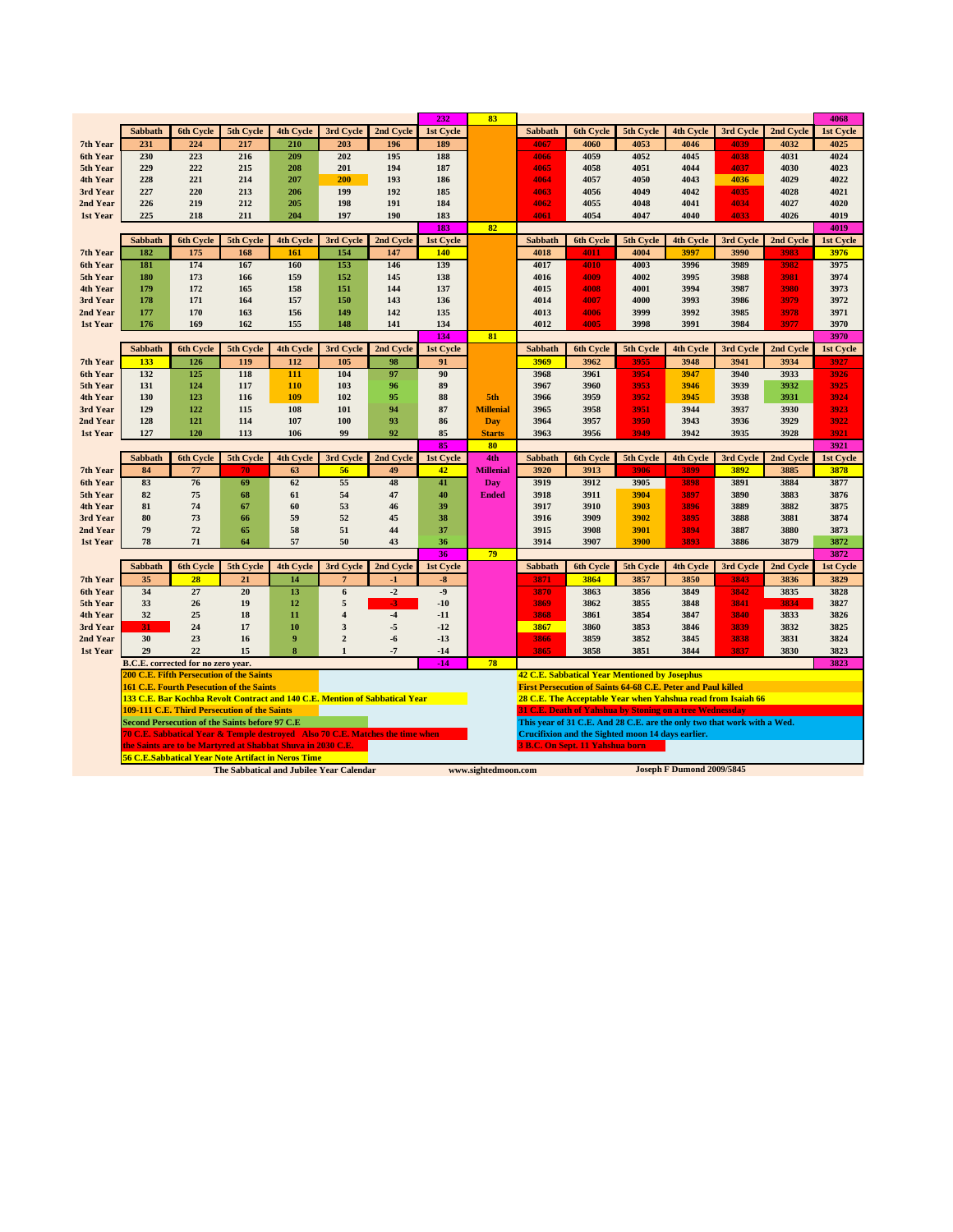|          |                |                                    |                                                                                                                   |                  |                                          |                                                                               | 232             | 83                  |                                                                         |                                        |                                                                 |                                  |                   |                   | 4068              |
|----------|----------------|------------------------------------|-------------------------------------------------------------------------------------------------------------------|------------------|------------------------------------------|-------------------------------------------------------------------------------|-----------------|---------------------|-------------------------------------------------------------------------|----------------------------------------|-----------------------------------------------------------------|----------------------------------|-------------------|-------------------|-------------------|
|          | Sabbath        | 6th Cycle                          | 5th Cycle                                                                                                         | 4th Cycle        | 3rd Cycle                                | 2nd Cycle                                                                     | 1st Cycle       |                     | <b>Sabbath</b>                                                          | 6th Cycle                              | 5th Cycle                                                       | 4th Cycle                        | 3rd Cycle         | 2nd Cycle         | 1st Cycle         |
| 7th Year | 231            | 224                                | 217                                                                                                               | 210              | 203                                      | 196                                                                           | 189             |                     | 4067                                                                    | 4060                                   | 4053                                                            | 4046                             | 4039              | 4032              | 4025              |
| 6th Year | 230            | 223                                | 216                                                                                                               | 209              | 202                                      | 195                                                                           | 188             |                     | 4066                                                                    | 4059                                   | 4052                                                            | 4045                             | 4038              | 4031              | 4024              |
| 5th Year | 229            | 222                                | 215                                                                                                               | 208              | 201                                      | 194                                                                           | 187             |                     | 4065                                                                    | 4058                                   | 4051                                                            | 4044                             | 4037              | 4030              | 4023              |
| 4th Year | 228            | 221                                | 214                                                                                                               | 207              | 200                                      | 193                                                                           | 186             |                     | 4064                                                                    | 4057                                   | 4050                                                            | 4043                             | 4036              | 4029              | 4022              |
| 3rd Year | 227            | 220                                | 213                                                                                                               | 206              | 199                                      | 192                                                                           | 185             |                     | 4063                                                                    | 4056                                   | 4049                                                            | 4042                             | 4035              | 4028              | 4021              |
| 2nd Year | 226            | 219                                | 212                                                                                                               | 205              | 198                                      | 191                                                                           | 184             |                     | 4062                                                                    | 4055                                   | 4048                                                            | 4041                             | 4034              | 4027              | 4020              |
| 1st Year | 225            | 218                                | 211                                                                                                               | 204              | 197                                      | 190                                                                           | 183             |                     | 4061                                                                    | 4054                                   | 4047                                                            | 4040                             | 4033              | 4026              | 4019              |
|          |                |                                    |                                                                                                                   |                  |                                          |                                                                               | 183             | 82                  |                                                                         |                                        |                                                                 |                                  |                   |                   | 4019              |
|          | Sabbath        | 6th Cycle                          | 5th Cycle                                                                                                         | 4th Cycle        | 3rd Cycle                                | 2nd Cycle                                                                     | 1st Cycle       |                     | <b>Sabbath</b>                                                          | 6th Cycle                              | 5th Cycle                                                       | 4th Cycle                        | 3rd Cycle         | 2nd Cycle         | 1st Cycle         |
| 7th Year | 182            | 175                                | 168                                                                                                               | 161              | 154                                      | 147                                                                           | 140             |                     | 4018                                                                    | 4011                                   | 4004                                                            | 3997                             | 3990              | 3983              | 3976              |
| 6th Year | 181            | 174                                | 167                                                                                                               | 160              | 153                                      | 146                                                                           | 139             |                     | 4017                                                                    | 4010                                   | 4003                                                            | 3996                             | 3989              | 3982              | 3975              |
| 5th Year | 180            | 173                                | 166                                                                                                               | 159              | 152                                      | 145                                                                           | 138             |                     | 4016                                                                    | 4009                                   | 4002                                                            | 3995                             | 3988              | 3981              | 3974              |
| 4th Year | 179            | 172                                | 165                                                                                                               | 158              | 151                                      | 144                                                                           | 137             |                     | 4015                                                                    | 4008                                   | 4001                                                            | 3994                             | 3987              | 3980              | 3973              |
| 3rd Year | 178            | 171                                | 164                                                                                                               | 157              | 150                                      | 143                                                                           | 136             |                     | 4014                                                                    | 4007                                   | 4000                                                            | 3993                             | 3986              | 3979              | 3972              |
| 2nd Year | 177            | 170                                | 163                                                                                                               | 156              | 149                                      | 142                                                                           | 135             |                     | 4013                                                                    | 4006                                   | 3999                                                            | 3992                             | 3985              | 3978<br>3977      | 3971              |
| 1st Year | 176            | 169                                | 162                                                                                                               | 155              | 148                                      | 141                                                                           | 134<br>134      | 81                  | 4012                                                                    | 4005                                   | 3998                                                            | 3991                             | 3984              |                   | 3970<br>3970      |
|          |                |                                    |                                                                                                                   |                  |                                          |                                                                               |                 |                     | Sabbath                                                                 |                                        |                                                                 |                                  |                   |                   |                   |
| 7th Year | Sabbath<br>133 | 6th Cycle<br>126                   | 5th Cycle<br>119                                                                                                  | 4th Cycle<br>112 | 3rd Cycle<br>105                         | 2nd Cycle<br>98                                                               | 1st Cycle<br>91 |                     | 3969                                                                    | 6th Cycle<br>3962                      | 5th Cycle<br>3955                                               | 4th Cycle<br>3948                | 3rd Cycle<br>3941 | 2nd Cycle<br>3934 | 1st Cycle<br>3927 |
| 6th Year | 132            | 125                                | 118                                                                                                               | 111              | 104                                      | 97                                                                            | 90              |                     | 3968                                                                    | 3961                                   | 3954                                                            | 3947                             | 3940              | 3933              | 3926              |
| 5th Year | 131            | 124                                | 117                                                                                                               | 110              | 103                                      | 96                                                                            | 89              |                     | 3967                                                                    | 3960                                   | 3953                                                            | 3946                             | 3939              | 3932              | 3925              |
| 4th Year | 130            | 123                                | 116                                                                                                               | 109              | 102                                      | 95                                                                            | 88              | 5th                 | 3966                                                                    | 3959                                   | 3952                                                            | 3945                             | 3938              | 3931              | 3924              |
| 3rd Year | 129            | 122                                | 115                                                                                                               | 108              | 101                                      | 94                                                                            | 87              | <b>Millenial</b>    | 3965                                                                    | 3958                                   | 3951                                                            | 3944                             | 3937              | 3930              | 3923              |
| 2nd Year | 128            | 121                                | 114                                                                                                               | 107              | 100                                      | 93                                                                            | 86              | <b>Day</b>          | 3964                                                                    | 3957                                   | 3950                                                            | 3943                             | 3936              | 3929              | 3922              |
| 1st Year | 127            | 120                                | 113                                                                                                               | 106              | 99                                       | 92                                                                            | 85              | <b>Starts</b>       | 3963                                                                    | 3956                                   | 3949                                                            | 3942                             | 3935              | 3928              | 3921              |
|          |                |                                    |                                                                                                                   |                  |                                          |                                                                               | 85              | 80                  |                                                                         |                                        |                                                                 |                                  |                   |                   | 3921              |
|          | Sabbath        | 6th Cycle                          | 5th Cycle                                                                                                         | <b>4th Cycle</b> | 3rd Cycle                                | 2nd Cycle                                                                     | 1st Cycle       | 4th                 | Sabbath                                                                 | 6th Cycle                              | 5th Cycle                                                       | <b>4th Cycle</b>                 | 3rd Cycle         | 2nd Cycle         | <b>1st Cycle</b>  |
| 7th Year |                |                                    |                                                                                                                   |                  |                                          |                                                                               |                 | <b>Millenial</b>    | 3920                                                                    | 3913                                   | 3906                                                            | 3899                             | 3892              |                   |                   |
|          | 84             | 77                                 | 70                                                                                                                | 63               | 56                                       | 49                                                                            | 42              |                     |                                                                         |                                        |                                                                 |                                  |                   | 3885              | 3878              |
| 6th Year | 83             | 76                                 | 69                                                                                                                | 62               | 55                                       | 48                                                                            | 41              | Day                 | 3919                                                                    | 3912                                   | 3905                                                            | 3898                             | 3891              | 3884              | 3877              |
| 5th Year | 82             | 75                                 | 68                                                                                                                | 61               | 54                                       | 47                                                                            | 40              | <b>Ended</b>        | 3918                                                                    | 3911                                   | 3904                                                            | 3897                             | 3890              | 3883              | 3876              |
| 4th Year | 81             | 74                                 | 67                                                                                                                | 60               | 53                                       | 46                                                                            | 39              |                     | 3917                                                                    | 3910                                   | 3903                                                            | 3896                             | 3889              | 3882              | 3875              |
| 3rd Year | 80             | 73                                 | 66                                                                                                                | 59               | 52                                       | 45                                                                            | 38              |                     | 3916                                                                    | 3909                                   | 3902                                                            | 3895                             | 3888              | 3881              | 3874              |
| 2nd Year | 79             | 72                                 | 65                                                                                                                | 58               | 51                                       | 44                                                                            | 37              |                     | 3915                                                                    | 3908                                   | 3901                                                            | 3894                             | 3887              | 3880              | 3873              |
| 1st Year | 78             | 71                                 | 64                                                                                                                | 57               | 50                                       | 43                                                                            | 36              |                     | 3914                                                                    | 3907                                   | 3900                                                            | 3893                             | 3886              | 3879              | 3872              |
|          |                |                                    |                                                                                                                   |                  |                                          |                                                                               | 36              | 79                  |                                                                         |                                        |                                                                 |                                  |                   |                   | 3872              |
|          | Sabbath        | 6th Cycle                          | 5th Cycle                                                                                                         | <b>4th Cycle</b> | 3rd Cycle                                | 2nd Cycle                                                                     | 1st Cycle       |                     | <b>Sabbath</b>                                                          | 6th Cycle                              | 5th Cycle                                                       | <b>4th Cycle</b>                 | 3rd Cycle         | 2nd Cycle         | <b>1st Cycle</b>  |
| 7th Year | 35             | 28                                 | 21                                                                                                                | 14               | 7                                        | $-1$                                                                          | -8              |                     | 3871                                                                    | 3864                                   | 3857                                                            | 3850                             | 3843              | 3836              | 3829              |
| 6th Year | 34             | 27                                 | 20                                                                                                                | 13               | $\boldsymbol{6}$                         | $-2$                                                                          | $-9$            |                     | 3870                                                                    | 3863                                   | 3856                                                            | 3849                             | 3842              | 3835              | 3828              |
| 5th Year | 33             | 26                                 | 19                                                                                                                | 12               | 5                                        | $\cdot$ 3                                                                     | $-10$           |                     | 3869                                                                    | 3862                                   | 3855                                                            | 3848                             | 3841              | 3834              | 3827              |
| 4th Year | 32             | 25                                 | 18                                                                                                                | 11               | $\overline{\mathbf{4}}$                  | $-4$                                                                          | $-11$           |                     | 3868                                                                    | 3861                                   | 3854                                                            | 3847                             | 3840              | 3833              | 3826              |
| 3rd Year | 31             | 24                                 | 17                                                                                                                | 10               | 3                                        | $-5$                                                                          | $-12$           |                     | 3867                                                                    | 3860                                   | 3853                                                            | 3846                             | 3839              | 3832              | 3825              |
| 2nd Year | 30             | 23                                 | 16                                                                                                                | 9                | $\boldsymbol{2}$                         | -6                                                                            | $-13$           |                     | 3866                                                                    | 3859                                   | 3852                                                            | 3845                             | 3838              | 3831              | 3824              |
| 1st Year | 29             | 22                                 | 15                                                                                                                | 8                | $\mathbf{1}$                             | $-7$                                                                          | $-14$           |                     | 3865                                                                    | 3858                                   | 3851                                                            | 3844                             | 3837              | 3830              | 3823              |
|          |                | B.C.E. corrected for no zero year. |                                                                                                                   |                  |                                          |                                                                               | $-14$           | 78                  |                                                                         |                                        |                                                                 |                                  |                   |                   | 3823              |
|          |                |                                    | <b>200 C.E. Fifth Persecution of the Saints</b>                                                                   |                  |                                          |                                                                               |                 |                     |                                                                         |                                        | <b>42 C.E. Sabbatical Year Mentioned by Josephus</b>            |                                  |                   |                   |                   |
|          |                |                                    | <b>161 C.E. Fourth Pesecution of the Saints</b>                                                                   |                  |                                          |                                                                               |                 |                     | First Persecution of Saints 64-68 C.E. Peter and Paul killed            |                                        |                                                                 |                                  |                   |                   |                   |
|          |                |                                    |                                                                                                                   |                  |                                          | 133 C.E. Bar Kochba Revolt Contract and 140 C.E. Mention of Sabbatical Year   |                 |                     | 28 C.E. The Acceptable Year when Yahshua read from Isaiah 66            |                                        |                                                                 |                                  |                   |                   |                   |
|          |                |                                    | 109-111 C.E. Third Persecution of the Saints                                                                      |                  |                                          |                                                                               |                 |                     |                                                                         |                                        | <b>31 C.E. Death of Yahshua by Stoning on a tree Wednessday</b> |                                  |                   |                   |                   |
|          |                |                                    | Second Persecution of the Saints before 97 C.E.                                                                   |                  |                                          |                                                                               |                 |                     | This year of 31 C.E. And 28 C.E. are the only two that work with a Wed. |                                        |                                                                 |                                  |                   |                   |                   |
|          |                |                                    |                                                                                                                   |                  |                                          | 70 C.E. Sabbatical Year & Temple destroved Also 70 C.E. Matches the time when |                 |                     |                                                                         |                                        | Crucifixion and the Sighted moon 14 days earlier.               |                                  |                   |                   |                   |
|          |                |                                    | the Saints are to be Martyred at Shabbat Shuva in 2030 C.E.<br>56 C.E.Sabbatical Year Note Artifact in Neros Time |                  |                                          |                                                                               |                 |                     |                                                                         | <b>3 B.C. On Sept. 11 Yahshua born</b> |                                                                 |                                  |                   |                   |                   |
|          |                |                                    |                                                                                                                   |                  | The Sabbatical and Jubilee Year Calendar |                                                                               |                 | www.sightedmoon.com |                                                                         |                                        |                                                                 | <b>Joseph F Dumond 2009/5845</b> |                   |                   |                   |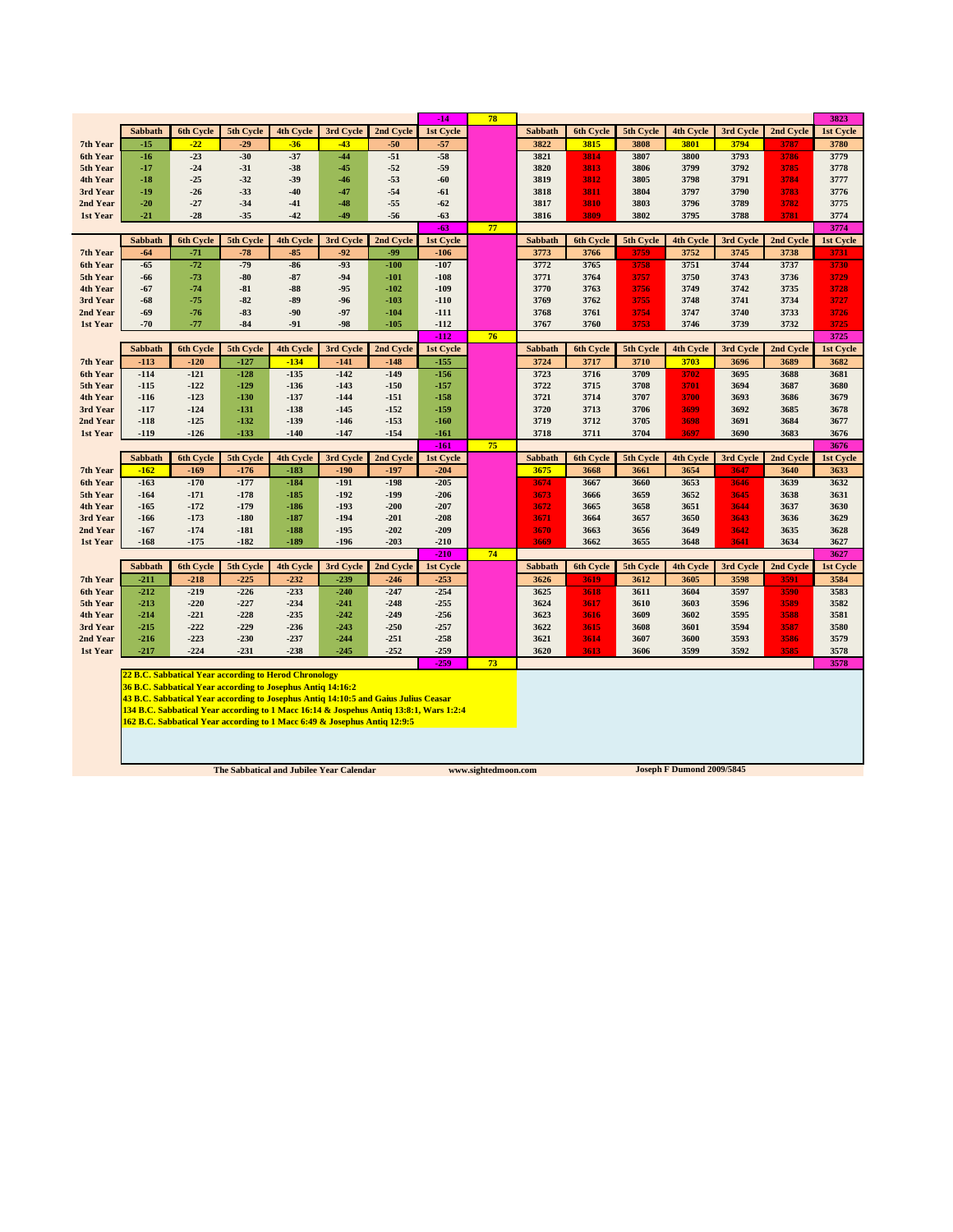|                      |                                                                                                                                                                     |                  |                                                             |                  |                                                                                     |                  | $-14$            | 78 |                |                  |              |                  |              |              | 3823         |
|----------------------|---------------------------------------------------------------------------------------------------------------------------------------------------------------------|------------------|-------------------------------------------------------------|------------------|-------------------------------------------------------------------------------------|------------------|------------------|----|----------------|------------------|--------------|------------------|--------------|--------------|--------------|
|                      | Sabbath                                                                                                                                                             | 6th Cycle        | 5th Cycle                                                   | 4th Cycle        | 3rd Cycle                                                                           | 2nd Cycle        | 1st Cycle        |    | <b>Sabbath</b> | <b>6th Cycle</b> | 5th Cycle    | 4th Cycle        | 3rd Cycle    | 2nd Cycle    | 1st Cycle    |
| 7th Year             | $-15$                                                                                                                                                               | $-22$            | $-29$                                                       | $-36$            | $-43$                                                                               | $-50$            | $-57$            |    | 3822           | 3815             | 3808         | 3801             | 3794         | 3787         | 3780         |
| 6th Year             | $-16$                                                                                                                                                               | $-23$            | $-30$                                                       | $-37$            | $-44$                                                                               | $-51$            | $-58$            |    | 3821           | 3814             | 3807         | 3800             | 3793         | 3786         | 3779         |
| 5th Year             | $-17$                                                                                                                                                               | $-24$            | $-31$                                                       | $-38$            | $-45$                                                                               | $-52$            | $-59$            |    | 3820           | 3813             | 3806         | 3799             | 3792         | 3785         | 3778         |
| 4th Year             | $-18$                                                                                                                                                               | $-25$            | $-32$                                                       | $-39$            | $-46$                                                                               | $-53$            | $-60$            |    | 3819           | 3812             | 3805         | 3798             | 3791         | 3784         | 3777         |
| 3rd Year             | $-19$                                                                                                                                                               | $-26$            | $-33$                                                       | $-40$            | $-47$                                                                               | $-54$            | -61              |    | 3818           | 3811             | 3804         | 3797             | 3790         | 3783         | 3776         |
| 2nd Year             | $-20$                                                                                                                                                               | $-27$            | $-34$                                                       | $-41$            | $-48$                                                                               | $-55$            | $-62$            |    | 3817           | 3810             | 3803         | 3796             | 3789         | 3782         | 3775         |
| 1st Year             | $-21$                                                                                                                                                               | $-28$            | $-35$                                                       | $-42$            | -49                                                                                 | $-56$            | $-63$            |    | 3816           | 3809             | 3802         | 3795             | 3788         | 3781         | 3774         |
|                      |                                                                                                                                                                     |                  |                                                             |                  |                                                                                     |                  | $-63$            | 77 |                |                  |              |                  |              |              | 3774         |
|                      | Sabbath                                                                                                                                                             | 6th Cycle        | 5th Cycle                                                   | 4th Cycle        | 3rd Cycle                                                                           | 2nd Cycle        | 1st Cycle        |    | <b>Sabbath</b> | 6th Cycle        | 5th Cycle    | 4th Cycle        | 3rd Cycle    | 2nd Cycle    | 1st Cycle    |
| 7th Year             | -64                                                                                                                                                                 | $-71$            | $-78$                                                       | $-85$            | $-92$                                                                               | -99              | $-106$           |    | 3773           | 3766             | 3759         | 3752             | 3745         | 3738         | 3731         |
| 6th Year             | $-65$                                                                                                                                                               | $-72$            | $-79$                                                       | $-86$            | $-93$                                                                               | $-100$           | $-107$           |    | 3772           | 3765             | 3758         | 3751             | 3744         | 3737         | 3730         |
| 5th Year             | -66                                                                                                                                                                 | $-73$            | $-80$                                                       | $-87$            | $-94$                                                                               | $-101$           | $-108$           |    | 3771           | 3764             | 3757         | 3750             | 3743         | 3736         | 3729         |
| 4th Year             | -67                                                                                                                                                                 | $-74$            | $-81$                                                       | $-88$            | $-95$                                                                               | $-102$           | $-109$           |    | 3770           | 3763             | 3756         | 3749             | 3742         | 3735         | 3728         |
| 3rd Year             | $-68$                                                                                                                                                               | $-75$            | $-82$                                                       | $-89$            | $-96$                                                                               | $-103$           | $-110$           |    | 3769           | 3762             | 3755         | 3748             | 3741         | 3734         | 3727         |
| 2nd Year             | -69                                                                                                                                                                 | $-76$            | $-83$                                                       | $-90$            | $-97$                                                                               | $-104$           | $-111$           |    | 3768           | 3761             | 3754         | 3747             | 3740         | 3733         | 3726         |
| 1st Year             | $-70$                                                                                                                                                               | $-77$            | $-84$                                                       | $-91$            | $-98$                                                                               | $-105$           | $-112$           |    | 3767           | 3760             | 3753         | 3746             | 3739         | 3732         | 3725         |
|                      |                                                                                                                                                                     |                  |                                                             |                  |                                                                                     |                  | $-112$           | 76 |                |                  |              |                  |              |              | 3725         |
|                      | Sabbath                                                                                                                                                             | 6th Cycle        | 5th Cycle                                                   | <b>4th Cycle</b> | 3rd Cycle                                                                           | 2nd Cycle        | 1st Cycle        |    | Sabbath        | 6th Cycle        | 5th Cycle    | <b>4th Cycle</b> | 3rd Cycle    | 2nd Cycle    | 1st Cycle    |
| 7th Year             | $-113$                                                                                                                                                              | $-120$           | $-127$                                                      | $-134$           | $-141$                                                                              | $-148$           | $-155$           |    | 3724           | 3717             | 3710         | 3703             | 3696         | 3689         | 3682         |
| 6th Year             | $-114$                                                                                                                                                              | $-121$           | $-128$                                                      | $-135$           | $-142$                                                                              | $-149$           | $-156$           |    | 3723           | 3716<br>3715     | 3709         | 3702<br>3701     | 3695         | 3688         | 3681         |
| 5th Year<br>4th Year | $-115$<br>$-116$                                                                                                                                                    | $-122$<br>$-123$ | $-129$<br>$-130$                                            | $-136$<br>$-137$ | -143<br>$-144$                                                                      | $-150$<br>$-151$ | $-157$<br>$-158$ |    | 3722<br>3721   | 3714             | 3708<br>3707 | 3700             | 3694<br>3693 | 3687<br>3686 | 3680<br>3679 |
| 3rd Year             | $-117$                                                                                                                                                              | $-124$           | $-131$                                                      | -138             | -145                                                                                | $-152$           | $-159$           |    | 3720           | 3713             | 3706         | 3699             | 3692         | 3685         | 3678         |
| 2nd Year             | $-118$                                                                                                                                                              | $-125$           | $-132$                                                      | $-139$           | -146                                                                                | $-153$           | $-160$           |    | 3719           | 3712             | 3705         | 3698             | 3691         | 3684         | 3677         |
| 1st Year             | $-119$                                                                                                                                                              | $-126$           | $-133$                                                      | $-140$           | $-147$                                                                              | $-154$           | $-161$           |    | 3718           | 3711             | 3704         | 3697             | 3690         | 3683         | 3676         |
|                      |                                                                                                                                                                     |                  |                                                             |                  |                                                                                     |                  | $-161$           | 75 |                |                  |              |                  |              |              | 3676         |
|                      | Sabbath                                                                                                                                                             | <b>6th Cycle</b> | 5th Cycle                                                   | 4th Cycle        | 3rd Cycle                                                                           | 2nd Cycle        | 1st Cycle        |    | <b>Sabbath</b> | 6th Cycle        | 5th Cycle    | 4th Cycle        | 3rd Cycle    | 2nd Cycle    | 1st Cycle    |
| 7th Year             | $-162$                                                                                                                                                              | $-169$           | $-176$                                                      | $-183$           | $-190$                                                                              | $-197$           | $-204$           |    | 3675           | 3668             | 3661         | 3654             | 3647         | 3640         | 3633         |
| 6th Year             | $-163$                                                                                                                                                              | $-170$           | $-177$                                                      | $-184$           | $-191$                                                                              | $-198$           | $-205$           |    | 3674           | 3667             | 3660         | 3653             | 3646         | 3639         | 3632         |
| 5th Year             | $-164$                                                                                                                                                              | $-171$           | $-178$                                                      | $-185$           | $-192$                                                                              | $-199$           | $-206$           |    | 3673           | 3666             | 3659         | 3652             | 3645         | 3638         | 3631         |
| 4th Year             | $-165$                                                                                                                                                              | $-172$           | $-179$                                                      | $-186$           | $-193$                                                                              | $-200$           | $-207$           |    | 3672           | 3665             | 3658         | 3651             | 3644         | 3637         | 3630         |
| 3rd Year             | $-166$                                                                                                                                                              | $-173$           | $-180$                                                      | $-187$           | $-194$                                                                              | $-201$           | $-208$           |    | 3671           | 3664             | 3657         | 3650             | 3643         | 3636         | 3629         |
| 2nd Year             | $-167$                                                                                                                                                              | $-174$           | $-181$                                                      | $-188$           | $-195$                                                                              | $-202$           | $-209$           |    | 3670           | 3663             | 3656         | 3649             | 3642         | 3635         | 3628         |
| 1st Year             | $-168$                                                                                                                                                              | $-175$           | $-182$                                                      | $-189$           | $-196$                                                                              | $-203$           | $-210$           |    | 3669           | 3662             | 3655         | 3648             | 3641         | 3634         | 3627         |
|                      |                                                                                                                                                                     |                  |                                                             |                  |                                                                                     |                  | $-210$           | 74 |                |                  |              |                  |              |              | 3627         |
|                      | Sabbath                                                                                                                                                             | <b>6th Cycle</b> | 5th Cycle                                                   | 4th Cycle        | 3rd Cycle                                                                           | 2nd Cycle        | 1st Cycle        |    | <b>Sabbath</b> | 6th Cycle        | 5th Cycle    | 4th Cycle        | 3rd Cycle    | 2nd Cycle    | 1st Cycle    |
| 7th Year             | $-211$                                                                                                                                                              | $-218$           | $-225$                                                      | $-232$           | $-239$                                                                              | $-246$           | $-253$           |    | 3626           | 3619             | 3612         | 3605             | 3598         | 3591         | 3584         |
| 6th Year             | $-212$                                                                                                                                                              | $-219$           | $-226$                                                      | $-233$           | $-240$                                                                              | $-247$           | $-254$           |    | 3625           | 3618             | 3611         | 3604             | 3597         | 3590         | 3583         |
| 5th Year             | $-213$                                                                                                                                                              | $-220$           | $-227$                                                      | $-234$           | $-241$                                                                              | $-248$           | $-255$           |    | 3624           | 3617             | 3610         | 3603             | 3596         | 3589         | 3582         |
| 4th Year             | $-214$                                                                                                                                                              | $-221$           | $-228$                                                      | $-235$           | $-242$                                                                              | $-249$           | $-256$           |    | 3623           | 3616             | 3609         | 3602             | 3595         | 3588         | 3581         |
| 3rd Year             | $-215$                                                                                                                                                              | $-222$           | $-229$                                                      | $-236$           | $-243$                                                                              | $-250$           | $-257$           |    | 3622           | 3615             | 3608         | 3601             | 3594         | 3587         | 3580         |
| 2nd Year             | $-216$                                                                                                                                                              | $-223$           | $-230$                                                      | $-237$           | -244                                                                                | $-251$           | $-258$           |    | 3621           | 3614             | 3607         | 3600             | 3593         | 3586         | 3579         |
| 1st Year             | $-217$                                                                                                                                                              | $-224$           | $-231$                                                      | $-238$           | $-245$                                                                              | $-252$           | $-259$           |    | 3620           | 3613             | 3606         | 3599             | 3592         | 3585         | 3578         |
|                      |                                                                                                                                                                     |                  |                                                             |                  |                                                                                     |                  | $-259$           | 73 |                |                  |              |                  |              |              | 3578         |
|                      |                                                                                                                                                                     |                  | 22 B.C. Sabbatical Year according to Herod Chronology       |                  |                                                                                     |                  |                  |    |                |                  |              |                  |              |              |              |
|                      |                                                                                                                                                                     |                  | 36 B.C. Sabbatical Year according to Josephus Antiq 14:16:2 |                  |                                                                                     |                  |                  |    |                |                  |              |                  |              |              |              |
|                      |                                                                                                                                                                     |                  |                                                             |                  | 43 B.C. Sabbatical Year according to Josephus Antiq 14:10:5 and Gaius Julius Ceasar |                  |                  |    |                |                  |              |                  |              |              |              |
|                      | 134 B.C. Sabbatical Year according to 1 Macc 16:14 & Jospehus Antiq 13:8:1, Wars 1:2:4<br>162 B.C. Sabbatical Year according to 1 Macc 6:49 & Josephus Antiq 12:9:5 |                  |                                                             |                  |                                                                                     |                  |                  |    |                |                  |              |                  |              |              |              |
|                      |                                                                                                                                                                     |                  |                                                             |                  |                                                                                     |                  |                  |    |                |                  |              |                  |              |              |              |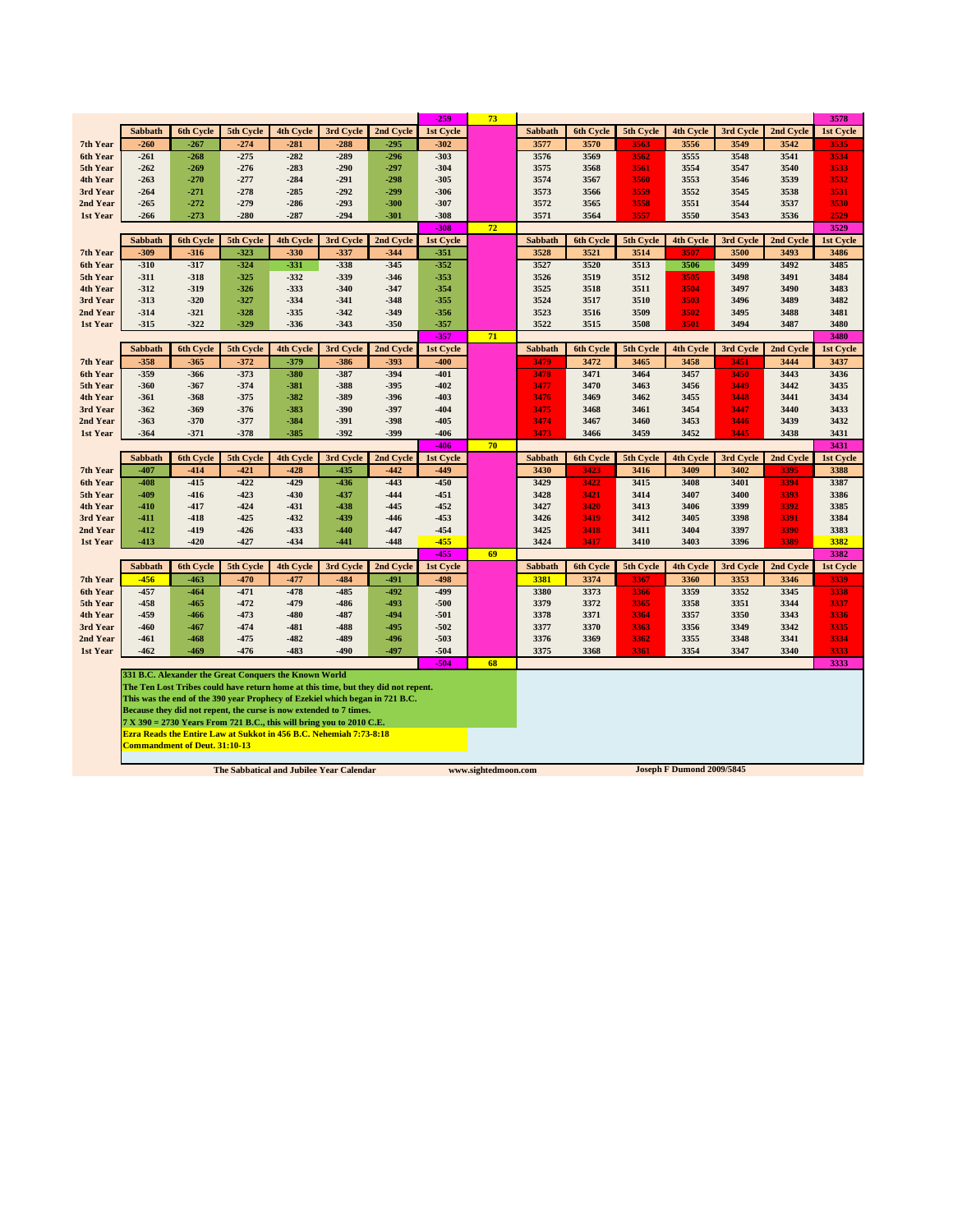|                      |                  |                                      |                                                       |                  |                                                                                                                                              |                                                                                   | $-259$           | 73 |                |                  |              |                  |              |              | 3578             |
|----------------------|------------------|--------------------------------------|-------------------------------------------------------|------------------|----------------------------------------------------------------------------------------------------------------------------------------------|-----------------------------------------------------------------------------------|------------------|----|----------------|------------------|--------------|------------------|--------------|--------------|------------------|
|                      | Sabbath          | <b>6th Cycle</b>                     | 5th Cycle                                             | 4th Cycle        | 3rd Cycle                                                                                                                                    | 2nd Cycle                                                                         | 1st Cycle        |    | Sabbath        | 6th Cycle        | 5th Cycle    | 4th Cycle        | 3rd Cycle    | 2nd Cycle    | 1st Cycle        |
| 7th Year             | $-260$           | $-267$                               | $-274$                                                | $-281$           | $-288$                                                                                                                                       | $-295$                                                                            | $-302$           |    | 3577           | 3570             | 3563         | 3556             | 3549         | 3542         | 3535             |
| 6th Year             | $-261$           | $-268$                               | $-275$                                                | $-282$           | $-289$                                                                                                                                       | $-296$                                                                            | $-303$           |    | 3576           | 3569             | 3562         | 3555             | 3548         | 3541         | 3534             |
| 5th Year             | $-262$           | -269                                 | $-276$                                                | $-283$           | $-290$                                                                                                                                       | $-297$                                                                            | $-304$           |    | 3575           | 3568             | 3561         | 3554             | 3547         | 3540         | 3533             |
| 4th Year             | $-263$           | $-270$                               | $-277$                                                | $-284$           | $-291$                                                                                                                                       | $-298$                                                                            | $-305$           |    | 3574           | 3567             | 3560         | 3553             | 3546         | 3539         | 3532             |
| 3rd Year             | $-264$           | $-271$                               | $-278$                                                | $-285$           | $-292$                                                                                                                                       | $-299$                                                                            | $-306$           |    | 3573           | 3566             | 3559         | 3552             | 3545         | 3538         | 3531             |
| 2nd Year             | $-265$           | $-272$                               | $-279$                                                | $-286$           | $-293$                                                                                                                                       | $-300$                                                                            | $-307$           |    | 3572           | 3565             | 3558         | 3551             | 3544         | 3537         | 3530             |
| 1st Year             | $-266$           | $-273$                               | $-280$                                                | $-287$           | $-294$                                                                                                                                       | $-301$                                                                            | $-308$           |    | 3571           | 3564             | 3557         | 3550             | 3543         | 3536         | 2529             |
|                      |                  |                                      |                                                       |                  |                                                                                                                                              |                                                                                   | $-308$           | 72 |                |                  |              |                  |              |              | 3529             |
|                      | <b>Sabbath</b>   | 6th Cycle                            | 5th Cycle                                             | 4th Cycle        | 3rd Cycle                                                                                                                                    | 2nd Cycle                                                                         | 1st Cycle        |    | <b>Sabbath</b> | <b>6th Cycle</b> | 5th Cycle    | 4th Cycle        | 3rd Cycle    | 2nd Cycle    | 1st Cycle        |
| 7th Year             | $-309$           | $-316$                               | $-323$                                                | $-330$           | $-337$                                                                                                                                       | $-344$                                                                            | $-351$           |    | 3528           | 3521             | 3514         | 3507             | 3500         | 3493         | 3486             |
| 6th Year             | $-310$           | $-317$                               | $-324$                                                | $-331$           | $-338$                                                                                                                                       | $-345$                                                                            | $-352$           |    | 3527           | 3520             | 3513         | 3506             | 3499         | 3492         | 3485             |
| 5th Year             | $-311$           | $-318$                               | $-325$                                                | $-332$           | $-339$                                                                                                                                       | $-346$                                                                            | $-353$           |    | 3526           | 3519             | 3512         | 3505             | 3498         | 3491         | 3484             |
| 4th Year<br>3rd Year | $-312$<br>$-313$ | $-319$<br>$-320$                     | $-326$<br>$-327$                                      | $-333$<br>$-334$ | $-340$<br>$-341$                                                                                                                             | $-347$<br>$-348$                                                                  | $-354$<br>$-355$ |    | 3525<br>3524   | 3518<br>3517     | 3511<br>3510 | 3504<br>3503     | 3497<br>3496 | 3490<br>3489 | 3483<br>3482     |
| 2nd Year             | $-314$           | $-321$                               | $-328$                                                | $-335$           | $-342$                                                                                                                                       | $-349$                                                                            | $-356$           |    | 3523           | 3516             | 3509         | 3502             | 3495         | 3488         | 3481             |
| 1st Year             | $-315$           | $-322$                               | $-329$                                                | $-336$           | $-343$                                                                                                                                       | $-350$                                                                            | $-357$           |    | 3522           | 3515             | 3508         | 3501             | 3494         | 3487         | 3480             |
|                      |                  |                                      |                                                       |                  |                                                                                                                                              |                                                                                   | $-357$           | 71 |                |                  |              |                  |              |              | 3480             |
|                      | Sabbath          | <b>6th Cycle</b>                     | 5th Cycle                                             | 4th Cycle        | 3rd Cycle                                                                                                                                    | 2nd Cycle                                                                         | 1st Cycle        |    | <b>Sabbath</b> | 6th Cycle        | 5th Cycle    | <b>4th Cycle</b> | 3rd Cycle    | 2nd Cycle    | 1st Cycle        |
| 7th Year             | $-358$           | $-365$                               | $-372$                                                | $-379$           | $-386$                                                                                                                                       | $-393$                                                                            | $-400$           |    | 3479           | 3472             | 3465         | 3458             | 3451         | 3444         | 3437             |
| 6th Year             | $-359$           | $-366$                               | $-373$                                                | $-380$           | $-387$                                                                                                                                       | $-394$                                                                            | $-401$           |    | 3478           | 3471             | 3464         | 3457             | 3450         | 3443         | 3436             |
| 5th Year             | $-360$           | $-367$                               | $-374$                                                | $-381$           | $-388$                                                                                                                                       | $-395$                                                                            | $-402$           |    | 3477           | 3470             | 3463         | 3456             | 3449         | 3442         | 3435             |
| 4th Year             | $-361$           | $-368$                               | $-375$                                                | $-382$           | -389                                                                                                                                         | $-396$                                                                            | $-403$           |    | 3476           | 3469             | 3462         | 3455             | 3448         | 3441         | 3434             |
| 3rd Year             | $-362$           | $-369$                               | $-376$                                                | $-383$           | $-390$                                                                                                                                       | $-397$                                                                            | $-404$           |    | 3475           | 3468             | 3461         | 3454             | 3447         | 3440         | 3433             |
| 2nd Year             | $-363$           | $-370$                               | $-377$                                                | $-384$           | $-391$                                                                                                                                       | $-398$                                                                            | $-405$           |    | 3474           | 3467             | 3460         | 3453             | 3446         | 3439         | 3432             |
| 1st Year             | $-364$           | $-371$                               | $-378$                                                | $-385$           | $-392$                                                                                                                                       | $-399$                                                                            | $-406$           |    | 3473           | 3466             | 3459         | 3452             | 3445         | 3438         | 3431             |
|                      |                  |                                      |                                                       |                  |                                                                                                                                              |                                                                                   | 406              | 70 |                |                  |              |                  |              |              | 3431             |
|                      | <b>Sabbath</b>   | <b>6th Cycle</b>                     | 5th Cycle                                             | 4th Cycle        | 3rd Cycle                                                                                                                                    | 2nd Cycle                                                                         | 1st Cycle        |    | <b>Sabbath</b> | 6th Cycle        | 5th Cycle    | 4th Cycle        | 3rd Cycle    | 2nd Cycle    | <b>1st Cycle</b> |
| 7th Year             | $-407$           | $-414$                               | $-421$                                                | $-428$           | $-435$                                                                                                                                       | $-442$                                                                            | $-449$           |    | 3430           | 3423             | 3416         | 3409             | 3402         | 3395         | 3388             |
| 6th Year             | $-408$           | $-415$                               | $-422$                                                | $-429$           | $-436$                                                                                                                                       | $-443$                                                                            | $-450$           |    | 3429           | 3422             | 3415         | 3408             | 3401         | 3394         | 3387             |
| 5th Year             | $-409$           | $-416$                               | $-423$                                                | $-430$           | $-437$                                                                                                                                       | $-444$                                                                            | $-451$           |    | 3428           | 3421             | 3414         | 3407             | 3400         | 3393         | 3386             |
| 4th Year<br>3rd Year | $-410$<br>$-411$ | $-417$<br>$-418$                     | $-424$<br>$-425$                                      | $-431$<br>$-432$ | $-438$<br>$-439$                                                                                                                             | $-445$<br>$-446$                                                                  | $-452$<br>$-453$ |    | 3427<br>3426   | 3420<br>3419     | 3413<br>3412 | 3406<br>3405     | 3399<br>3398 | 3392<br>3391 | 3385<br>3384     |
| 2nd Year             | $-412$           | $-419$                               | $-426$                                                | $-433$           | $-440$                                                                                                                                       | $-447$                                                                            | $-454$           |    | 3425           | 3418             | 3411         | 3404             | 3397         | 3390         | 3383             |
| 1st Year             | $-413$           | $-420$                               | $-427$                                                | $-434$           | $-441$                                                                                                                                       | $-448$                                                                            | $-455$           |    | 3424           | 3417             | 3410         | 3403             | 3396         | 3389         | 3382             |
|                      |                  |                                      |                                                       |                  |                                                                                                                                              |                                                                                   | $-455$           | 69 |                |                  |              |                  |              |              | 3382             |
|                      | Sabbath          | <b>6th Cycle</b>                     | 5th Cycle                                             | <b>4th Cycle</b> | 3rd Cycle                                                                                                                                    | 2nd Cycle                                                                         | 1st Cycle        |    | Sabbath        | 6th Cycle        | 5th Cycle    | <b>4th Cycle</b> | 3rd Cycle    | 2nd Cycle    | 1st Cycle        |
| 7th Year             | $-456$           | $-463$                               | $-470$                                                | $-477$           | $-484$                                                                                                                                       | $-491$                                                                            | $-498$           |    | 3381           | 3374             | 3367         | 3360             | 3353         | 3346         | 3339             |
| 6th Year             | $-457$           | $-464$                               | $-471$                                                | $-478$           | $-485$                                                                                                                                       | $-492$                                                                            | $-499$           |    | 3380           | 3373             | 3366         | 3359             | 3352         | 3345         | 3338             |
| 5th Year             | $-458$           | $-465$                               | $-472$                                                | $-479$           | $-486$                                                                                                                                       | $-493$                                                                            | $-500$           |    | 3379           | 3372             | 3365         | 3358             | 3351         | 3344         | 3337             |
| 4th Year             | $-459$           | -466                                 | $-473$                                                | $-480$           | -487                                                                                                                                         | $-494$                                                                            | $-501$           |    | 3378           | 3371             | 3364         | 3357             | 3350         | 3343         | 3336             |
| 3rd Year             | $-460$           | -467                                 | $-474$                                                | $-481$           | -488                                                                                                                                         | $-495$                                                                            | $-502$           |    | 3377           | 3370             | 3363         | 3356             | 3349         | 3342         | 3335             |
| 2nd Year             | $-461$           | $-468$                               | $-475$                                                | $-482$           | $-489$                                                                                                                                       | $-496$                                                                            | $-503$           |    | 3376           | 3369             | 3362         | 3355             | 3348         | 3341         | 3334             |
| 1st Year             | $-462$           | $-469$                               | $-476$                                                | $-483$           | $-490$                                                                                                                                       | $-497$                                                                            | $-504$           |    | 3375           | 3368             | 3361         | 3354             | 3347         | 3340         | 3333             |
|                      |                  |                                      |                                                       |                  |                                                                                                                                              |                                                                                   | $-504$           | 68 |                |                  |              |                  |              |              | 3333             |
|                      |                  |                                      | 331 B.C. Alexander the Great Conquers the Known World |                  |                                                                                                                                              |                                                                                   |                  |    |                |                  |              |                  |              |              |                  |
|                      |                  |                                      |                                                       |                  |                                                                                                                                              | The Ten Lost Tribes could have return home at this time, but they did not repent. |                  |    |                |                  |              |                  |              |              |                  |
|                      |                  |                                      |                                                       |                  | This was the end of the 390 year Prophecy of Ezekiel which began in 721 B.C.                                                                 |                                                                                   |                  |    |                |                  |              |                  |              |              |                  |
|                      |                  |                                      |                                                       |                  | Because they did not repent, the curse is now extended to 7 times.                                                                           |                                                                                   |                  |    |                |                  |              |                  |              |              |                  |
|                      |                  |                                      |                                                       |                  | $7 X 390 = 2730$ Years From 721 B.C., this will bring you to 2010 C.E.<br>Ezra Reads the Entire Law at Sukkot in 456 B.C. Nehemiah 7:73-8:18 |                                                                                   |                  |    |                |                  |              |                  |              |              |                  |
|                      |                  |                                      |                                                       |                  |                                                                                                                                              |                                                                                   |                  |    |                |                  |              |                  |              |              |                  |
|                      |                  |                                      |                                                       |                  |                                                                                                                                              |                                                                                   |                  |    |                |                  |              |                  |              |              |                  |
|                      |                  | <b>Commandment of Deut. 31:10-13</b> |                                                       |                  |                                                                                                                                              |                                                                                   |                  |    |                |                  |              |                  |              |              |                  |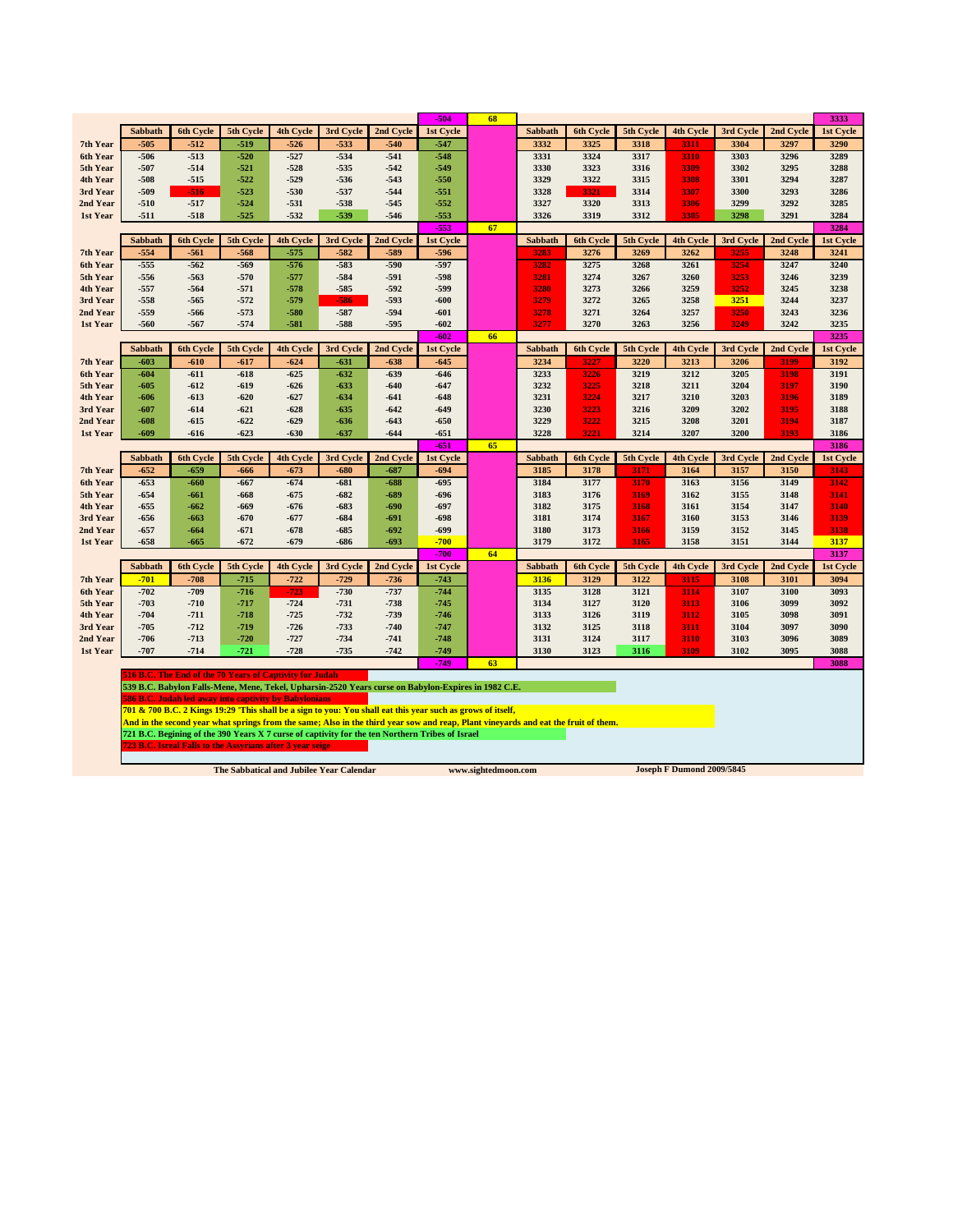|          |         |                  |                                                                                                                                                                |                  |           |           | -504             | 68 |                |                  |           |                  |           |           | 3333         |
|----------|---------|------------------|----------------------------------------------------------------------------------------------------------------------------------------------------------------|------------------|-----------|-----------|------------------|----|----------------|------------------|-----------|------------------|-----------|-----------|--------------|
|          | Sabbath | 6th Cycle        | 5th Cycle                                                                                                                                                      | 4th Cycle        | 3rd Cycle | 2nd Cycle | 1st Cycle        |    | Sabbath        | 6th Cycle        | 5th Cycle | 4th Cycle        | 3rd Cycle | 2nd Cycle | 1st Cycle    |
| 7th Year | $-505$  | $-512$           | $-519$                                                                                                                                                         | $-526$           | $-533$    | $-540$    | $-547$           |    | 3332           | 3325             | 3318      | 3311             | 3304      | 3297      | 3290         |
| 6th Year | $-506$  | $-513$           | $-520$                                                                                                                                                         | $-527$           | $-534$    | $-541$    | $-548$           |    | 3331           | 3324             | 3317      | 3310             | 3303      | 3296      | 3289         |
| 5th Year | $-507$  | $-514$           | $-521$                                                                                                                                                         | $-528$           | $-535$    | $-542$    | $-549$           |    | 3330           | 3323             | 3316      | 3309             | 3302      | 3295      | 3288         |
| 4th Year | $-508$  | $-515$           | $-522$                                                                                                                                                         | $-529$           | $-536$    | $-543$    | $-550$           |    | 3329           | 3322             | 3315      | 3308             | 3301      | 3294      | 3287         |
| 3rd Year | $-509$  | $-516$           | $-523$                                                                                                                                                         | $-530$           | $-537$    | $-544$    | $-551$           |    | 3328           | 3321             | 3314      | 3307             | 3300      | 3293      | 3286         |
| 2nd Year | $-510$  | $-517$           | $-524$                                                                                                                                                         | $-531$           | $-538$    | $-545$    | $-552$           |    | 3327           | 3320             | 3313      | 3306             | 3299      | 3292      | 3285         |
| 1st Year | $-511$  | $-518$           | $-525$                                                                                                                                                         | $-532$           | $-539$    | $-546$    | $-553$<br>$-553$ |    | 3326           | 3319             | 3312      | 3305             | 3298      | 3291      | 3284<br>3284 |
|          | Sabbath | <b>6th Cycle</b> | 5th Cycle                                                                                                                                                      | <b>4th Cycle</b> | 3rd Cycle | 2nd Cycle | 1st Cycle        | 67 | Sabbath        | <b>6th Cycle</b> | 5th Cycle | <b>4th Cycle</b> | 3rd Cycle | 2nd Cycle | 1st Cycle    |
| 7th Year | $-554$  | $-561$           | -568                                                                                                                                                           | $-575$           | $-582$    | $-589$    | $-596$           |    | 3283           | 3276             | 3269      | 3262             | 3255      | 3248      | 3241         |
| 6th Year | $-555$  | $-562$           | -569                                                                                                                                                           | $-576$           | $-583$    | $-590$    | $-597$           |    | 3282           | 3275             | 3268      | 3261             | 3254      | 3247      | 3240         |
| 5th Year | $-556$  | $-563$           | -570                                                                                                                                                           | $-577$           | $-584$    | -591      | $-598$           |    | 3281           | 3274             | 3267      | 3260             | 3253      | 3246      | 3239         |
| 4th Year | $-557$  | $-564$           | $-571$                                                                                                                                                         | $-578$           | $-585$    | $-592$    | -599             |    | 3280           | 3273             | 3266      | 3259             | 3252      | 3245      | 3238         |
| 3rd Year | $-558$  | $-565$           | $-572$                                                                                                                                                         | $-579$           | -586      | $-593$    | $-600$           |    | 3279           | 3272             | 3265      | 3258             | 3251      | 3244      | 3237         |
| 2nd Year | $-559$  | -566             | $-573$                                                                                                                                                         | -580             | $-587$    | $-594$    | $-601$           |    | 3278           | 3271             | 3264      | 3257             | 3250      | 3243      | 3236         |
| 1st Year | $-560$  | $-567$           | $-574$                                                                                                                                                         | $-581$           | $-588$    | $-595$    | $-602$           |    | 3277           | 3270             | 3263      | 3256             | 3249      | 3242      | 3235         |
|          |         |                  |                                                                                                                                                                |                  |           |           | $-602$           | 66 |                |                  |           |                  |           |           | 3235         |
|          | Sabbath | <b>6th Cycle</b> | 5th Cycle                                                                                                                                                      | <b>4th Cycle</b> | 3rd Cycle | 2nd Cycle | 1st Cycle        |    | <b>Sabbath</b> | 6th Cycle        | 5th Cycle | 4th Cycle        | 3rd Cycle | 2nd Cycle | 1st Cycle    |
| 7th Year | $-603$  | $-610$           | $-617$                                                                                                                                                         | $-624$           | -631      | $-638$    | $-645$           |    | 3234           | 3227             | 3220      | 3213             | 3206      | 3199      | 3192         |
| 6th Year | $-604$  | $-611$           | $-618$                                                                                                                                                         | $-625$           | $-632$    | $-639$    | $-646$           |    | 3233           | 3226             | 3219      | 3212             | 3205      | 3198      | 3191         |
| 5th Year | $-605$  | $-612$           | -619                                                                                                                                                           | $-626$           | $-633$    | $-640$    | $-647$           |    | 3232           | 3225             | 3218      | 3211             | 3204      | 3197      | 3190         |
| 4th Year | $-606$  | $-613$           | $-620$                                                                                                                                                         | $-627$           | $-634$    | $-641$    | $-648$           |    | 3231           | 3224             | 3217      | 3210             | 3203      | 3196      | 3189         |
| 3rd Year | $-607$  | $-614$           | $-621$                                                                                                                                                         | $-628$           | $-635$    | $-642$    | $-649$           |    | 3230           | 3223             | 3216      | 3209             | 3202      | 3195      | 3188         |
| 2nd Year | $-608$  | $-615$           | $-622$                                                                                                                                                         | $-629$           | $-636$    | $-643$    | $-650$           |    | 3229           | 3222             | 3215      | 3208             | 3201      | 3194      | 3187         |
| 1st Year | $-609$  | $-616$           | $-623$                                                                                                                                                         | $-630$           | $-637$    | $-644$    | $-651$<br>$-651$ | 65 | 3228           | 3221             | 3214      | 3207             | 3200      | 3193      | 3186<br>3186 |
|          | Sabbath | 6th Cycle        | 5th Cycle                                                                                                                                                      | 4th Cycle        | 3rd Cycle | 2nd Cycle | 1st Cycle        |    | Sabbath        | <b>6th Cycle</b> | 5th Cycle | 4th Cycle        | 3rd Cycle | 2nd Cycle | 1st Cycle    |
| 7th Year | $-652$  | $-659$           | -666                                                                                                                                                           | $-673$           | $-680$    | $-687$    | $-694$           |    | 3185           | 3178             | 3171      | 3164             | 3157      | 3150      | 3143         |
| 6th Year | $-653$  | $-660$           | -667                                                                                                                                                           | $-674$           | $-681$    | $-688$    | $-695$           |    | 3184           | 3177             | 3170      | 3163             | 3156      | 3149      | 3142         |
| 5th Year | $-654$  | $-661$           | -668                                                                                                                                                           | $-675$           | $-682$    | -689      | -696             |    | 3183           | 3176             | 3169      | 3162             | 3155      | 3148      | 3141         |
| 4th Year | $-655$  | $-662$           | -669                                                                                                                                                           | -676             | $-683$    | -690      | -697             |    | 3182           | 3175             | 3168      | 3161             | 3154      | 3147      | 3140         |
| 3rd Year | $-656$  | $-663$           | $-670$                                                                                                                                                         | $-677$           | -684      | -691      | -698             |    | 3181           | 3174             | 3167      | 3160             | 3153      | 3146      | 3139         |
| 2nd Year | $-657$  | $-664$           | $-671$                                                                                                                                                         | -678             | $-685$    | $-692$    | -699             |    | 3180           | 3173             | 3166      | 3159             | 3152      | 3145      | 3138         |
| 1st Year | $-658$  | $-665$           | $-672$                                                                                                                                                         | $-679$           | -686      | $-693$    | $-700$           |    | 3179           | 3172             | 3165      | 3158             | 3151      | 3144      | 3137         |
|          |         |                  |                                                                                                                                                                |                  |           |           | $-700$           | 64 |                |                  |           |                  |           |           | 3137         |
|          | Sabbath | 6th Cycle        | 5th Cycle                                                                                                                                                      | 4th Cycle        | 3rd Cycle | 2nd Cycle | 1st Cycle        |    | Sabbath        | 6th Cycle        | 5th Cycle | 4th Cycle        | 3rd Cycle | 2nd Cycle | 1st Cycle    |
| 7th Year | $-701$  | $-708$           | $-715$                                                                                                                                                         | $-722$           | $-729$    | $-736$    | $-743$           |    | 3136           | 3129             | 3122      | 3115             | 3108      | 3101      | 3094         |
| 6th Year | $-702$  | $-709$           | $-716$                                                                                                                                                         | $-723$           | $-730$    | $-737$    | $-744$           |    | 3135           | 3128             | 3121      | 3114             | 3107      | 3100      | 3093         |
| 5th Year | $-703$  | $-710$           | $-717$                                                                                                                                                         | $-724$           | $-731$    | $-738$    | $-745$           |    | 3134           | 3127             | 3120      | 3113             | 3106      | 3099      | 3092         |
| 4th Year | $-704$  | $-711$           | $-718$                                                                                                                                                         | $-725$           | $-732$    | $-739$    | $-746$           |    | 3133           | 3126             | 3119      | 3112             | 3105      | 3098      | 3091         |
| 3rd Year | $-705$  | $-712$           | -719                                                                                                                                                           | $-726$           | $-733$    | $-740$    | -747             |    | 3132           | 3125             | 3118      | 3111             | 3104      | 3097      | 3090         |
| 2nd Year | $-706$  | $-713$           | -720                                                                                                                                                           | $-727$           | $-734$    | $-741$    | $-748$           |    | 3131           | 3124             | 3117      | 3110             | 3103      | 3096      | 3089         |
| 1st Year | $-707$  | $-714$           | -721                                                                                                                                                           | $-728$           | $-735$    | $-742$    | $-749$           |    | 3130           | 3123             | 3116      | 3109             | 3102      | 3095      | 3088         |
|          |         |                  |                                                                                                                                                                |                  |           |           | $-749$           | 63 |                |                  |           |                  |           |           | 3088         |
|          |         |                  | 516 B.C. The End of the 70 Years of Captivity for Judah<br>539 B.C. Babylon Falls-Mene, Mene, Tekel, Upharsin-2520 Years curse on Babylon-Expires in 1982 C.E. |                  |           |           |                  |    |                |                  |           |                  |           |           |              |
|          |         |                  |                                                                                                                                                                |                  |           |           |                  |    |                |                  |           |                  |           |           |              |

586 B.C. Judah led away into captivity by Babylonians<br>201 & 700 B.C. 2 Kings 19:29 'This shall be a sign to you: You shall eat this year such as grows of itself,<br>And in the second year what springs from the same; Also in t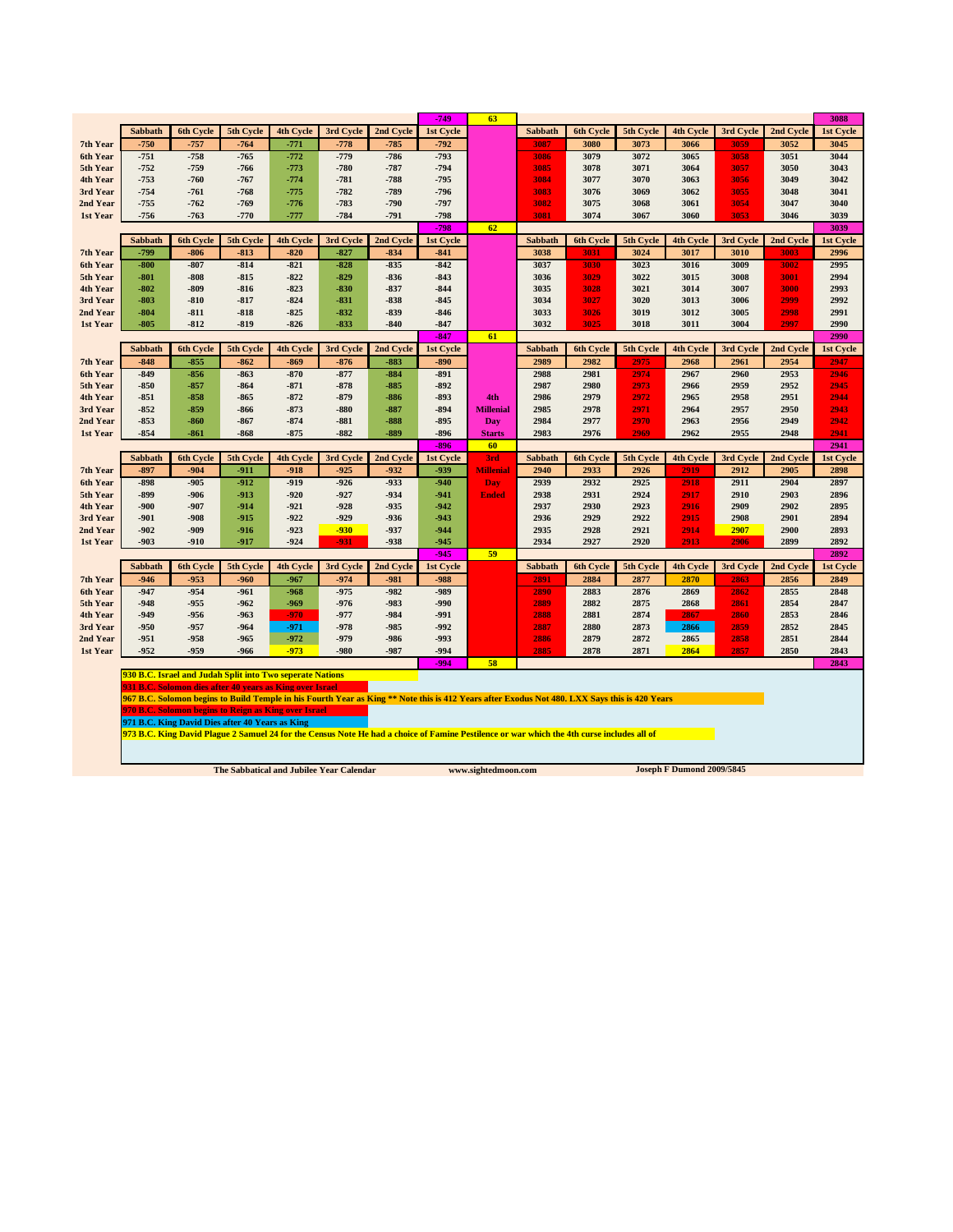|                      |                  |                  |                                                           |                  |                  |                  | $-749$           | 63               |                |                                                                                                                                               |              |                  |              |              | 3088             |
|----------------------|------------------|------------------|-----------------------------------------------------------|------------------|------------------|------------------|------------------|------------------|----------------|-----------------------------------------------------------------------------------------------------------------------------------------------|--------------|------------------|--------------|--------------|------------------|
|                      | Sabbath          | <b>6th Cycle</b> | 5th Cycle                                                 | <b>4th Cycle</b> | 3rd Cycle        | 2nd Cycle        | 1st Cycle        |                  | Sabbath        | <b>6th Cycle</b>                                                                                                                              | 5th Cycle    | <b>4th Cycle</b> | 3rd Cycle    | 2nd Cycle    | 1st Cycle        |
| 7th Year             | $-750$           | $-757$           | $-764$                                                    | $-771$           | $-778$           | $-785$           | $-792$           |                  | 3087           | 3080                                                                                                                                          | 3073         | 3066             | 3059         | 3052         | 3045             |
| 6th Year             | $-751$           | $-758$           | $-765$                                                    | $-772$           | $-779$           | $-786$           | $-793$           |                  | 3086           | 3079                                                                                                                                          | 3072         | 3065             | 3058         | 3051         | 3044             |
| 5th Year             | $-752$           | $-759$           | -766                                                      | $-773$           | $-780$           | $-787$           | $-794$           |                  | 3085           | 3078                                                                                                                                          | 3071         | 3064             | 3057         | 3050         | 3043             |
| 4th Year             | $-753$           | $-760$           | $-767$                                                    | $-774$           | $-781$           | $-788$           | $-795$           |                  | 3084           | 3077                                                                                                                                          | 3070         | 3063             | 3056         | 3049         | 3042             |
| 3rd Year             | $-754$           | $-761$           | $-768$                                                    | $-775$           | $-782$           | $-789$           | $-796$           |                  | 3083           | 3076                                                                                                                                          | 3069         | 3062             | 3055         | 3048         | 3041             |
| 2nd Year             | $-755$           | $-762$           | $-769$                                                    | $-776$           | $-783$           | $-790$           | $-797$           |                  | 3082           | 3075                                                                                                                                          | 3068         | 3061             | 3054         | 3047         | 3040             |
| 1st Year             | $-756$           | $-763$           | $-770$                                                    | $-777$           | $-784$           | $-791$           | $-798$           |                  | 3081           | 3074                                                                                                                                          | 3067         | 3060             | 3053         | 3046         | 3039             |
|                      |                  |                  |                                                           |                  |                  |                  | $-798$           | 62               |                |                                                                                                                                               |              |                  |              |              | 3039             |
|                      | Sabbath          | 6th Cycle        | 5th Cycle                                                 | 4th Cycle        | 3rd Cycle        | 2nd Cycle        | 1st Cycle        |                  | Sabbath        | 6th Cycle                                                                                                                                     | 5th Cycle    | 4th Cycle        | 3rd Cycle    | 2nd Cycle    | 1st Cycle        |
| 7th Year             | $-799$           | $-806$           | $-813$                                                    | $-820$           | $-827$           | $-834$           | $-841$           |                  | 3038           | 3031                                                                                                                                          | 3024         | 3017             | 3010         | 3003         | 2996             |
| 6th Year             | $-800$           | $-807$           | $-814$                                                    | $-821$           | $-828$           | $-835$           | $-842$           |                  | 3037           | 3030                                                                                                                                          | 3023         | 3016             | 3009         | 3002         | 2995             |
| 5th Year             | $-801$           | $-808$           | $-815$                                                    | $-822$           | $-829$           | $-836$           | $-843$           |                  | 3036           | 3029                                                                                                                                          | 3022         | 3015             | 3008         | 3001         | 2994             |
| 4th Year             | $-802$           | $-809$           | $-816$                                                    | $-823$           | $-830$           | $-837$           | $-844$           |                  | 3035           | 3028                                                                                                                                          | 3021         | 3014             | 3007         | 3000         | 2993             |
| 3rd Year             | $-803$           | $-810$           | $-817$                                                    | $-824$           | $-831$           | $-838$           | $-845$           |                  | 3034           | 3027                                                                                                                                          | 3020         | 3013             | 3006         | 2999         | 2992             |
| 2nd Year             | $-804$           | $-811$           | $-818$                                                    | $-825$           | $-832$           | $-839$           | $-846$           |                  | 3033           | 3026                                                                                                                                          | 3019         | 3012             | 3005         | 2998         | 2991             |
| 1st Year             | $-805$           | $-812$           | $-819$                                                    | $-826$           | $-833$           | $-840$           | $-847$           |                  | 3032           | 3025                                                                                                                                          | 3018         | 3011             | 3004         | 2997         | 2990             |
|                      |                  |                  |                                                           |                  |                  |                  | $-847$           | 61               |                |                                                                                                                                               |              |                  |              |              | 2990             |
|                      | <b>Sabbath</b>   | 6th Cycle        | 5th Cycle                                                 | <b>4th Cycle</b> | 3rd Cycle        | 2nd Cycle        | 1st Cycle        |                  | <b>Sabbath</b> | <b>6th Cycle</b>                                                                                                                              | 5th Cycle    | <b>4th Cycle</b> | 3rd Cycle    | 2nd Cycle    | 1st Cycle        |
| 7th Year             | $-848$           | $-855$           | $-862$                                                    | $-869$           | $-876$           | $-883$           | $-890$           |                  | 2989           | 2982                                                                                                                                          | 2975         | 2968             | 2961         | 2954         | 2947             |
| 6th Year             | $-849$           | $-856$           | $-863$                                                    | $-870$           | $-877$           | $-884$           | $-891$           |                  | 2988           | 2981                                                                                                                                          | 2974         | 2967             | 2960         | 2953         | 2946             |
| 5th Year             | $-850$<br>$-851$ | $-857$<br>$-858$ | $-864$<br>$-865$                                          | $-871$<br>$-872$ | $-878$<br>$-879$ | $-885$<br>$-886$ | $-892$<br>$-893$ | 4th              | 2987<br>2986   | 2980<br>2979                                                                                                                                  | 2973<br>2972 | 2966<br>2965     | 2959<br>2958 | 2952<br>2951 | 2945<br>2944     |
| 4th Year<br>3rd Year | $-852$           | $-859$           | $-866$                                                    | $-873$           | $-880$           | $-887$           | $-894$           | <b>Millenial</b> | 2985           | 2978                                                                                                                                          | 2971         | 2964             | 2957         | 2950         | 2943             |
| 2nd Year             | $-853$           | $-860$           | $-867$                                                    | $-874$           | -881             | $-888$           | $-895$           | Day              | 2984           | 2977                                                                                                                                          | 2970         | 2963             | 2956         | 2949         | 2942             |
| 1st Year             | $-854$           | $-861$           | $-868$                                                    | $-875$           | $-882$           | $-889$           | $-896$           | <b>Starts</b>    | 2983           | 2976                                                                                                                                          | 2969         | 2962             | 2955         | 2948         | 2941             |
|                      |                  |                  |                                                           |                  |                  |                  | $-896$           | 60               |                |                                                                                                                                               |              |                  |              |              | 2941             |
|                      | Sabbath          | 6th Cycle        | 5th Cycle                                                 | 4th Cycle        | 3rd Cycle        | 2nd Cycle        | 1st Cycle        | 3rd              | Sabbath        | 6th Cycle                                                                                                                                     | 5th Cycle    | 4th Cycle        | 3rd Cycle    | 2nd Cycle    | 1st Cycle        |
| 7th Year             | $-897$           | $-904$           | $-911$                                                    | $-918$           | $-925$           | $-932$           | -939             | <b>Millenial</b> | 2940           | 2933                                                                                                                                          | 2926         | 2919             | 2912         | 2905         | 2898             |
| 6th Year             | $-898$           | $-905$           | $-912$                                                    | $-919$           | $-926$           | $-933$           | $-940$           | <b>Day</b>       | 2939           | 2932                                                                                                                                          | 2925         | 2918             | 2911         | 2904         | 2897             |
| 5th Year             | $-899$           | $-906$           | $-913$                                                    | $-920$           | $-927$           | $-934$           | $-941$           | <b>Ended</b>     | 2938           | 2931                                                                                                                                          | 2924         | 2917             | 2910         | 2903         | 2896             |
| 4th Year             | $-900$           | $-907$           | -914                                                      | $-921$           | $-928$           | $-935$           | $-942$           |                  | 2937           | 2930                                                                                                                                          | 2923         | 2916             | 2909         | 2902         | 2895             |
| 3rd Year             | $-901$           | $-908$           | $-915$                                                    | $-922$           | $-929$           | $-936$           | $-943$           |                  | 2936           | 2929                                                                                                                                          | 2922         | 2915             | 2908         | 2901         | 2894             |
| 2nd Year             | $-902$           | $-909$           | $-916$                                                    | $-923$           | $-930$           | $-937$           | $-944$           |                  | 2935           | 2928                                                                                                                                          | 2921         | 2914             | 2907         | 2900         | 2893             |
| 1st Year             | $-903$           | -910             | -917                                                      | $-924$           | -931             | $-938$           | $-945$           |                  | 2934           | 2927                                                                                                                                          | 2920         | 2913             | 2906         | 2899         | 2892             |
|                      |                  |                  |                                                           |                  |                  |                  | $-945$           | 59               |                |                                                                                                                                               |              |                  |              |              | 2892             |
|                      | Sabbath          | <b>6th Cycle</b> | 5th Cycle                                                 | <b>4th Cycle</b> | 3rd Cycle        | 2nd Cycle        | 1st Cycle        |                  | Sabbath        | <b>6th Cycle</b>                                                                                                                              | 5th Cycle    | 4th Cycle        | 3rd Cycle    | 2nd Cycle    | <b>1st Cycle</b> |
| 7th Year             | $-946$           | $-953$           | $-960$                                                    | $-967$           | $-974$           | $-981$           | -988             |                  | 2891           | 2884                                                                                                                                          | 2877         | 2870             | 2863         | 2856         | 2849             |
| 6th Year             | $-947$           | $-954$           | $-961$                                                    | $-968$           | $-975$           | $-982$           | -989             |                  | 2890           | 2883                                                                                                                                          | 2876         | 2869             | 2862         | 2855         | 2848             |
| 5th Year             | $-948$           | $-955$           | $-962$                                                    | -969             | $-976$           | -983             | $-990$           |                  | 2889           | 2882                                                                                                                                          | 2875         | 2868             | 2861         | 2854         | 2847             |
| 4th Year             | $-949$           | $-956$           | $-963$                                                    | $-970$           | $-977$           | $-984$           | -991             |                  | 2888           | 2881                                                                                                                                          | 2874         | 2867             | 2860         | 2853         | 2846             |
| 3rd Year             | $-950$           | $-957$           | $-964$                                                    | $-971$           | $-978$           | $-985$           | -992             |                  | 2887           | 2880                                                                                                                                          | 2873         | 2866             | 2859         | 2852         | 2845             |
| 2nd Year             | $-951$           | $-958$           | $-965$                                                    | $-972$           | $-979$           | $-986$           | $-993$           |                  | 2886           | 2879                                                                                                                                          | 2872         | 2865             | 2858         | 2851         | 2844             |
| 1st Year             | $-952$           | $-959$           | $-966$                                                    | $-973$           | $-980$           | $-987$           | $-994$           |                  | 2885           | 2878                                                                                                                                          | 2871         | 2864             | 2857         | 2850         | 2843             |
|                      |                  |                  |                                                           |                  |                  |                  | -994             | 58               |                |                                                                                                                                               |              |                  |              |              | 2843             |
|                      |                  |                  | 930 B.C. Israel and Judah Split into Two seperate Nations |                  |                  |                  |                  |                  |                |                                                                                                                                               |              |                  |              |              |                  |
|                      |                  |                  | 931 B.C. Solomon dies after 40 years as King over Israel  |                  |                  |                  |                  |                  |                |                                                                                                                                               |              |                  |              |              |                  |
|                      |                  |                  | 970 B.C. Solomon begins to Reign as King over Israel      |                  |                  |                  |                  |                  |                | 967 B.C. Solomon begins to Build Temple in his Fourth Year as King ** Note this is 412 Years after Exodus Not 480. LXX Says this is 420 Years |              |                  |              |              |                  |
|                      |                  |                  | 971 B.C. King David Dies after 40 Years as King           |                  |                  |                  |                  |                  |                |                                                                                                                                               |              |                  |              |              |                  |
|                      |                  |                  |                                                           |                  |                  |                  |                  |                  |                | 973 B.C. King David Plague 2 Samuel 24 for the Census Note He had a choice of Famine Pestilence or war which the 4th curse includes all of    |              |                  |              |              |                  |
|                      |                  |                  |                                                           |                  |                  |                  |                  |                  |                |                                                                                                                                               |              |                  |              |              |                  |
|                      |                  |                  |                                                           |                  |                  |                  |                  |                  |                |                                                                                                                                               |              |                  |              |              |                  |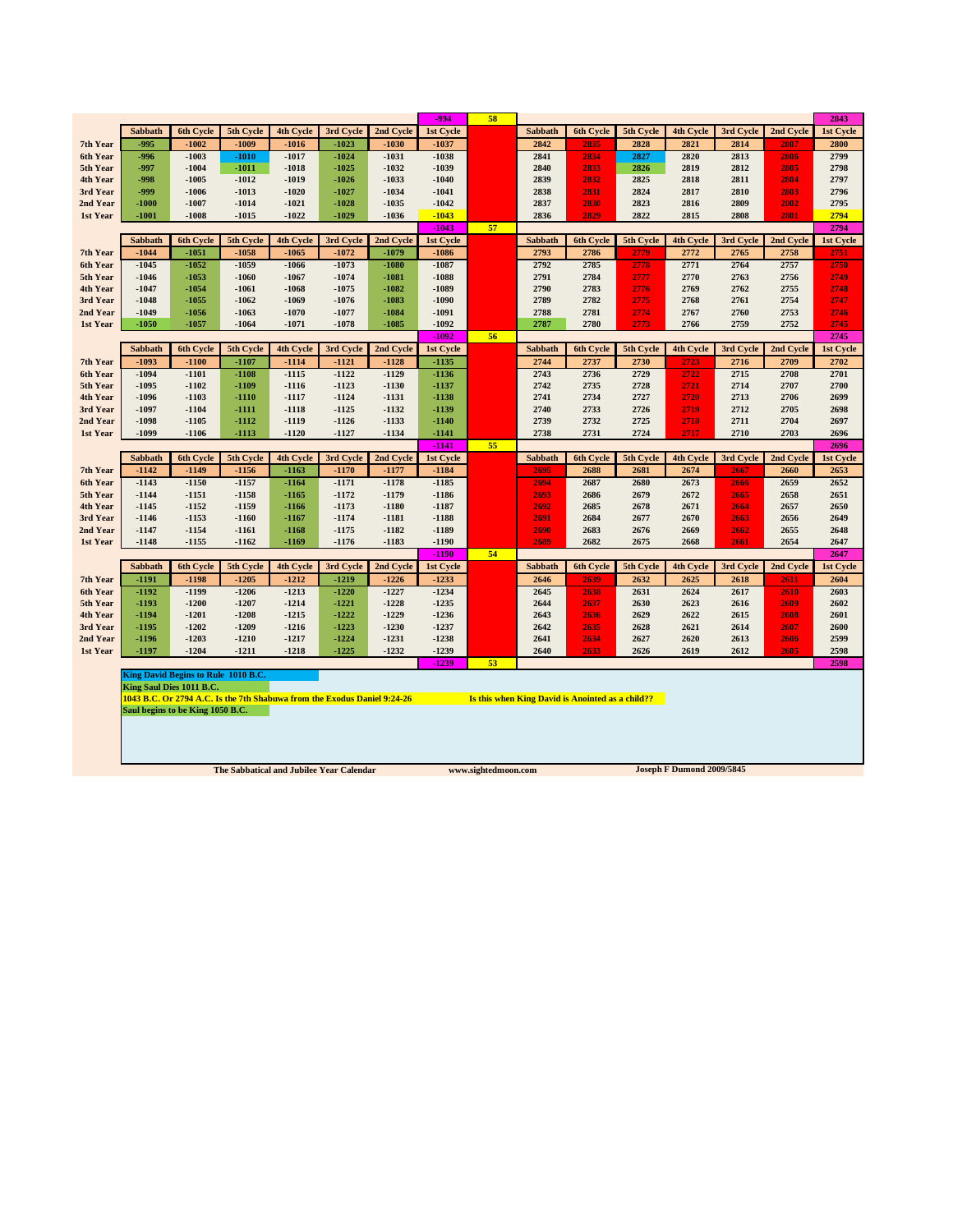|                      |                    |                                     |                                                                          |                  |                    |                    | -994               | 58 |                |                                                  |              |                  |              |              | 2843         |
|----------------------|--------------------|-------------------------------------|--------------------------------------------------------------------------|------------------|--------------------|--------------------|--------------------|----|----------------|--------------------------------------------------|--------------|------------------|--------------|--------------|--------------|
|                      | <b>Sabbath</b>     | 6th Cycle                           | 5th Cycle                                                                | <b>4th Cycle</b> | 3rd Cycle          | 2nd Cycle          | <b>1st Cycle</b>   |    | <b>Sabbath</b> | 6th Cycle                                        | 5th Cycle    | 4th Cycle        | 3rd Cycle    | 2nd Cycle    | 1st Cycle    |
| 7th Year             | $-995$             | $-1002$                             | $-1009$                                                                  | $-1016$          | $-1023$            | $-1030$            | $-1037$            |    | 2842           | 2835                                             | 2828         | 2821             | 2814         | 2807         | 2800         |
| 6th Year             | $-996$             | $-1003$                             | $-1010$                                                                  | $-1017$          | $-1024$            | $-1031$            | $-1038$            |    | 2841           | 2834                                             | 2827         | 2820             | 2813         | 2806         | 2799         |
| 5th Year             | -997               | $-1004$                             | $-1011$                                                                  | $-1018$          | $-1025$            | $-1032$            | $-1039$            |    | 2840           | 2833                                             | 2826         | 2819             | 2812         | 2805         | 2798         |
| 4th Year             | $-998$             | $-1005$                             | $-1012$                                                                  | $-1019$          | $-1026$            | $-1033$            | $-1040$            |    | 2839           | 2832                                             | 2825         | 2818             | 2811         | 2804         | 2797         |
| 3rd Year             | -999               | $-1006$                             | $-1013$                                                                  | $-1020$          | $-1027$            | $-1034$            | $-1041$            |    | 2838           | 2831                                             | 2824         | 2817             | 2810         | 2803         | 2796         |
| 2nd Year             | $-1000$            | $-1007$                             | $-1014$                                                                  | $-1021$          | $-1028$            | $-1035$            | $-1042$            |    | 2837           | 2830                                             | 2823         | 2816             | 2809         | 2802         | 2795         |
| 1st Year             | $-1001$            | $-1008$                             | $-1015$                                                                  | $-1022$          | $-1029$            | $-1036$            | $-1043$            |    | 2836           | 2829                                             | 2822         | 2815             | 2808         | 2801         | 2794         |
|                      |                    |                                     |                                                                          |                  |                    |                    | $-1043$            | 57 |                |                                                  |              |                  |              |              | 2794         |
|                      | Sabbath            | <b>6th Cycle</b>                    | 5th Cycle                                                                | 4th Cycle        | 3rd Cycle          | 2nd Cycle          | 1st Cycle          |    | Sabbath        | 6th Cycle                                        | 5th Cycle    | 4th Cycle        | 3rd Cycle    | 2nd Cycle    | 1st Cycle    |
| 7th Year             | $-1044$            | $-1051$                             | $-1058$                                                                  | $-1065$          | $-1072$            | $-1079$            | $-1086$            |    | 2793           | 2786                                             | 2779         | 2772             | 2765         | 2758         | 2751         |
| 6th Year<br>5th Year | $-1045$<br>$-1046$ | $-1052$<br>$-1053$                  | $-1059$<br>$-1060$                                                       | $-1066$<br>-1067 | $-1073$<br>$-1074$ | $-1080$<br>$-1081$ | $-1087$<br>$-1088$ |    | 2792<br>2791   | 2785<br>2784                                     | 2778<br>2777 | 2771<br>2770     | 2764<br>2763 | 2757<br>2756 | 2750<br>2749 |
| 4th Year             | $-1047$            | $-1054$                             | $-1061$                                                                  | -1068            | $-1075$            | $-1082$            | $-1089$            |    | 2790           | 2783                                             | 2776         | 2769             | 2762         | 2755         | 2748         |
| 3rd Year             | $-1048$            | $-1055$                             | $-1062$                                                                  | -1069            | $-1076$            | $-1083$            | $-1090$            |    | 2789           | 2782                                             | 2775         | 2768             | 2761         | 2754         | 2747         |
| 2nd Year             | $-1049$            | $-1056$                             | $-1063$                                                                  | $-1070$          | $-1077$            | $-1084$            | $-1091$            |    | 2788           | 2781                                             | 2774         | 2767             | 2760         | 2753         | 2746         |
| 1st Year             | $-1050$            | $-1057$                             | $-1064$                                                                  | $-1071$          | $-1078$            | $-1085$            | $-1092$            |    | 2787           | 2780                                             | 2773         | 2766             | 2759         | 2752         | 2745         |
|                      |                    |                                     |                                                                          |                  |                    |                    | $-1092$            | 56 |                |                                                  |              |                  |              |              | 2745         |
|                      | Sabbath            | 6th Cycle                           | 5th Cycle                                                                | <b>4th Cycle</b> | 3rd Cycle          | 2nd Cycle          | 1st Cycle          |    | Sabbath        | 6th Cycle                                        | 5th Cycle    | 4th Cycle        | 3rd Cycle    | 2nd Cycle    | 1st Cycle    |
| 7th Year             | $-1093$            | $-1100$                             | $-1107$                                                                  | $-1114$          | $-1121$            | $-1128$            | $-1135$            |    | 2744           | 2737                                             | 2730         | 2723             | 2716         | 2709         | 2702         |
| 6th Year             | $-1094$            | $-1101$                             | $-1108$                                                                  | $-1115$          | $-1122$            | $-1129$            | $-1136$            |    | 2743           | 2736                                             | 2729         | 2722             | 2715         | 2708         | 2701         |
| 5th Year             | $-1095$            | $-1102$                             | $-1109$                                                                  | $-1116$          | $-1123$            | $-1130$            | $-1137$            |    | 2742           | 2735                                             | 2728         | 2721             | 2714         | 2707         | 2700         |
| 4th Year             | $-1096$            | $-1103$                             | $-1110$                                                                  | $-1117$          | $-1124$            | $-1131$            | $-1138$            |    | 2741           | 2734                                             | 2727         | 2720             | 2713         | 2706         | 2699         |
| 3rd Year             | $-1097$            | $-1104$                             | -1111                                                                    | $-1118$          | $-1125$            | $-1132$            | $-1139$            |    | 2740           | 2733                                             | 2726         | 2719             | 2712         | 2705         | 2698         |
| 2nd Year             | $-1098$            | $-1105$                             | $-1112$                                                                  | $-1119$          | $-1126$            | $-1133$            | $-1140$            |    | 2739           | 2732                                             | 2725         | 2718             | 2711         | 2704         | 2697         |
| 1st Year             | $-1099$            | $-1106$                             | $-1113$                                                                  | $-1120$          | $-1127$            | $-1134$            | $-1141$            |    | 2738           | 2731                                             | 2724         | 2717             | 2710         | 2703         | 2696         |
|                      |                    |                                     |                                                                          |                  |                    |                    | $-1141$            | 55 |                |                                                  |              |                  |              |              | 2696         |
|                      | Sabbath            | <b>6th Cycle</b>                    | 5th Cycle                                                                | <b>4th Cycle</b> | 3rd Cycle          | 2nd Cycle          | 1st Cycle          |    | Sabbath        | <b>6th Cycle</b>                                 | 5th Cycle    | <b>4th Cycle</b> | 3rd Cycle    | 2nd Cycle    | 1st Cycle    |
| 7th Year             | $-1142$            | $-1149$                             | $-1156$                                                                  | $-1163$          | $-1170$            | $-1177$            | $-1184$            |    | 2695           | 2688                                             | 2681         | 2674             | 2667         | 2660         | 2653         |
| 6th Year             | $-1143$            | $-1150$                             | $-1157$                                                                  | $-1164$          | $-1171$            | $-1178$            | $-1185$            |    | 2694           | 2687                                             | 2680         | 2673             | 2666         | 2659         | 2652         |
| 5th Year             | $-1144$            | $-1151$                             | $-1158$                                                                  | -1165            | $-1172$            | $-1179$            | $-1186$            |    | 2693           | 2686                                             | 2679         | 2672             | 2665         | 2658         | 2651         |
| 4th Year<br>3rd Year | $-1145$<br>-1146   | $-1152$<br>$-1153$                  | $-1159$<br>$-1160$                                                       | $-1166$<br>-1167 | $-1173$<br>$-1174$ | $-1180$<br>$-1181$ | $-1187$<br>$-1188$ |    | 2692<br>2691   | 2685<br>2684                                     | 2678<br>2677 | 2671<br>2670     | 2664<br>2663 | 2657<br>2656 | 2650<br>2649 |
| 2nd Year             | $-1147$            | $-1154$                             | $-1161$                                                                  | $-1168$          | $-1175$            | $-1182$            | $-1189$            |    | 2690           | 2683                                             | 2676         | 2669             | 2662         | 2655         | 2648         |
| 1st Year             | $-1148$            | $-1155$                             | $-1162$                                                                  | $-1169$          | $-1176$            | $-1183$            | $-1190$            |    | 2689           | 2682                                             | 2675         | 2668             | 2661         | 2654         | 2647         |
|                      |                    |                                     |                                                                          |                  |                    |                    | $-1190$            | 54 |                |                                                  |              |                  |              |              | 2647         |
|                      | Sabbath            | 6th Cycle                           | 5th Cycle                                                                | 4th Cycle        | 3rd Cycle          | 2nd Cycle          | 1st Cycle          |    | Sabbath        | 6th Cycle                                        | 5th Cycle    | 4th Cycle        | 3rd Cycle    | 2nd Cycle    | 1st Cycle    |
| 7th Year             | $-1191$            | $-1198$                             | $-1205$                                                                  | $-1212$          | $-1219$            | $-1226$            | $-1233$            |    | 2646           | 2639                                             | 2632         | 2625             | 2618         | 2611         | 2604         |
| 6th Year             | $-1192$            | $-1199$                             | $-1206$                                                                  | $-1213$          | $-1220$            | $-1227$            | $-1234$            |    | 2645           | 2638                                             | 2631         | 2624             | 2617         | 2610         | 2603         |
| 5th Year             | $-1193$            | $-1200$                             | $-1207$                                                                  | $-1214$          | $-1221$            | $-1228$            | $-1235$            |    | 2644           | 2637                                             | 2630         | 2623             | 2616         | 2609         | 2602         |
| 4th Year             | $-1194$            | $-1201$                             | $-1208$                                                                  | $-1215$          | $-1222$            | $-1229$            | $-1236$            |    | 2643           | 2636                                             | 2629         | 2622             | 2615         | 2608         | 2601         |
|                      |                    |                                     |                                                                          |                  | $-1223$            | $-1230$            | $-1237$            |    | 2642           | 2635                                             | 2628         | 2621             | 2614         | 2607         | 2600         |
| 3rd Year             | -1195              | $-1202$                             | $-1209$                                                                  | $-1216$          |                    |                    |                    |    |                |                                                  |              |                  |              |              |              |
| 2nd Year             | -1196              | $-1203$                             | $-1210$                                                                  | $-1217$          | $-1224$            | $-1231$            | $-1238$            |    | 2641           | 2634                                             | 2627         | 2620             | 2613         | 2606         | 2599         |
| 1st Year             | -1197              | $-1204$                             | $-1211$                                                                  | $-1218$          | $-1225$            | $-1232$            | $-1239$            |    | 2640           | 2633                                             | 2626         | 2619             | 2612         | 2605         | 2598         |
|                      |                    |                                     |                                                                          |                  |                    |                    | $-1239$            | 53 |                |                                                  |              |                  |              |              | 2598         |
|                      |                    | King David Begins to Rule 1010 B.C. |                                                                          |                  |                    |                    |                    |    |                |                                                  |              |                  |              |              |              |
|                      |                    | King Saul Dies 1011 B.C.            |                                                                          |                  |                    |                    |                    |    |                |                                                  |              |                  |              |              |              |
|                      |                    |                                     | 1043 B.C. Or 2794 A.C. Is the 7th Shabuwa from the Exodus Daniel 9:24-26 |                  |                    |                    |                    |    |                | Is this when King David is Anointed as a child?? |              |                  |              |              |              |
|                      |                    | Saul begins to be King 1050 B.C.    |                                                                          |                  |                    |                    |                    |    |                |                                                  |              |                  |              |              |              |
|                      |                    |                                     |                                                                          |                  |                    |                    |                    |    |                |                                                  |              |                  |              |              |              |
|                      |                    |                                     |                                                                          |                  |                    |                    |                    |    |                |                                                  |              |                  |              |              |              |
|                      |                    |                                     |                                                                          |                  |                    |                    |                    |    |                |                                                  |              |                  |              |              |              |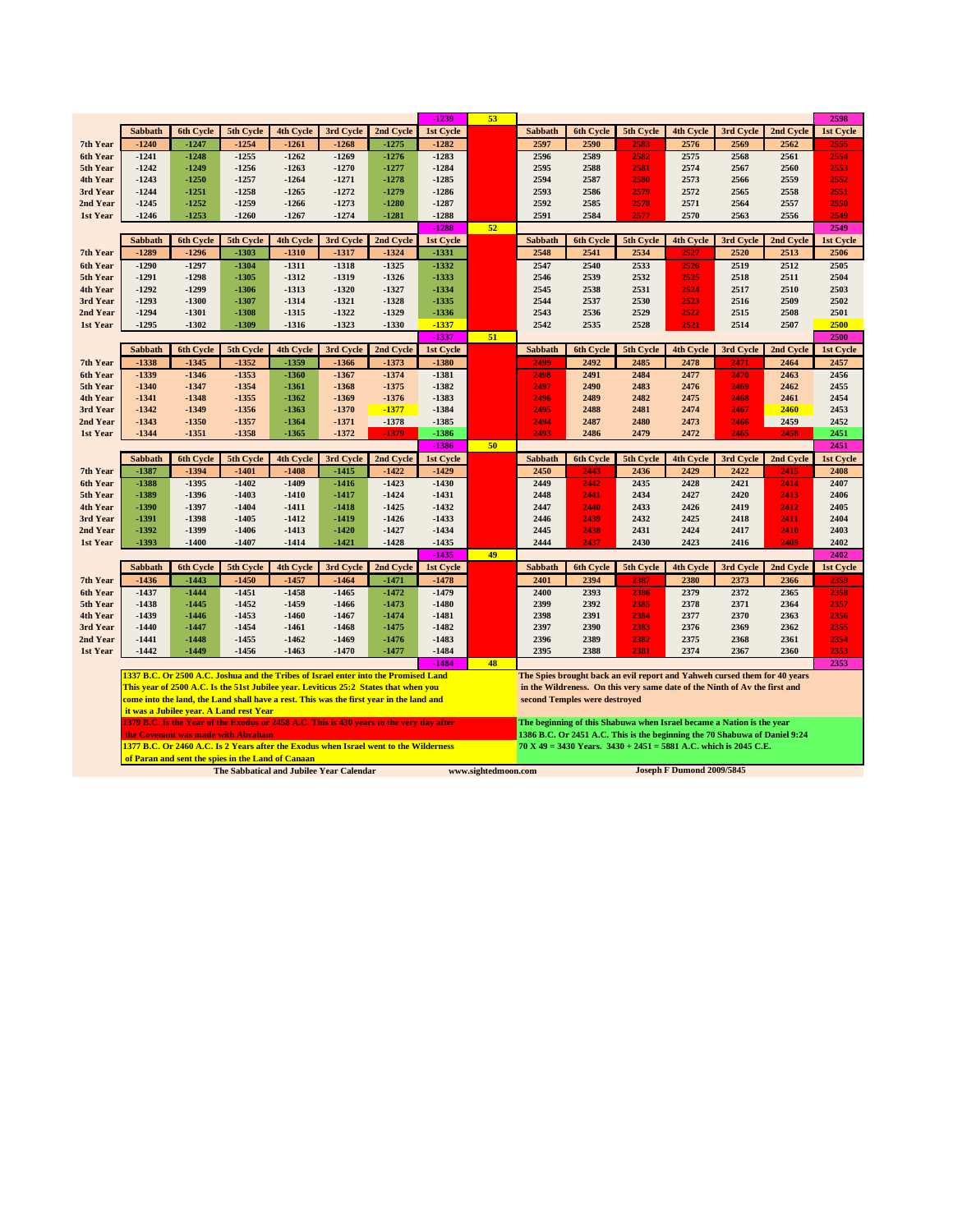|                      |                    |                    |                                                   |                    |                    |                                                                                          | $-1239$              | 53                  |                |                               |                                                                            |                           |              |              | 2598              |
|----------------------|--------------------|--------------------|---------------------------------------------------|--------------------|--------------------|------------------------------------------------------------------------------------------|----------------------|---------------------|----------------|-------------------------------|----------------------------------------------------------------------------|---------------------------|--------------|--------------|-------------------|
|                      | <b>Sabbath</b>     | 6th Cycle          | 5th Cycle                                         | 4th Cycle          | 3rd Cycle          | 2nd Cycle                                                                                | 1st Cycle            |                     | <b>Sabbath</b> | 6th Cycle                     | 5th Cycle                                                                  | 4th Cycle                 | 3rd Cycle    | 2nd Cycle    | 1st Cycle         |
| 7th Year             | $-1240$            | $-1247$            | $-1254$                                           | $-1261$            | $-1268$            | $-1275$                                                                                  | $-1282$              |                     | 2597           | 2590                          | 2583                                                                       | 2576                      | 2569         | 2562         | 2555              |
| 6th Year             | $-1241$            | $-1248$            | $-1255$                                           | $-1262$            | $-1269$            | $-1276$                                                                                  | $-1283$              |                     | 2596           | 2589                          | 2582                                                                       | 2575                      | 2568         | 2561         | 2554              |
| 5th Year             | $-1242$            | $-1249$            | $-1256$                                           | $-1263$            | $-1270$            | $-1277$                                                                                  | $-1284$              |                     | 2595           | 2588                          | 2581                                                                       | 2574                      | 2567         | 2560         | 2553              |
| 4th Year             | $-1243$            | $-1250$            | $-1257$                                           | $-1264$            | $-1271$            | $-1278$                                                                                  | $-1285$              |                     | 2594           | 2587                          | 2580                                                                       | 2573                      | 2566         | 2559         | 2552              |
| 3rd Year             | $-1244$            | $-1251$            | $-1258$                                           | $-1265$            | $-1272$            | $-1279$                                                                                  | $-1286$              |                     | 2593           | 2586                          | 2579                                                                       | 2572                      | 2565         | 2558         | 2551              |
| 2nd Year             | $-1245$            | $-1252$            | $-1259$                                           | $-1266$            | $-1273$            | $-1280$                                                                                  | $-1287$              |                     | 2592           | 2585                          | 2578                                                                       | 2571                      | 2564         | 2557         | 2550              |
| 1st Year             | $-1246$            | $-1253$            | $-1260$                                           | $-1267$            | $-1274$            | $-1281$                                                                                  | $-1288$              |                     | 2591           | 2584                          | 2577                                                                       | 2570                      | 2563         | 2556         | 2549              |
|                      | <b>Sabbath</b>     | 6th Cycle          |                                                   | <b>4th Cycle</b>   | 3rd Cycle          |                                                                                          | $-1288$              | 52                  | <b>Sabbath</b> |                               |                                                                            |                           | 3rd Cycle    | 2nd Cycle    | 2549              |
| 7th Year             | $-1289$            | $-1296$            | 5th Cycle<br>$-1303$                              | $-1310$            | $-1317$            | 2nd Cycle<br>$-1324$                                                                     | 1st Cycle<br>$-1331$ |                     | 2548           | 6th Cycle<br>2541             | 5th Cycle<br>2534                                                          | 4th Cycle                 | 2520         | 2513         | 1st Cycle<br>2506 |
| 6th Year             | $-1290$            | $-1297$            | $-1304$                                           | $-1311$            | $-1318$            | $-1325$                                                                                  | $-1332$              |                     | 2547           | 2540                          | 2533                                                                       | 2526                      | 2519         | 2512         | 2505              |
| 5th Year             | $-1291$            | $-1298$            | $-1305$                                           | $-1312$            | $-1319$            | $-1326$                                                                                  | $-1333$              |                     | 2546           | 2539                          | 2532                                                                       | 2525                      | 2518         | 2511         | 2504              |
| 4th Year             | $-1292$            | $-1299$            | $-1306$                                           | $-1313$            | $-1320$            | $-1327$                                                                                  | $-1334$              |                     | 2545           | 2538                          | 2531                                                                       | 2524                      | 2517         | 2510         | 2503              |
| 3rd Year             | $-1293$            | $-1300$            | $-1307$                                           | $-1314$            | $-1321$            | $-1328$                                                                                  | $-1335$              |                     | 2544           | 2537                          | 2530                                                                       | 2523                      | 2516         | 2509         | 2502              |
| 2nd Year             | $-1294$            | $-1301$            | $-1308$                                           | $-1315$            | $-1322$            | $-1329$                                                                                  | $-1336$              |                     | 2543           | 2536                          | 2529                                                                       | 2522                      | 2515         | 2508         | 2501              |
| 1st Year             | $-1295$            | $-1302$            | $-1309$                                           | $-1316$            | $-1323$            | $-1330$                                                                                  | $-1337$              |                     | 2542           | 2535                          | 2528                                                                       | 2521                      | 2514         | 2507         | 2500              |
|                      |                    |                    |                                                   |                    |                    |                                                                                          | $-1337$              | 51                  |                |                               |                                                                            |                           |              |              | 2500              |
|                      | Sabbath            | <b>6th Cycle</b>   | 5th Cycle                                         | 4th Cycle          | 3rd Cycle          | 2nd Cycle                                                                                | 1st Cycle            |                     | <b>Sabbath</b> | <b>6th Cycle</b>              | 5th Cycle                                                                  | <b>4th Cycle</b>          | 3rd Cycle    | 2nd Cycle    | 1st Cycle         |
| 7th Year             | $-1338$            | $-1345$            | $-1352$                                           | $-1359$            | $-1366$            | $-1373$                                                                                  | $-1380$              |                     | 2499           | 2492                          | 2485                                                                       | 2478                      | 2471         | 2464         | 2457              |
| 6th Year             | $-1339$            | $-1346$            | $-1353$                                           | $-1360$            | $-1367$            | $-1374$                                                                                  | $-1381$              |                     | 2498           | 2491                          | 2484                                                                       | 2477                      | 2470         | 2463         | 2456              |
| 5th Year             | $-1340$            | $-1347$            | $-1354$                                           | -1361              | $-1368$            | $-1375$                                                                                  | $-1382$              |                     | 2497           | 2490                          | 2483                                                                       | 2476                      | 2469         | 2462         | 2455              |
| 4th Year             | $-1341$            | $-1348$            | $-1355$                                           | -1362              | $-1369$            | $-1376$                                                                                  | $-1383$              |                     | 2496           | 2489                          | 2482                                                                       | 2475                      | 2468         | 2461         | 2454              |
| 3rd Year             | $-1342$            | $-1349$            | $-1356$                                           | -1363              | $-1370$            | $-1377$                                                                                  | $-1384$              |                     | 2495           | 2488                          | 2481                                                                       | 2474                      | 2467         | 2460         | 2453              |
| 2nd Year             | $-1343$            | $-1350$            | $-1357$                                           | $-1364$            | $-1371$            | $-1378$                                                                                  | $-1385$              |                     | 2494           | 2487                          | 2480                                                                       | 2473                      | 2466         | 2459         | 2452              |
| 1st Year             | $-1344$            | $-1351$            | $-1358$                                           | $-1365$            | $-1372$            | -1379                                                                                    | $-1386$<br>$-1386$   | 50                  | 2493           | 2486                          | 2479                                                                       | 2472                      | 2465         | 2458         | 2451<br>2451      |
|                      | Sabbath            | <b>6th Cycle</b>   | 5th Cycle                                         | <b>4th Cycle</b>   | 3rd Cycle          | 2nd Cycle                                                                                | 1st Cycle            |                     | <b>Sabbath</b> | 6th Cycle                     | 5th Cycle                                                                  | <b>4th Cycle</b>          | 3rd Cycle    | 2nd Cycle    | <b>1st Cycle</b>  |
| 7th Year             | $-1387$            | $-1394$            | $-1401$                                           | $-1408$            | $-1415$            | $-1422$                                                                                  | $-1429$              |                     | 2450           | 2443                          | 2436                                                                       | 2429                      | 2422         | 2415         | 2408              |
| 6th Year             | $-1388$            | $-1395$            | $-1402$                                           | $-1409$            | $-1416$            | $-1423$                                                                                  | $-1430$              |                     | 2449           | 2442                          | 2435                                                                       | 2428                      | 2421         | 2414         | 2407              |
| 5th Year             | -1389              | $-1396$            | $-1403$                                           | -1410              | $-1417$            | $-1424$                                                                                  | $-1431$              |                     | 2448           | 2441                          | 2434                                                                       | 2427                      | 2420         | 2413         | 2406              |
| 4th Year             | $-1390$            | $-1397$            | $-1404$                                           | $-1411$            | $-1418$            | $-1425$                                                                                  | $-1432$              |                     | 2447           | 2440                          | 2433                                                                       | 2426                      | 2419         | 2412         | 2405              |
| 3rd Year             | $-1391$            | $-1398$            | $-1405$                                           | $-1412$            | $-1419$            | $-1426$                                                                                  | $-1433$              |                     | 2446           | 2439                          | 2432                                                                       | 2425                      | 2418         | 2411         | 2404              |
| 2nd Year             | $-1392$            | $-1399$            | $-1406$                                           | $-1413$            | $-1420$            | $-1427$                                                                                  | $-1434$              |                     | 2445           | 2438                          | 2431                                                                       | 2424                      | 2417         | 2410         | 2403              |
| 1st Year             | -1393              | $-1400$            | $-1407$                                           | -1414              | $-1421$            | $-1428$                                                                                  | $-1435$              |                     | 2444           | 2437                          | 2430                                                                       | 2423                      | 2416         | 2409         | 2402              |
|                      |                    |                    |                                                   |                    |                    |                                                                                          | $-1435$              | 49                  |                |                               |                                                                            |                           |              |              | 2402              |
|                      | Sabbath            | 6th Cycle          | 5th Cycle                                         | 4th Cycle          | 3rd Cycle          | 2nd Cycle                                                                                | 1st Cycle            |                     | Sabbath        | 6th Cycle                     | 5th Cycle                                                                  | 4th Cycle                 | 3rd Cycle    | 2nd Cycle    | 1st Cycle         |
| 7th Year             | $-1436$            | $-1443$            | $-1450$                                           | $-1457$            | $-1464$            | $-1471$                                                                                  | $-1478$              |                     | 2401           | 2394                          | 2387                                                                       | 2380                      | 2373         | 2366         | 2359              |
| 6th Year             | $-1437$            | $-1444$            | $-1451$                                           | $-1458$            | $-1465$            | $-1472$                                                                                  | $-1479$              |                     | 2400           | 2393                          | 2386                                                                       | 2379                      | 2372         | 2365         | 2358              |
| 5th Year             | $-1438$<br>$-1439$ | $-1445$<br>$-1446$ | $-1452$<br>$-1453$                                | $-1459$<br>$-1460$ | $-1466$<br>$-1467$ | $-1473$<br>$-1474$                                                                       | $-1480$<br>$-1481$   |                     | 2399<br>2398   | 2392<br>2391                  | 2385<br>2384                                                               | 2378<br>2377              | 2371<br>2370 | 2364<br>2363 | 2357<br>2356      |
| 4th Year<br>3rd Year | $-1440$            | $-1447$            | $-1454$                                           | $-1461$            | $-1468$            | $-1475$                                                                                  | $-1482$              |                     | 2397           | 2390                          | 2383                                                                       | 2376                      | 2369         | 2362         | 2355              |
| 2nd Year             | -1441              | $-1448$            | $-1455$                                           | $-1462$            | $-1469$            | $-1476$                                                                                  | $-1483$              |                     | 2396           | 2389                          | 2382                                                                       | 2375                      | 2368         | 2361         | 2354              |
| 1st Year             | $-1442$            | $-1449$            | $-1456$                                           | $-1463$            | $-1470$            | $-1477$                                                                                  | $-1484$              |                     | 2395           | 2388                          | 2381                                                                       | 2374                      | 2367         | 2360         | 2353              |
|                      |                    |                    |                                                   |                    |                    |                                                                                          | $-1484$              | 48                  |                |                               |                                                                            |                           |              |              | 2353              |
|                      |                    |                    |                                                   |                    |                    | 1337 B.C. Or 2500 A.C. Joshua and the Tribes of Israel enter into the Promised Land      |                      |                     |                |                               | The Spies brought back an evil report and Yahweh cursed them for 40 years  |                           |              |              |                   |
|                      |                    |                    |                                                   |                    |                    | This year of 2500 A.C. Is the 51st Jubilee year. Leviticus 25:2 States that when you     |                      |                     |                |                               | in the Wildreness. On this very same date of the Ninth of Av the first and |                           |              |              |                   |
|                      |                    |                    |                                                   |                    |                    | come into the land, the Land shall have a rest. This was the first year in the land and  |                      |                     |                | second Temples were destroyed |                                                                            |                           |              |              |                   |
|                      |                    |                    | it was a Jubilee year. A Land rest Year           |                    |                    |                                                                                          |                      |                     |                |                               |                                                                            |                           |              |              |                   |
|                      |                    |                    |                                                   |                    |                    | 1379 B.C. Is the Year of the Exodus or 2458 A.C. This is 430 years to the very day after |                      |                     |                |                               | The beginning of this Shabuwa when Israel became a Nation is the year      |                           |              |              |                   |
|                      |                    |                    | the Covenant was made with Abraham                |                    |                    |                                                                                          |                      |                     |                |                               | 1386 B.C. Or 2451 A.C. This is the beginning the 70 Shabuwa of Daniel 9:24 |                           |              |              |                   |
|                      |                    |                    |                                                   |                    |                    | 1377 B.C. Or 2460 A.C. Is 2 Years after the Exodus when Israel went to the Wilderness    |                      |                     |                |                               | $70 X 49 = 3430$ Years. $3430 + 2451 = 5881$ A.C. which is 2045 C.E.       |                           |              |              |                   |
|                      |                    |                    | of Paran and sent the spies in the Land of Canaan |                    |                    |                                                                                          |                      |                     |                |                               |                                                                            |                           |              |              |                   |
|                      |                    |                    | The Sabbatical and Jubilee Year Calendar          |                    |                    |                                                                                          |                      | www.sightedmoon.com |                |                               |                                                                            | Joseph F Dumond 2009/5845 |              |              |                   |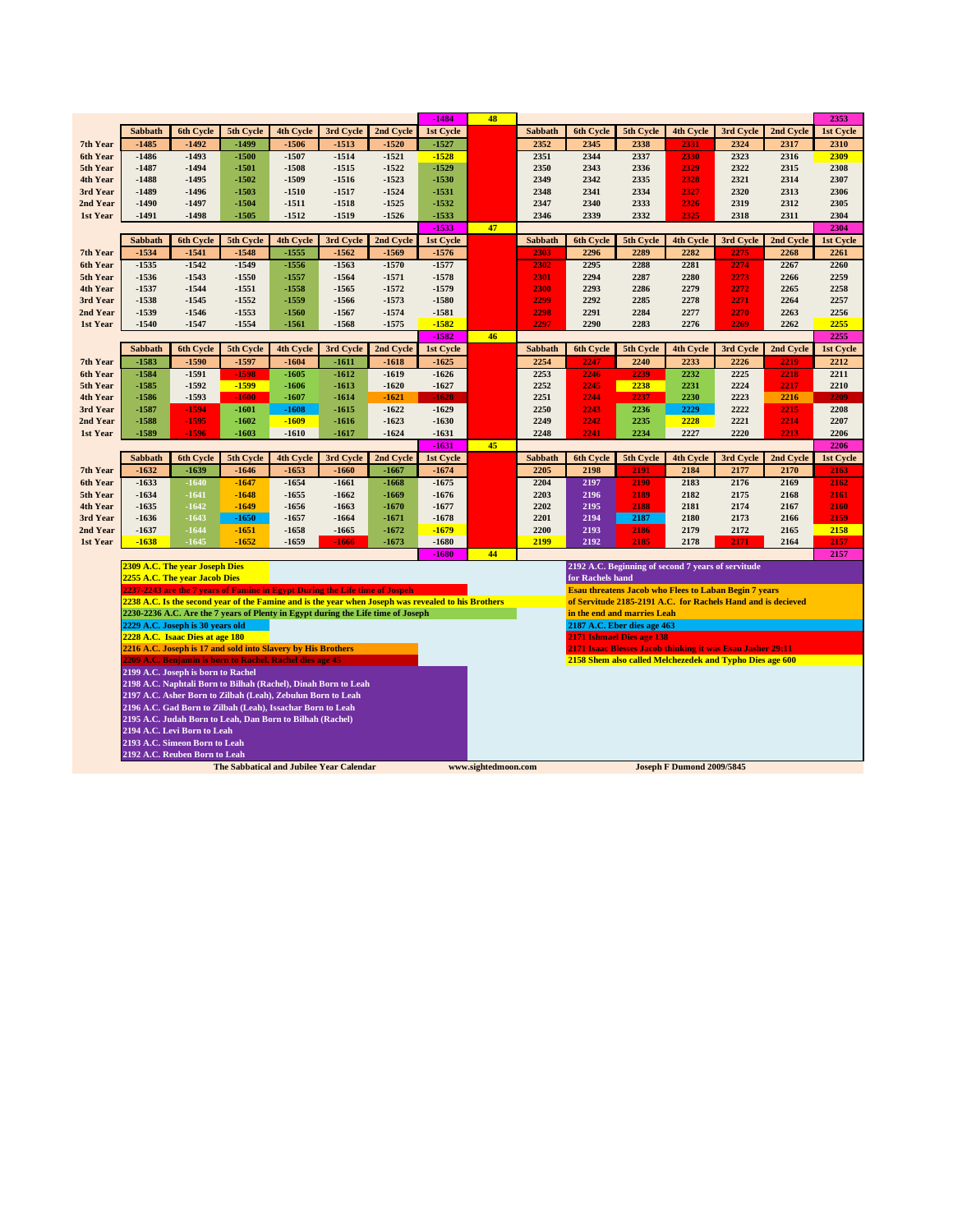|                      |                    |                                    |                                                                                                                          |                    |                    |                    | $-1484$            | 48                  |                |                  |                                                              |                                  |              |              | 2353             |
|----------------------|--------------------|------------------------------------|--------------------------------------------------------------------------------------------------------------------------|--------------------|--------------------|--------------------|--------------------|---------------------|----------------|------------------|--------------------------------------------------------------|----------------------------------|--------------|--------------|------------------|
|                      | Sabbath            | 6th Cycle                          | 5th Cycle                                                                                                                | <b>4th Cycle</b>   | 3rd Cycle          | 2nd Cycle          | <b>1st Cycle</b>   |                     | Sabbath        | 6th Cycle        | 5th Cycle                                                    | <b>4th Cycle</b>                 | 3rd Cycle    | 2nd Cycle    | 1st Cycle        |
| 7th Year             | $-1485$            | $-1492$                            | $-1499$                                                                                                                  | $-1506$            | $-1513$            | $-1520$            | $-1527$            |                     | 2352           | 2345             | 2338                                                         | 2331                             | 2324         | 2317         | 2310             |
| 6th Year             | $-1486$            | $-1493$                            | $-1500$                                                                                                                  | $-1507$            | $-1514$            | $-1521$            | $-1528$            |                     | 2351           | 2344             | 2337                                                         | 2330                             | 2323         | 2316         | 2309             |
| 5th Year             | $-1487$            | $-1494$                            | $-1501$                                                                                                                  | $-1508$            | $-1515$            | $-1522$            | $-1529$            |                     | 2350           | 2343             | 2336                                                         | 2329                             | 2322         | 2315         | 2308             |
| 4th Year             | $-1488$            | $-1495$                            | $-1502$                                                                                                                  | $-1509$            | $-1516$            | $-1523$            | $-1530$            |                     | 2349           | 2342             | 2335                                                         | 2328                             | 2321         | 2314         | 2307             |
| 3rd Year             | -1489              | $-1496$<br>$-1497$                 | $-1503$<br>$-1504$                                                                                                       | $-1510$<br>$-1511$ | $-1517$<br>$-1518$ | $-1524$<br>$-1525$ | $-1531$<br>$-1532$ |                     | 2348<br>2347   | 2341<br>2340     | 2334<br>2333                                                 | 2327<br>2326                     | 2320<br>2319 | 2313<br>2312 | 2306<br>2305     |
| 2nd Year<br>1st Year | -1490<br>-1491     | -1498                              | $-1505$                                                                                                                  | $-1512$            | -1519              | $-1526$            | $-1533$            |                     | 2346           | 2339             | 2332                                                         | 2325                             | 2318         | 2311         | 2304             |
|                      |                    |                                    |                                                                                                                          |                    |                    |                    | $-1533$            | 47                  |                |                  |                                                              |                                  |              |              | 2304             |
|                      | Sabbath            | <b>6th Cycle</b>                   | 5th Cycle                                                                                                                | 4th Cycle          | 3rd Cycle          | 2nd Cycle          | 1st Cycle          |                     | Sabbath        | <b>6th Cycle</b> | 5th Cycle                                                    | <b>4th Cycle</b>                 | 3rd Cycle    | 2nd Cycle    | 1st Cycle        |
| 7th Year             | $-1534$            | $-1541$                            | $-1548$                                                                                                                  | $-1555$            | $-1562$            | $-1569$            | $-1576$            |                     | 2303           | 2296             | 2289                                                         | 2282                             | 2275         | 2268         | 2261             |
| 6th Year             | $-1535$            | $-1542$                            | $-1549$                                                                                                                  | $-1556$            | $-1563$            | $-1570$            | $-1577$            |                     | 2302           | 2295             | 2288                                                         | 2281                             | 2274         | 2267         | 2260             |
| 5th Year             | $-1536$            | $-1543$                            | $-1550$                                                                                                                  | $-1557$            | $-1564$            | $-1571$            | $-1578$            |                     | 2301           | 2294             | 2287                                                         | 2280                             | 2273         | 2266         | 2259             |
| 4th Year             | $-1537$            | $-1544$                            | $-1551$                                                                                                                  | $-1558$            | $-1565$            | $-1572$            | $-1579$            |                     | 2300           | 2293             | 2286                                                         | 2279                             | 2272         | 2265         | 2258             |
| 3rd Year             | $-1538$            | $-1545$                            | $-1552$                                                                                                                  | $-1559$            | $-1566$            | $-1573$            | $-1580$            |                     | 2299           | 2292             | 2285                                                         | 2278                             | 2271         | 2264         | 2257             |
| 2nd Year             | -1539              | $-1546$                            | $-1553$                                                                                                                  | $-1560$            | $-1567$            | $-1574$            | $-1581$            |                     | 2298           | 2291             | 2284                                                         | 2277                             | 2270         | 2263         | 2256             |
| 1st Year             | $-1540$            | $-1547$                            | $-1554$                                                                                                                  | $-1561$            | $-1568$            | $-1575$            | $-1582$            |                     | 2297           | 2290             | 2283                                                         | 2276                             | 2269         | 2262         | 2255             |
|                      |                    |                                    |                                                                                                                          |                    |                    |                    | $-1582$            | 46                  |                |                  |                                                              |                                  |              |              | 2255             |
|                      | Sabbath            | 6th Cycle                          | 5th Cycle                                                                                                                | <b>4th Cycle</b>   | 3rd Cycle          | 2nd Cycle          | 1st Cycle          |                     | <b>Sabbath</b> | <b>6th Cycle</b> | 5th Cycle                                                    | <b>4th Cycle</b>                 | 3rd Cycle    | 2nd Cycle    | <b>1st Cycle</b> |
| 7th Year<br>6th Year | $-1583$<br>$-1584$ | $-1590$<br>$-1591$                 | $-1597$<br>$-1598$                                                                                                       | $-1604$<br>$-1605$ | $-1611$<br>$-1612$ | $-1618$<br>$-1619$ | $-1625$<br>$-1626$ |                     | 2254<br>2253   | 2247<br>2246     | 2240<br>2239                                                 | 2233<br>2232                     | 2226<br>2225 | 2219<br>2218 | 2212<br>2211     |
| 5th Year             | $-1585$            | $-1592$                            | $-1599$                                                                                                                  | $-1606$            | $-1613$            | $-1620$            | $-1627$            |                     | 2252           | 2245             | 2238                                                         | 2231                             | 2224         | 2217         | 2210             |
| 4th Year             | $-1586$            | $-1593$                            | $-1600$                                                                                                                  | $-1607$            | $-1614$            | $-1621$            | $-1628$            |                     | 2251           | 2244             | 2237                                                         | 2230                             | 2223         | 2216         | 2209             |
| 3rd Year             | $-1587$            | $-1594$                            | $-1601$                                                                                                                  | $-1608$            | $-1615$            | $-1622$            | $-1629$            |                     | 2250           | 2243             | 2236                                                         | 2229                             | 2222         | 2215         | 2208             |
| 2nd Year             | $-1588$            | $-1595$                            | $-1602$                                                                                                                  | $-1609$            | $-1616$            | $-1623$            | $-1630$            |                     | 2249           | 2242             | 2235                                                         | 2228                             | 2221         | 2214         | 2207             |
| 1st Year             | $-1589$            | -1596                              | $-1603$                                                                                                                  | $-1610$            | -1617              | $-1624$            | $-1631$            |                     | 2248           | 2241             | 2234                                                         | 2227                             | 2220         | 2213         | 2206             |
|                      |                    |                                    |                                                                                                                          |                    |                    |                    | $-1631$            | 45                  |                |                  |                                                              |                                  |              |              | 2206             |
|                      | <b>Sabbath</b>     | 6th Cycle                          | 5th Cycle                                                                                                                | 4th Cycle          | 3rd Cycle          | 2nd Cycle          | 1st Cycle          |                     | <b>Sabbath</b> | 6th Cycle        | 5th Cycle                                                    | 4th Cycle                        | 3rd Cycle    | 2nd Cycle    | 1st Cycle        |
| 7th Year             | $-1632$            | $-1639$                            | $-1646$                                                                                                                  | $-1653$            | $-1660$            | $-1667$            | $-1674$            |                     | 2205           | 2198             | 2191                                                         | 2184                             | 2177         | 2170         | 2163             |
| 6th Year             | $-1633$            | $-1640$                            | $-1647$                                                                                                                  | $-1654$            | $-1661$            | $-1668$            | $-1675$            |                     | 2204           | 2197             | 2190                                                         | 2183                             | 2176         | 2169         | 2162             |
| 5th Year             | $-1634$            | $-1641$                            | $-1648$                                                                                                                  | $-1655$            | $-1662$            | $-1669$            | $-1676$            |                     | 2203           | 2196             | 2189                                                         | 2182                             | 2175         | 2168         | 2161             |
| 4th Year             | $-1635$            | $-1642$                            | $-1649$                                                                                                                  | $-1656$            | $-1663$            | $-1670$            | $-1677$            |                     | 2202           | 2195             | 2188                                                         | 2181                             | 2174         | 2167         | 2160             |
| 3rd Year             | $-1636$<br>$-1637$ | $-1643$<br>$-1644$                 | $-1650$<br>$-1651$                                                                                                       | $-1657$<br>$-1658$ | $-1664$<br>$-1665$ | $-1671$<br>$-1672$ | $-1678$<br>$-1679$ |                     | 2201           | 2194<br>2193     | 2187<br>2186                                                 | 2180<br>2179                     | 2173<br>2172 | 2166<br>2165 | 2159<br>2158     |
| 2nd Year<br>1st Year | $-1638$            | $-1645$                            | $-1652$                                                                                                                  | $-1659$            | -1666              | $-1673$            | $-1680$            |                     | 2200<br>2199   | 2192             | 2185                                                         | 2178                             | 2171         | 2164         | 2157             |
|                      |                    |                                    |                                                                                                                          |                    |                    |                    | $-1680$            | 44                  |                |                  |                                                              |                                  |              |              | 2157             |
|                      |                    | 2309 A.C. The year Joseph Dies     |                                                                                                                          |                    |                    |                    |                    |                     |                |                  | 2192 A.C. Beginning of second 7 years of servitude           |                                  |              |              |                  |
|                      |                    | 2255 A.C. The year Jacob Dies      |                                                                                                                          |                    |                    |                    |                    |                     |                | for Rachels hand |                                                              |                                  |              |              |                  |
|                      |                    |                                    | 2237-2243 are the 7 years of Famine in Egypt During the Life time of Jospeh                                              |                    |                    |                    |                    |                     |                |                  | <b>Esau threatens Jacob who Flees to Laban Begin 7 years</b> |                                  |              |              |                  |
|                      |                    |                                    | 2238 A.C. Is the second year of the Famine and is the year when Joseph was revealed to his Brothers                      |                    |                    |                    |                    |                     |                |                  | of Servitude 2185-2191 A.C. for Rachels Hand and is decieved |                                  |              |              |                  |
|                      |                    |                                    | 2230-2236 A.C. Are the 7 years of Plenty in Egypt during the Life time of Joseph                                         |                    |                    |                    |                    |                     |                |                  | in the end and marries Leah                                  |                                  |              |              |                  |
|                      |                    | 2229 A.C. Joseph is 30 years old   |                                                                                                                          |                    |                    |                    |                    |                     |                |                  | 2187 A.C. Eber dies age 463                                  |                                  |              |              |                  |
|                      |                    | 2228 A.C. Isaac Dies at age 180    |                                                                                                                          |                    |                    |                    |                    |                     |                |                  | 2171 Ishmael Dies age 138                                    |                                  |              |              |                  |
|                      |                    |                                    | 2216 A.C. Joseph is 17 and sold into Slavery by His Brothers<br>2209 A.C. Benjamin is born to Rachel. Rachel dies age 45 |                    |                    |                    |                    |                     |                |                  | 2171 Isaac Blesses Jacob thinking it was Esau Jasher 29:11   |                                  |              |              |                  |
|                      |                    | 2199 A.C. Joseph is born to Rachel |                                                                                                                          |                    |                    |                    |                    |                     |                |                  | 2158 Shem also called Melchezedek and Typho Dies age 600     |                                  |              |              |                  |
|                      |                    |                                    | 2198 A.C. Naphtali Born to Bilhah (Rachel), Dinah Born to Leah                                                           |                    |                    |                    |                    |                     |                |                  |                                                              |                                  |              |              |                  |
|                      |                    |                                    | 2197 A.C. Asher Born to Zilbah (Leah), Zebulun Born to Leah                                                              |                    |                    |                    |                    |                     |                |                  |                                                              |                                  |              |              |                  |
|                      |                    |                                    | 2196 A.C. Gad Born to Zilbah (Leah), Issachar Born to Leah                                                               |                    |                    |                    |                    |                     |                |                  |                                                              |                                  |              |              |                  |
|                      |                    |                                    | 2195 A.C. Judah Born to Leah, Dan Born to Bilhah (Rachel)                                                                |                    |                    |                    |                    |                     |                |                  |                                                              |                                  |              |              |                  |
|                      |                    | 2194 A.C. Levi Born to Leah        |                                                                                                                          |                    |                    |                    |                    |                     |                |                  |                                                              |                                  |              |              |                  |
|                      |                    | 2193 A.C. Simeon Born to Leah      |                                                                                                                          |                    |                    |                    |                    |                     |                |                  |                                                              |                                  |              |              |                  |
|                      |                    | 2192 A.C. Reuben Born to Leah      |                                                                                                                          |                    |                    |                    |                    |                     |                |                  |                                                              |                                  |              |              |                  |
|                      |                    |                                    | The Sabbatical and Jubilee Year Calendar                                                                                 |                    |                    |                    |                    | www.sightedmoon.com |                |                  |                                                              | <b>Joseph F Dumond 2009/5845</b> |              |              |                  |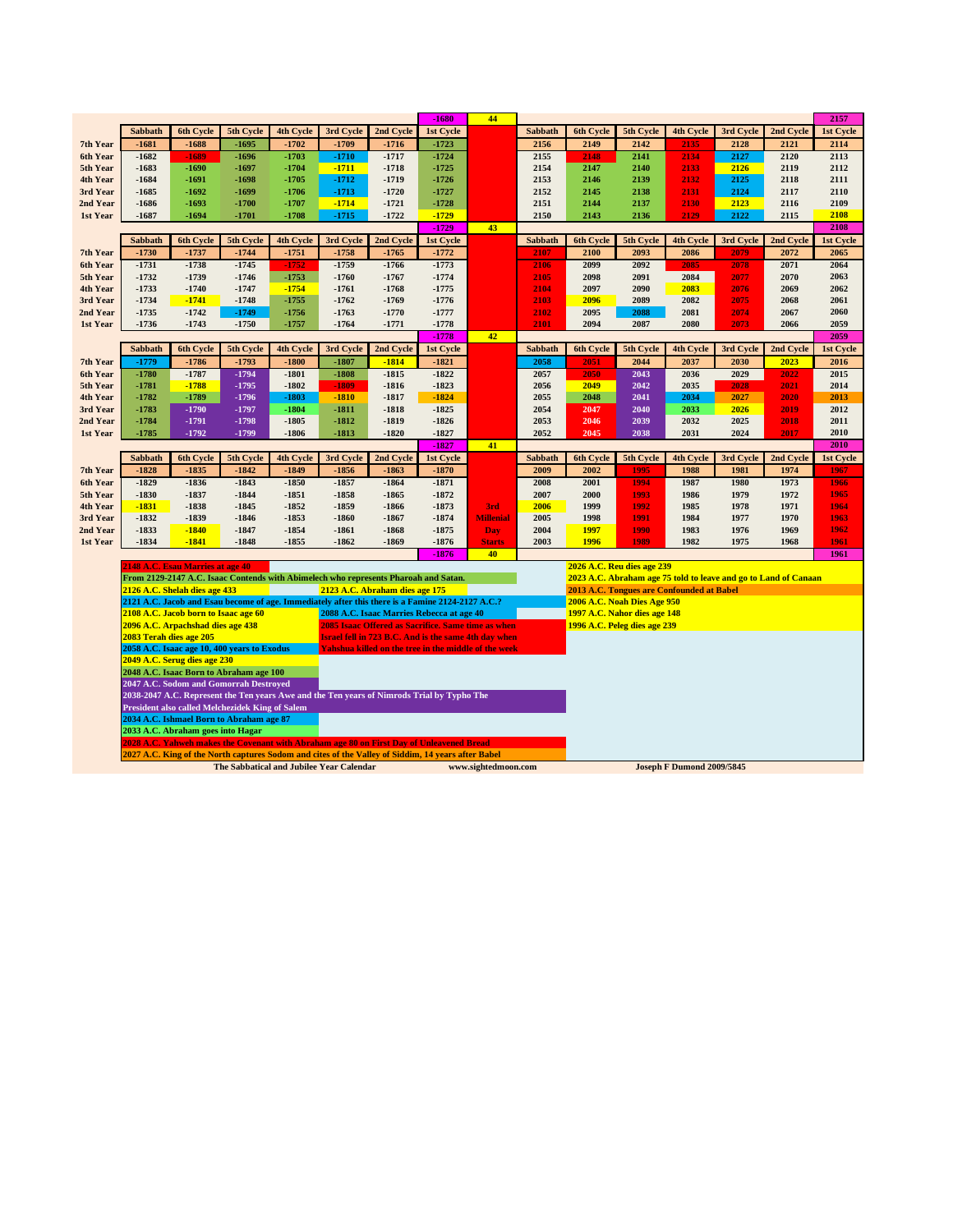|                      |                                                 |                                      |                                          |                    |                                                                                                    |                                                             | $-1680$              | 44                  |                        |                                           |                              |                                  |                                                                 |                   | 2157              |
|----------------------|-------------------------------------------------|--------------------------------------|------------------------------------------|--------------------|----------------------------------------------------------------------------------------------------|-------------------------------------------------------------|----------------------|---------------------|------------------------|-------------------------------------------|------------------------------|----------------------------------|-----------------------------------------------------------------|-------------------|-------------------|
|                      | <b>Sabbath</b>                                  | <b>6th Cycle</b>                     | 5th Cycle                                | <b>4th Cycle</b>   | 3rd Cycle                                                                                          | 2nd Cycle                                                   | 1st Cycle            |                     | <b>Sabbath</b>         | 6th Cycle                                 | 5th Cycle                    | 4th Cycle                        | 3rd Cycle                                                       | 2nd Cycle         | 1st Cycle         |
| 7th Year             | $-1681$                                         | $-1688$                              | $-1695$                                  | $-1702$            | $-1709$                                                                                            | $-1716$                                                     | $-1723$              |                     | 2156                   | 2149                                      | 2142                         | 2135                             | 2128                                                            | 2121              | 2114              |
| 6th Year             | $-1682$                                         | $-1689$                              | $-1696$                                  | $-1703$            | $-1710$                                                                                            | $-1717$                                                     | $-1724$              |                     | 2155                   | 2148                                      | 2141                         | 2134                             | 2127                                                            | 2120              | 2113              |
| 5th Year             | $-1683$                                         | $-1690$                              | $-1697$                                  | $-1704$            | $-1711$                                                                                            | $-1718$                                                     | $-1725$              |                     | 2154                   | 2147                                      | 2140                         | 2133                             | 2126                                                            | 2119              | 2112              |
| 4th Year             | $-1684$                                         | $-1691$                              | $-1698$                                  | $-1705$            | $-1712$                                                                                            | $-1719$                                                     | $-1726$              |                     | 2153                   | 2146                                      | 2139                         | 2132                             | 2125                                                            | 2118              | 2111              |
| 3rd Year             | $-1685$                                         | $-1692$                              | $-1699$                                  | $-1706$            | $-1713$                                                                                            | $-1720$                                                     | $-1727$              |                     | 2152                   | 2145                                      | 2138                         | 2131                             | 2124                                                            | 2117              | 2110              |
| 2nd Year             | $-1686$                                         | $-1693$                              | $-1700$                                  | -1707              | $-1714$                                                                                            | $-1721$                                                     | $-1728$              |                     | 2151                   | 2144                                      | 2137                         | 2130                             | 2123                                                            | 2116              | 2109              |
| 1st Year             | $-1687$                                         | $-1694$                              | $-1701$                                  | $-1708$            | $-1715$                                                                                            | $-1722$                                                     | $-1729$              |                     | 2150                   | 2143                                      | 2136                         | 2129                             | 2122                                                            | 2115              | 2108              |
|                      |                                                 |                                      |                                          |                    |                                                                                                    |                                                             | $-1729$              | 43                  |                        |                                           |                              |                                  |                                                                 |                   | 2108              |
|                      | Sabbath                                         | 6th Cycle                            | 5th Cycle                                | 4th Cycle          | 3rd Cycle                                                                                          | 2nd Cycle                                                   | 1st Cycle            |                     | Sabbath                | 6th Cycle                                 | 5th Cycle                    | 4th Cycle                        | 3rd Cycle                                                       | 2nd Cycle         | 1st Cycle         |
| 7th Year             | $-1730$<br>$-1731$                              | $-1737$<br>$-1738$                   | $-1744$<br>$-1745$                       | $-1751$            | $-1758$                                                                                            | $-1765$                                                     | $-1772$              |                     | 2107                   | 2100<br>2099                              | 2093<br>2092                 | 2086<br>2085                     | 2079                                                            | 2072              | 2065              |
| 6th Year<br>5th Year | $-1732$                                         | $-1739$                              | $-1746$                                  | $-1752$<br>$-1753$ | $-1759$<br>$-1760$                                                                                 | $-1766$<br>$-1767$                                          | $-1773$<br>$-1774$   |                     | 2106<br>2105           | 2098                                      | 2091                         | 2084                             | 2078<br>2077                                                    | 2071<br>2070      | 2064<br>2063      |
| 4th Year             | $-1733$                                         | $-1740$                              | $-1747$                                  | $-1754$            | $-1761$                                                                                            | $-1768$                                                     | $-1775$              |                     | 2104                   | 2097                                      | 2090                         | 2083                             | 2076                                                            | 2069              | 2062              |
| 3rd Year             | $-1734$                                         | $-1741$                              | $-1748$                                  | $-1755$            | $-1762$                                                                                            | $-1769$                                                     | $-1776$              |                     | 2103                   | 2096                                      | 2089                         | 2082                             | 2075                                                            | 2068              | 2061              |
| 2nd Year             | $-1735$                                         | $-1742$                              | $-1749$                                  | $-1756$            | $-1763$                                                                                            | $-1770$                                                     | $-1777$              |                     | 2102                   | 2095                                      | 2088                         | 2081                             | 2074                                                            | 2067              | 2060              |
| 1st Year             | $-1736$                                         | $-1743$                              | $-1750$                                  | -1757              | $-1764$                                                                                            | $-1771$                                                     | $-1778$              |                     | 2101                   | 2094                                      | 2087                         | 2080                             | 2073                                                            | 2066              | 2059              |
|                      |                                                 |                                      |                                          |                    |                                                                                                    |                                                             | $-1778$              | 42                  |                        |                                           |                              |                                  |                                                                 |                   | 2059              |
|                      | Sabbath                                         | 6th Cycle                            | 5th Cycle                                | 4th Cycle          | 3rd Cycle                                                                                          | 2nd Cycle                                                   | 1st Cycle            |                     | Sabbath                | 6th Cycle                                 | 5th Cycle                    | 4th Cycle                        | 3rd Cycle                                                       | 2nd Cycle         | 1st Cycle         |
| 7th Year             | $-1779$                                         | $-1786$                              | $-1793$                                  | $-1800$            | $-1807$                                                                                            | $-1814$                                                     | $-1821$              |                     | 2058                   | 2051                                      | 2044                         | 2037                             | 2030                                                            | 2023              | 2016              |
| 6th Year             | $-1780$                                         | $-1787$                              | $-1794$                                  | $-1801$            | $-1808$                                                                                            | $-1815$                                                     | $-1822$              |                     | 2057                   | 2050                                      | 2043                         | 2036                             | 2029                                                            | 2022              | 2015              |
| 5th Year             | $-1781$                                         | $-1788$                              | $-1795$                                  | $-1802$            | $-1809$                                                                                            | $-1816$                                                     | $-1823$              |                     | 2056                   | 2049                                      | 2042                         | 2035                             | 2028                                                            | 2021              | 2014              |
| 4th Year             | $-1782$                                         | $-1789$                              | $-1796$                                  | $-1803$            | $-1810$                                                                                            | $-1817$                                                     | $-1824$              |                     | 2055                   | 2048                                      | 2041                         | 2034                             | 2027                                                            | 2020              | 2013              |
| 3rd Year             | -1783                                           | $-1790$                              | $-1797$                                  | $-1804$            | $-1811$                                                                                            | $-1818$                                                     | $-1825$              |                     | 2054                   | 2047                                      | 2040                         | 2033                             | 2026                                                            | 2019              | 2012              |
| 2nd Year             | -1784                                           | $-1791$                              | $-1798$                                  | $-1805$            | $-1812$                                                                                            | $-1819$                                                     | $-1826$              |                     | 2053                   | 2046                                      | 2039                         | 2032                             | 2025                                                            | 2018              | 2011              |
| 1st Year             | $-1785$                                         | $-1792$                              | -1799                                    | $-1806$            | $-1813$                                                                                            | $-1820$                                                     | $-1827$              |                     | 2052                   | 2045                                      | 2038                         | 2031                             | 2024                                                            | 2017              | 2010              |
|                      |                                                 |                                      |                                          |                    |                                                                                                    |                                                             | $-1827$              | 41                  |                        |                                           |                              |                                  |                                                                 |                   | 2010              |
|                      | <b>Sabbath</b>                                  | <b>6th Cycle</b><br>$-1835$          | 5th Cycle                                | <b>4th Cycle</b>   | 3rd Cycle                                                                                          | 2nd Cycle                                                   | 1st Cycle<br>$-1870$ |                     | <b>Sabbath</b><br>2009 | 6th Cycle                                 | 5th Cycle                    | <b>4th Cycle</b>                 | 3rd Cycle<br>1981                                               | 2nd Cycle<br>1974 | 1st Cycle<br>1967 |
| 7th Year<br>6th Year | $-1828$<br>$-1829$                              | $-1836$                              | $-1842$<br>$-1843$                       | $-1849$<br>$-1850$ | $-1856$<br>$-1857$                                                                                 | $-1863$<br>$-1864$                                          | $-1871$              |                     | 2008                   | 2002<br>2001                              | 1995<br>1994                 | 1988<br>1987                     | 1980                                                            | 1973              | 1966              |
| 5th Year             | $-1830$                                         | $-1837$                              | $-1844$                                  | $-1851$            | $-1858$                                                                                            | $-1865$                                                     | $-1872$              |                     | 2007                   | 2000                                      | 1993                         | 1986                             | 1979                                                            | 1972              | 1965              |
| 4th Year             | $-1831$                                         | $-1838$                              | $-1845$                                  | $-1852$            | $-1859$                                                                                            | $-1866$                                                     | $-1873$              | 3rd                 | 2006                   | 1999                                      | 1992                         | 1985                             | 1978                                                            | 1971              | 1964              |
| 3rd Year             | $-1832$                                         | $-1839$                              | $-1846$                                  | $-1853$            | $-1860$                                                                                            | $-1867$                                                     | $-1874$              | <b>Millenial</b>    | 2005                   | 1998                                      | 1991                         | 1984                             | 1977                                                            | 1970              | 1963              |
| 2nd Year             | $-1833$                                         | $-1840$                              | $-1847$                                  | $-1854$            | $-1861$                                                                                            | $-1868$                                                     | $-1875$              | <b>Day</b>          | 2004                   | 1997                                      | 1990                         | 1983                             | 1976                                                            | 1969              | 1962              |
| 1st Year             | $-1834$                                         | $-1841$                              | $-1848$                                  | $-1855$            | $-1862$                                                                                            | $-1869$                                                     | $-1876$              | <b>Starts</b>       | 2003                   | 1996                                      | 1989                         | 1982                             | 1975                                                            | 1968              | 1961              |
|                      |                                                 |                                      |                                          |                    |                                                                                                    |                                                             | $-1876$              | 40                  |                        |                                           |                              |                                  |                                                                 |                   | 1961              |
|                      |                                                 | 2148 A.C. Esau Marries at age 40     |                                          |                    |                                                                                                    |                                                             |                      |                     |                        | 2026 A.C. Reu dies age 239                |                              |                                  |                                                                 |                   |                   |
|                      |                                                 |                                      |                                          |                    | From 2129-2147 A.C. Isaac Contends with Abimelech who represents Pharoah and Satan.                |                                                             |                      |                     |                        |                                           |                              |                                  | 2023 A.C. Abraham age 75 told to leave and go to Land of Canaan |                   |                   |
|                      |                                                 | 2126 A.C. Shelah dies age 433        |                                          |                    | 2123 A.C. Abraham dies age 175                                                                     |                                                             |                      |                     |                        | 2013 A.C. Tongues are Confounded at Babel |                              |                                  |                                                                 |                   |                   |
|                      |                                                 |                                      |                                          |                    | 2121 A.C. Jacob and Esau become of age. Immediately after this there is a Famine 2124-2127 A.C.?   |                                                             |                      |                     |                        | 2006 A.C. Noah Dies Age 950               |                              |                                  |                                                                 |                   |                   |
|                      |                                                 | 2108 A.C. Jacob born to Isaac age 60 |                                          |                    | 2088 A.C. Isaac Marries Rebecca at age 40                                                          | 2085 Isaac Offered as Sacrifice. Same time as when          |                      |                     |                        |                                           | 1997 A.C. Nahor dies age 148 |                                  |                                                                 |                   |                   |
|                      | 2083 Terah dies age 205                         | 2096 A.C. Arpachshad dies age 438    |                                          |                    |                                                                                                    | <b>Israel fell in 723 B.C. And is the same 4th day when</b> |                      |                     |                        | 1996 A.C. Peleg dies age 239              |                              |                                  |                                                                 |                   |                   |
|                      | 2058 A.C. Isaac age 10, 400 years to Exodus     |                                      |                                          |                    |                                                                                                    | Yahshua killed on the tree in the middle of the week        |                      |                     |                        |                                           |                              |                                  |                                                                 |                   |                   |
|                      |                                                 | 2049 A.C. Serug dies age 230         |                                          |                    |                                                                                                    |                                                             |                      |                     |                        |                                           |                              |                                  |                                                                 |                   |                   |
|                      | 2048 A.C. Isaac Born to Abraham age 100         |                                      |                                          |                    |                                                                                                    |                                                             |                      |                     |                        |                                           |                              |                                  |                                                                 |                   |                   |
|                      | 2047 A.C. Sodom and Gomorrah Destroved          |                                      |                                          |                    |                                                                                                    |                                                             |                      |                     |                        |                                           |                              |                                  |                                                                 |                   |                   |
|                      |                                                 |                                      |                                          |                    | 2038-2047 A.C. Represent the Ten years Awe and the Ten years of Nimrods Trial by Typho The         |                                                             |                      |                     |                        |                                           |                              |                                  |                                                                 |                   |                   |
|                      | President also called Melchezidek King of Salem |                                      |                                          |                    |                                                                                                    |                                                             |                      |                     |                        |                                           |                              |                                  |                                                                 |                   |                   |
|                      |                                                 |                                      | 2034 A.C. Ishmael Born to Abraham age 87 |                    |                                                                                                    |                                                             |                      |                     |                        |                                           |                              |                                  |                                                                 |                   |                   |
|                      | 2033 A.C. Abraham goes into Hagar               |                                      |                                          |                    |                                                                                                    |                                                             |                      |                     |                        |                                           |                              |                                  |                                                                 |                   |                   |
|                      |                                                 |                                      |                                          |                    | 2028 A.C. Yahweh makes the Covenant with Abraham age 80 on First Day of Unleavened Bread           |                                                             |                      |                     |                        |                                           |                              |                                  |                                                                 |                   |                   |
|                      |                                                 |                                      |                                          |                    | 2027 A.C. King of the North captures Sodom and cites of the Valley of Siddim, 14 years after Babel |                                                             |                      |                     |                        |                                           |                              |                                  |                                                                 |                   |                   |
|                      |                                                 |                                      | The Sabbatical and Jubilee Year Calendar |                    |                                                                                                    |                                                             |                      | www.sightedmoon.com |                        |                                           |                              | <b>Joseph F Dumond 2009/5845</b> |                                                                 |                   |                   |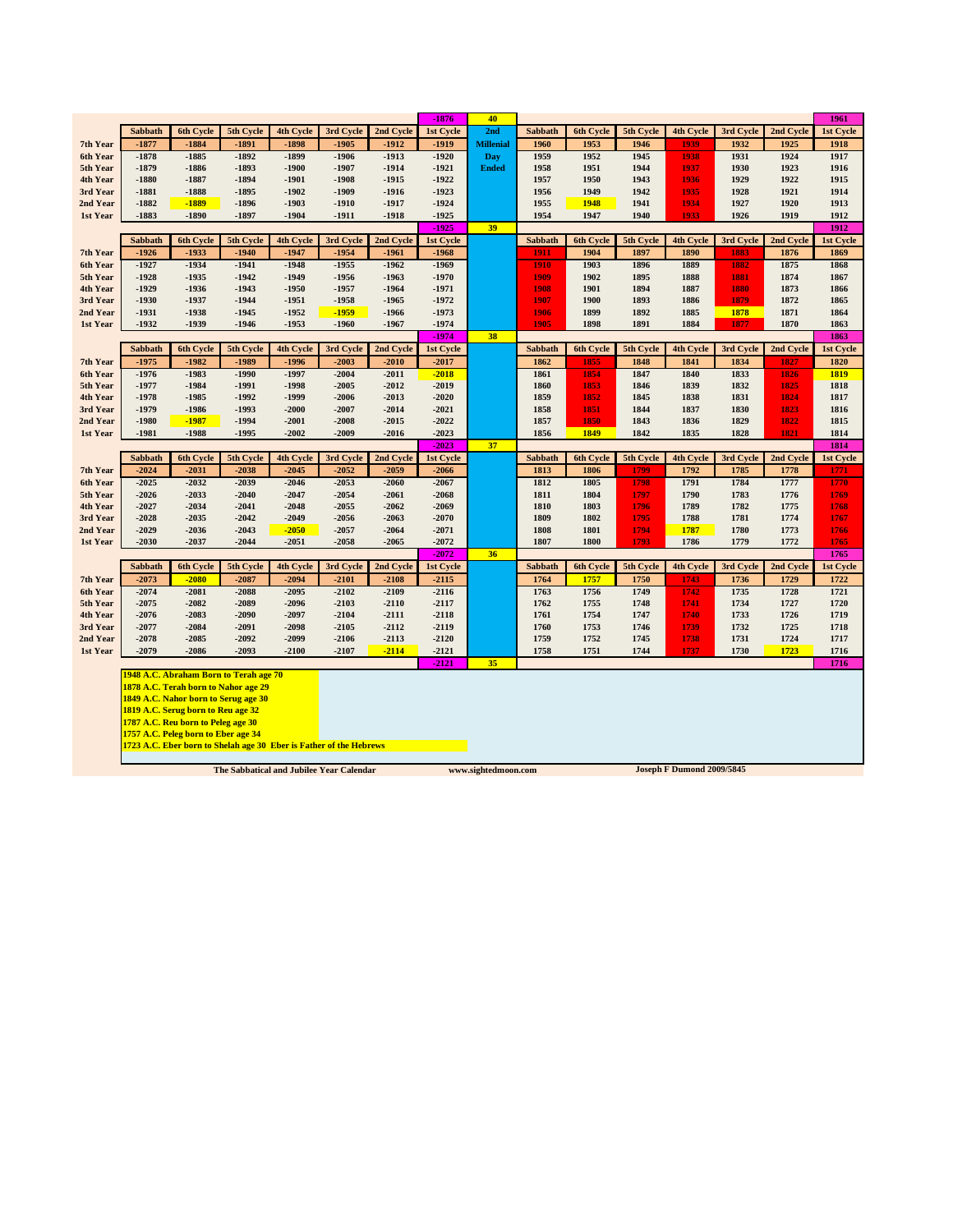|                      |                    |                                                                    |                    |                    |                                          |                    | $-1876$            | 40                  |                |                  |              |                           |              |              | 1961         |
|----------------------|--------------------|--------------------------------------------------------------------|--------------------|--------------------|------------------------------------------|--------------------|--------------------|---------------------|----------------|------------------|--------------|---------------------------|--------------|--------------|--------------|
|                      | <b>Sabbath</b>     | <b>6th Cycle</b>                                                   | 5th Cycle          | <b>4th Cycle</b>   | 3rd Cycle                                | 2nd Cycle          | 1st Cycle          | 2nd                 | <b>Sabbath</b> | <b>6th Cycle</b> | 5th Cycle    | <b>4th Cycle</b>          | 3rd Cycle    | 2nd Cycle    | 1st Cycle    |
| 7th Year             | $-1877$            | $-1884$                                                            | $-1891$            | $-1898$            | $-1905$                                  | $-1912$            | $-1919$            | <b>Millenial</b>    | 1960           | 1953             | 1946         | 1939                      | 1932         | 1925         | 1918         |
| 6th Year             | $-1878$            | $-1885$                                                            | $-1892$            | $-1899$            | $-1906$                                  | $-1913$            | $-1920$            | Day                 | 1959           | 1952             | 1945         | 1938                      | 1931         | 1924         | 1917         |
| 5th Year             | $-1879$            | $-1886$                                                            | $-1893$            | $-1900$            | $-1907$                                  | $-1914$            | $-1921$            | <b>Ended</b>        | 1958           | 1951             | 1944         | 1937                      | 1930         | 1923         | 1916         |
| 4th Year             | $-1880$            | $-1887$                                                            | $-1894$            | $-1901$            | $-1908$                                  | $-1915$            | $-1922$            |                     | 1957           | 1950             | 1943         | 1936                      | 1929         | 1922         | 1915         |
| 3rd Year             | $-1881$            | $-1888$                                                            | $-1895$            | $-1902$            | $-1909$                                  | $-1916$            | $-1923$            |                     | 1956           | 1949             | 1942         | 1935                      | 1928         | 1921         | 1914         |
| 2nd Year             | $-1882$            | $-1889$                                                            | $-1896$            | $-1903$            | $-1910$                                  | $-1917$            | $-1924$            |                     | 1955           | 1948             | 1941         | 1934                      | 1927         | 1920         | 1913         |
| 1st Year             | -1883              | $-1890$                                                            | $-1897$            | $-1904$            | -1911                                    | $-1918$            | $-1925$            |                     | 1954           | 1947             | 1940         | 1933                      | 1926         | 1919         | 1912         |
|                      |                    |                                                                    |                    |                    |                                          |                    | $-1925$            | 39                  |                |                  |              |                           |              |              | 1912         |
|                      | Sabbath            | 6th Cycle                                                          | 5th Cycle          | 4th Cycle          | 3rd Cycle                                | 2nd Cycle          | 1st Cycle          |                     | Sabbath        | 6th Cycle        | 5th Cycle    | 4th Cycle                 | 3rd Cycle    | 2nd Cycle    | 1st Cycle    |
| 7th Year             | $-1926$            | $-1933$                                                            | $-1940$            | $-1947$<br>$-1948$ | $-1954$                                  | $-1961$            | $-1968$            |                     | 1911           | 1904             | 1897         | 1890                      | 1883         | 1876         | 1869         |
| 6th Year             | $-1927$<br>$-1928$ | $-1934$<br>$-1935$                                                 | $-1941$<br>$-1942$ | $-1949$            | $-1955$<br>$-1956$                       | $-1962$<br>$-1963$ | $-1969$<br>$-1970$ |                     | 1910           | 1903<br>1902     | 1896<br>1895 | 1889<br>1888              | 1882         | 1875<br>1874 | 1868<br>1867 |
| 5th Year             | $-1929$            | $-1936$                                                            | $-1943$            | $-1950$            | $-1957$                                  | $-1964$            | $-1971$            |                     | 1909<br>1908   | 1901             | 1894         | 1887                      | 1881<br>1880 | 1873         | 1866         |
| 4th Year<br>3rd Year | $-1930$            | $-1937$                                                            | $-1944$            | $-1951$            | $-1958$                                  | $-1965$            | $-1972$            |                     | 1907           | 1900             | 1893         | 1886                      | 1879         | 1872         | 1865         |
| 2nd Year             | $-1931$            | $-1938$                                                            | $-1945$            | $-1952$            | $-1959$                                  | $-1966$            | $-1973$            |                     | 1906           | 1899             | 1892         | 1885                      | 1878         | 1871         | 1864         |
| 1st Year             | $-1932$            | $-1939$                                                            | $-1946$            | $-1953$            | $-1960$                                  | $-1967$            | $-1974$            |                     | 1905           | 1898             | 1891         | 1884                      | 1877         | 1870         | 1863         |
|                      |                    |                                                                    |                    |                    |                                          |                    | $-1974$            | 38                  |                |                  |              |                           |              |              | 1863         |
|                      | Sabbath            | 6th Cycle                                                          | 5th Cycle          | 4th Cycle          | 3rd Cycle                                | 2nd Cycle          | 1st Cycle          |                     | Sabbath        | 6th Cycle        | 5th Cycle    | 4th Cycle                 | 3rd Cycle    | 2nd Cycle    | 1st Cycle    |
| 7th Year             | $-1975$            | $-1982$                                                            | $-1989$            | $-1996$            | $-2003$                                  | $-2010$            | $-2017$            |                     | 1862           | 1855             | 1848         | 1841                      | 1834         | 1827         | 1820         |
| 6th Year             | $-1976$            | $-1983$                                                            | $-1990$            | $-1997$            | $-2004$                                  | $-2011$            | $-2018$            |                     | 1861           | 1854             | 1847         | 1840                      | 1833         | 1826         | 1819         |
| 5th Year             | -1977              | $-1984$                                                            | $-1991$            | $-1998$            | $-2005$                                  | $-2012$            | $-2019$            |                     | 1860           | 1853             | 1846         | 1839                      | 1832         | 1825         | 1818         |
| 4th Year             | $-1978$            | $-1985$                                                            | $-1992$            | $-1999$            | $-2006$                                  | $-2013$            | $-2020$            |                     | 1859           | 1852             | 1845         | 1838                      | 1831         | 1824         | 1817         |
| 3rd Year             | -1979              | $-1986$                                                            | $-1993$            | $-2000$            | $-2007$                                  | $-2014$            | $-2021$            |                     | 1858           | 1851             | 1844         | 1837                      | 1830         | 1823         | 1816         |
| 2nd Year             | $-1980$            | $-1987$                                                            | $-1994$            | $-2001$            | $-2008$                                  | $-2015$            | $-2022$            |                     | 1857           | 1850             | 1843         | 1836                      | 1829         | 1822         | 1815         |
| 1st Year             | $-1981$            | $-1988$                                                            | $-1995$            | $-2002$            | $-2009$                                  | $-2016$            | $-2023$            |                     | 1856           | 1849             | 1842         | 1835                      | 1828         | 1821         | 1814         |
|                      |                    |                                                                    |                    |                    |                                          |                    | $-2023$            | 37                  |                |                  |              |                           |              |              | 1814         |
|                      |                    |                                                                    |                    |                    |                                          |                    |                    |                     |                |                  |              |                           |              |              |              |
|                      | Sabbath            | 6th Cycle                                                          | 5th Cycle          | 4th Cycle          | 3rd Cycle                                | 2nd Cycle          | 1st Cycle          |                     | Sabbath        | 6th Cycle        | 5th Cycle    | 4th Cycle                 | 3rd Cycle    | 2nd Cycle    | 1st Cycle    |
| 7th Year             | $-2024$            | $-2031$                                                            | $-2038$            | $-2045$            | $-2052$                                  | $-2059$            | $-2066$            |                     | 1813           | 1806             | 1799         | 1792                      | 1785         | 1778         | 1771         |
| 6th Year             | $-2025$            | $-2032$                                                            | $-2039$            | $-2046$            | $-2053$                                  | $-2060$            | $-2067$            |                     | 1812           | 1805             | 1798         | 1791                      | 1784         | 1777         | 1770         |
| 5th Year             | $-2026$            | $-2033$                                                            | $-2040$            | $-2047$            | $-2054$                                  | $-2061$            | $-2068$            |                     | 1811           | 1804             | 1797         | 1790                      | 1783         | 1776         | 1769         |
| 4th Year             | $-2027$            | $-2034$                                                            | $-2041$            | $-2048$            | $-2055$                                  | $-2062$            | $-2069$            |                     | 1810           | 1803             | 1796         | 1789                      | 1782         | 1775         | 1768         |
| 3rd Year             | $-2028$            | $-2035$                                                            | $-2042$            | $-2049$            | $-2056$                                  | $-2063$            | $-2070$            |                     | 1809           | 1802             | 1795         | 1788                      | 1781         | 1774         | 1767         |
| 2nd Year             | $-2029$            | $-2036$                                                            | $-2043$            | $-2050$            | $-2057$                                  | $-2064$            | $-2071$            |                     | 1808           | 1801             | 1794         | 1787                      | 1780         | 1773         | 1766         |
| 1st Year             | $-2030$            | $-2037$                                                            | $-2044$            | $-2051$            | $-2058$                                  | $-2065$            | $-2072$            |                     | 1807           | 1800             | 1793         | 1786                      | 1779         | 1772         | 1765         |
|                      |                    |                                                                    |                    |                    |                                          |                    | $-2072$            | 36                  |                |                  |              |                           |              |              | 1765         |
|                      | <b>Sabbath</b>     | <b>6th Cycle</b>                                                   | 5th Cycle          | <b>4th Cycle</b>   | 3rd Cycle                                | 2nd Cycle          | 1st Cycle          |                     | <b>Sabbath</b> | 6th Cycle        | 5th Cycle    | <b>4th Cycle</b>          | 3rd Cycle    | 2nd Cycle    | 1st Cycle    |
| 7th Year             | $-2073$            | $-2080$                                                            | $-2087$            | $-2094$            | $-2101$                                  | $-2108$            | $-2115$            |                     | 1764           | 1757             | 1750         | 1743                      | 1736         | 1729         | 1722         |
| 6th Year             | $-2074$            | $-2081$                                                            | $-2088$            | $-2095$            | $-2102$                                  | $-2109$            | $-2116$            |                     | 1763           | 1756             | 1749         | 1742                      | 1735         | 1728         | 1721         |
| 5th Year             | $-2075$            | $-2082$                                                            | $-2089$            | $-2096$            | $-2103$                                  | $-2110$            | $-2117$            |                     | 1762           | 1755             | 1748         | 1741                      | 1734         | 1727         | 1720         |
| 4th Year             | $-2076$            | $-2083$                                                            | $-2090$            | $-2097$            | $-2104$                                  | $-2111$            | $-2118$            |                     | 1761           | 1754             | 1747         | 1740                      | 1733         | 1726         | 1719         |
| 3rd Year             | $-2077$            | $-2084$                                                            | $-2091$            | $-2098$            | $-2105$                                  | $-2112$            | $-2119$            |                     | 1760           | 1753             | 1746         | 1739                      | 1732         | 1725         | 1718         |
| 2nd Year             | $-2078$            | $-2085$                                                            | $-2092$            | $-2099$            | $-2106$                                  | $-2113$            | $-2120$            |                     | 1759           | 1752             | 1745         | 1738                      | 1731         | 1724         | 1717         |
| 1st Year             | $-2079$            | $-2086$                                                            | $-2093$            | $-2100$            | $-2107$                                  | $-2114$            | $-2121$            |                     | 1758           | 1751             | 1744         | 1737                      | 1730         | 1723         | 1716         |
|                      |                    | 1948 A.C. Abraham Born to Terah age 70                             |                    |                    |                                          |                    | $-2121$            | 35                  |                |                  |              |                           |              |              | 1716         |
|                      |                    | 1878 A.C. Terah born to Nahor age 29                               |                    |                    |                                          |                    |                    |                     |                |                  |              |                           |              |              |              |
|                      |                    | 1849 A.C. Nahor born to Serug age 30                               |                    |                    |                                          |                    |                    |                     |                |                  |              |                           |              |              |              |
|                      |                    | 1819 A.C. Serug born to Reu age 32                                 |                    |                    |                                          |                    |                    |                     |                |                  |              |                           |              |              |              |
|                      |                    | 1787 A.C. Reu born to Peleg age 30                                 |                    |                    |                                          |                    |                    |                     |                |                  |              |                           |              |              |              |
|                      |                    | 1757 A.C. Peleg born to Eber age 34                                |                    |                    |                                          |                    |                    |                     |                |                  |              |                           |              |              |              |
|                      |                    | 1723 A.C. Eber born to Shelah age 30 Eber is Father of the Hebrews |                    |                    |                                          |                    |                    |                     |                |                  |              |                           |              |              |              |
|                      |                    |                                                                    |                    |                    | The Sabbatical and Jubilee Year Calendar |                    |                    | www.sightedmoon.com |                |                  |              | Joseph F Dumond 2009/5845 |              |              |              |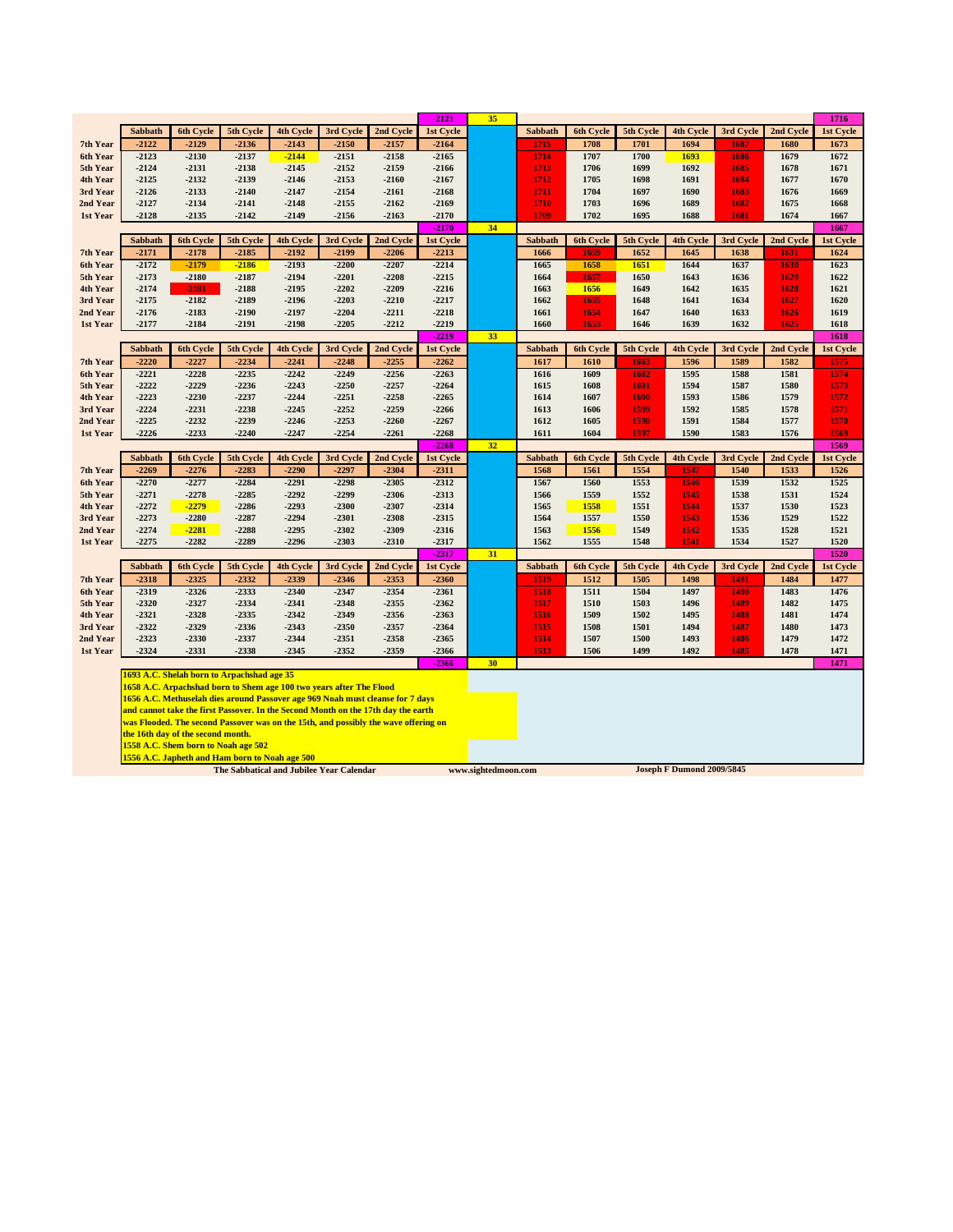|                      |                                                |                                     |                                            |                    |                                                                     |                                                                                                                                                                          | $-2121$            | 35 |                |              |              |                  |              |              | 1716         |
|----------------------|------------------------------------------------|-------------------------------------|--------------------------------------------|--------------------|---------------------------------------------------------------------|--------------------------------------------------------------------------------------------------------------------------------------------------------------------------|--------------------|----|----------------|--------------|--------------|------------------|--------------|--------------|--------------|
|                      | <b>Sabbath</b>                                 | 6th Cycle                           | 5th Cycle                                  | <b>4th Cycle</b>   | 3rd Cycle                                                           | 2nd Cycle                                                                                                                                                                | 1st Cycle          |    | <b>Sabbath</b> | 6th Cycle    | 5th Cycle    | <b>4th Cycle</b> | 3rd Cycle    | 2nd Cycle    | 1st Cycle    |
| 7th Year             | $-2122$                                        | $-2129$                             | $-2136$                                    | $-2143$            | $-2150$                                                             | $-2157$                                                                                                                                                                  | $-2164$            |    | 1715           | 1708         | 1701         | 1694             | 1687         | 1680         | 1673         |
| 6th Year             | $-2123$                                        | $-2130$                             | $-2137$                                    | $-2144$            | $-2151$                                                             | $-2158$                                                                                                                                                                  | $-2165$            |    | 1714           | 1707         | 1700         | 1693             | 1686         | 1679         | 1672         |
| 5th Year             | $-2124$                                        | $-2131$                             | $-2138$                                    | $-2145$            | $-2152$                                                             | $-2159$                                                                                                                                                                  | $-2166$            |    | 1713           | 1706         | 1699         | 1692             | 1685         | 1678         | 1671         |
| 4th Year             | $-2125$                                        | $-2132$                             | $-2139$                                    | $-2146$            | $-2153$                                                             | $-2160$                                                                                                                                                                  | $-2167$            |    | 1712           | 1705         | 1698         | 1691             | 1684         | 1677         | 1670         |
| 3rd Year             | $-2126$                                        | $-2133$                             | $-2140$                                    | $-2147$            | $-2154$                                                             | $-2161$                                                                                                                                                                  | $-2168$            |    | 1711           | 1704         | 1697         | 1690             | 1683         | 1676         | 1669         |
| 2nd Year             | $-2127$                                        | $-2134$                             | $-2141$                                    | $-2148$            | $-2155$                                                             | $-2162$                                                                                                                                                                  | $-2169$            |    | 1710           | 1703         | 1696         | 1689             | 1682         | 1675         | 1668         |
| 1st Year             | $-2128$                                        | $-2135$                             | $-2142$                                    | $-2149$            | $-2156$                                                             | $-2163$                                                                                                                                                                  | $-2170$            |    | 1709           | 1702         | 1695         | 1688             | 1681         | 1674         | 1667         |
|                      |                                                |                                     |                                            |                    |                                                                     |                                                                                                                                                                          | $-2170$            | 34 |                |              |              |                  |              |              | 1667         |
|                      | Sabbath                                        | 6th Cycle                           | 5th Cycle                                  | 4th Cycle          | 3rd Cycle                                                           | 2nd Cycle                                                                                                                                                                | 1st Cycle          |    | Sabbath        | 6th Cycle    | 5th Cycle    | 4th Cycle        | 3rd Cycle    | 2nd Cycle    | 1st Cycle    |
| 7th Year             | $-2171$                                        | $-2178$                             | $-2185$                                    | $-2192$            | $-2199$                                                             | $-2206$                                                                                                                                                                  | $-2213$            |    | 1666           | 1659         | 1652         | 1645             | 1638         | 1631         | 1624         |
| 6th Year             | $-2172$                                        | $-2179$                             | $-2186$                                    | $-2193$            | $-2200$                                                             | $-2207$                                                                                                                                                                  | $-2214$            |    | 1665           | 1658         | 1651         | 1644             | 1637         | 1630         | 1623         |
| 5th Year             | $-2173$                                        | $-2180$                             | $-2187$                                    | $-2194$            | $-2201$                                                             | $-2208$                                                                                                                                                                  | $-2215$            |    | 1664           | 1657         | 1650         | 1643             | 1636         | 1629         | 1622         |
| 4th Year             | $-2174$                                        | $-2181$                             | $-2188$                                    | $-2195$            | $-2202$                                                             | $-2209$                                                                                                                                                                  | $-2216$            |    | 1663           | 1656         | 1649         | 1642             | 1635         | 1628         | 1621         |
| 3rd Year             | $-2175$                                        | $-2182$                             | $-2189$                                    | $-2196$            | $-2203$                                                             | $-2210$                                                                                                                                                                  | $-2217$            |    | 1662           | 1655         | 1648         | 1641             | 1634         | 1627         | 1620         |
| 2nd Year             | $-2176$                                        | $-2183$                             | $-2190$                                    | $-2197$            | $-2204$                                                             | $-2211$                                                                                                                                                                  | $-2218$            |    | 1661           | 1654         | 1647         | 1640             | 1633         | 1626         | 1619         |
| 1st Year             | $-2177$                                        | $-2184$                             | $-2191$                                    | $-2198$            | $-2205$                                                             | $-2212$                                                                                                                                                                  | $-2219$            |    | 1660           | 1653         | 1646         | 1639             | 1632         | 1625         | 1618         |
|                      |                                                |                                     |                                            |                    |                                                                     |                                                                                                                                                                          | $-2219$            | 33 |                |              |              |                  |              |              | 1618         |
|                      | Sabbath                                        | 6th Cycle                           | 5th Cycle                                  | 4th Cycle          | 3rd Cycle                                                           | 2nd Cycle                                                                                                                                                                | 1st Cycle          |    | Sabbath        | 6th Cycle    | 5th Cycle    | 4th Cycle        | 3rd Cycle    | 2nd Cycle    | 1st Cycle    |
| 7th Year             | $-2220$                                        | $-2227$                             | $-2234$                                    | $-2241$            | $-2248$                                                             | $-2255$                                                                                                                                                                  | $-2262$            |    | 1617           | 1610         | 1603         | 1596             | 1589         | 1582         | 1575         |
| 6th Year             | $-2221$<br>$-2222$                             | $-2228$<br>$-2229$                  | $-2235$                                    | $-2242$<br>$-2243$ | $-2249$<br>$-2250$                                                  | $-2256$                                                                                                                                                                  | $-2263$            |    | 1616           | 1609         | 1602<br>1601 | 1595             | 1588         | 1581         | 1574<br>1573 |
| 5th Year<br>4th Year | $-2223$                                        | $-2230$                             | $-2236$<br>$-2237$                         | $-2244$            | $-2251$                                                             | $-2257$<br>$-2258$                                                                                                                                                       | $-2264$<br>$-2265$ |    | 1615<br>1614   | 1608<br>1607 | 1600         | 1594<br>1593     | 1587<br>1586 | 1580<br>1579 | 1572         |
| 3rd Year             | $-2224$                                        | $-2231$                             | $-2238$                                    | $-2245$            | $-2252$                                                             | $-2259$                                                                                                                                                                  | $-2266$            |    | 1613           | 1606         | 1599         | 1592             | 1585         | 1578         | 1571         |
| 2nd Year             | $-2225$                                        | $-2232$                             | $-2239$                                    | $-2246$            | $-2253$                                                             | $-2260$                                                                                                                                                                  | $-2267$            |    | 1612           | 1605         | 1598         | 1591             | 1584         | 1577         | 1570         |
| 1st Year             | $-2226$                                        | $-2233$                             | $-2240$                                    | $-2247$            | $-2254$                                                             | $-2261$                                                                                                                                                                  | $-2268$            |    | 1611           | 1604         | 1597         | 1590             | 1583         | 1576         | 1569         |
|                      |                                                |                                     |                                            |                    |                                                                     |                                                                                                                                                                          | $-2268$            | 32 |                |              |              |                  |              |              | 1569         |
|                      | <b>Sabbath</b>                                 | 6th Cycle                           | 5th Cycle                                  | 4th Cycle          | 3rd Cycle                                                           | 2nd Cycle                                                                                                                                                                | 1st Cycle          |    | <b>Sabbath</b> | 6th Cycle    | 5th Cycle    | 4th Cycle        | 3rd Cycle    | 2nd Cycle    | 1st Cycle    |
| 7th Year             | $-2269$                                        | $-2276$                             | $-2283$                                    | $-2290$            | $-2297$                                                             | $-2304$                                                                                                                                                                  | $-2311$            |    | 1568           | 1561         | 1554         | 1547             | 1540         | 1533         | 1526         |
| 6th Year             | $-2270$                                        | $-2277$                             | $-2284$                                    | $-2291$            | $-2298$                                                             | $-2305$                                                                                                                                                                  | $-2312$            |    | 1567           | 1560         | 1553         | 1546             | 1539         | 1532         | 1525         |
| 5th Year             | $-2271$                                        | $-2278$                             | $-2285$                                    | $-2292$            | $-2299$                                                             | $-2306$                                                                                                                                                                  | $-2313$            |    | 1566           | 1559         | 1552         | 1545             | 1538         | 1531         | 1524         |
| 4th Year             | $-2272$                                        | $-2279$                             | $-2286$                                    | $-2293$            | $-2300$                                                             | $-2307$                                                                                                                                                                  | $-2314$            |    | 1565           | 1558         | 1551         | 1544             | 1537         | 1530         | 1523         |
| 3rd Year             | $-2273$                                        | $-2280$                             | $-2287$                                    | $-2294$            | $-2301$                                                             | $-2308$                                                                                                                                                                  | $-2315$            |    | 1564           | 1557         | 1550         | 1543             | 1536         | 1529         | 1522         |
| 2nd Year             | $-2274$                                        | $-2281$                             | $-2288$                                    | $-2295$            | $-2302$                                                             | $-2309$                                                                                                                                                                  | $-2316$            |    | 1563           | 1556         | 1549         | 1542             | 1535         | 1528         | 1521         |
| 1st Year             | $-2275$                                        | $-2282$                             | $-2289$                                    | $-2296$            | -2303                                                               | $-2310$                                                                                                                                                                  | $-2317$            |    | 1562           | 1555         | 1548         | 1541             | 1534         | 1527         | 1520         |
|                      |                                                |                                     |                                            |                    |                                                                     |                                                                                                                                                                          | $-2317$            | 31 |                |              |              |                  |              |              | 1520         |
|                      | Sabbath                                        | 6th Cycle                           | 5th Cycle                                  | 4th Cycle          | 3rd Cycle                                                           | 2nd Cycle                                                                                                                                                                | 1st Cycle          |    | Sabbath        | 6th Cycle    | 5th Cycle    | 4th Cycle        | 3rd Cycle    | 2nd Cycle    | 1st Cycle    |
| 7th Year             | $-2318$                                        | $-2325$                             | $-2332$                                    | $-2339$            | $-2346$                                                             | $-2353$                                                                                                                                                                  | $-2360$            |    | 1519           | 1512         | 1505         | 1498             | 1491         | 1484         | 1477         |
| 6th Year             | $-2319$                                        | $-2326$                             | $-2333$                                    | $-2340$            | $-2347$                                                             | $-2354$                                                                                                                                                                  | $-2361$            |    | 1518           | 1511         | 1504         | 1497             | 1490         | 1483         | 1476         |
| 5th Year             | $-2320$                                        | $-2327$                             | $-2334$                                    | $-2341$            | $-2348$                                                             | $-2355$                                                                                                                                                                  | $-2362$            |    | 1517           | 1510         | 1503         | 1496             | 1489         | 1482         | 1475         |
| 4th Year             | $-2321$                                        | $-2328$                             | $-2335$                                    | $-2342$            | $-2349$                                                             | $-2356$                                                                                                                                                                  | $-2363$            |    | 1516           | 1509         | 1502         | 1495             | 1488         | 1481         | 1474         |
| 3rd Year             | $-2322$                                        | $-2329$                             | $-2336$                                    | $-2343$            | $-2350$                                                             | $-2357$                                                                                                                                                                  | $-2364$            |    | 1515           | 1508         | 1501         | 1494             | 1487         | 1480         | 1473         |
| 2nd Year             | $-2323$                                        | $-2330$                             | $-2337$                                    | $-2344$            | $-2351$                                                             | $-2358$                                                                                                                                                                  | $-2365$            |    | 1514           | 1507         | 1500         | 1493             | 1486         | 1479         | 1472         |
| 1st Year             | $-2324$                                        | $-2331$                             | $-2338$                                    | $-2345$            | $-2352$                                                             | $-2359$                                                                                                                                                                  | $-2366$            |    | 1513           | 1506         | 1499         | 1492             | 1485         | 1478         | 1471         |
|                      |                                                |                                     |                                            |                    |                                                                     |                                                                                                                                                                          | $-2366$            | 30 |                |              |              |                  |              |              | 1471         |
|                      |                                                |                                     | 1693 A.C. Shelah born to Arpachshad age 35 |                    |                                                                     |                                                                                                                                                                          |                    |    |                |              |              |                  |              |              |              |
|                      |                                                |                                     |                                            |                    | 1658 A.C. Arpachshad born to Shem age 100 two years after The Flood |                                                                                                                                                                          |                    |    |                |              |              |                  |              |              |              |
|                      |                                                |                                     |                                            |                    |                                                                     | 1656 A.C. Methuselah dies around Passover age 969 Noah must cleanse for 7 days                                                                                           |                    |    |                |              |              |                  |              |              |              |
|                      |                                                |                                     |                                            |                    |                                                                     | and cannot take the first Passover. In the Second Month on the 17th day the earth<br>was Flooded. The second Passover was on the 15th, and possibly the wave offering on |                    |    |                |              |              |                  |              |              |              |
|                      |                                                | the 16th day of the second month.   |                                            |                    |                                                                     |                                                                                                                                                                          |                    |    |                |              |              |                  |              |              |              |
|                      |                                                | 1558 A.C. Shem born to Noah age 502 |                                            |                    |                                                                     |                                                                                                                                                                          |                    |    |                |              |              |                  |              |              |              |
|                      |                                                |                                     |                                            |                    |                                                                     |                                                                                                                                                                          |                    |    |                |              |              |                  |              |              |              |
|                      | 1556 A.C. Japheth and Ham born to Noah age 500 |                                     |                                            |                    |                                                                     |                                                                                                                                                                          |                    |    |                |              |              |                  |              |              |              |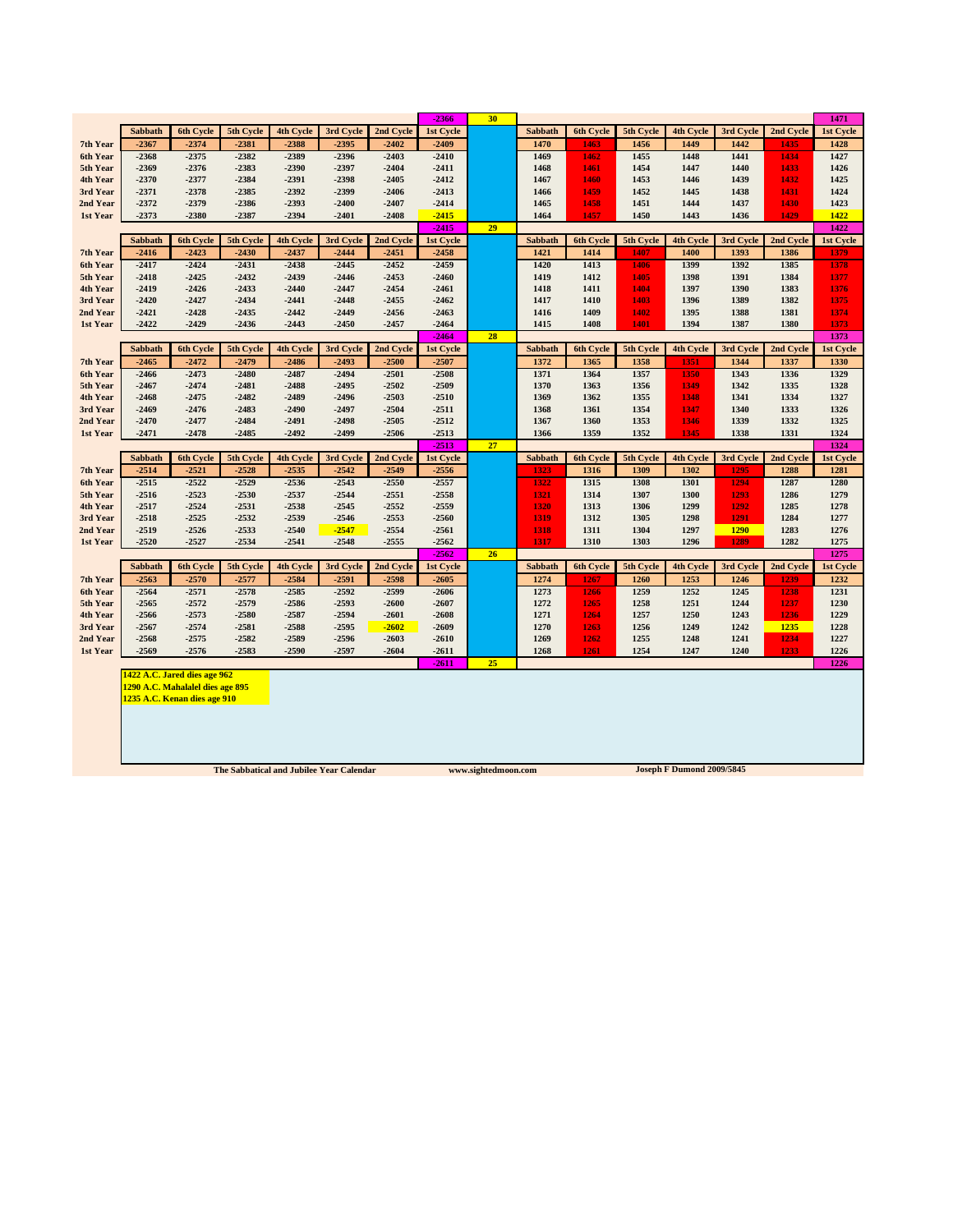|                      |                    |                                  |                                          |                    |                    |                      | $-2366$              | 30                  |                |              |              |                                  |              |                   | 1471              |
|----------------------|--------------------|----------------------------------|------------------------------------------|--------------------|--------------------|----------------------|----------------------|---------------------|----------------|--------------|--------------|----------------------------------|--------------|-------------------|-------------------|
|                      | Sabbath            | 6th Cycle                        | 5th Cycle                                | <b>4th Cycle</b>   | 3rd Cycle          | 2nd Cycle            | 1st Cycle            |                     | <b>Sabbath</b> | 6th Cycle    | 5th Cycle    | 4th Cycle                        | 3rd Cycle    | 2nd Cycle         | 1st Cycle         |
| 7th Year             | $-2367$            | $-2374$                          | $-2381$                                  | $-2388$            | $-2395$            | $-2402$              | $-2409$              |                     | 1470           | 1463         | 1456         | 1449                             | 1442         | 1435              | 1428              |
| 6th Year             | $-2368$            | $-2375$                          | $-2382$                                  | $-2389$            | $-2396$            | $-2403$              | $-2410$              |                     | 1469           | 1462         | 1455         | 1448                             | 1441         | 1434              | 1427              |
| 5th Year             | $-2369$            | $-2376$                          | $-2383$                                  | $-2390$            | $-2397$            | $-2404$              | $-2411$              |                     | 1468           | 1461         | 1454         | 1447                             | 1440         | 1433              | 1426              |
| 4th Year             | $-2370$            | $-2377$                          | $-2384$                                  | $-2391$            | $-2398$            | $-2405$              | $-2412$              |                     | 1467           | 1460         | 1453         | 1446                             | 1439         | 1432              | 1425              |
| 3rd Year             | $-2371$            | $-2378$                          | $-2385$                                  | $-2392$            | $-2399$            | $-2406$              | $-2413$              |                     | 1466           | 1459         | 1452         | 1445                             | 1438         | 1431              | 1424              |
| 2nd Year             | $-2372$            | $-2379$                          | $-2386$                                  | $-2393$            | $-2400$            | $-2407$              | $-2414$              |                     | 1465           | 1458         | 1451         | 1444                             | 1437         | 1430              | 1423              |
| 1st Year             | $-2373$            | $-2380$                          | $-2387$                                  | $-2394$            | $-2401$            | $-2408$              | $-2415$              |                     | 1464           | 1457         | 1450         | 1443                             | 1436         | 1429              | 1422              |
|                      |                    |                                  |                                          |                    |                    |                      | $-2415$              | 29                  |                |              |              |                                  |              |                   | 1422              |
|                      | Sabbath            | 6th Cycle                        | 5th Cycle                                | 4th Cycle          | 3rd Cycle          | 2nd Cycle            | 1st Cycle            |                     | Sabbath        | 6th Cycle    | 5th Cycle    | 4th Cycle                        | 3rd Cycle    | 2nd Cycle         | 1st Cycle         |
| 7th Year             | $-2416$            | $-2423$                          | $-2430$                                  | $-2437$            | $-2444$            | $-2451$              | $-2458$              |                     | 1421           | 1414         | 1407         | 1400                             | 1393         | 1386              | 1379              |
| 6th Year<br>5th Year | $-2417$<br>$-2418$ | $-2424$<br>$-2425$               | $-2431$<br>$-2432$                       | $-2438$<br>$-2439$ | $-2445$<br>$-2446$ | $-2452$<br>$-2453$   | $-2459$<br>$-2460$   |                     | 1420<br>1419   | 1413<br>1412 | 1406<br>1405 | 1399<br>1398                     | 1392<br>1391 | 1385<br>1384      | 1378<br>1377      |
| 4th Year             | $-2419$            | $-2426$                          | $-2433$                                  | $-2440$            | $-2447$            | $-2454$              | $-2461$              |                     | 1418           | 1411         | 1404         | 1397                             | 1390         | 1383              | 1376              |
| 3rd Year             | $-2420$            | $-2427$                          | $-2434$                                  | $-2441$            | $-2448$            | $-2455$              | $-2462$              |                     | 1417           | 1410         | 1403         | 1396                             | 1389         | 1382              | 1375              |
| 2nd Year             | $-2421$            | $-2428$                          | $-2435$                                  | $-2442$            | $-2449$            | $-2456$              | $-2463$              |                     | 1416           | 1409         | 1402         | 1395                             | 1388         | 1381              | 1374              |
| 1st Year             | $-2422$            | $-2429$                          | $-2436$                                  | $-2443$            | $-2450$            | $-2457$              | $-2464$              |                     | 1415           | 1408         | 1401         | 1394                             | 1387         | 1380              | 1373              |
|                      |                    |                                  |                                          |                    |                    |                      | $-2464$              | 28                  |                |              |              |                                  |              |                   | 1373              |
|                      | Sabbath            | 6th Cycle                        | 5th Cycle                                | 4th Cycle          | 3rd Cycle          | 2nd Cycle            | 1st Cycle            |                     | Sabbath        | 6th Cycle    | 5th Cycle    | 4th Cycle                        | 3rd Cycle    | 2nd Cycle         | 1st Cycle         |
| 7th Year             | $-2465$            | $-2472$                          | $-2479$                                  | $-2486$            | $-2493$            | $-2500$              | $-2507$              |                     | 1372           | 1365         | 1358         | 1351                             | 1344         | 1337              | 1330              |
| 6th Year             | $-2466$            | $-2473$                          | $-2480$                                  | $-2487$            | $-2494$            | $-2501$              | $-2508$              |                     | 1371           | 1364         | 1357         | 1350                             | 1343         | 1336              | 1329              |
| 5th Year             | $-2467$            | $-2474$                          | $-2481$                                  | $-2488$            | $-2495$            | $-2502$              | $-2509$              |                     | 1370           | 1363         | 1356         | 1349                             | 1342         | 1335              | 1328              |
| 4th Year             | $-2468$            | $-2475$                          | $-2482$                                  | $-2489$            | $-2496$            | $-2503$              | $-2510$              |                     | 1369           | 1362         | 1355         | 1348                             | 1341         | 1334              | 1327              |
| 3rd Year             | $-2469$            | $-2476$                          | $-2483$                                  | $-2490$            | $-2497$            | $-2504$              | $-2511$              |                     | 1368           | 1361         | 1354         | 1347                             | 1340         | 1333              | 1326              |
| 2nd Year             | $-2470$            | $-2477$                          | $-2484$                                  | $-2491$            | $-2498$            | $-2505$              | $-2512$              |                     | 1367           | 1360         | 1353         | 1346                             | 1339         | 1332              | 1325              |
| 1st Year             | $-2471$            | $-2478$                          | $-2485$                                  | $-2492$            | $-2499$            | $-2506$              | $-2513$              |                     | 1366           | 1359         | 1352         | 1345                             | 1338         | 1331              | 1324              |
|                      |                    |                                  |                                          |                    |                    |                      | $-2513$              | 27                  |                |              |              |                                  |              |                   | 1324              |
|                      | Sabbath            | 6th Cycle                        | 5th Cycle                                | 4th Cycle          | 3rd Cycle          | 2nd Cycle<br>$-2549$ | 1st Cycle<br>$-2556$ |                     | Sabbath        | 6th Cycle    | 5th Cycle    | 4th Cycle                        | 3rd Cycle    | 2nd Cycle<br>1288 | 1st Cycle<br>1281 |
| 7th Year             |                    |                                  |                                          |                    |                    |                      |                      |                     | 1323           | 1316         | 1309         | 1302                             | 1295         |                   |                   |
|                      | $-2514$            | $-2521$                          | $-2528$                                  | $-2535$            | $-2542$            |                      |                      |                     |                |              |              |                                  |              |                   |                   |
| 6th Year             | $-2515$            | $-2522$                          | $-2529$                                  | $-2536$            | $-2543$            | $-2550$              | $-2557$              |                     | 1322           | 1315         | 1308         | 1301                             | 1294         | 1287              | 1280              |
| 5th Year             | -2516              | $-2523$                          | $-2530$                                  | $-2537$            | $-2544$            | $-2551$              | $-2558$              |                     | 1321           | 1314         | 1307         | 1300                             | 1293         | 1286              | 1279              |
| 4th Year             | $-2517$            | $-2524$                          | $-2531$                                  | $-2538$            | $-2545$            | $-2552$              | $-2559$              |                     | 1320           | 1313         | 1306         | 1299                             | 1292         | 1285              | 1278              |
| 3rd Year             | $-2518$            | $-2525$                          | $-2532$                                  | $-2539$            | $-2546$            | $-2553$              | $-2560$              |                     | 1319           | 1312         | 1305         | 1298                             | 1291         | 1284              | 1277              |
| 2nd Year             | $-2519$            | $-2526$                          | $-2533$                                  | $-2540$            | $-2547$            | $-2554$              | $-2561$              |                     | 1318           | 1311         | 1304         | 1297                             | 1290         | 1283              | 1276              |
| 1st Year             | $-2520$            | $-2527$                          | $-2534$                                  | $-2541$            | $-2548$            | $-2555$              | $-2562$<br>$-2562$   | 26                  | 1317           | 1310         | 1303         | 1296                             | 1289         | 1282              | 1275<br>1275      |
|                      | Sabbath            | 6th Cycle                        | 5th Cycle                                | 4th Cycle          | 3rd Cycle          | 2nd Cycle            | 1st Cycle            |                     | Sabbath        | 6th Cycle    | 5th Cycle    | 4th Cycle                        | 3rd Cycle    | 2nd Cycle         | 1st Cycle         |
| 7th Year             | $-2563$            | $-2570$                          | $-2577$                                  | $-2584$            | $-2591$            | $-2598$              | $-2605$              |                     | 1274           | 1267         | 1260         | 1253                             | 1246         | 1239              | 1232              |
| 6th Year             | $-2564$            | $-2571$                          | $-2578$                                  | $-2585$            | $-2592$            | $-2599$              | $-2606$              |                     | 1273           | 1266         | 1259         | 1252                             | 1245         | 1238              | 1231              |
| 5th Year             | $-2565$            | $-2572$                          | $-2579$                                  | $-2586$            | $-2593$            | $-2600$              | $-2607$              |                     | 1272           | 1265         | 1258         | 1251                             | 1244         | 1237              | 1230              |
| 4th Year             | $-2566$            | $-2573$                          | $-2580$                                  | $-2587$            | $-2594$            | $-2601$              | $-2608$              |                     | 1271           | 1264         | 1257         | 1250                             | 1243         | 1236              | 1229              |
| 3rd Year             | $-2567$            | $-2574$                          | $-2581$                                  | $-2588$            | $-2595$            | $-2602$              | $-2609$              |                     | 1270           | 1263         | 1256         | 1249                             | 1242         | 1235              | 1228              |
| 2nd Year             | $-2568$            | $-2575$                          | $-2582$                                  | $-2589$            | -2596              | $-2603$              | $-2610$              |                     | 1269           | 1262         | 1255         | 1248                             | 1241         | 1234              | 1227              |
| 1st Year             | $-2569$            | $-2576$                          | $-2583$                                  | $-2590$            | -2597              | $-2604$              | $-2611$              |                     | 1268           | 1261         | 1254         | 1247                             | 1240         | 1233              | 1226              |
|                      |                    |                                  |                                          |                    |                    |                      | -2611                | 25                  |                |              |              |                                  |              |                   | 1226              |
|                      |                    | 1422 A.C. Jared dies age 962     |                                          |                    |                    |                      |                      |                     |                |              |              |                                  |              |                   |                   |
|                      |                    | 1290 A.C. Mahalalel dies age 895 |                                          |                    |                    |                      |                      |                     |                |              |              |                                  |              |                   |                   |
|                      |                    | 1235 A.C. Kenan dies age 910     |                                          |                    |                    |                      |                      |                     |                |              |              |                                  |              |                   |                   |
|                      |                    |                                  |                                          |                    |                    |                      |                      |                     |                |              |              |                                  |              |                   |                   |
|                      |                    |                                  |                                          |                    |                    |                      |                      |                     |                |              |              |                                  |              |                   |                   |
|                      |                    |                                  |                                          |                    |                    |                      |                      |                     |                |              |              |                                  |              |                   |                   |
|                      |                    |                                  | The Sabbatical and Jubilee Year Calendar |                    |                    |                      |                      | www.sightedmoon.com |                |              |              | <b>Joseph F Dumond 2009/5845</b> |              |                   |                   |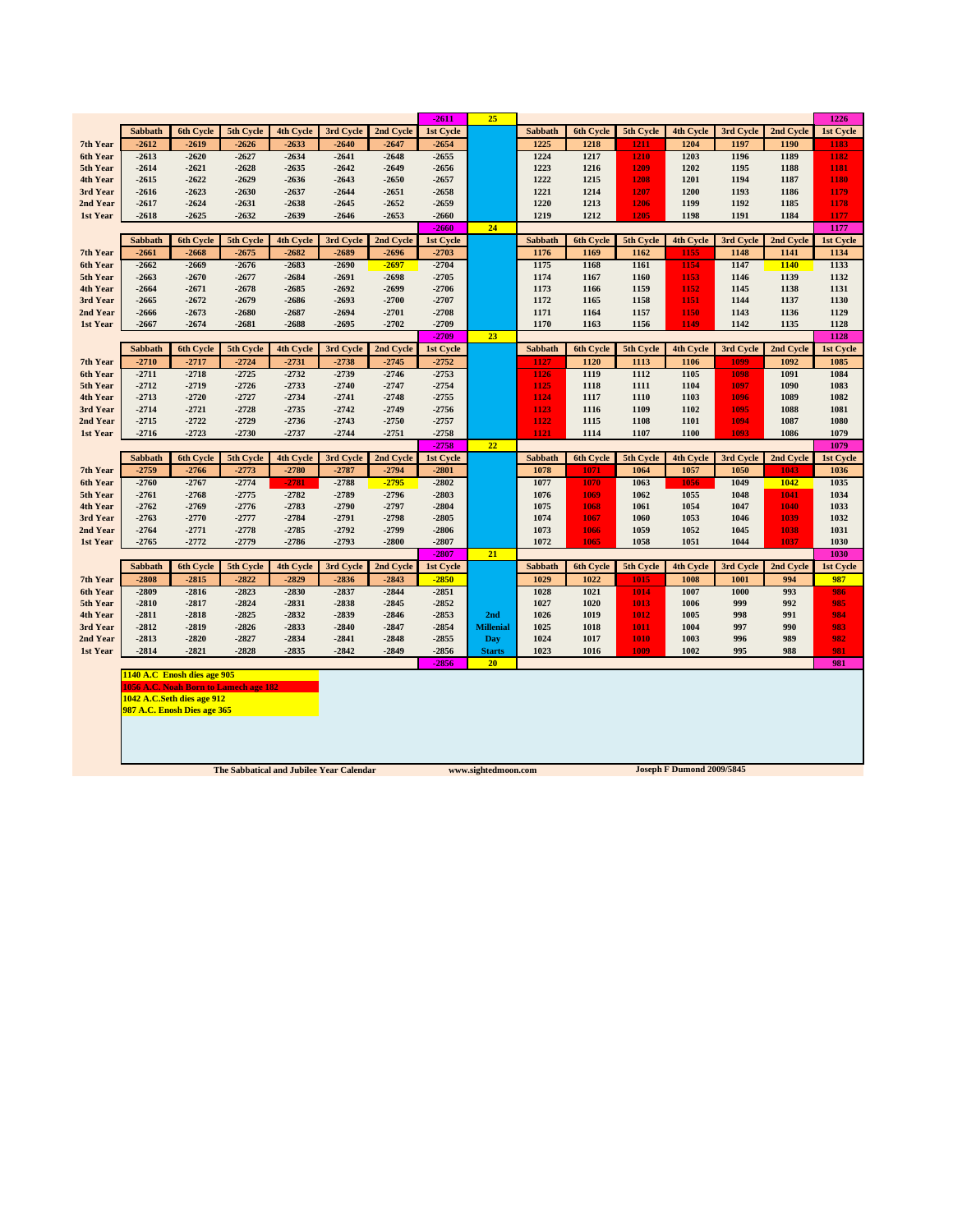|                      |                             |                    |                                       |                    |                    |                    | $-2611$            | 25               |                |                  |              |                  |              |              | 1226             |
|----------------------|-----------------------------|--------------------|---------------------------------------|--------------------|--------------------|--------------------|--------------------|------------------|----------------|------------------|--------------|------------------|--------------|--------------|------------------|
|                      | Sabbath                     | 6th Cycle          | 5th Cycle                             | <b>4th Cycle</b>   | 3rd Cycle          | 2nd Cycle          | <b>1st Cycle</b>   |                  | Sabbath        | <b>6th Cycle</b> | 5th Cycle    | <b>4th Cycle</b> | 3rd Cycle    | 2nd Cycle    | 1st Cycle        |
| 7th Year             | $-2612$                     | $-2619$            | $-2626$                               | $-2633$            | $-2640$            | $-2647$            | $-2654$            |                  | 1225           | 1218             | 1211         | 1204             | 1197         | 1190         | 1183             |
| 6th Year             | $-2613$                     | $-2620$            | $-2627$                               | $-2634$            | $-2641$            | $-2648$            | $-2655$            |                  | 1224           | 1217             | 1210         | 1203             | 1196         | 1189         | 1182             |
| 5th Year             | $-2614$                     | $-2621$            | $-2628$                               | $-2635$            | $-2642$            | $-2649$            | $-2656$            |                  | 1223           | 1216             | 1209         | 1202             | 1195         | 1188         | 1181             |
| 4th Year             | $-2615$                     | $-2622$            | $-2629$                               | $-2636$            | $-2643$            | $-2650$            | $-2657$            |                  | 1222           | 1215             | 1208         | 1201             | 1194         | 1187         | 1180             |
| 3rd Year             | $-2616$                     | $-2623$            | $-2630$                               | $-2637$            | $-2644$            | $-2651$            | $-2658$            |                  | 1221           | 1214             | 1207         | 1200             | 1193         | 1186         | 1179             |
| 2nd Year             | $-2617$                     | $-2624$            | $-2631$                               | $-2638$            | $-2645$            | $-2652$            | $-2659$            |                  | 1220           | 1213             | 1206         | 1199             | 1192         | 1185         | 1178             |
| 1st Year             | $-2618$                     | $-2625$            | $-2632$                               | $-2639$            | $-2646$            | $-2653$            | $-2660$            |                  | 1219           | 1212             | 1205         | 1198             | 1191         | 1184         | 1177             |
|                      |                             |                    |                                       |                    |                    |                    | $-2660$            | 24               |                |                  |              |                  |              |              | 1177             |
|                      | Sabbath                     | 6th Cycle          | 5th Cycle                             | 4th Cycle          | 3rd Cycle          | 2nd Cycle          | 1st Cycle          |                  | Sabbath        | 6th Cycle        | 5th Cycle    | 4th Cycle        | 3rd Cycle    | 2nd Cycle    | 1st Cycle        |
| 7th Year             | $-2661$                     | $-2668$            | $-2675$                               | $-2682$            | $-2689$            | $-2696$            | $-2703$            |                  | 1176           | 1169             | 1162         | 1155             | 1148         | 1141         | 1134             |
| 6th Year             | $-2662$                     | $-2669$            | $-2676$                               | $-2683$            | $-2690$            | $-2697$            | $-2704$            |                  | 1175           | 1168             | 1161         | 1154             | 1147         | 1140         | 1133             |
| 5th Year             | $-2663$                     | $-2670$            | $-2677$                               | $-2684$            | $-2691$            | $-2698$            | $-2705$            |                  | 1174           | 1167             | 1160         | 1153             | 1146         | 1139         | 1132             |
| 4th Year             | $-2664$                     | $-2671$            | $-2678$                               | $-2685$            | $-2692$            | $-2699$            | $-2706$            |                  | 1173           | 1166             | 1159         | 1152             | 1145         | 1138         | 1131             |
| 3rd Year<br>2nd Year | $-2665$<br>$-2666$          | $-2672$<br>$-2673$ | $-2679$<br>$-2680$                    | $-2686$<br>$-2687$ | $-2693$<br>$-2694$ | $-2700$<br>$-2701$ | $-2707$<br>$-2708$ |                  | 1172<br>1171   | 1165<br>1164     | 1158<br>1157 | 1151<br>1150     | 1144<br>1143 | 1137<br>1136 | 1130<br>1129     |
| 1st Year             | $-2667$                     | $-2674$            | $-2681$                               | $-2688$            | -2695              | $-2702$            | $-2709$            |                  | 1170           | 1163             | 1156         | 1149             | 1142         | 1135         | 1128             |
|                      |                             |                    |                                       |                    |                    |                    | $-2709$            | 23               |                |                  |              |                  |              |              | 1128             |
|                      | Sabbath                     | 6th Cycle          | 5th Cycle                             | <b>4th Cycle</b>   | 3rd Cycle          | 2nd Cycle          | 1st Cycle          |                  | Sabbath        | <b>6th Cycle</b> | 5th Cycle    | <b>4th Cycle</b> | 3rd Cycle    | 2nd Cycle    | 1st Cycle        |
| 7th Year             | $-2710$                     | $-2717$            | $-2724$                               | $-2731$            | $-2738$            | $-2745$            | $-2752$            |                  | 1127           | 1120             | 1113         | 1106             | 1099         | 1092         | 1085             |
| 6th Year             | $-2711$                     | $-2718$            | $-2725$                               | $-2732$            | $-2739$            | $-2746$            | $-2753$            |                  | 1126           | 1119             | 1112         | 1105             | 1098         | 1091         | 1084             |
| 5th Year             | $-2712$                     | $-2719$            | $-2726$                               | $-2733$            | $-2740$            | $-2747$            | $-2754$            |                  | 1125           | 1118             | 1111         | 1104             | 1097         | 1090         | 1083             |
| 4th Year             | $-2713$                     | $-2720$            | $-2727$                               | $-2734$            | $-2741$            | $-2748$            | $-2755$            |                  | 1124           | 1117             | 1110         | 1103             | 1096         | 1089         | 1082             |
| 3rd Year             | $-2714$                     | $-2721$            | $-2728$                               | $-2735$            | $-2742$            | $-2749$            | $-2756$            |                  | 1123           | 1116             | 1109         | 1102             | 1095         | 1088         | 1081             |
| 2nd Year             | $-2715$                     | $-2722$            | $-2729$                               | $-2736$            | $-2743$            | $-2750$            | $-2757$            |                  | 1122           | 1115             | 1108         | 1101             | 1094         | 1087         | 1080             |
| 1st Year             | $-2716$                     | $-2723$            | $-2730$                               | $-2737$            | $-2744$            | $-2751$            | $-2758$            |                  | 1121           | 1114             | 1107         | 1100             | 1093         | 1086         | 1079             |
|                      |                             |                    |                                       |                    |                    |                    | $-2758$            | 22               |                |                  |              |                  |              |              | 1079             |
|                      | Sabbath                     | 6th Cycle          | 5th Cycle                             | 4th Cycle          | 3rd Cycle          | 2nd Cycle          | 1st Cycle          |                  | <b>Sabbath</b> | 6th Cycle        | 5th Cycle    | 4th Cycle        | 3rd Cycle    | 2nd Cycle    | 1st Cycle        |
| 7th Year             | $-2759$<br>$-2760$          | $-2766$<br>$-2767$ | $-2773$<br>$-2774$                    | $-2780$<br>$-2781$ | $-2787$<br>$-2788$ | $-2794$<br>$-2795$ | $-2801$<br>$-2802$ |                  | 1078<br>1077   | 1071<br>1070     | 1064<br>1063 | 1057<br>1056     | 1050<br>1049 | 1043<br>1042 | 1036<br>1035     |
| 6th Year<br>5th Year | $-2761$                     | $-2768$            | $-2775$                               | $-2782$            | $-2789$            | $-2796$            | $-2803$            |                  | 1076           | 1069             | 1062         | 1055             | 1048         | 1041         | 1034             |
| 4th Year             | $-2762$                     | $-2769$            | $-2776$                               | $-2783$            | $-2790$            | $-2797$            | $-2804$            |                  | 1075           | 1068             | 1061         | 1054             | 1047         | 1040         | 1033             |
| 3rd Year             | $-2763$                     | $-2770$            | $-2777$                               | $-2784$            | $-2791$            | $-2798$            | $-2805$            |                  | 1074           | 1067             | 1060         | 1053             | 1046         | 1039         | 1032             |
| 2nd Year             | $-2764$                     | $-2771$            | $-2778$                               | $-2785$            | $-2792$            | $-2799$            | $-2806$            |                  | 1073           | 1066             | 1059         | 1052             | 1045         | 1038         | 1031             |
| 1st Year             | $-2765$                     | $-2772$            | $-2779$                               | $-2786$            | $-2793$            | $-2800$            | $-2807$            |                  | 1072           | 1065             | 1058         | 1051             | 1044         | 1037         | 1030             |
|                      |                             |                    |                                       |                    |                    |                    | $-2807$            | 21               |                |                  |              |                  |              |              | 1030             |
|                      | <b>Sabbath</b>              | <b>6th Cycle</b>   | 5th Cycle                             | <b>4th Cycle</b>   | 3rd Cycle          | 2nd Cycle          | 1st Cycle          |                  | Sabbath        | <b>6th Cycle</b> | 5th Cycle    | <b>4th Cycle</b> | 3rd Cycle    | 2nd Cycle    | <b>1st Cycle</b> |
| 7th Year             | $-2808$                     | $-2815$            | $-2822$                               | $-2829$            | $-2836$            | $-2843$            | $-2850$            |                  | 1029           | 1022             | 1015         | 1008             | 1001         | 994          | 987              |
| 6th Year             | $-2809$                     | $-2816$            | $-2823$                               | $-2830$            | $-2837$            | $-2844$            | $-2851$            |                  | 1028           | 1021             | 1014         | 1007             | 1000         | 993          | 986              |
| 5th Year             | $-2810$                     | $-2817$            | $-2824$                               | $-2831$            | $-2838$            | $-2845$            | $-2852$            |                  | 1027           | 1020             | 1013         | 1006             | 999          | 992          | 985              |
| 4th Year             | $-2811$                     | $-2818$            | $-2825$                               | $-2832$            | $-2839$            | $-2846$            | $-2853$            | 2nd              | 1026           | 1019             | 1012         | 1005             | 998          | 991          | 984              |
| 3rd Year             | $-2812$                     | $-2819$            | $-2826$                               | $-2833$            | $-2840$            | $-2847$            | $-2854$            | <b>Millenial</b> | 1025           | 1018             | 1011         | 1004             | 997          | 990          | 983              |
| 2nd Year             | $-2813$                     | $-2820$            | $-2827$                               | $-2834$            | $-2841$            | $-2848$            | $-2855$            | Day              | 1024           | 1017             | 1010         | 1003             | 996          | 989          | 982              |
| 1st Year             | $-2814$                     | $-2821$            | $-2828$                               | $-2835$            | $-2842$            | -2849              | $-2856$            | <b>Starts</b>    | 1023           | 1016             | 1009         | 1002             | 995          | 988          | 981              |
|                      |                             |                    |                                       |                    |                    |                    | $-2856$            | 20               |                |                  |              |                  |              |              | 981              |
|                      | 1140 A.C Enosh dies age 905 |                    | 1056 A.C. Noah Born to Lamech age 182 |                    |                    |                    |                    |                  |                |                  |              |                  |              |              |                  |
|                      | 1042 A.C.Seth dies age 912  |                    |                                       |                    |                    |                    |                    |                  |                |                  |              |                  |              |              |                  |
|                      | 987 A.C. Enosh Dies age 365 |                    |                                       |                    |                    |                    |                    |                  |                |                  |              |                  |              |              |                  |
|                      |                             |                    |                                       |                    |                    |                    |                    |                  |                |                  |              |                  |              |              |                  |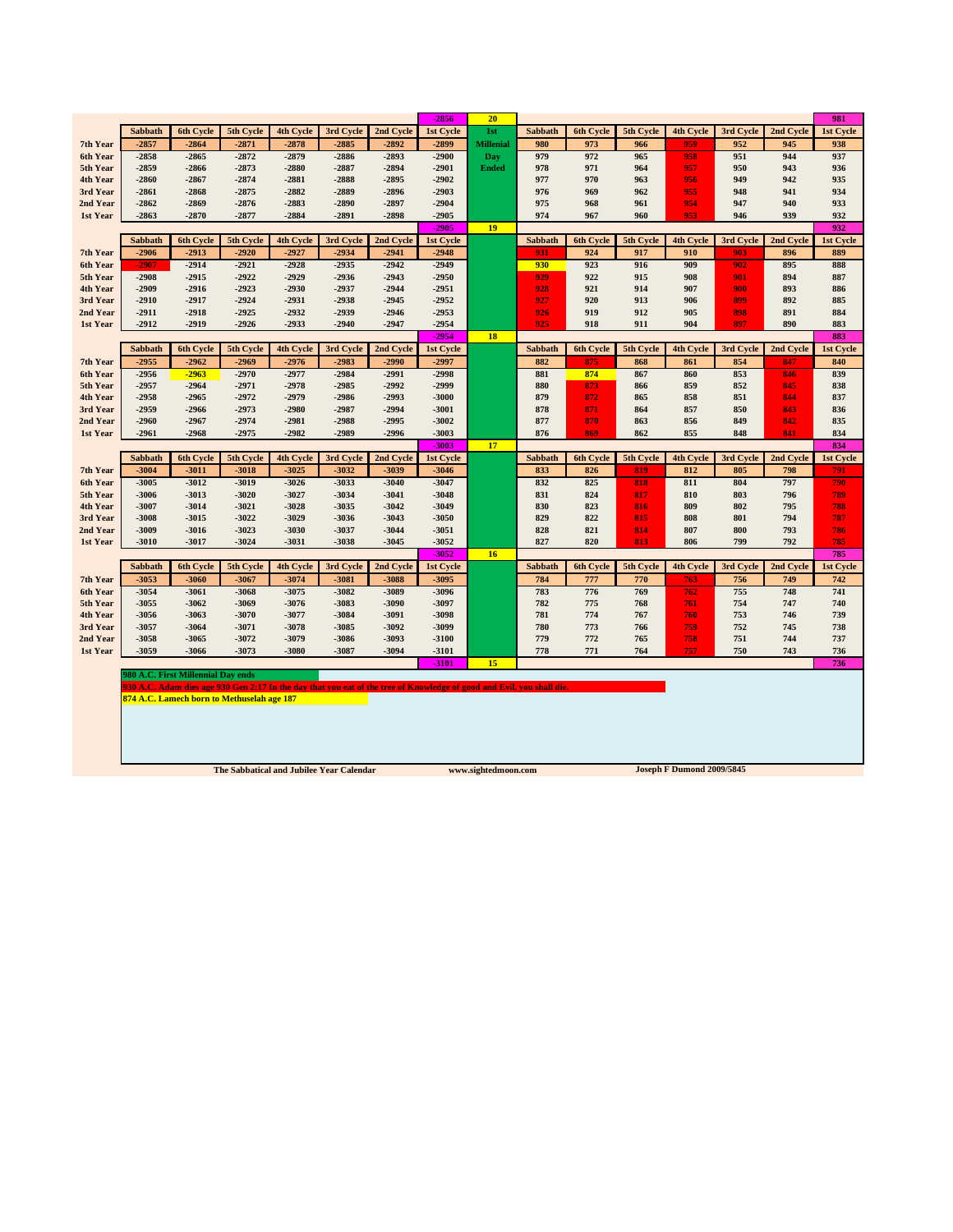|          |                |                                          |                                                                                                                       |                  |           |           | $-2856$            | 20               |                |                  |           |                  |           |           | 981              |
|----------|----------------|------------------------------------------|-----------------------------------------------------------------------------------------------------------------------|------------------|-----------|-----------|--------------------|------------------|----------------|------------------|-----------|------------------|-----------|-----------|------------------|
|          | Sabbath        | <b>6th Cycle</b>                         | 5th Cycle                                                                                                             | <b>4th Cycle</b> | 3rd Cycle | 2nd Cycle | 1st Cycle          | 1st              | Sabbath        | <b>6th Cycle</b> | 5th Cycle | 4th Cycle        | 3rd Cycle | 2nd Cycle | 1st Cycle        |
| 7th Year | $-2857$        | $-2864$                                  | $-2871$                                                                                                               | $-2878$          | $-2885$   | $-2892$   | $-2899$            | <b>Millenial</b> | 980            | 973              | 966       | 959              | 952       | 945       | 938              |
| 6th Year | $-2858$        | $-2865$                                  | $-2872$                                                                                                               | $-2879$          | $-2886$   | $-2893$   | $-2900$            | Day              | 979            | 972              | 965       | 958              | 951       | 944       | 937              |
| 5th Year | $-2859$        | $-2866$                                  | $-2873$                                                                                                               | $-2880$          | $-2887$   | $-2894$   | $-2901$            | <b>Ended</b>     | 978            | 971              | 964       | 957              | 950       | 943       | 936              |
| 4th Year | $-2860$        | $-2867$                                  | $-2874$                                                                                                               | $-2881$          | $-2888$   | $-2895$   | $-2902$            |                  | 977            | 970              | 963       | 956              | 949       | 942       | 935              |
| 3rd Year | $-2861$        | $-2868$                                  | $-2875$                                                                                                               | $-2882$          | $-2889$   | $-2896$   | $-2903$            |                  | 976            | 969              | 962       | 955              | 948       | 941       | 934              |
| 2nd Year | $-2862$        | -2869                                    | $-2876$                                                                                                               | $-2883$          | $-2890$   | -2897     | $-2904$            |                  | 975            | 968              | 961       | 954              | 947       | 940       | 933              |
| 1st Year | $-2863$        | $-2870$                                  | $-2877$                                                                                                               | $-2884$          | -2891     | $-2898$   | $-2905$            |                  | 974            | 967              | 960       | 953              | 946       | 939       | 932              |
|          |                |                                          |                                                                                                                       |                  |           |           | $-2905$            | 19               |                |                  |           |                  |           |           | 932              |
|          | Sabbath        | 6th Cycle                                | 5th Cycle                                                                                                             | <b>4th Cycle</b> | 3rd Cycle | 2nd Cycle | 1st Cycle          |                  | Sabbath        | <b>6th Cycle</b> | 5th Cycle | 4th Cycle        | 3rd Cycle | 2nd Cycle | 1st Cycle        |
| 7th Year | $-2906$        | $-2913$                                  | $-2920$                                                                                                               | $-2927$          | $-2934$   | $-2941$   | $-2948$            |                  | 931            | 924              | 917       | 910              | 903       | 896       | 889              |
| 6th Year | -2907          | $-2914$                                  | $-2921$                                                                                                               | $-2928$          | $-2935$   | $-2942$   | $-2949$            |                  | 930            | 923              | 916       | 909              | 902       | 895       | 888              |
| 5th Year | $-2908$        | $-2915$                                  | $-2922$                                                                                                               | $-2929$          | $-2936$   | $-2943$   | $-2950$            |                  | 929            | 922              | 915       | 908              | 901       | 894       | 887              |
| 4th Year | $-2909$        | $-2916$                                  | $-2923$                                                                                                               | $-2930$          | $-2937$   | $-2944$   | $-2951$            |                  | 928            | 921              | 914       | 907              | 900       | 893       | 886              |
| 3rd Year | -2910          | $-2917$                                  | $-2924$                                                                                                               | $-2931$          | -2938     | $-2945$   | $-2952$            |                  | 927            | 920              | 913       | 906              | 899       | 892       | 885              |
| 2nd Year | $-2911$        | $-2918$                                  | $-2925$                                                                                                               | $-2932$          | $-2939$   | $-2946$   | $-2953$            |                  | 926            | 919              | 912       | 905              | 898       | 891       | 884              |
| 1st Year | $-2912$        | $-2919$                                  | $-2926$                                                                                                               | $-2933$          | $-2940$   | $-2947$   | $-2954$<br>$-2954$ |                  | 925            | 918              | 911       | 904              | 897       | 890       | 883<br>883       |
|          | Sabbath        | 6th Cycle                                | 5th Cycle                                                                                                             | <b>4th Cycle</b> | 3rd Cycle | 2nd Cycle | 1st Cycle          | 18               | Sabbath        | 6th Cycle        | 5th Cycle | <b>4th Cycle</b> | 3rd Cycle | 2nd Cycle | <b>1st Cycle</b> |
| 7th Year | $-2955$        | $-2962$                                  | $-2969$                                                                                                               | $-2976$          | $-2983$   | $-2990$   | $-2997$            |                  | 882            | 875              | 868       | 861              | 854       | 847       | 840              |
| 6th Year | $-2956$        | $-2963$                                  | $-2970$                                                                                                               | $-2977$          | $-2984$   | $-2991$   | $-2998$            |                  | 881            | 874              | 867       | 860              | 853       | 846       | 839              |
| 5th Year | $-2957$        | $-2964$                                  | $-2971$                                                                                                               | $-2978$          | -2985     | $-2992$   | $-2999$            |                  | 880            | 873              | 866       | 859              | 852       | 845       | 838              |
| 4th Year | $-2958$        | $-2965$                                  | $-2972$                                                                                                               | $-2979$          | $-2986$   | $-2993$   | $-3000$            |                  | 879            | 872              | 865       | 858              | 851       | 844       | 837              |
| 3rd Year | $-2959$        | $-2966$                                  | $-2973$                                                                                                               | $-2980$          | $-2987$   | $-2994$   | $-3001$            |                  | 878            | 871              | 864       | 857              | 850       | 843       | 836              |
| 2nd Year | -2960          | $-2967$                                  | $-2974$                                                                                                               | $-2981$          | $-2988$   | $-2995$   | $-3002$            |                  | 877            | 870              | 863       | 856              | 849       | 842       | 835              |
| 1st Year | -2961          | $-2968$                                  | $-2975$                                                                                                               | $-2982$          | $-2989$   | $-2996$   | $-3003$            |                  | 876            | 869              | 862       | 855              | 848       | 841       | 834              |
|          |                |                                          |                                                                                                                       |                  |           |           | $-3003$            | 17               |                |                  |           |                  |           |           | 834              |
|          | <b>Sabbath</b> | 6th Cycle                                | 5th Cycle                                                                                                             | 4th Cycle        | 3rd Cycle | 2nd Cycle | 1st Cycle          |                  | <b>Sabbath</b> | 6th Cycle        | 5th Cycle | 4th Cycle        | 3rd Cycle | 2nd Cycle | 1st Cycle        |
| 7th Year | $-3004$        | $-3011$                                  | $-3018$                                                                                                               | $-3025$          | $-3032$   | $-3039$   | $-3046$            |                  | 833            | 826              | 819       | 812              | 805       | 798       | 791              |
| 6th Year | $-3005$        | $-3012$                                  | $-3019$                                                                                                               | $-3026$          | $-3033$   | $-3040$   | $-3047$            |                  | 832            | 825              | 818       | 811              | 804       | 797       | 790              |
| 5th Year | $-3006$        | $-3013$                                  | $-3020$                                                                                                               | $-3027$          | $-3034$   | $-3041$   | $-3048$            |                  | 831            | 824              | 817       | 810              | 803       | 796       | 789              |
| 4th Year | -3007          | $-3014$                                  | $-3021$                                                                                                               | $-3028$          | $-3035$   | $-3042$   | $-3049$            |                  | 830            | 823              | 816       | 809              | 802       | 795       | 788              |
| 3rd Year | $-3008$        | $-3015$                                  | $-3022$                                                                                                               | $-3029$          | $-3036$   | $-3043$   | $-3050$            |                  | 829            | 822              | 815       | 808              | 801       | 794       | 787              |
| 2nd Year | $-3009$        | $-3016$                                  | $-3023$                                                                                                               | $-3030$          | $-3037$   | $-3044$   | $-3051$            |                  | 828            | 821              | 814       | 807              | 800       | 793       | 786              |
| 1st Year | $-3010$        | $-3017$                                  | $-3024$                                                                                                               | $-3031$          | $-3038$   | $-3045$   | $-3052$            |                  | 827            | 820              | 813       | 806              | 799       | 792       | 785              |
|          |                |                                          |                                                                                                                       |                  |           |           | $-3052$            | 16               |                |                  |           |                  |           |           | 785              |
|          | Sabbath        | <b>6th Cycle</b>                         | 5th Cycle                                                                                                             | <b>4th Cycle</b> | 3rd Cycle | 2nd Cycle | 1st Cycle          |                  | Sabbath        | <b>6th Cycle</b> | 5th Cycle | <b>4th Cycle</b> | 3rd Cycle | 2nd Cycle | <b>1st Cycle</b> |
| 7th Year | $-3053$        | $-3060$                                  | $-3067$                                                                                                               | $-3074$          | $-3081$   | -3088     | $-3095$            |                  | 784            | 777              | 770       | 763              | 756       | 749       | 742              |
| 6th Year | $-3054$        | $-3061$                                  | $-3068$                                                                                                               | $-3075$          | $-3082$   | -3089     | $-3096$            |                  | 783            | 776              | 769       | 762              | 755       | 748       | 741              |
| 5th Year | $-3055$        | $-3062$                                  | $-3069$                                                                                                               | $-3076$          | -3083     | $-3090$   | $-3097$            |                  | 782            | 775              | 768       | 761              | 754       | 747       | 740              |
| 4th Year | $-3056$        | $-3063$                                  | $-3070$                                                                                                               | $-3077$          | $-3084$   | $-3091$   | $-3098$            |                  | 781            | 774              | 767       | 760              | 753       | 746       | 739              |
| 3rd Year | $-3057$        | $-3064$                                  | $-3071$                                                                                                               | $-3078$          | -3085     | $-3092$   | $-3099$            |                  | 780            | 773              | 766       | 759              | 752       | 745       | 738              |
| 2nd Year | -3058          | $-3065$                                  | $-3072$                                                                                                               | $-3079$          | -3086     | -3093     | $-3100$            |                  | 779            | 772              | 765       | 758              | 751       | 744       | 737              |
| 1st Year | $-3059$        | -3066                                    | $-3073$                                                                                                               | $-3080$          | -3087     | $-3094$   | $-3101$            | 15               | 778            | 771              | 764       | 757              | 750       | 743       | 736              |
|          |                | <b>80 A.C. First Millennial Day ends</b> |                                                                                                                       |                  |           |           | $-3101$            |                  |                |                  |           |                  |           |           | 736              |
|          |                |                                          | 930 A.C. Adam dies age 930 Gen 2:17 In the day that you eat of the tree of Knowledge of good and Evil, you shall die. |                  |           |           |                    |                  |                |                  |           |                  |           |           |                  |
|          |                |                                          | 874 A.C. Lamech born to Methuselah age 187                                                                            |                  |           |           |                    |                  |                |                  |           |                  |           |           |                  |
|          |                |                                          |                                                                                                                       |                  |           |           |                    |                  |                |                  |           |                  |           |           |                  |
|          |                |                                          |                                                                                                                       |                  |           |           |                    |                  |                |                  |           |                  |           |           |                  |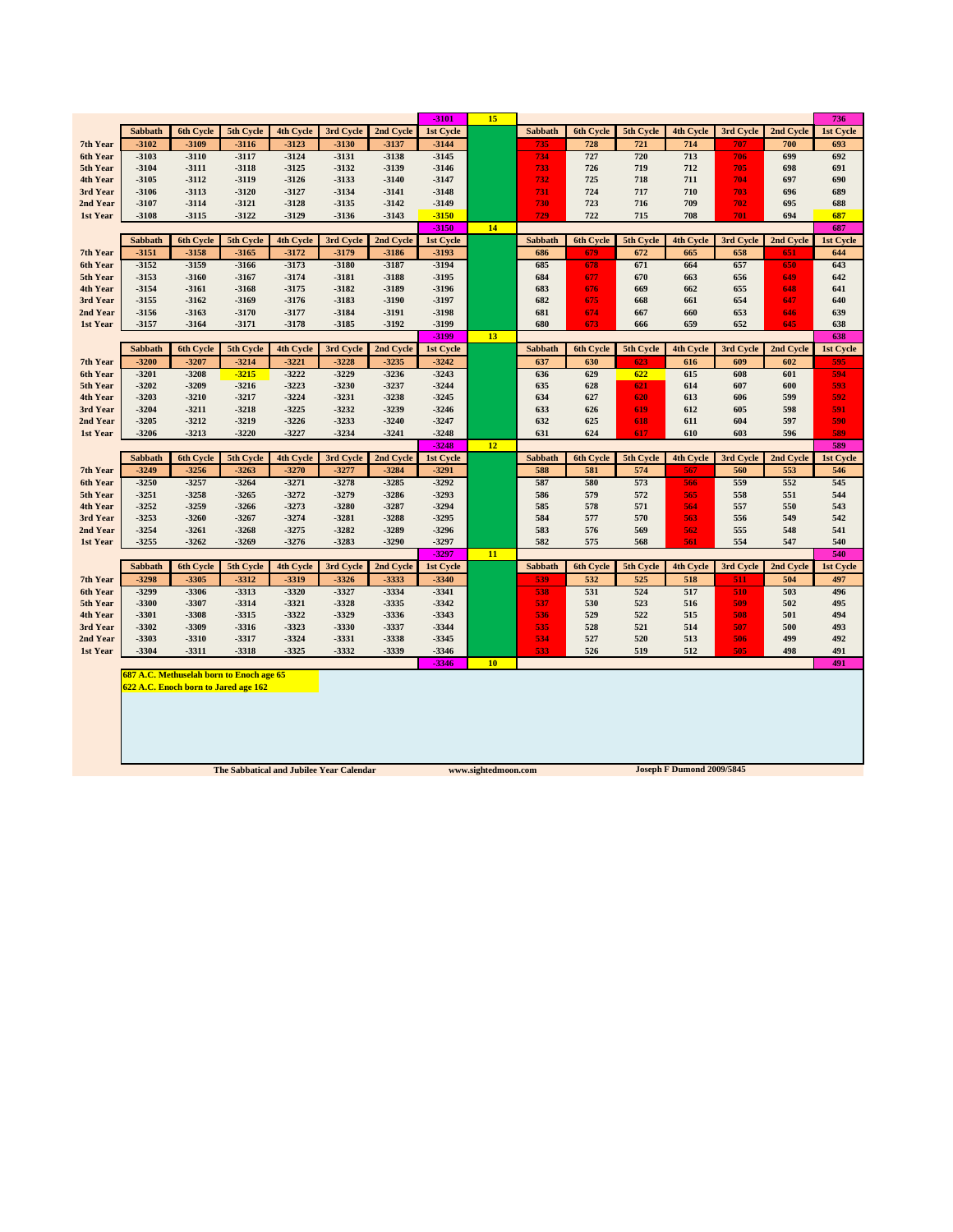|                      |                  |                                          |                    |                    |                                          |                  | $-3101$            | 15                  |                |            |            |                                  |            |            | 736              |
|----------------------|------------------|------------------------------------------|--------------------|--------------------|------------------------------------------|------------------|--------------------|---------------------|----------------|------------|------------|----------------------------------|------------|------------|------------------|
|                      | Sabbath          | <b>6th Cycle</b>                         | 5th Cycle          | 4th Cycle          | 3rd Cycle                                | 2nd Cycle        | 1st Cycle          |                     | Sabbath        | 6th Cycle  | 5th Cycle  | 4th Cycle                        | 3rd Cycle  | 2nd Cycle  | 1st Cycle        |
| 7th Year             | $-3102$          | $-3109$                                  | $-3116$            | $-3123$            | $-3130$                                  | -3137            | $-3144$            |                     | 735            | 728        | 721        | 714                              | 707        | 700        | 693              |
| 6th Year             | $-3103$          | $-3110$                                  | $-3117$            | $-3124$            | $-3131$                                  | $-3138$          | $-3145$            |                     | 734            | 727        | 720        | 713                              | 706        | 699        | 692              |
| 5th Year             | $-3104$          | $-3111$                                  | $-3118$            | $-3125$            | $-3132$                                  | -3139            | $-3146$            |                     | 733            | 726        | 719        | 712                              | 705        | 698        | 691              |
| 4th Year             | $-3105$          | $-3112$                                  | $-3119$            | $-3126$            | -3133                                    | $-3140$          | $-3147$            |                     | 732            | 725        | 718        | 711                              | 704        | 697        | 690              |
| 3rd Year             | $-3106$          | $-3113$                                  | $-3120$            | $-3127$            | $-3134$                                  | $-3141$          | $-3148$            |                     | 731            | 724        | 717        | 710                              | 703        | 696        | 689              |
| 2nd Year             | -3107            | $-3114$                                  | $-3121$            | $-3128$            | -3135                                    | $-3142$          | $-3149$            |                     | 730            | 723        | 716        | 709                              | 702        | 695        | 688              |
| 1st Year             | $-3108$          | $-3115$                                  | $-3122$            | $-3129$            | $-3136$                                  | $-3143$          | $-3150$            |                     | 729            | 722        | 715        | 708                              | 701        | 694        | 687              |
|                      |                  |                                          |                    |                    |                                          |                  | $-3150$            | 14                  |                |            |            |                                  |            |            | 687              |
|                      | Sabbath          | 6th Cycle                                | 5th Cycle          | 4th Cycle          | 3rd Cycle                                | 2nd Cycle        | 1st Cycle          |                     | Sabbath        | 6th Cycle  | 5th Cycle  | 4th Cycle                        | 3rd Cycle  | 2nd Cycle  | 1st Cycle        |
| 7th Year             | $-3151$          | $-3158$                                  | $-3165$            | $-3172$            | $-3179$                                  | -3186            | $-3193$            |                     | 686            | 679        | 672        | 665                              | 658        | 651        | 644              |
| 6th Year             | $-3152$          | $-3159$                                  | $-3166$            | $-3173$            | $-3180$                                  | $-3187$          | $-3194$            |                     | 685            | 678        | 671        | 664                              | 657        | 650        | 643              |
| 5th Year             | $-3153$          | $-3160$                                  | $-3167$            | $-3174$            | $-3181$                                  | $-3188$          | $-3195$            |                     | 684            | 677        | 670        | 663                              | 656        | 649        | 642              |
| 4th Year             | $-3154$          | $-3161$                                  | $-3168$            | $-3175$            | -3182                                    | -3189            | $-3196$            |                     | 683            | 676        | 669        | 662                              | 655        | 648        | 641              |
| 3rd Year             | $-3155$          | $-3162$                                  | $-3169$            | $-3176$            | -3183                                    | $-3190$          | $-3197$            |                     | 682            | 675        | 668        | 661                              | 654        | 647        | 640              |
| 2nd Year<br>1st Year | $-3156$<br>-3157 | $-3163$<br>$-3164$                       | $-3170$<br>$-3171$ | $-3177$<br>$-3178$ | $-3184$<br>-3185                         | $-3191$<br>-3192 | $-3198$<br>$-3199$ |                     | 681<br>680     | 674<br>673 | 667<br>666 | 660<br>659                       | 653<br>652 | 646<br>645 | 639<br>638       |
|                      |                  |                                          |                    |                    |                                          |                  | $-3199$            | 13                  |                |            |            |                                  |            |            | 638              |
|                      | Sabbath          | 6th Cycle                                | 5th Cycle          | 4th Cycle          | 3rd Cycle                                | 2nd Cycle        | 1st Cycle          |                     | <b>Sabbath</b> | 6th Cycle  | 5th Cycle  | 4th Cycle                        | 3rd Cycle  | 2nd Cycle  | 1st Cycle        |
| 7th Year             | $-3200$          | $-3207$                                  | $-3214$            | $-3221$            | $-3228$                                  | -3235            | $-3242$            |                     | 637            | 630        | 623        | 616                              | 609        | 602        | 595              |
| 6th Year             | $-3201$          | $-3208$                                  | $-3215$            | $-3222$            | $-3229$                                  | $-3236$          | $-3243$            |                     | 636            | 629        | 622        | 615                              | 608        | 601        | 594              |
| 5th Year             | $-3202$          | $-3209$                                  | $-3216$            | $-3223$            | $-3230$                                  | $-3237$          | $-3244$            |                     | 635            | 628        | 621        | 614                              | 607        | 600        | 593              |
| 4th Year             | $-3203$          | $-3210$                                  | $-3217$            | $-3224$            | $-3231$                                  | $-3238$          | $-3245$            |                     | 634            | 627        | 620        | 613                              | 606        | 599        | 592              |
| 3rd Year             | $-3204$          | $-3211$                                  | $-3218$            | $-3225$            | $-3232$                                  | -3239            | $-3246$            |                     | 633            | 626        | 619        | 612                              | 605        | 598        | 591              |
| 2nd Year             | $-3205$          | $-3212$                                  | $-3219$            | $-3226$            | $-3233$                                  | $-3240$          | $-3247$            |                     | 632            | 625        | 618        | 611                              | 604        | 597        | 590              |
| 1st Year             | $-3206$          | $-3213$                                  | $-3220$            | $-3227$            | $-3234$                                  | $-3241$          | $-3248$            |                     | 631            | 624        | 617        | 610                              | 603        | 596        | 589              |
|                      |                  |                                          |                    |                    |                                          |                  |                    |                     |                |            |            |                                  |            |            |                  |
|                      |                  |                                          |                    |                    |                                          |                  | $-3248$            | 12                  |                |            |            |                                  |            |            | 589              |
|                      | <b>Sabbath</b>   | 6th Cycle                                | 5th Cycle          | <b>4th Cycle</b>   | 3rd Cycle                                | 2nd Cycle        | 1st Cycle          |                     | Sabbath        | 6th Cycle  | 5th Cycle  | 4th Cycle                        | 3rd Cycle  | 2nd Cycle  | 1st Cycle        |
| 7th Year             | $-3249$          | $-3256$                                  | $-3263$            | $-3270$            | $-3277$                                  | $-3284$          | $-3291$            |                     | 588            | 581        | 574        | 567                              | 560        | 553        | 546              |
| 6th Year             | $-3250$          | $-3257$                                  | $-3264$            | $-3271$            | $-3278$                                  | $-3285$          | $-3292$            |                     | 587            | 580        | 573        | 566                              | 559        | 552        | 545              |
| 5th Year             | $-3251$          | $-3258$                                  | $-3265$            | $-3272$            | $-3279$                                  | $-3286$          | $-3293$            |                     | 586            | 579        | 572        | 565                              | 558        | 551        | 544              |
| 4th Year             | $-3252$          | $-3259$                                  | $-3266$            | $-3273$            | $-3280$                                  | $-3287$          | $-3294$            |                     | 585            | 578        | 571        | 564                              | 557        | 550        | 543              |
| 3rd Year             | $-3253$          | $-3260$                                  | $-3267$            | $-3274$            | $-3281$                                  | $-3288$          | $-3295$            |                     | 584            | 577        | 570        | 563                              | 556        | 549        | 542              |
| 2nd Year             | $-3254$          | $-3261$                                  | $-3268$            | $-3275$            | $-3282$                                  | -3289            | $-3296$            |                     | 583            | 576        | 569        | 562                              | 555        | 548        | 541              |
| 1st Year             | $-3255$          | $-3262$                                  | $-3269$            | $-3276$            | $-3283$                                  | $-3290$          | $-3297$            |                     | 582            | 575        | 568        | 561                              | 554        | 547        | 540              |
|                      | Sabbath          | 6th Cycle                                | 5th Cycle          | 4th Cycle          | 3rd Cycle                                | 2nd Cycle        | $-3297$            | 11                  | Sabbath        | 6th Cycle  | 5th Cycle  | 4th Cycle                        | 3rd Cycle  | 2nd Cycle  | 540<br>1st Cycle |
| 7th Year             | $-3298$          | -3305                                    | $-3312$            | $-3319$            | $-3326$                                  | -3333            | 1st Cycle<br>-3340 |                     | 539            | 532        | 525        | 518                              | 511        | 504        | 497              |
| 6th Year             | -3299            | -3306                                    | $-3313$            | $-3320$            | $-3327$                                  | -3334            | -3341              |                     | 538            | 531        | 524        | 517                              | 510        | 503        | 496              |
| 5th Year             | -3300            | -3307                                    | -3314              | -3321              | -3328                                    | -3335            | $-3342$            |                     | 537            | 530        | 523        | 516                              | 509        | 502        | 495              |
| 4th Year             | $-3301$          | -3308                                    | -3315              | $-3322$            | $-3329$                                  | -3336            | $-3343$            |                     | 536            | 529        | 522        | 515                              | 508        | 501        | 494              |
| 3rd Year             | $-3302$          | -3309                                    | $-3316$            | $-3323$            | -3330                                    | -3337            | $-3344$            |                     | 535            | 528        | 521        | 514                              | 507        | 500        | 493              |
| 2nd Year             | -3303            | -3310                                    | -3317              | $-3324$            | -3331                                    | -3338            | -3345              |                     | 534            | 527        | 520        | 513                              | 506        | 499        | 492              |
| 1st Year             | $-3304$          | $-3311$                                  | -3318              | $-3325$            | -3332                                    | -3339            | -3346              |                     | 533            | 526        | 519        | 512                              | 505        | 498        | 491              |
|                      |                  |                                          |                    |                    |                                          |                  | $-3346$            | 10                  |                |            |            |                                  |            |            | 491              |
|                      |                  | 687 A.C. Methuselah born to Enoch age 65 |                    |                    |                                          |                  |                    |                     |                |            |            |                                  |            |            |                  |
|                      |                  | 622 A.C. Enoch born to Jared age 162     |                    |                    |                                          |                  |                    |                     |                |            |            |                                  |            |            |                  |
|                      |                  |                                          |                    |                    |                                          |                  |                    |                     |                |            |            |                                  |            |            |                  |
|                      |                  |                                          |                    |                    |                                          |                  |                    |                     |                |            |            |                                  |            |            |                  |
|                      |                  |                                          |                    |                    |                                          |                  |                    |                     |                |            |            |                                  |            |            |                  |
|                      |                  |                                          |                    |                    |                                          |                  |                    |                     |                |            |            |                                  |            |            |                  |
|                      |                  |                                          |                    |                    | The Sabbatical and Jubilee Year Calendar |                  |                    | www.sightedmoon.com |                |            |            | <b>Joseph F Dumond 2009/5845</b> |            |            |                  |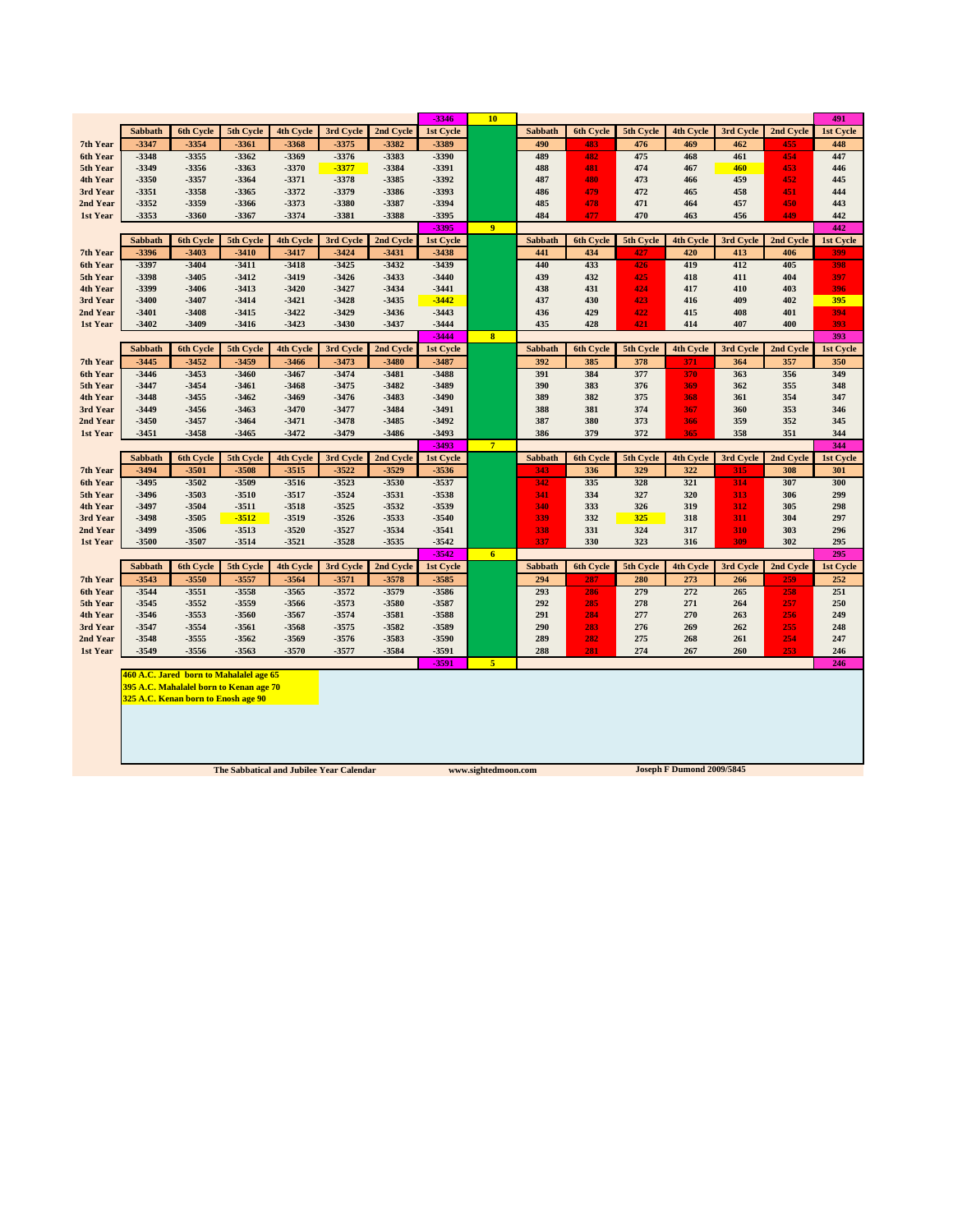|                      |                  |                                         |                    |                    |                    |                | $-3346$            | 10              |                |                  |            |                  |            |            | 491              |
|----------------------|------------------|-----------------------------------------|--------------------|--------------------|--------------------|----------------|--------------------|-----------------|----------------|------------------|------------|------------------|------------|------------|------------------|
|                      | Sabbath          | 6th Cycle                               | 5th Cycle          | 4th Cycle          | 3rd Cycle          | 2nd Cycle      | 1st Cycle          |                 | Sabbath        | 6th Cycle        | 5th Cycle  | 4th Cycle        | 3rd Cycle  | 2nd Cycle  | 1st Cycle        |
| 7th Year             | $-3347$          | -3354                                   | $-3361$            | $-3368$            | -3375              | $-3382$        | -3389              |                 | 490            | 483              | 476        | 469              | 462        | 455        | 448              |
| 6th Year             | $-3348$          | $-3355$                                 | $-3362$            | -3369              | -3376              | -3383          | $-3390$            |                 | 489            | 482              | 475        | 468              | 461        | 454        | 447              |
| 5th Year             | -3349            | -3356                                   | -3363              | -3370              | $-3377$            | -3384          | -3391              |                 | 488            | 481              | 474        | 467              | 460        | 453        | 446              |
| 4th Year             | -3350            | $-3357$                                 | $-3364$            | $-3371$            | $-3378$            | -3385          | $-3392$            |                 | 487            | 480              | 473        | 466              | 459        | 452        | 445              |
| 3rd Year             | $-3351$          | $-3358$                                 | -3365              | $-3372$            | -3379              | -3386          | -3393              |                 | 486            | 479              | 472        | 465              | 458        | 451        | 444              |
| 2nd Year             | -3352            | -3359                                   | -3366              | -3373              | -3380              | -3387          | -3394              |                 | 485            | 478              | 471        | 464              | 457        | 450        | 443              |
| 1st Year             | -3353            | -3360                                   | -3367              | -3374              | $-3381$            | -3388          | -3395              |                 | 484            | 477              | 470        | 463              | 456        | 449        | 442              |
|                      |                  |                                         |                    |                    |                    |                | -3395              | $\overline{9}$  |                |                  |            |                  |            |            | 442              |
|                      | <b>Sabbath</b>   | 6th Cycle                               | 5th Cycle          | 4th Cycle          | 3rd Cycle          | 2nd Cycle      | 1st Cycle          |                 | Sabbath        | 6th Cycle        | 5th Cycle  | 4th Cycle        | 3rd Cycle  | 2nd Cycle  | 1st Cycle        |
| 7th Year             | -3396            | $-3403$                                 | $-3410$            | $-3417$            | $-3424$            | $-3431$        | -3438              |                 | 441            | 434              | 427        | 420              | 413        | 406        | 399              |
| 6th Year             | -3397            | $-3404$                                 | $-3411$            | $-3418$            | $-3425$            | $-3432$        | $-3439$            |                 | 440            | 433              | 426        | 419              | 412        | 405        | 398              |
| 5th Year             | -3398            | $-3405$                                 | $-3412$            | $-3419$            | $-3426$            | -3433          | $-3440$            |                 | 439            | 432              | 425        | 418              | 411        | 404        | 397              |
| 4th Year<br>3rd Year | -3399<br>$-3400$ | $-3406$<br>$-3407$                      | $-3413$<br>$-3414$ | $-3420$<br>$-3421$ | $-3427$<br>$-3428$ | -3434<br>-3435 | $-3441$<br>$-3442$ |                 | 438<br>437     | 431<br>430       | 424<br>423 | 417<br>416       | 410<br>409 | 403<br>402 | 396<br>395       |
| 2nd Year             | $-3401$          | $-3408$                                 | $-3415$            | $-3422$            | $-3429$            | $-3436$        | $-3443$            |                 | 436            | 429              | 422        | 415              | 408        | 401        | 394              |
| 1st Year             | $-3402$          | $-3409$                                 | $-3416$            | $-3423$            | $-3430$            | -3437          | $-3444$            |                 | 435            | 428              | 421        | 414              | 407        | 400        | 393              |
|                      |                  |                                         |                    |                    |                    |                | $-3444$            | $\bf{8}$        |                |                  |            |                  |            |            | 393              |
|                      | <b>Sabbath</b>   | 6th Cycle                               | 5th Cycle          | <b>4th Cycle</b>   | 3rd Cycle          | 2nd Cycle      | 1st Cycle          |                 | <b>Sabbath</b> | <b>6th Cycle</b> | 5th Cycle  | <b>4th Cycle</b> | 3rd Cycle  | 2nd Cycle  | 1st Cycle        |
| 7th Year             | $-3445$          | $-3452$                                 | $-3459$            | $-3466$            | $-3473$            | $-3480$        | $-3487$            |                 | 392            | 385              | 378        | 371              | 364        | 357        | 350              |
| 6th Year             | $-3446$          | $-3453$                                 | $-3460$            | $-3467$            | $-3474$            | $-3481$        | $-3488$            |                 | 391            | 384              | 377        | 370              | 363        | 356        | 349              |
| 5th Year             | $-3447$          | $-3454$                                 | $-3461$            | $-3468$            | $-3475$            | $-3482$        | $-3489$            |                 | 390            | 383              | 376        | 369              | 362        | 355        | 348              |
| 4th Year             | $-3448$          | $-3455$                                 | $-3462$            | $-3469$            | $-3476$            | $-3483$        | $-3490$            |                 | 389            | 382              | 375        | 368              | 361        | 354        | 347              |
| 3rd Year             | $-3449$          | $-3456$                                 | $-3463$            | $-3470$            | $-3477$            | $-3484$        | $-3491$            |                 | 388            | 381              | 374        | 367              | 360        | 353        | 346              |
| 2nd Year             | $-3450$          | $-3457$                                 | $-3464$            | $-3471$            | $-3478$            | -3485          | $-3492$            |                 | 387            | 380              | 373        | 366              | 359        | 352        | 345              |
| 1st Year             | $-3451$          | $-3458$                                 | $-3465$            | $-3472$            | $-3479$            | -3486          | $-3493$            |                 | 386            | 379              | 372        | 365              | 358        | 351        | 344              |
|                      |                  |                                         |                    |                    |                    |                | -3493              | $7\phantom{.0}$ |                |                  |            |                  |            |            | 344              |
|                      | Sabbath          | 6th Cycle                               | 5th Cycle          | 4th Cycle          | 3rd Cycle          | 2nd Cycle      | 1st Cycle          |                 | Sabbath        | <b>6th Cycle</b> | 5th Cycle  | 4th Cycle        | 3rd Cycle  | 2nd Cycle  | 1st Cycle        |
| 7th Year             | $-3494$          | $-3501$                                 | -3508              | $-3515$            | $-3522$            | $-3529$        | -3536              |                 | 343            | 336              | 329        | 322              | 315        | 308        | 301              |
| 6th Year             | $-3495$          | $-3502$                                 | -3509              | $-3516$            | $-3523$            | $-3530$        | -3537              |                 | 342            | 335              | 328        | 321              | 314        | 307        | 300              |
| 5th Year             | $-3496$          | -3503                                   | $-3510$            | $-3517$            | $-3524$            | -3531          | -3538              |                 | 341            | 334              | 327        | 320              | 313        | 306        | 299              |
| 4th Year<br>3rd Year | -3497<br>-3498   | $-3504$<br>$-3505$                      | $-3511$<br>$-3512$ | -3518<br>$-3519$   | $-3525$<br>$-3526$ | -3532<br>-3533 | -3539<br>$-3540$   |                 | 340<br>339     | 333<br>332       | 326<br>325 | 319<br>318       | 312<br>311 | 305<br>304 | 298<br>297       |
| 2nd Year             | -3499            | -3506                                   | $-3513$            | $-3520$            | $-3527$            | $-3534$        | $-3541$            |                 | 338            | 331              | 324        | 317              | 310        | 303        | 296              |
| 1st Year             | -3500            | -3507                                   | -3514              | $-3521$            | $-3528$            | -3535          | $-3542$            |                 | 337            | 330              | 323        | 316              | 309        | 302        | 295              |
|                      |                  |                                         |                    |                    |                    |                | $-3542$            | 6 <sup>2</sup>  |                |                  |            |                  |            |            | 295              |
|                      | <b>Sabbath</b>   | <b>6th Cycle</b>                        | 5th Cycle          | <b>4th Cycle</b>   | 3rd Cycle          | 2nd Cycle      | 1st Cycle          |                 | <b>Sabbath</b> | <b>6th Cycle</b> | 5th Cycle  | <b>4th Cycle</b> | 3rd Cycle  | 2nd Cycle  | <b>1st Cycle</b> |
| 7th Year             | $-3543$          | $-3550$                                 | $-3557$            | $-3564$            | $-3571$            | $-3578$        | -3585              |                 | 294            | 287              | 280        | 273              | 266        | 259        | 252              |
| 6th Year             | $-3544$          | $-3551$                                 | -3558              | $-3565$            | $-3572$            | -3579          | -3586              |                 | 293            | 286              | 279        | 272              | 265        | 258        | 251              |
| 5th Year             | $-3545$          | $-3552$                                 | -3559              | -3566              | $-3573$            | -3580          | -3587              |                 | 292            | 285              | 278        | 271              | 264        | 257        | 250              |
| 4th Year             | $-3546$          | $-3553$                                 | -3560              | $-3567$            | $-3574$            | $-3581$        | -3588              |                 | 291            | 284              | 277        | 270              | 263        | 256        | 249              |
| 3rd Year             | $-3547$          | -3554                                   | $-3561$            | -3568              | -3575              | -3582          | -3589              |                 | 290            | 283              | 276        | 269              | 262        | 255        | 248              |
| 2nd Year             | $-3548$          | -3555                                   | $-3562$            | -3569              | $-3576$            | -3583          | -3590              |                 | 289            | 282              | 275        | 268              | 261        | 254        | 247              |
|                      |                  | $-3556$                                 | $-3563$            | $-3570$            | $-3577$            | -3584          | $-3591$            |                 | 288            | 281              | 274        | 267              | 260        | 253        | 246              |
| 1st Year             | $-3549$          |                                         |                    |                    |                    |                | $-3591$            | 5               |                |                  |            |                  |            |            | 246              |
|                      |                  |                                         |                    |                    |                    |                |                    |                 |                |                  |            |                  |            |            |                  |
|                      |                  | 460 A.C. Jared born to Mahalalel age 65 |                    |                    |                    |                |                    |                 |                |                  |            |                  |            |            |                  |
|                      |                  | 395 A.C. Mahalalel born to Kenan age 70 |                    |                    |                    |                |                    |                 |                |                  |            |                  |            |            |                  |
|                      |                  | 325 A.C. Kenan born to Enosh age 90     |                    |                    |                    |                |                    |                 |                |                  |            |                  |            |            |                  |
|                      |                  |                                         |                    |                    |                    |                |                    |                 |                |                  |            |                  |            |            |                  |
|                      |                  |                                         |                    |                    |                    |                |                    |                 |                |                  |            |                  |            |            |                  |
|                      |                  |                                         |                    |                    |                    |                |                    |                 |                |                  |            |                  |            |            |                  |
|                      |                  |                                         |                    |                    |                    |                |                    |                 |                |                  |            |                  |            |            |                  |